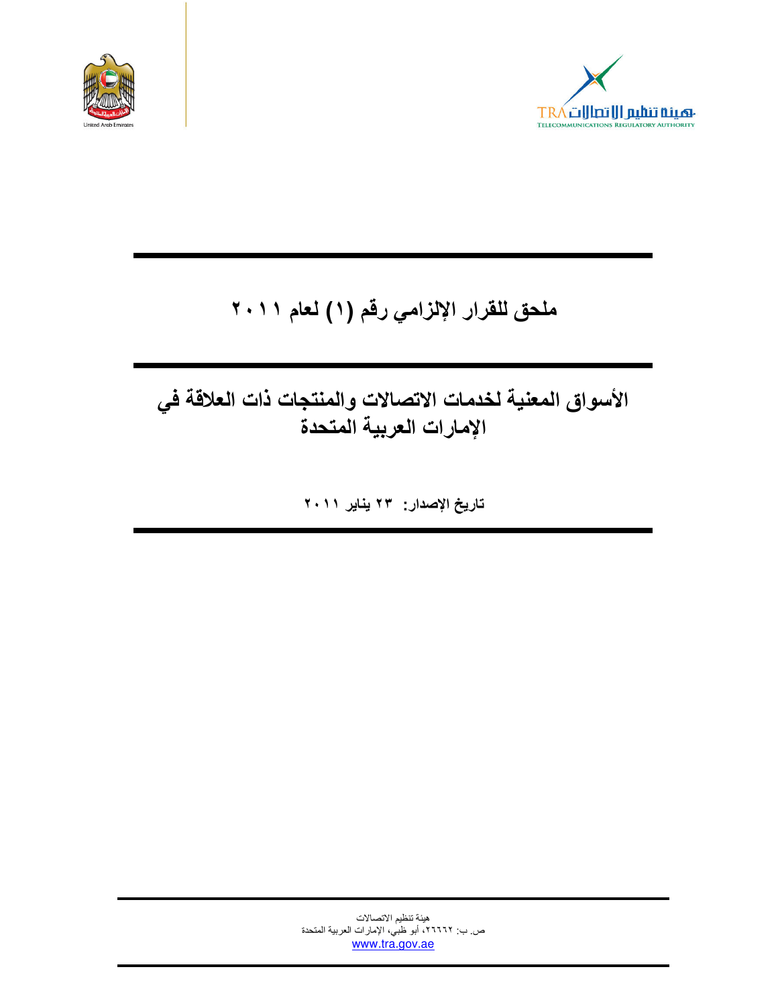



# ملحق للقرار الإلزامي رقم (١) لعام ٢٠١١

# الأسواق المعنية لخدمات الاتصالات والمنتجات ذات العلاقة في الإمارات العربية المتحدة

تاريخ الإصدار: ٢٣ يناير ٢٠١١

هيئة تنظيم الاتصالات ص ب: ٢٦٦٦٢، أبو ظبي، الإمارات العربية المتحدة www.tra.gov.ae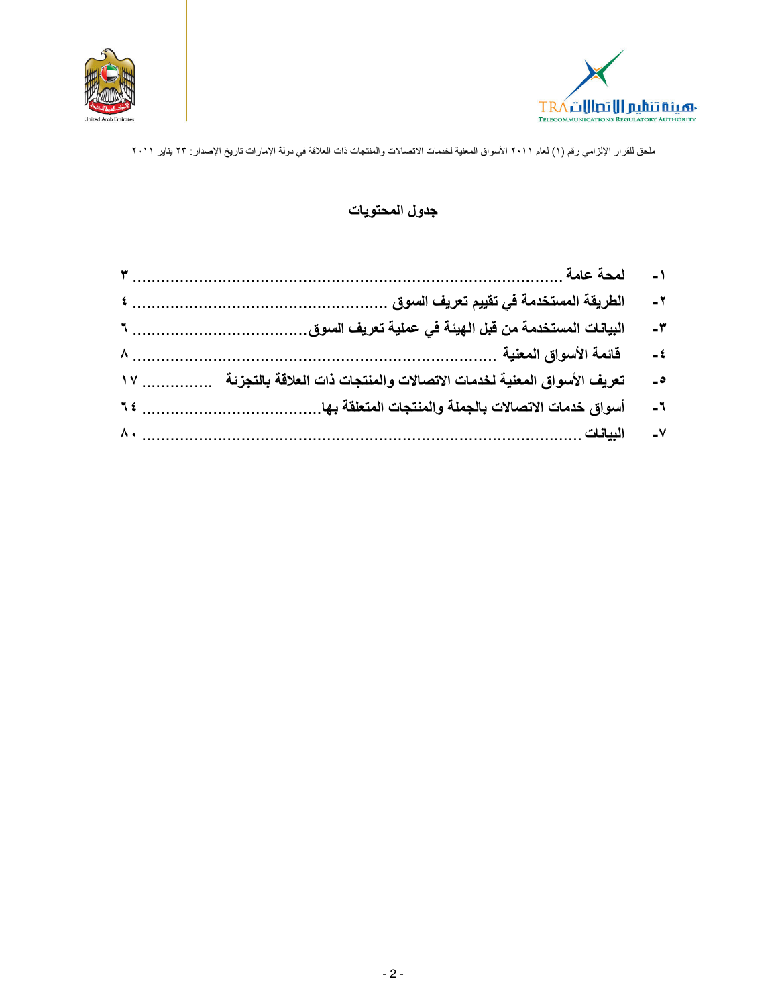



## جدول المحتويات

|                                                                                               | $-7$        |
|-----------------------------------------------------------------------------------------------|-------------|
|                                                                                               | $-\tau$     |
|                                                                                               | $-\epsilon$ |
| تعريف الأسواق المعنية لخدمات الاتصالات والمنتجات ذات العلاقة بالتجزئة ____________________ ١٧ | $\bullet$   |
|                                                                                               | $-7$        |
|                                                                                               | $-V$        |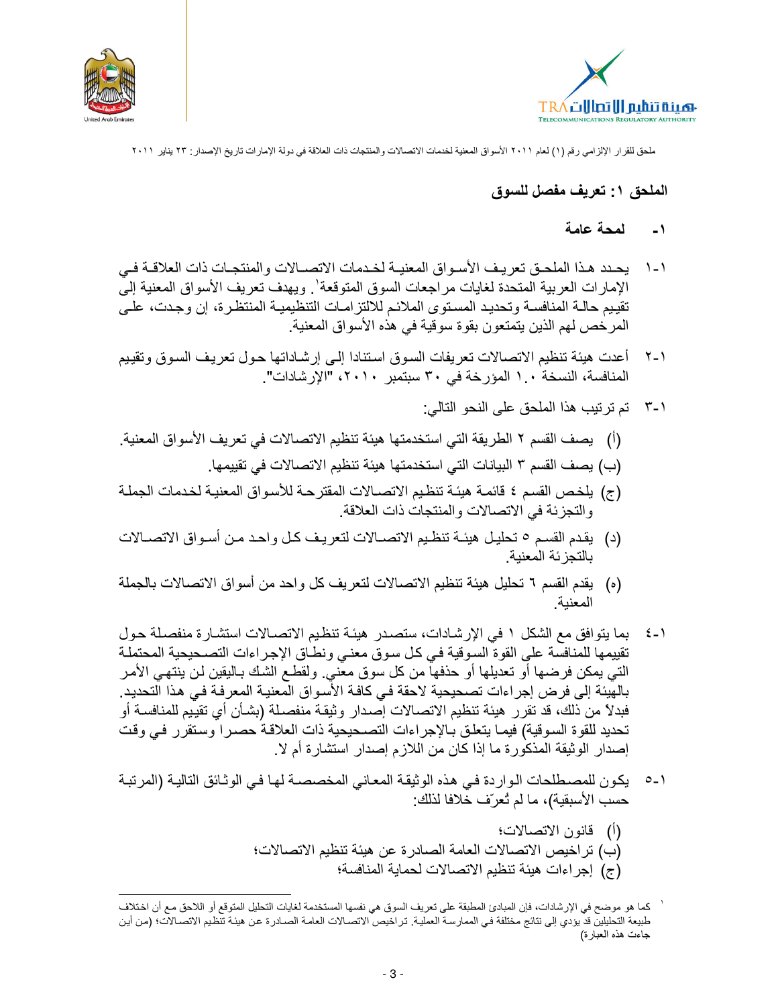



# الملحق ١: تعريف مفصل للسوق

#### لمحة عامة  $\sim$   $\sim$  1

- ١-١ يحدد هذا الملحـق تعريـف الأسـواق المعنيــة لخـدمات الاتصــالات والمنتجـات ذات العلاقــة فــي الإمارات العربية المتحدة لغايات مراجعات السوق المتوقعة'. ويهدف تعريف الأسواق المعنية إلىّ تقييم حالــة المنافســة وتحديـد المسـتوى الملائـم للالتزامــات التنظيميــة المنتظـرة، إن وجـدت، علــي المرخص لهم الذين يتمتعون بقوة سوقية في هذه الأسواق المعنية.
- ١-٢ أعدت هيئة تنظيم الاتصالات تعريفات السوق استنادا إلى إرشاداتها حول تعريف السوق وتقييم المنافسة، النسخة ١. ١ المؤرخة في ٣٠ سبتمبر ٢٠١٠، "الإرشادات".
	- ٢-٣ تم تر تيب هذا الملحق على النحو التالي:
- (أ) بِصف القسم ٢ الطريقة التي استخدمتها هيئة تنظيم الاتصالات في تعريف الأسواق المعنية.
	- (ب) يصف القسم ٣ البيانات التي استخدمتها هيئة تنظيم الاتصالات في تقييمها.
- (ج) يلخص القسم ٤ قائمة هيئة تنظيم الاتصالات المقترحة للأسواق المعنية لخدمات الجملة و التجز ئة في الاتصالات و المنتجات ذات العلاقة.
- (د) يقدم القسم ٥ تحليل هيئة تنظيم الاتصالات لتعريف كل واحد من أسواق الاتصالات بالتجز ئة المعنبة
- (ه) يقدم القسم ٦ تحليل هيئة تنظيم الاتصالات لتعريف كل واحد من أسواق الاتصالات بالجملة
- بما يتوافق مع الشكل ١ في الإرشادات، ستصدر هيئة تنظيم الاتصالات استشارة منفصلة حول  $\epsilon$  -  $\lambda$ تقييمها للمنافسة على القوة السوقية في كل سوق معنى ونطاق الإجراءات التصـحيحية المحتملـة التي يمكن فرضها أو تعديلها أو حذفها من كل سوق معّني. ولقطـع الشك بـاليقين لـن ينتهـي الأمـر بالهَينه إلى فرض إجراءات تصحيحية لاحقة في كافـة الأسواق المعنيـة المعرفـة فـي هذا التحديد. فبدلاً من ذلك، قد تقرر هيئة تنظيم الاتصالات إصدار وثيقة منفصلة (بشـأن أي تقييم للمنافسـة أو تحديد للقوة السوقية) فيما يتعلق بالإجراءات التصحيحية ذات العلاقة حصرا وستقرر في وقت إصدار الوثيقة المذكور ة ما إذا كان من اللازم إصدار استشار ة أم لا.
- ١-٥٪ يكون للمصطلحات الواردة في هذه الوثيقة المعاني المخصصة لها في الوثائق التالية (المرتبة حسب الأسبقية)، ما لم تُعرّف خُلافا لذلك:
	- (أ) قانون الاتصالات؛ (ب) تراخيص الاتصالات العامة الصادرة عن هيئة تنظيم الاتصالات؛ (ج) إجراءات هيئة تنظيم الاتصالات لحماية المنافسة؛

كما هو موضح في الإرشادات، فإن المبادئ المطبقة على تعريف السوق هي نفسها المستخدمة لغايات التحليل المتوقع أو اللاحق مع أن اختلاف طبيعة التطيلين قد يؤدي إلى نتائج مختلفة في الممارسة العملية. تراخيص الاتصــالات العامـة الصــادرة عن هيئـة تنظيم الاتصــالات؛ (من أين جاءت هذه العبارة)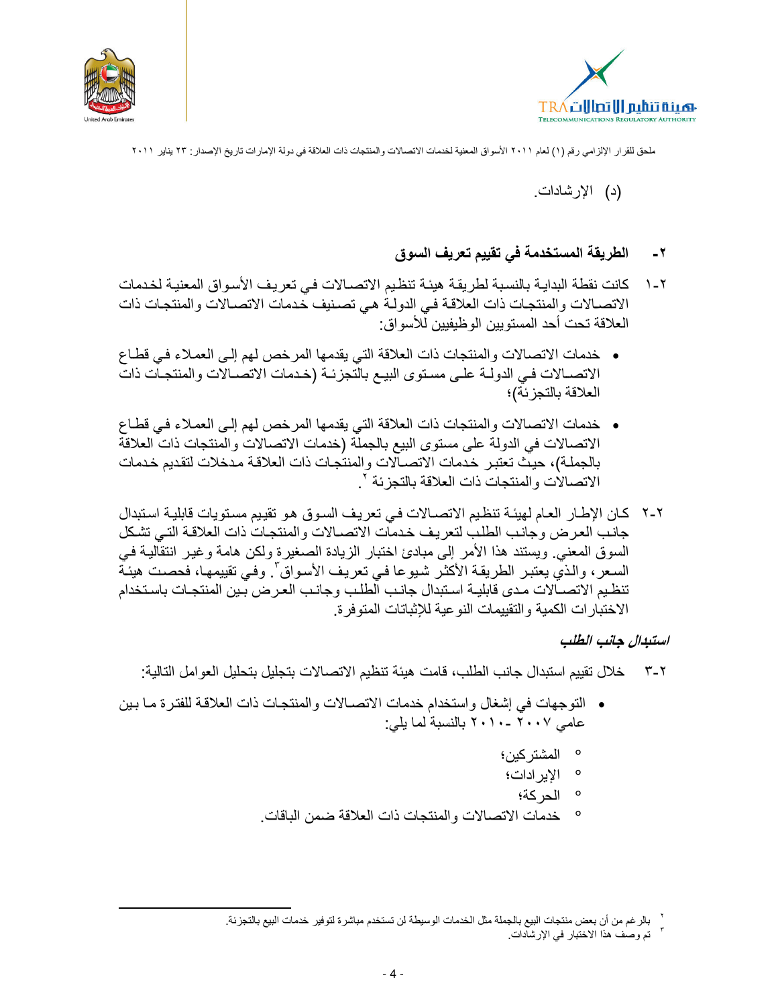



(د) الإرشادات.

#### الطريقة المستخدمة في تقييم تعريف السوق  $-7$

- كانت نقطة البدايـة بالنسبة لطريقة هيئـة تنظيم الاتصــالات فـي تعريف الأسـواق المعنيـة لخـدمات  $\mathcal{N}$ الاتصــالات والمنتجـات ذات العلاقـة فـي الدولـةُ هـي تصـنيف خـدمات الاتصــالات والمنتجـات ذات العلاقة تحت أحد المستوبين الو ظبفبين للأسو اق:
- خدمات الاتصالات والمنتجات ذات العلاقة التي يقدمها المرخص لهم إلىي العملاء في قطاع الاتصــالات فـي الدولــة علــي مسـتوى البيــع بالتجزئــة (خـدمات الاتصــالات والمنتجـات ذات العلاقة بالتجز ئة)؛
- خدمات الاتصالات والمنتجات ذات العلاقة التي يقدمها المرخص لهم إلى العملاء في قطاع الاتصالات في الدولة على مستوى البيع بالجملَّة (خدمات الاتصالات والمنتجات ذات العلاقة بالجملـة)، حيث تعتبر خدمات الاتصـالات والمنتجـات ذات العلاقـة مدخلات لتقديم خـدمات الاتصالات و المنتجات ذات العلاقة بالتجز ئة `.
- ٢-٢ كان الإطار العام لهيئة تنظيم الاتصالات في تعريف السوق هو تقييم مستويات قابلية استبدال جانب العرض وجانب الطلب لتعريف خدمات الاتصـالات والمنتجات ذات العلاقـة التـي تشكل السوق المعنى. ويستند هذا الأمر إلى مبادئ اختبار الزيادة الصغيرة ولكن هامة وغير انتقالية في السعر، والذيِّ يعتبر الطريقة الأكثر شيوعا في تعريف الأسواق". وفي تقييمها، فحصت هيئة تنظيم الاتصــالات مدى قابليـة اسـتبدال جانـب الطلب وجانـب العـرض بـين المنتجـات باسـتخدام الاختبار ات الكمية والتقييمات النو عية للإثباتات المتوفر ة.

### استبدال جانب الطلب

- ٢-٣ خلال تقييم استبدال جانب الطلب، قامت هيئة تنظيم الاتصــالات بتجليل بتحليل العو امل التالية:
- التوجهات في إشغال واستخدام خدمات الاتصـالات والمنتجات ذات العلاقة للفتر ة مـا بين عامى ٢٠٠٧ -٢٠١٠ بالنسبة لما يلي:
	- ° المشتر كبن؛
	- ۰ الإير ادات؛
		- ° الحركة؛
	- ° خدمات الاتصـالات والمنتجات ذات العلاقة ضمن الباقات.

<sup>&</sup>lt;sup>7</sup> بالرغم من أن بعض منتجات البيع بالجملة مثل الخدمات الوسيطة لن تستخدم مباشرة لتوفير خدمات البيع بالتجزئة ـ

<sup>`</sup> تم وصف هذا الاختبار في الإرشادات.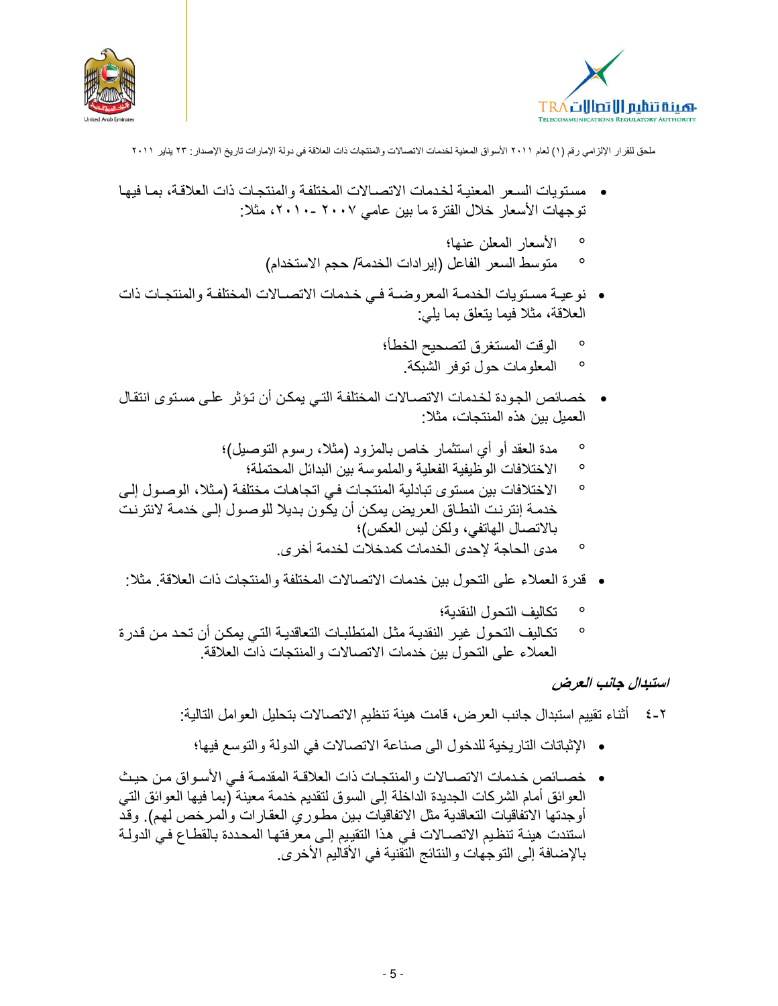



- مستويات السعر المعنية لخدمات الاتصـالات المختلفة والمنتجـات ذات العلاقـة، بمـا فيهـا توجهات الأسعار خلال الفترة ما بين عامي ٢٠٠٧ -٢٠١٠، مثلا:
	- الأسعار المعلن عنها؛  $\circ$
	- متوسط السعر الفاعل (إيرادات الخدمة/ حجم الاستخدام)  $\circ$
- نوعية مستويات الخدمـة المعروضـة فـي خـدمات الاتصـالات المختلفـة والمنتجـات ذات العلاقة، مثلا فيما يتعلق بما يلي:
	- الوقت المستغرق لتصحيح الخطأ؛  $\circ$ 
		- المعلومات حول توفر الشبكة.  $\circ$
- خصائص الجودة لخدمات الاتصــالات المختلفة التـى بمكن أن تـؤـثر\_ علـى مستوى انتقـال العمبل ببن هذه المنتجات، مثلا:
	- مدة العقد أو أي استثمار خاص بالمزود (مثلا، رسوم التوصيل)؛  $\circ$ 
		- الاختلافات الوظيفية الفعلية والملموسة بين البدائل المحتملة؛  $\circ$
- الاختلافات بين مستوى تبادلية المنتجات في اتجاهات مختلفة (مثلا، الوصول إلى  $\circ$ خدمــة إنترـنـت النطــاق الـعريض يمكـن أن يكون بـديلا للوصــول إلـى خدمــة لانترـنـت بالاتصال الهاتفي، ولكن ليس العكس)؛
	- مدى الحاجة لإحدى الخدمات كمدخلات لخدمة أخر ي  $\circ$
- قدر ة العملاء على النحو ل بين خدمات الاتصالات المختلفة و المنتجات ذات العلاقة. مثلا:
	- تكاليف التحول النقدية؛
- تكاليف التحول غير النقدية مثل المتطلبات التعاقدية التي يمكن أن تحد من قدرة  $\circ$ العملاء على النحول ببن خدمات الاتصالات و المنتجات ذات العلاقة.

# استبدال جانب العرض

- ٢-٤ أثناء تقييم استبدال جانب العرض، قامت هيئة تنظيم الاتصـالات بتحليل الـعوامل التالية:
	- الإثباتات التاريخية للدخول الى صناعة الاتصالات في الدولة والتوسع فيها؛
- خصــائص خـدمات الاتصــالات والمنتجـات ذات العلاقـة المقدمـة فـي الأسـواق مـن حيـث العوائق أمام الشركات الجديدة الداخلة إلى السوق لتقديم خدمة معينة (بما فيها العوائق التي أوجدتها الاتفاقيات التعاقدية مثل الاتفاقيات بين مطوري العقارات والمرخص لهم). وقد استندت هيئة تنظيم الاتصــالات فـي هذا التقييم إلـى معرفتهـا المحـددة بالقطـاع فـي الدولـة بالإضافة إلى التوجهات والنتائج التقنية في الأقاليم الأخرى.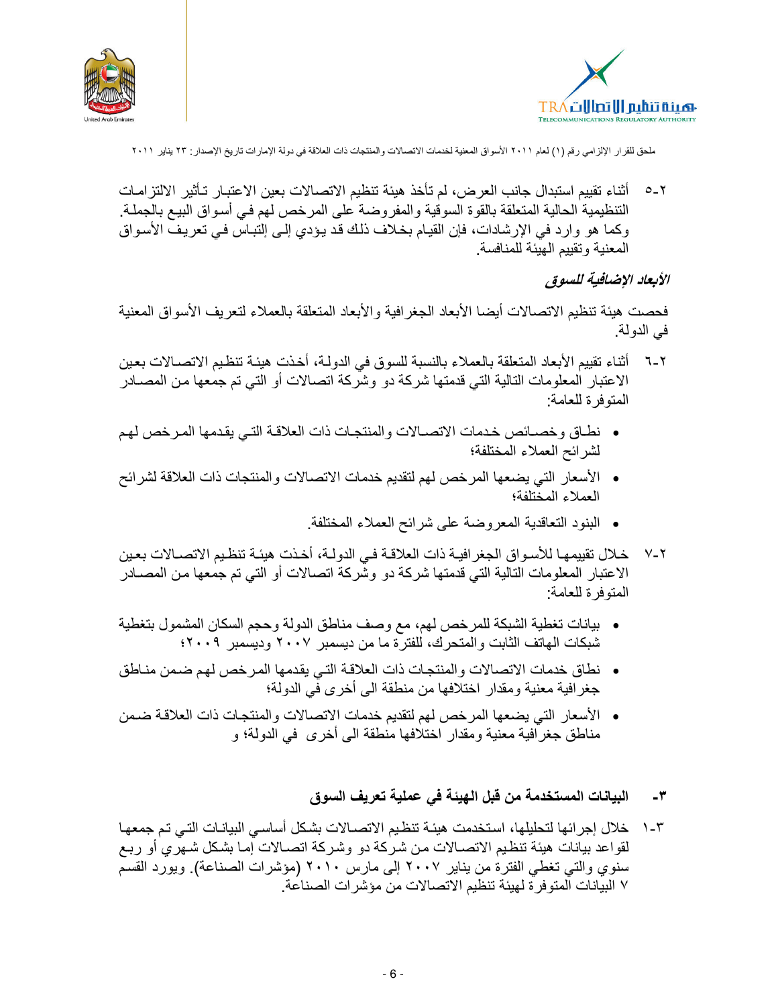



٢ -0 أثناء تقييم استبدال جانب العرض، لم تأخذ هيئة تنظيم الاتصـالات بعين الاعتبـار تـأثير الالتز امـات التنظيمية الحالية المتعلقة بالقوة السوقية والمفروضة على المرخص لهم فـي أسواق البيـع بالجملـة. وكما هو وارد في الإرشادات، فإن القيام بخلاف ذلك قد يؤدي إلى إلتباس في تعريف الأسواق المعنية وتقييم الهيئة للمنافسة

### الأبعاد الإضافية للسوق

فحصت هيئة تنظيم الاتصالات أيضا الأبعاد الجغرافية والأبعاد المتعلقة بالعملاء لتعريف الأسواق المعنية في الدولة.

- ٦-٦ أثناء تقييم الأبعاد المنعلقة بالعملاء بالنسبة للسوق في الدولـة، أخذت هيئـة تنظـيم الاتصــالات بعـين الاعتبار المعلومات التالية التي قدمتها شركة دو وشركة اتصالات أو التي تم جمعها من المصـادر المتوفر ة للعامة:
- نطاق وخصائص خدمات الاتصـالات والمنتجـات ذات العلاقـة التـي يقدمها المرخص لهم لشرائح العملاء المختلفة؛
- الأسعار التي يضعها المرخص لهم لتقديم خدمات الاتصالات والمنتجات ذات العلاقة لشرائح العملاء المختلفة؛
	- البنود النعاقدية المعروضة على شرائح العملاء المختلفة.
- خلال تقييمهـا للأسـواق الجغرافيـة ذات العلاقـة فـي الدولـة، أخـذت هيئـة تنظـيم الاتصــالات بعـين  $V - Y$ الاعتبار المعلومات التالية التي قدمتها شركة دو وشركة اتصالات أو التي تم جمعها من المصـادر المنوفرة للعامة:
- بيانات تغطية الشبكة للمرخص لهم، مع وصف مناطق الدولة وحجم السكان المشمول بتغطية شبكات الهاتف الثابت والمتحرك، للفترة ما من ديسمبر ٢٠٠٧ وديسمبر ٢٠٠٩؛
- نطاق خدمات الاتصالات والمنتجات ذات العلاقة التي يقدمها المرخص لهم ضمن مناطق جغرافية معنية ومقدار اختلافها من منطقة الى أخرى في الدولة؛
- الأسعار التي يضعها المرخص لهم لتقديم خدمات الاتصالات والمنتجات ذات العلاقة ضمن مناطق جغرافية معنية ومقدار اختلافها منطقة الى أخرى في الدولة؛ و
	- البيانات المستخدمة من قبل الهيئة في عملية تعريف السوق  $-1$
- ٢-١ خلال إجرائها لتحليلها، استخدمت هيئـة تنظيم الاتصــالات بشكل أساسـي البيانـات التـي تـم جمعهـا لقواعد بيانات هيئة تنظيم الاتصــالات من شركة دو وشركة اتصــالات إمـا بشكل شـهري أو ربـع سنوي والتي تغطي الفترة من يناير ٢٠٠٧ إلى مارس ٢٠١٠ (مؤشرات الصناعة). ويورد القسم ٧ البيانات المتوفرة لهيئة تنظيم الاتصـالات من مؤشر ات الصناعة.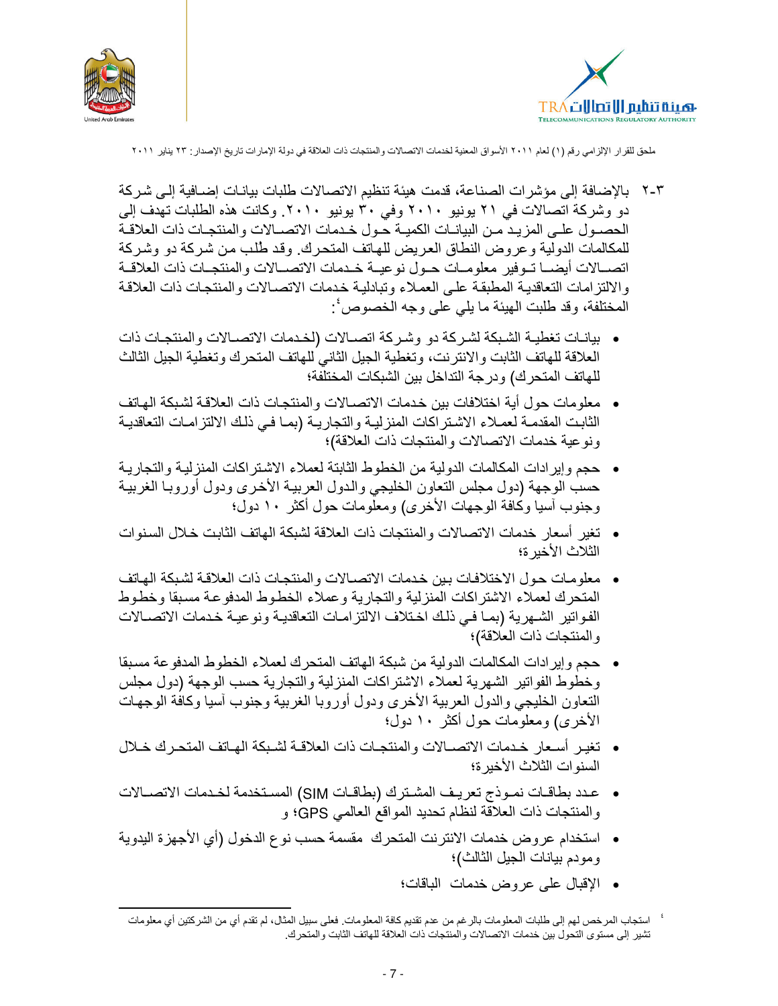



- ٢-٢ بالإضافة إلى مؤشرات الصناعة، قدمت هيئة تنظيم الاتصالات طلبات بيانـات إضــافية إلـى شـركة دو وشركة اتصالات في ٢١ يونيو ٢٠١٠ وفي ٣٠ يونيو ٢٠١٠. وكانت هذه الطلبات تهدف إلى الحصـول علـى المزيـد مـن البيانــات الكميــة حـول خـدمات الاتصــالات والمنتجـات ذات العلاقــة للمكالمات الدولية وعروض النطاق العريض للهاتف المتحرك. وقد طلب من شركة دو وشركة اتصبالات أيضبا تبوفير معلوميات حبول نوعيبة خبدمات الاتصبالات والمنتجبات ذات العلاقية والالتزامات التعاقدية المطبقة على العملاء وتبادلية خدمات الاتصالات والمنتجات ذات العلاقة المختلفة، وقد طلبت الهيئة ما يلي على وجه الخصوص ُ:
- بيانات تغطية الشبكة لشركة دو وشركة اتصالات (لخدمات الاتصالات والمنتجات ذات العلاقة للهاتف الثابت والانترنت، وتغطية الجيل الثاني للهاتف المتحرك وتغطية الجيل الثالث للهاتف المتحرك) ودرجة التداخل بين الشبكات المختلَّفة؛
- معلومات حول أية اختلافات بين خدمات الاتصـالات والمنتجـات ذات العلاقـة لشبكة الـهـاتف الثابت المقدمة لعملاء الاشتراكات المنزلية والتجارية (بما في ذلك الالتزامات التعاقدية ونو عية خدمات الاتصالات والمنتجات ذات العلاقة)؛
- حجم وإيرادات المكالمات الدولية من الخطوط الثابتة لعملاء الاشتراكات المنزلية والتجارية حسب الوجهة (دول مجلس التعاون الخليجي والدول العربية الأخرى ودول أوروبا الغربية وجنوب أسيا وكافة الوجهات الأخرى) ومعلومات حول أكثر ١٠ دول؛
- تغير أسعار خدمات الاتصالات والمنتجات ذات العلاقة لشبكة الهاتف الثابت خلال السنوات الثلاث الأخبر ة؛
- معلومات حول الاختلافات بين خدمات الاتصـالات والمنتجـات ذات العلاقـة لشبكة الـهـاتف المتحرك لعملاء الاشتراكات المنزلية والتجارية وعملاء الخطوط المدفوعة مسبقا وخطوط الفواتير الشهرية (بما في ذلك اختلاف الالتزامات التعاقدية ونوعية خدمات الاتصالات والمنتجات ذات العلاقة)؛
- حجم وإيرادات المكالمات الدولية من شبكة الهاتف المتحرك لعملاء الخطوط المدفوعة مسبقا وخطوط الفواتير الشهرية لعملاء الاشتراكات المنزلية والتجارية حسب الوجهة (دول مجلس التعاون الخليجي والدول العربية الأخرى ودول أوروبا الغربية وجنوب أسيا وكافة الوجهات الأخرى) ومعلومات حول أكثر ١٠ دول؛
- تغير أسعار خدمات الاتصــالات والمنتجـات ذات العلاقـة لشـبكة الهـاتف المتحـرك خـلال السنو ات الثلاث الأخير ة؛
- عدد بطاقـات نمـوذج تعريـف المشـترك (بطاقـات SIM) المسـتخدمة لخـدمات الاتصــالات والمنتجات ذات العلاقة لنظام تحديد المواقع العالمي GPS؛ و
- استخدام عروض خدمات الانترنت المتحرك مقسمة حسب نوع الدخول (أي الأجهزة البدوية ومودم بيانات الجيل الثالث)؛
	- الإقبال على عروض خدمات الباقات؛

<sup>&#</sup>x27; استجاب المرخص لهم إلى طلبات المعلومات بالرغم من عدم تقديم كافة المعلومات. فعلى سبيل المثال، لم تقدم أي من الشركتين أي معلومات تشير إلى مستوى التحول بين خدمات الاتصالات والمنتجات ذات العلاقة للهاتف الثابت والمتحرك.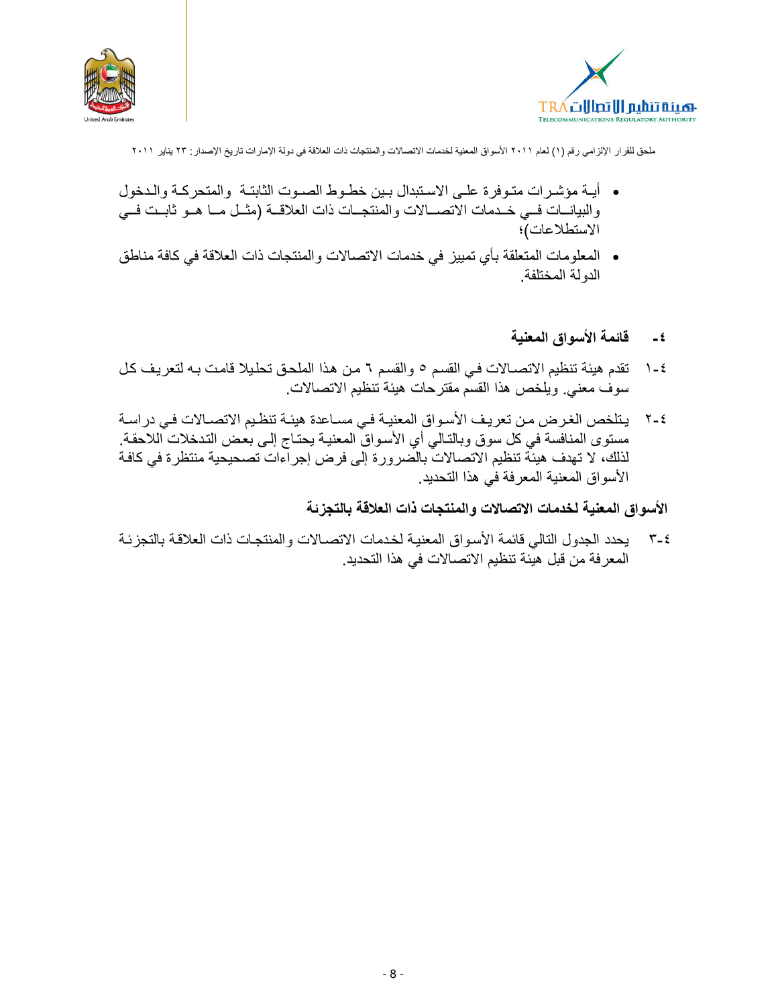



- أيـة مؤشـرات متـوفرة علـى الاسـتبدال بـين خطـوط الصـوت الثابتـة والمتحركـة والـدخول والبيانات في خدمات الاتصـالات والمنتجـات ذات العلاقــة (مثـل مـا هـو ثابـت فــي الاستطلاعات)؛
- المعلومات المتعلقة بأي تمييز في خدمات الاتصالات والمنتجات ذات العلاقة في كافة مناطق الدولة المختلفة
	- فائمة الأسواق المعنية  $-\epsilon$
- تقدم هيئة تنظيم الاتصـالات في القسم ٥ والقسم ٦ من هذا الملحق تحليلا قامت بـه لتعريف كل  $1 - 2$ سوف معنى ويلخص هذا القسم مقترحات هيئة تنظيم الاتصالات.
- يتلخص الغرض من تعريف الأسواق المعنية في مساعدة هيئة تنظيم الاتصــالات في دراسـة  $Y - 2$ مستوى المنافسة في كل سوق وبالتـالي أي الأسواق المعنيـة يحتـاج إلـى بعض التدخلات اللاحقـة. لذلك، لا تهدف هيئَة تنظيم الاتصالاتَ بالصرورة إلى فرض إجراءات تصحيحية منتظرة في كافـة الأسو اق المعنية المعر فة في هذا التحديد .

الأسواق المعنية لخدمات الاتصالات والمنتجات ذات العلاقة بالتجزئة

٤-٣ يحدد الجدول النالي فائمة الأسواق المعنية لخدمات الاتصـالات والمنتجـات ذات العلاقـة بالتجزئـة المعرفة من قبل هيئة تنظيم الاتصالات في هذا التحديد.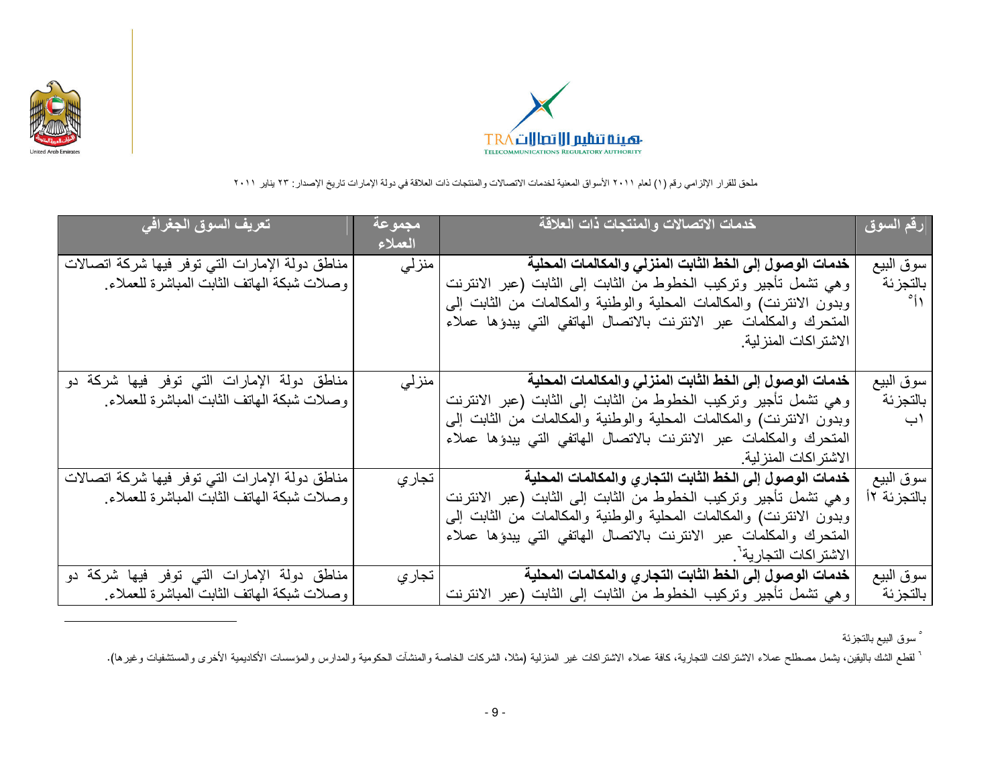



| <u>تعريف</u> السوق الجغرافي                      | <u>  مجموعة</u><br>العملاء | خدمات الاتصالات والمنتجات ذات العلاقة                                | رقم السوق    |
|--------------------------------------------------|----------------------------|----------------------------------------------------------------------|--------------|
| مناطق دولة الإمارات التي توفر فيها شركة اتصالات  | منزلى                      | خدمات الوصول إلى الخط الثابت المنزلي والمكالمات المحلية              | سوق البيع    |
| وصلات شبكة الهاتف الثابت المباشرة للعملاء        |                            | وهي تشمل تأجير وتركيب الخطوط من الثابت إلى الثابت (عبر الانترنت      | بالتجزئة     |
|                                                  |                            | وبدون الانترنت) والمكالمات المحلية والوطنية والمكالمات من الثابت إلى | $^{\circ}$ i |
|                                                  |                            | المتحرك والمكلمات عبر الانترنت بالاتصال الهاتفي التي يبدؤها عملاء    |              |
|                                                  |                            | الاشتر اكات المنز لية                                                |              |
|                                                  |                            |                                                                      |              |
| مناطق دولة الإمارات التي توفر فيها شركة دو       | منز لي                     | خدمات الوصول إلى الخط الثابت المنزلى والمكالمات المحلية              | سوق البيع    |
| وصلات شبكة الهاتف الثابت المباشرة للعملاء        |                            | وهي تشمل تأجير وتركيب الخطوط من الثابت إلى الثابت (عبر الانترنت      | بالتجزئة     |
|                                                  |                            | وبدون الانترنت) والمكالمات المحلية والوطنية والمكالمات من الثابت إلى | ۱ب           |
|                                                  |                            | المتحرك والمكلمات عبر الانترنت بالاتصال الهاتفي التي يبدؤها عملاء    |              |
|                                                  |                            | الاشتر اكات المنز لية.                                               |              |
| مناطق دولة الإمارات التبي توفر فيها شركة اتصالات | تجار ي                     | خدمات الوصول إلى الخط الثابت التجاري والمكالمات المحلية              | سوق البيع    |
| وصلات شبكة المهاتف الثابت المباشرة للعملاء       |                            | وهي تشمل تأجير وتركيب الخطوط من الثابت إلى الثابت (عبر الانترنت      | بالتجزئة ١٢  |
|                                                  |                            | وبدون الانترنت) والمكالمات المحلية والوطنية والمكالمات من الثابت إلى |              |
|                                                  |                            | المتحرك والمكلمات عبر الانترنت بالاتصال الهاتفي التي يبدؤها عملاء    |              |
|                                                  |                            | الاشتر اكات التجارية <sup>-</sup> .                                  |              |
| مناطق دولة الإمارات التي توفر فيها شركة دو       | تجار ي                     | خدمات الوصول إلى الخط الثابت التجاري والمكالمات المحلية              | سوق البيع    |
| وصلات شبكة الهاتف الثابت المباشرة للعملاء        |                            | وهي تشمل نأجير وتركيب الخطوط من الثابت إلى الثابت (عبر الانترنت      | بالتجزئة     |

° سوق البيع بالتجزئة

` لقطع الشك باليقين، يشمل مصطلح عملاء الاشتراكات التجارية، كافة عملاء الاشتراكية (مثلث الشركات الخاصة والمنشآت الحكومية والمدارس والمؤسسات الأكاديمية الأخرى والمستشفيات وغيرها).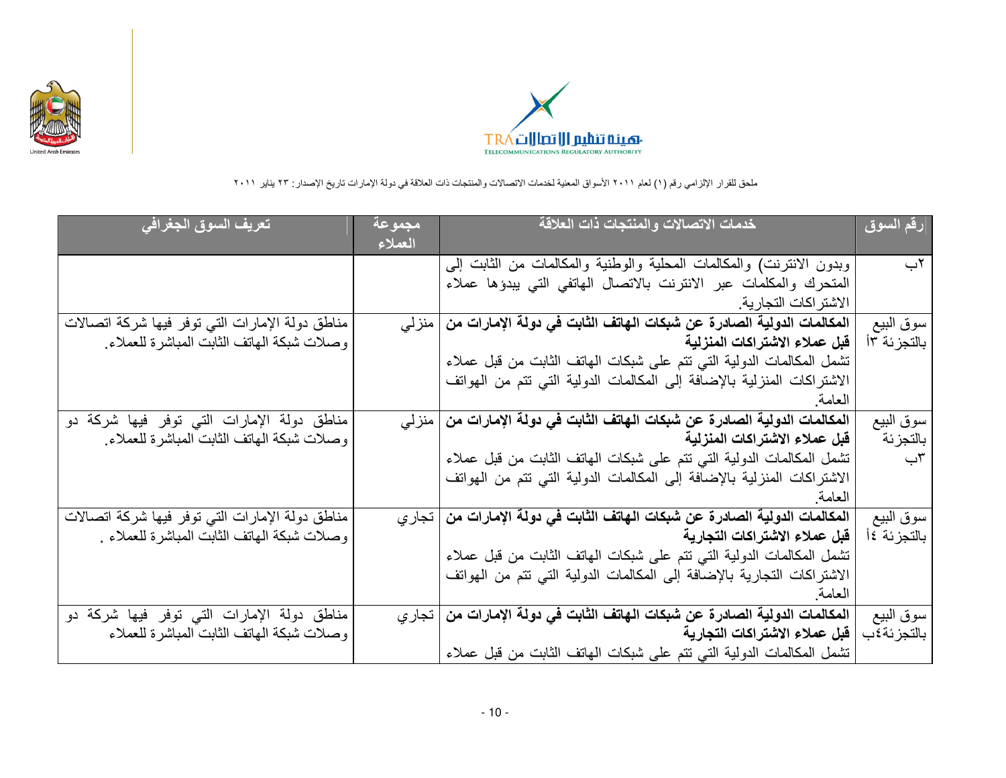



| تعريف السوق الجغرافي                            | مجموعة<br>العملاء | خدمات الاتصالات والمنتجات ذات العلاقة                                          | رقم السوق   |
|-------------------------------------------------|-------------------|--------------------------------------------------------------------------------|-------------|
|                                                 |                   | وبدون الانترنت) والمكالمات المحلية والوطنية والمكالمات من الثابت إلى           | ٢ب          |
|                                                 |                   | المتحرك والمكلمات عبر الانترنت بالاتصال الهاتفي التي يبدؤها عملاء              |             |
|                                                 |                   | الاشتر اكات التجارية                                                           |             |
| مناطق دولة الإمارات التي توفر فيها شركة اتصالات |                   | المكالمات الدولية الصادرة عن شبكات الـهاتف الثابت في دولة الإمارات من   منز لي | سوق البيع   |
| وصلات شبكة المهاتف الثابت المباشرة للعملاء      |                   | قبل عملاء الاشتراكات المنزلية                                                  | بالتجزئة ٢أ |
|                                                 |                   | تشمل المكالمات الدولية التبي تتم على شبكات المهاتف الثابت من قبل عملاء         |             |
|                                                 |                   | الاشتراكات المنزلية بالإضافة إلى المكالمات الدولية التي تتم من الهواتف         |             |
|                                                 |                   | العامة                                                                         |             |
| مناطق دولة الإمارات التي توفر فيها شركة دو      |                   | المكالمات الدولية الصادرة عن شبكات الـهاتف الثابت في دولة الإمارات من   منز لي | سوق البيع   |
| وصلات شبكة الهاتف الثابت المباشرة للعملاء       |                   | قبل عملاء الاشتراكات المنزلية                                                  | بالتجزئة    |
|                                                 |                   | تشمل المكالمات الدولية التبي تتم على شبكات المهاتف الثابت من قبل عملاء         | ٣ب          |
|                                                 |                   | الاشتراكات المنزلية بالإضافة إلى المكالمات الدولية التي تتم من الهواتف         |             |
|                                                 |                   | العامة                                                                         |             |
| مناطق دولة الإمارات التي توفر فيها شركة اتصالات |                   | المكالمات الدولية الصادرة عن شبكات الـهاتف الثابت في دولة الإمارات من   تجار ي | سوق البيع   |
| وصلات شبكة المهاتف الثابت المباشرة للعملاء .    |                   | قبل عملاء الاشتراكات التجارية                                                  | بالتجزئة ٤أ |
|                                                 |                   | تشمل المكالمات الدولية التبي تتم على شبكات المهاتف الثابت من قبل عملاء         |             |
|                                                 |                   | الاشتراكات التجارية بالإضافة إلى المكالمات الدولية التي تتم من الهواتف         |             |
|                                                 |                   | العامة                                                                         |             |
| مناطق دولة الإمارات التي توفر فيها شركة دو      |                   | المكالمات الدولية الصادرة عن شبكات الـهاتف الثابت في دولة الإمارات من   تجار ي | سوق البيع   |
| وصلات شبكة الهاتف الثابت المباشرة للعملاء       |                   | قبل عملاء الاشتراكات التجارية                                                  | بالتجزئة٤ب  |
|                                                 |                   | تشمل المكالمات الدولية التي تتم على شبكات المهاتف الثابت من قبل عملاء          |             |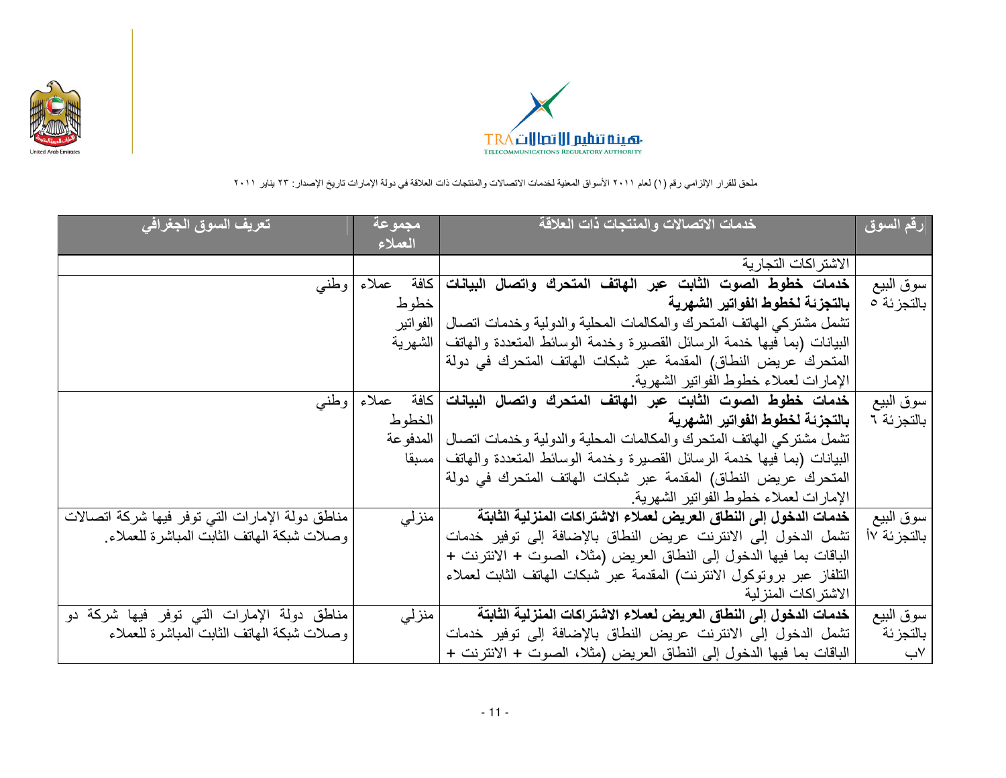



| تعريف السوق الجغراف <i>ي</i>                    | مجموعة<br>العملاء | خدمات الاتصالات والمنتجات ذات العلاقة                                                     | <mark>رقم السوق</mark> |
|-------------------------------------------------|-------------------|-------------------------------------------------------------------------------------------|------------------------|
|                                                 |                   | الاشتر اكات التجارية                                                                      |                        |
| وطنبي                                           | كافة<br>عملاء     | خدمات خطوط الصوت الثابت عبر الهاتف المتحرك واتصال البيانات                                | سوق البيع              |
|                                                 | خطوط              | بالتجزئة لخطوط الفواتير الشهرية                                                           | بالتجزئة 0             |
|                                                 | الفو اتير         | تشمل مشتركي الهاتف المتحرك والمكالمات المحلية والدولية وخدمات اتصال                       |                        |
|                                                 |                   | الْبِيَانَاتِ (بما فَيها خدمة الرسائل القصيرة وخدمة الوسائط المُتعدِّدة والهاتف   الشهرية |                        |
|                                                 |                   | المتحرك عريض النطاق) المقدمة عبر شبكات الهاتف المتحرك في دولة                             |                        |
|                                                 |                   | الإمارات لعملاء خطوط الفواتير الشهرية.                                                    |                        |
|                                                 | كافة<br>عملاء     | خدمات خطوط الصوت الثابت عبر الهاتف المتحرك واتصال البيانات                                |                        |
| وطنبي                                           |                   | بالتجزئة لخطوط الفواتير الشهرية                                                           | سوق البيع              |
|                                                 | الخطوط            |                                                                                           | بالتجزئة ٦             |
|                                                 | المدفو عة         | تشمل مشتركي الهاتف المتحرك والمكالمات المحلية والدولية وخدمات اتصال                       |                        |
|                                                 | امسبقا            | البيانات (بما فيها خدمة الرسائل القصيرة وخدمة الوسائط المتعددة والمهاتف                   |                        |
|                                                 |                   | المتحرك عريض النطاق) المقدمة عبر شبكات الهاتف المتحرك في دولة                             |                        |
|                                                 |                   | الإمارات لعملاء خطوط الفواتير الشهرية.                                                    |                        |
| مناطق دولة الإمارات التي توفر فيها شركة اتصالات | منزلى             | خدمات الدخول إلى النطاق العريض لعملاء الاشتراكات المنزلية الثابتة                         | سوق البيع              |
| وصلات شبكة الهاتف الثابت المباشرة للعملاء       |                   | تشمل الدخول إلى الانترنت عريض النطاق بالإضافة إلى توفير خدمات                             | بالتجزئة ١٧            |
|                                                 |                   | الباقات بما فيها الدخول إلى النطاق العريض (مثلا، الصوت + الانترنت +                       |                        |
|                                                 |                   | التلفاز عبر بروتوكول الانترنت) المقدمة عبر شبكات المهاتف الثابت لعملاء                    |                        |
|                                                 |                   | الاشتر اكات المنز لية                                                                     |                        |
| مناطق دولة الإمارات التي توفر فيها شركة دو      | منزلى             | خدمات الدخول إلى النطاق العريض لعملاء الاشتراكات المنزلية الثابتة                         | سوق البيع              |
| وصلات شبكة الهاتف الثابت المباشرة للعملاء       |                   | تشمل الدخول إلى الانترنت عريض النطاق بالإضافة إلى توفير خدمات                             | بالتجزئة               |
|                                                 |                   | الباقات بما فيها الدخول إلى النطاق العريض (مثلا، الصوت + الانترنت +                       | ∨ب                     |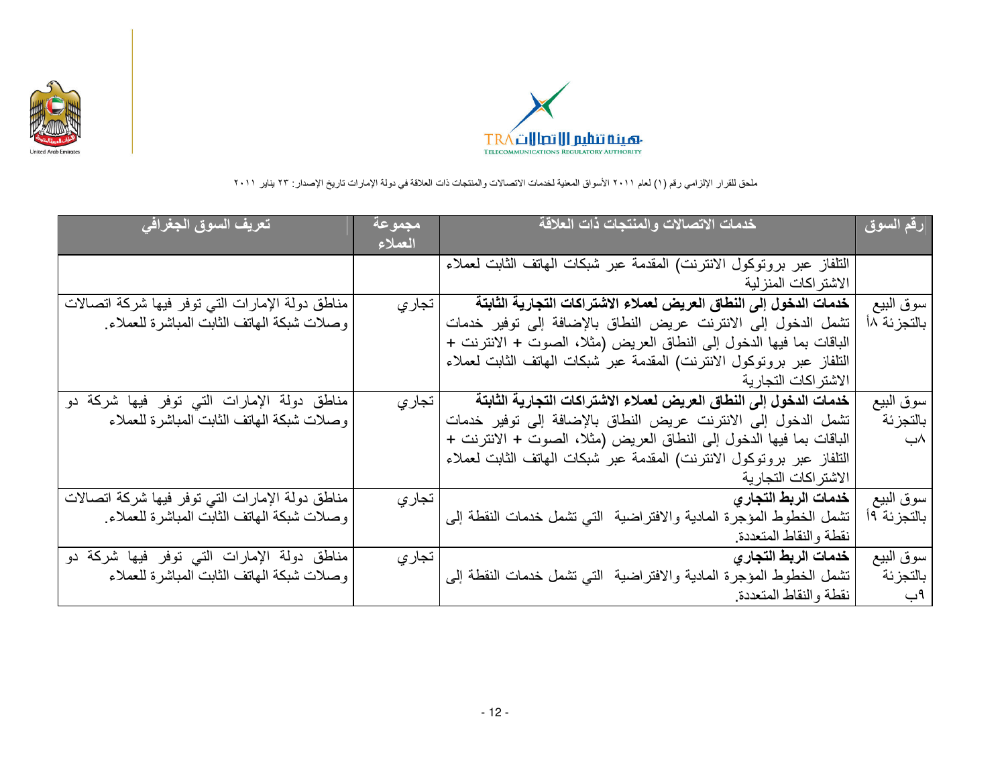



| تعريف السوق الجغرافي <sub>.</sub>                | <del>مج</del> موعة!<br>العملاء | خدمات الاتصالات والمنتجات ذات العلاقة                                  | رقم السوق    |
|--------------------------------------------------|--------------------------------|------------------------------------------------------------------------|--------------|
|                                                  |                                | التلفاز عبر بروتوكول الانترنت) المقدمة عبر شبكات المهاتف الثابت لعملاء |              |
|                                                  |                                | الاشتر اكات المنز لية                                                  |              |
| مناطق دولة الإمارات التبي توفر فيها شركة اتصالات | تجاري                          | خدمات الدخول إلى النطاق العريض لعملاء الاشتراكات التجارية الثابتة      | سوق البيع    |
| وصلات شبكة الهاتف الثابت المباشرة للعملاء        |                                | تشمل الدخول إلى الانترنت عريض النطاق بالإضافة إلى توفير خدمات          | بالتجزئة ١٨  |
|                                                  |                                | الباقات بما فيها الدخول إلى النطاق العريض (مثلا، الصوت + الانترنت +    |              |
|                                                  |                                | التلفاز عبر بروتوكول الانترنت) المقدمة عبر شبكات الهاتف الثابت لعملاء  |              |
|                                                  |                                | ا الاشتر اكات التجار ية                                                |              |
| مناطق دولة الإمارات التي توفر فيها شركة دو       | تجاري                          | خدمات الدخول إلى النطاق العريض لعملاء الاشتراكات التجارية الثابتة      | سوق البيع    |
| وصلات شبكة الهاتف الثابت المباشرة للعملاء        |                                | تشمل الدخول إلى الانترنت عريض النطاق بالإضافة إلى توفير خدمات          | بالتجزئة     |
|                                                  |                                | الباقات بما فيها الدخول إلى النطاق العريض (مثلا، الصوت + الانترنت +    | ۸ب           |
|                                                  |                                | التلفاز عبر بروتوكول الانترنت) المقدمة عبر شبكات المهاتف الثابت لعملاء |              |
|                                                  |                                | الاشتراكات التجارية                                                    |              |
| مناطق دولة الإمارات التي توفر فيها شركة اتصالات  | تجاري                          | خدمات الربط التجارى                                                    | سوق البيع    |
| وصلات شبكة الهاتف الثابت المباشرة للعملاء        |                                | تشمل الخطوط المؤجرة المادية والافتراضية  التي تشمل خدمات النقطة إلى    | بالتجز ئة ١٩ |
|                                                  |                                | نقطة والنقاط المتعددة                                                  |              |
| مناطق دولة الإمارات التي توفر فيها شركة دو       | تجار ي                         | خدمات الربط التجار ي                                                   | سوق البيع    |
| وصلات شبكة الهاتف الثابت المباشرة للعملاء        |                                | تشمل الخطوط المؤجرة المادية والافتراضية التي تشمل خدمات النقطة إلى     | بالتجزئة     |
|                                                  |                                | نقطة والنقاط المتعددة                                                  | ٩ب           |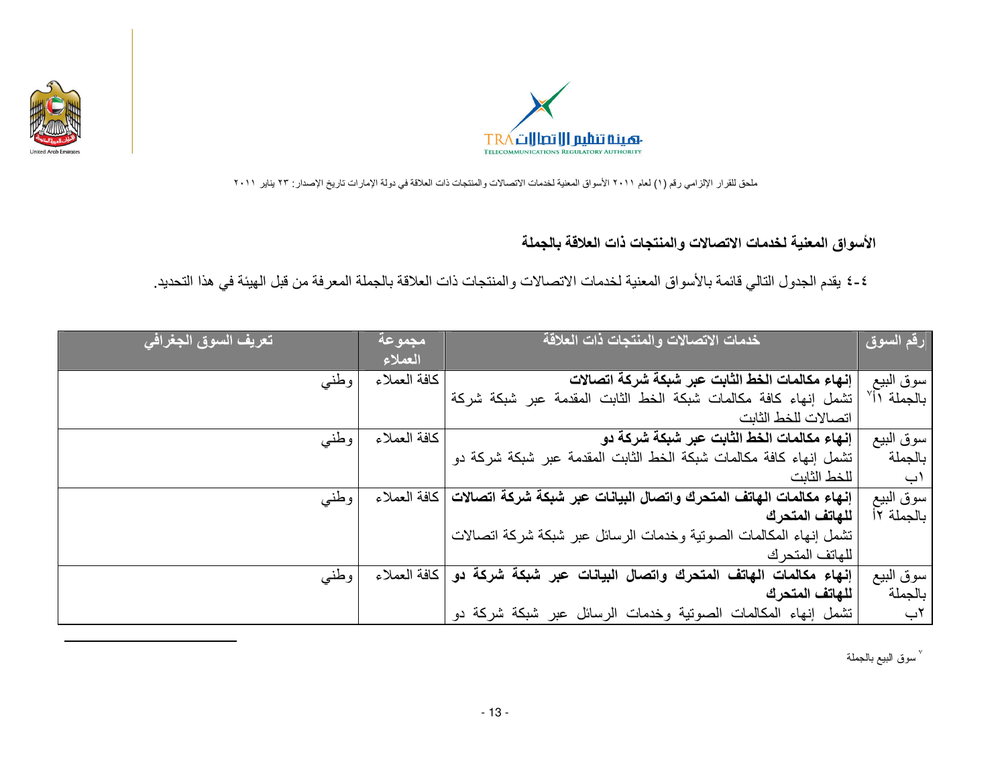



الأسواق المعنية لخدمات الاتصالات والمنتجات ذات العلاقة بالجملة

٤-٤ يقدم الجدول التالي قائمة بالأسواق المعنية لخدمات الاتصالات والمنتجات ذات العلاقة بالجملة المعرفة من قبل الهيئة في هذا التحديد.

| تعريف السوق الجغرافي <sub>ا</sub> | بمجموعة<br>العملاء | خدمات الاتصالات والمنتجات ذات العلاقة                              | رقم السوق               |
|-----------------------------------|--------------------|--------------------------------------------------------------------|-------------------------|
| وطنبي                             | كافة العملاء       | إنهاء مكالمات الخط الثابت عبر شبكة شركة اتصالات                    | سوق البيع               |
|                                   |                    | تشمل إنهاء كافة مكالمات شبكة الخط الثابت المقدمة عبر شبكة شركة     | بالجملة اأ <sup>٧</sup> |
|                                   |                    | اتصالات للخط الثانت                                                |                         |
| وطنبي                             | كافة العملاء       | ِّ إِنْهَاءَ مكالمات الخط الثابت عبر شبكة شركة دو                  | سوق البيع               |
|                                   |                    | تشمل إنهاء كافة مكالمات شبكة الخط الثابت المقدمة عبر شبكة شركة دو  | بالجملة                 |
|                                   |                    | للخط الثابت                                                        | ۱پ                      |
| وطنبي                             | كافة العملاء       | إنهاء مكالمات الهاتف المتحرك واتصال البيانات عبر شبكة شركة اتصالات | سوق البيع               |
|                                   |                    | للهاتف المتحرك                                                     | بالجملة ١٢              |
|                                   |                    | تشمل إنهاء المكالمات الصوتية وخدمات الرسائل عبر شبكة شركة اتصالات  |                         |
|                                   |                    | للهاتف المتحر ك                                                    |                         |
| وطنبي                             | كافة العملاء       | الهاتف المتحرك واتصال البيانات عبر شبكة شركة دو<br>إنهاء مكالمات   | سوق البيع               |
|                                   |                    | للهاتف المتحرك                                                     | بالجملة                 |
|                                   |                    | تشمل إنهاء المكالمات الصوتية وخدمات الرسائل عبر شبكة شركة دو       | ٢ب                      |

<sup>√</sup> سوق النبيع بالجملة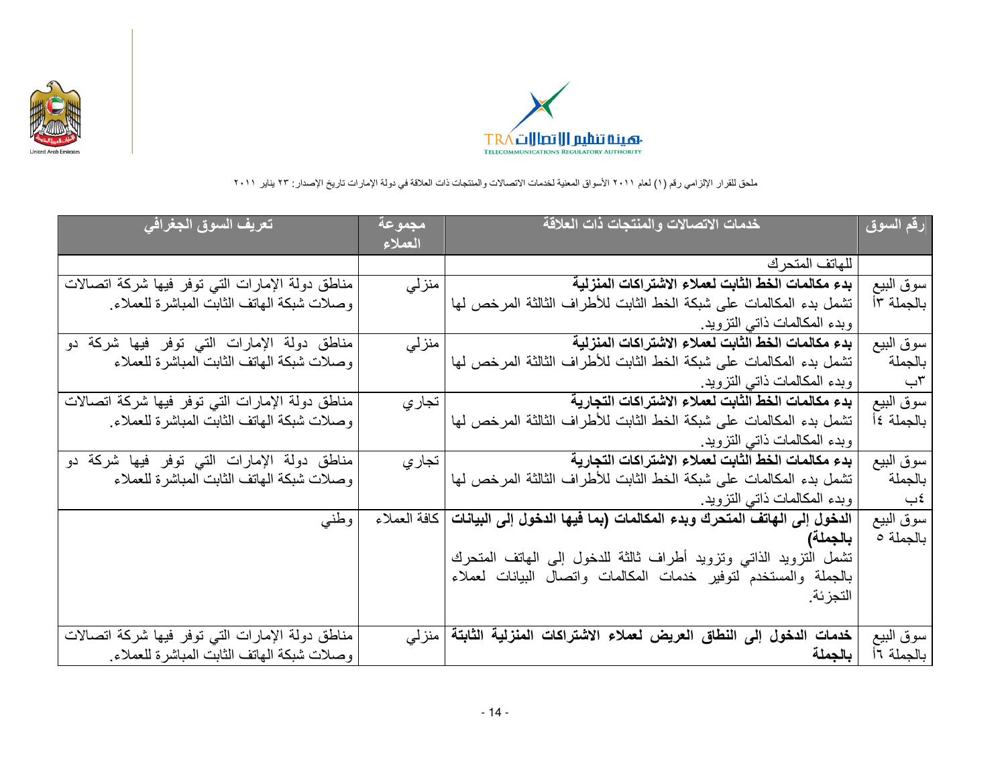



| تعريف السوق الجغرافي                             | مجموعة  | خدمات الاتصالات والمنتجات ذات العلاقة                                                 | رقم السوق  |
|--------------------------------------------------|---------|---------------------------------------------------------------------------------------|------------|
|                                                  | العملاء |                                                                                       |            |
|                                                  |         | للهاتف المتحرك                                                                        |            |
| مناطق دولة الإمارات التبي توفر فيها شركة اتصالات | منزلى   | بدء مكالمات الخط الثابت لعملاء الاشتراكات المنزلية                                    | سوق البيع  |
| وصلات شبكة الهاتف الثابت المباشرة للعملاء        |         | تشمل بدء المكالمات على شبكة الخط الثابت للأطراف الثالثة المرخص لها                    | بالجملة ١٣ |
|                                                  |         | وبدء المكالمات ذاتبي التزويد.                                                         |            |
| مناطق دولة الإمارات التي توفر فيها شركة دو       | منزلى   | بدء مكالمات الخط الثابت لعملاء الاشتراكات المنزلية                                    | سوق البيع  |
| وصلات شبكة الهاتف الثابت المباشرة للعملاء        |         | تشمل بدء المكالمات على شبكة الخط الثابت للأطراف الثالثة المرخص لها                    | بالجملة    |
|                                                  |         | وبدء المكالمات ذاتي النزويد.                                                          | ٣ب         |
| مناطق دولة الإمارات التبي توفر فيها شركة اتصالات | تجار ي  | بدء مكالمات الخط الثابت لعملاء الاشتراكات التجارية                                    | سوق البيع  |
| وصلات شبكة الهاتف الثابت المباشرة للعملاء        |         | تشمل بدء المكالمات على شبكة الخط الثابت للأطراف الثالثة المرخص لها                    | بالجملة ٤أ |
|                                                  |         | وبدء المكالمات ذاتبي التزويد                                                          |            |
| مناطق دولة الإمارات التي توفر فيها شركة دو       | تجار ي  | بدء مكالمات الخط الثابت لعملاء الاشتراكات التجارية                                    | سوق البيع  |
| وصلات شبكة الهاتف الثابت المباشرة للعملاء        |         | تشمل بدء المكالمات على شبكة الخط الثابت للأطراف الثالثة المرخص لها                    | بالجملة    |
|                                                  |         | وبدء المكالمات ذاتى التزويد                                                           | ≵ب         |
| وطنبي                                            |         | الدخول إلى الهاتف المتحرك وبدء المكالمات (بما فيها الدخول إلى البيانات   كافة العملاء | سوق البيع  |
|                                                  |         | بالجملة)                                                                              | بالجملة ٥  |
|                                                  |         | تشمل التزويد الذاتبي وتزويد أطراف ثالثة للدخول إلىي الهاتف المتحرك                    |            |
|                                                  |         | بالجملة والمستخدم لتوفير خدمات المكالمات واتصال البيانات لعملاء                       |            |
|                                                  |         | التجزئة.                                                                              |            |
|                                                  |         |                                                                                       |            |
| مناطق دولة الإمارات التي توفر فيها شركة اتصالات  |         | الدخول إلى النطاق العريض لعملاء الاشتراكات المنزلية الثابتة   منزلي<br>خدمات          | سوق البيع  |
| وصلات شبكة الهاتف الثابت المباشرة للعملاء        |         | بالجملة                                                                               | بالجملة ١٦ |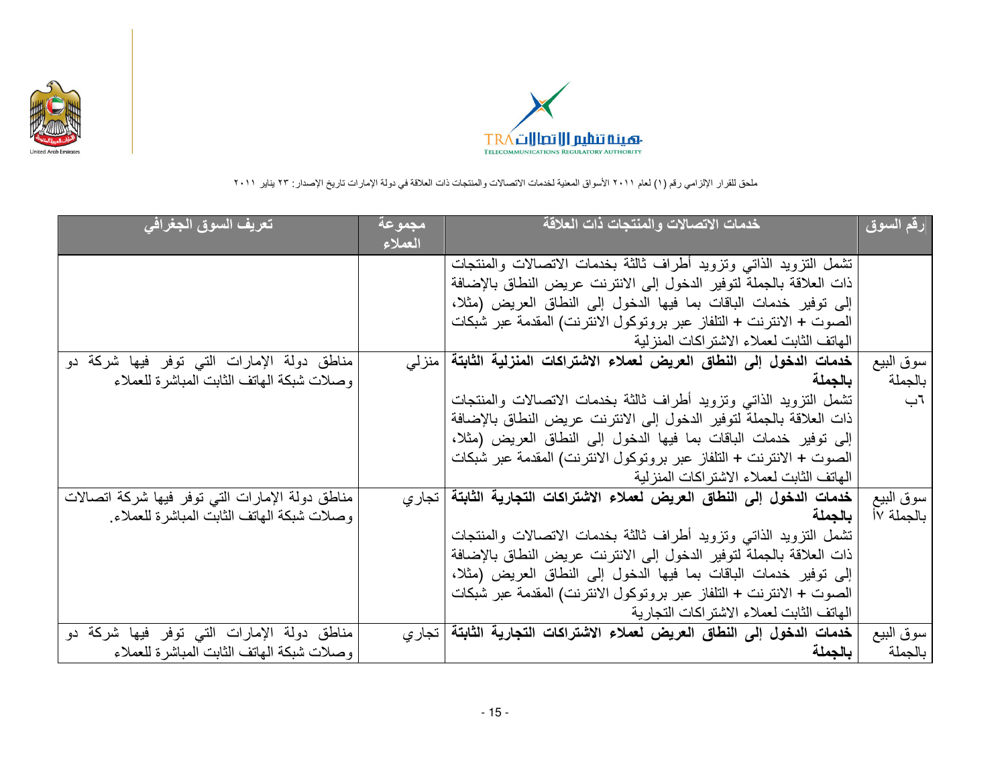



| تعريف السوق الجغرافي                             | بمجموعة | خدمات الاتصالات والمنتجات ذات العلاقة                                     | رقم السوق  |
|--------------------------------------------------|---------|---------------------------------------------------------------------------|------------|
|                                                  | العملاء |                                                                           |            |
|                                                  |         | تشمل التزويد الذاتبي وتزويد أطراف ثالثة بخدمات الاتصالات والمنتجات        |            |
|                                                  |         | ذات العلاقة بالجملة لتوفير الدخول إلى الانترنت عريض النطاق بالإضافة       |            |
|                                                  |         | إلى توفير خدمات الباقات بما فيها الدخول إلى النطاق العريض (مثلا،          |            |
|                                                  |         | الصوت + الانترنت + التلفاز عبر بروتوكول الانترنت) المقدمة عبر شبكات       |            |
|                                                  |         | الهاتف الثابت لعملاء الاشتر اكات المنز لية                                |            |
| مناطق دولة الإمارات التي توفر فيها شركة دو       |         | خدمات الدخول إلى النطاق العريض لعملاء الاشتراكات المنزلية الثابتة   منزلي | سوق البيع  |
| وصلات شبكة الهاتف الثابت المباشرة للعملاء        |         | بالجملة                                                                   | بالجملة    |
|                                                  |         | تشمل التزويد الذاتبي وتزويد أطراف ثالثة بخدمات الاتصالات والمنتجات        | اب         |
|                                                  |         | ذات العلاقة بالجملة لتوفير الدخول إلى الانترنت عريض النطاق بالإضافة       |            |
|                                                  |         | إلى توفير خدمات الباقات بما فيها الدخول إلى النطاق العريض (مثلا،          |            |
|                                                  |         | الصوت + الانترنت + التلفاز عبر بروتوكول الانترنت) المقدمة عبر شبكات       |            |
|                                                  |         | الهاتف الثابت لعملاء الاشتر اكات المنز لية                                |            |
| مناطق دولة الإمارات التبي توفر فيها شركة اتصالات |         | خدمات الدخول إلى النطاق العريض لعملاء الاشتراكات التجارية الثابتة   تجاري | سوق البيع  |
| وصلات شبكة الهاتف الثابت المباشرة للعملاء        |         | بالجملة                                                                   | بالجملة ١٧ |
|                                                  |         | تشمل التزويد الذاتى وتزويد أطراف ثالثة بخدمات الاتصالات والمنتجات         |            |
|                                                  |         | ذات العلاقة بالجملة لتوفير الدخول إلى الانترنت عريض النطاق بالإضافة       |            |
|                                                  |         | إلى توفير خدمات الباقات بما فيها الدخول إلى النطاق العريض (مثلا،          |            |
|                                                  |         | الصوت + الانترنت + التلفاز عبر بروتوكول الانترنت) المقدمة عبر شبكات       |            |
|                                                  |         | الهاتف الثابت لعملاء الاشتر اكات التجارية                                 |            |
| مناطق دولة الإمارات التي توفر فيها شركة دو       |         | خدمات الدخول إلى النطاق العريض لعملاء الاشتراكات التجارية الثابتة   تجاري | سوق البيع  |
| وصلات شبكة المهاتف الثابت المباشرة للعملاء       |         | بالجملة                                                                   | بالجملة    |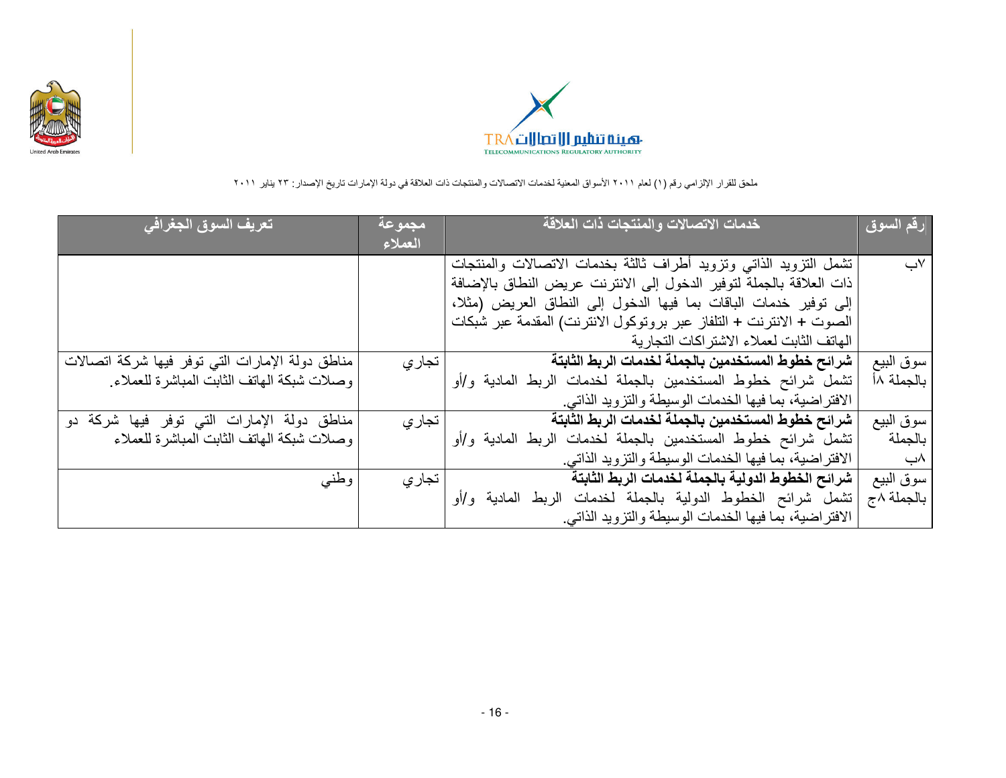



| تعريف السوق الجغرافي                            | مجموعة<br>العملاء | خدمات الاتصالات والمنتجات ذات العلاقة                               | ُرقم السوق |
|-------------------------------------------------|-------------------|---------------------------------------------------------------------|------------|
|                                                 |                   | تشمل التزويد الذاتى وتزويد أطراف ثالثة بخدمات الاتصالات والمنتجات   | √ب         |
|                                                 |                   | ذات العلاقة بالجملة لتوفير الدخول إلى الانترنت عريض النطاق بالإضافة |            |
|                                                 |                   | إلى توفير خدمات الباقات بما فيها الدخول إلى النطاق العريض (مثلا،    |            |
|                                                 |                   | الصوت + الانترنت + التلفاز عبر بروتوكول الانترنت) المقدمة عبر شبكات |            |
|                                                 |                   | الهاتف الثابت لعملاء الاشتر اكات التجارية                           |            |
| مناطق دولة الإمارات التي توفر فيها شركة اتصالات | تجار ي            | شرائح خطوط المستخدمين بالجملة لخدمات الربط الثابتة                  | سوق البيع  |
| وصلات شبكة الهاتف الثابت المباشرة للعملاء       |                   | تشمل شرائح خطوط المستخدمين بالجملة لخدمات الربط المادية و/أو        | بالجملة ١٨ |
|                                                 |                   | الافتراضية، بما فيها الخدمات الوسيطة والتزويد الذاتبي.              |            |
| مناطق دولة الإمارات التي توفر فيها شركة دو      | تجار ي            | شرائح خطوط المستخدمين بالجملة لخدمات الربط الثابتة                  | سوق البيع  |
| وصلات شبكة الهاتف الثابت المباشرة للعملاء       |                   | تشمل شرائح خطوط المستخدمين بالجملة لخدمات الربط المادية و/أو        | بالجملة    |
|                                                 |                   | الافتراضية، بما فيها الخدمات الوسيطة والنزويد الذاتي.               | ۸ب         |
| وطني                                            | تجار ي            | شرائح الخطوط الدولية بالجملة لخدمات الربط الثابتة                   | سوق البيع  |
|                                                 |                   | تشمل شرائح الخطوط الدولية بالجملة لخدمات الربط المادية و/أو         | بالجملة ٨ج |
|                                                 |                   | الافتراضية، بما فيها الخدمات الوسيطة والتزويد الذاتبي.              |            |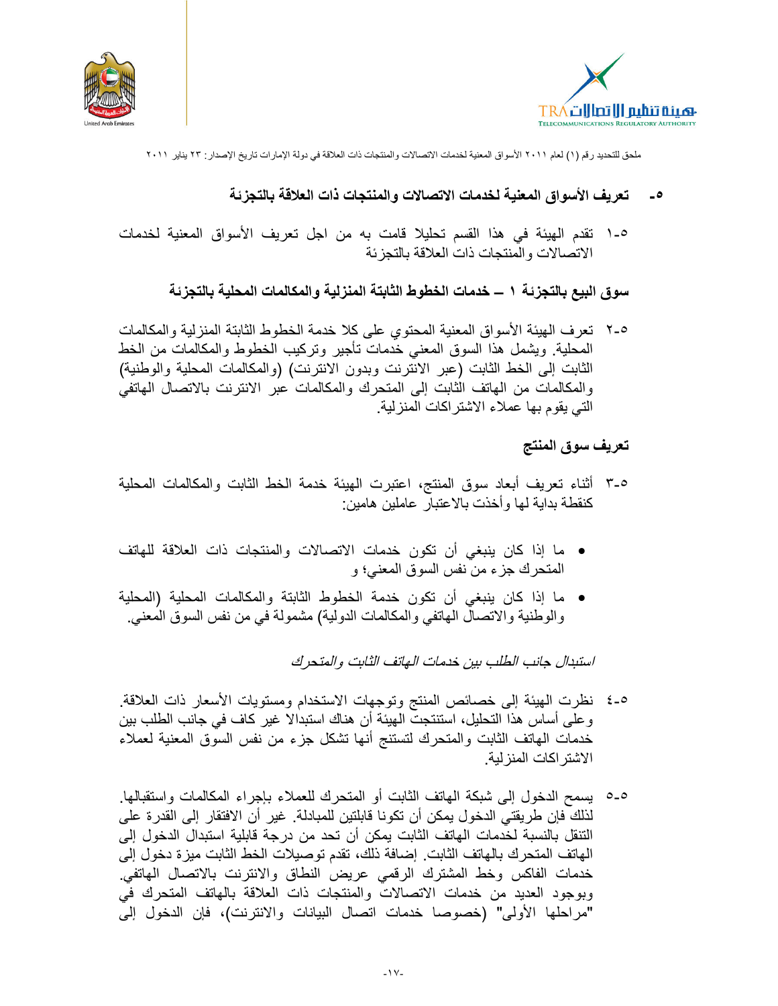



#### تعريف الأسواق المعنية لخدمات الاتصالات والمنتجات ذات العلاقة بالتجزئة  $\overline{\phantom{a}}$

٥-١ تقدم الهيئة في هذا القسم تحليلا قامت به من اجل تعريف الأسواق المعنية لخدمات الاتصالات والمنتجات ذات العلاقة بالتجزئة

سوق البيع بالتجزئـة ١ ـــ خدمات الخطوط الثابتة المنزلية والمكالمات المحلية بالتجزئـة

٢-٥ نعر ف الهيئة الأسواق المعنية المحتوى على كلا خدمة الخطوط الثابتة المنزلية والمكالمات المحلية ويشمل هذا السوق المعنى خدمات تأجير وتركيب الخطوط والمكالمات من الخط الثابت إلى الخط الثابت (عبر الانترنت وبدون الانترنت) (والمكالمات المحلية والوطنية) والمكالمات من الهاتف الثابت إلى المتحرك والمكالمات عبر الانترنت بالاتصال الهاتفى التي يقوم بها عملاء الاشتراكات المنزلية

# تعريف سوق المنتج

- ٥-٣ أثناء تعريف أبعاد سوق المنتج، اعتبرت الهيئة خدمة الخط الثابت والمكالمات المحلية كنقطة بداية لمها وأخذت بالاعتبار عاملين هامين:
- ما إذا كان ينبغي أن تكون خدمات الاتصالات والمنتجات ذات العلاقة للهاتف المتحرك جزء من نفس السوق المعنى؛ و
- ما إذا كان ينبغي أن تكون خدمة الخطوط الثابتة والمكالمات المحلية (المحلية والوطنية والاتصال الهاتفي والمكالمات الدولية) مشمولة في من نفس السوق المعنى.

استبدال جانب الطلب بين خدمات الهاتف الثابت والمتحرك

- ٥-٤ نظرت الهيئة إلى خصائص المنتج وتوجهات الاستخدام ومستويات الأسعار ذات العلاقة. و على أساس هذا التحليل، استنتجت الهيئة أن هناك استبدالا غير كاف في جانب الطلب بين خدمات المهاتف الثابت والمتحرك لتستنج أنها تشكل جزء من نفس السوق المعنية لمعملاء الاشتر اكات المنز لية
- ٥-٥ يسمح الدخول إلى شبكة الماتف الثابت أو المتحرك للعملاء بإجراء المكالمات واستقبالها. لذلك فإن طريقتي الدخول يمكن أن تكونا قابلتين للمبادلة. غير أن الافتقار إلى القدرة على التنقل بالنسبة لخدمات الهاتف الثابت يمكن أن تحد من درجة قابلية استبدال الدخول إلى الهاتف المتحرك بالهاتف الثابت. إضافة ذلك، تقدم توصبلات الخط الثابت مبزة دخول إلى خدمات الفاكس وخط المشترك الرقمي عريض النطاق والانترنت بالاتصال الهاتفي وبوجود العديد من خدمات الاتصالات والمنتجات ذات العلاقة بالهاتف المتحرك في "مراحلها الأولى" (خصوصا خدمات اتصال البيانات والانترنت)، فإن الدخول إلى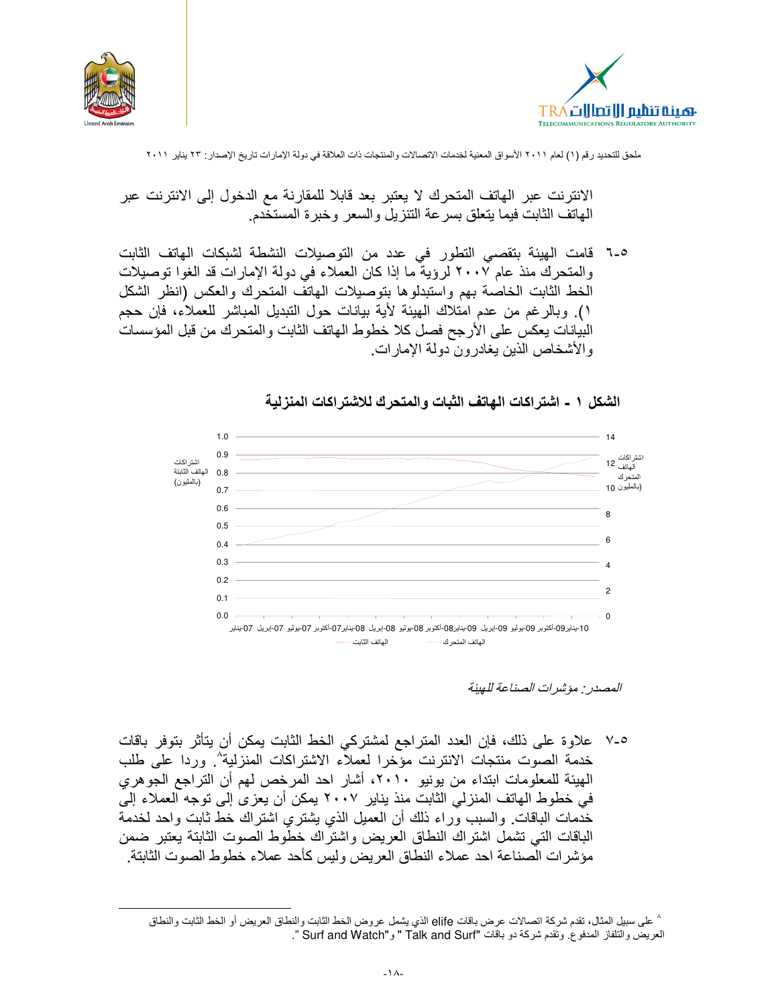



الانترنت عبر الهاتف المتحرك لا يعتبر بعد قابلا للمقارنة مع الدخول إلى الانترنت عبر الهاتف الثابت فيما يتعلق بسرعة التنزيل والسعر وخبرة المستخدم

0-٦ قامت الهيئة بتقصى التطور فى عدد من التوصيلات النشطة لشبكات الهاتف الثابت والمتحرك منذ عام ٢٠٠٧ لرؤية ما إذا كان العملاء في دولة الإمارات قد الغوا توصيلات الخط الثابت الخاصة بهم واستبدلوها بتوصيلات الهاتف المتحرك والعكس (انظر الشكل ١). وبالرغم من عدم امتلاك الهيئة لأية بيانات حول التبديل المباشر للعملاء، فإن حجم البيانات يعكس على الأرجح فصل كلا خطوط الهاتف الثابت والمتحرك من قبل المؤسسات والأشخاص الذين يغادرون دولة الإمارات.

الشكل ١ - اشتراكات الـهاتف الثبات والمتحرك للاشتراكات المنزلية



المصدر . مؤشر ات الصناعة للهيئة

0-٧ علاوة على ذلك، فإن العدد المتراجع لمشتركي الخط الثابت بمكن أن يتأثر بتوفر باقات خدمة الصوت منتجات الانترنت مؤخرا لعملاء الاشتراكات المنزلية'' وردا على طلب الهيئة للمعلومات ابتداء من يونيو ٢٠١٠، أشار احد المرخص لهم أن التراجع الجوهري في خطوط الهاتف المنزلي الثابت منذ يناير ٢٠٠٧ يمكن أن يعز ي إلى توجه العملاء إليّ خُدَّمات الباقات. والسبب وَراء ذلك أن العميل الذي يُشتري اشتراك خط ثابت واحد لخدمة الباقات التي تشمل اشتراك النطاق العريض واشتراك خطوط الصوت الثابتة يعتبر ضمن مؤشرات الصناعة احد عملاء النطاق العريض وليس كأحد عملاء خطوط الصوت الثابتة.

<sup>^</sup> على سبيل المثال، تقدم شركة اتصالات عرض باقات elife الذي يشمل عروض الخط الثابت والنطاق العريض أو الخط الثابت والنطاق العريض والتلفاز المدفوع. وتقدم شركة دو باقات "Talk and Surf " و "Surf and Watch ".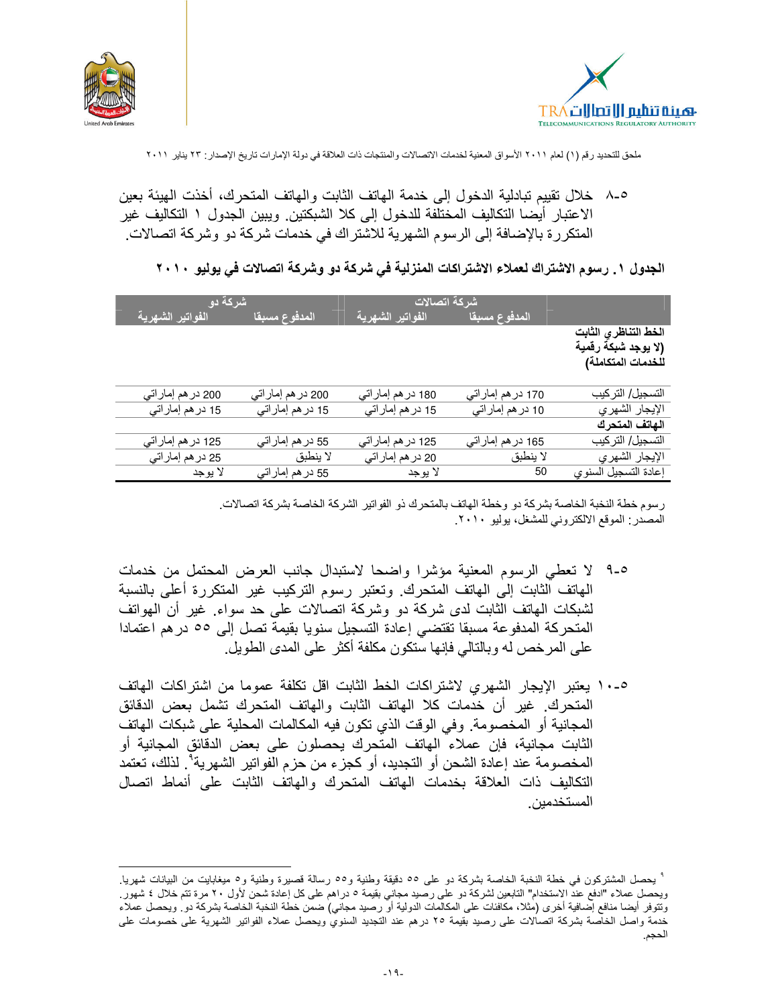



٨-٥ خلال تقييم تبادلية الدخول إلى خدمة الماتف الثابت والماتف المتحر ك، أخذت الهيئة بعين الاعتبار أيضا التكاليف المختلفة للدخول إلى كلا الشبكتين. ويبين الجدول ١ التكاليف غير المتكررة بالإضافة إلى الرسوم الشهرية للاشتراك في خدمات شركة دو وشركة اتصالات.

الجدول ١ . رسوم الاشتراك لعملاء الاشتراكات المنزلية في شركة دو وشركة اتصالات في يوليو ٢٠١٠

|                           | شركة دو            |                               | شركة اتصالات       |                      |
|---------------------------|--------------------|-------------------------------|--------------------|----------------------|
| الفواتير الشهرية          | المدفوع مسبقا      | الفواتير الشهرية <sup> </sup> | المدفوع مسبقا      |                      |
|                           |                    |                               |                    | الخط التناظري الثابت |
|                           |                    |                               |                    | (لا يوجد شبكة رقمية  |
|                           |                    |                               |                    | للخدمات المتكاملة)   |
|                           |                    |                               |                    |                      |
| 200 در هم إماراتي         | 200 در هم إمار اتى | 180 در هم إمار اتى            | 170 در هم إمار اتى | التسجيل/ التركيب     |
| 15 در هم إمار اتي         | 15 در هم إماراتي   | 15 در هم إمار اتي             | 10 در هم إماراتي   | الإيجار الشهري       |
|                           |                    |                               |                    | الهاتف المتحرك       |
| 125 در هم إماراتي         | 55 در هم إمار اتي  | 125 در هم إمار اتى            | 165 در هم إماراتي  | التسجيل/ التركيب     |
| 25 در هم إمار ات <i>ى</i> | لا ينطبق           | 20 در هم إماراتى              | لا ينطبق           | الإيجار الشهري       |
| لا يوجد                   | 55 در هم إماراتى   | لا يوجد                       | 50                 | إعادة التسجيل السنوي |

رسوم خطة النخبة الخاصة بشركة دو وخطة الهاتف بالمتحرك ذو الفواتير الشركة الخاصة بشركة اتصالات المصدر : الموقع الالكتروني للمشغل، يوليو ٢٠١٠.

- 0-9 لا تعطي الرسوم المعنية مؤشرا واضحا لاستبدال جانب العرض المحتمل من خدمات المهاتف الثابت إلى المهاتف المتحرك. وتعتبر رسوم التركيب غير المتكررة أعلى بالنسبة لشبكات الهاتف الثابت لدى شركة دو وشركة اتصالات على حد سواء. غير أن المهواتف المتحركة المدفوعة مسبقا تقتضي إعادة التسجيل سنويا بقيمة تصل إلى 00 در هم اعتمادا على المرخص له وبالتالي فإنها ستكون مكلفة أكثر على المدى الطويل.
- ٥-١٠ يعتبر الإيجار الشهرى لاشتراكات الخط الثابت اقل تكلفة عموما من اشتراكات الهاتف المتحرك. غير أن خدمات كلا الهاتف الثابت والماتف المتحرك تشمل بعض الدقائق المجانية أو المخصومة. وفي الوقت الذي تكون فيه المكالمات المحلية على شبكات الهاتف الثابت مجانية، فإن عملاء الهاتف المتحرك يحصلون على بعض الدقائق المجانية أو المخصومة عند إعادة الشحن أو التجديد، أو كجزء من حزم الفواتير الشهرية". لذلك، تعتمد التكاليف ذات العلاقة بخدمات الهاتف المتحرك والهاتف الثابت على أنماط اتصال المستخدمين

<sup>`</sup> يحصل المشتركون في خطة النخبة الخاصة بشركة دو على ٥٥ دقيقة وطنية و٥٥ رسالة قصيرة وطنية و٥ ميغابايت من البيانات شهريا. ويحصل عملاء "ادفع عند الاستخدام" التابعين لشركة دو على رصيد مجانى بقيمة ٥ دراهم على كل إعادة شحن لأول ٢٠ مرة تتم خلال ٤ شهور . وتتوفر أيضا منافع إضافية أخرى (مثلا، مكافئات على المكالمات الدولية أو رصيد مجاني) ضمن خطة النخبة الخاصة بشركة دو ويحصل عملاء خدمة واصل الخاصة بشركة اتصالات على رصيد بقيمة ٢٥ درهم عند التجديد السنوي ويحصل عملاء الفواتير الشهرية على خصومات على الحجم.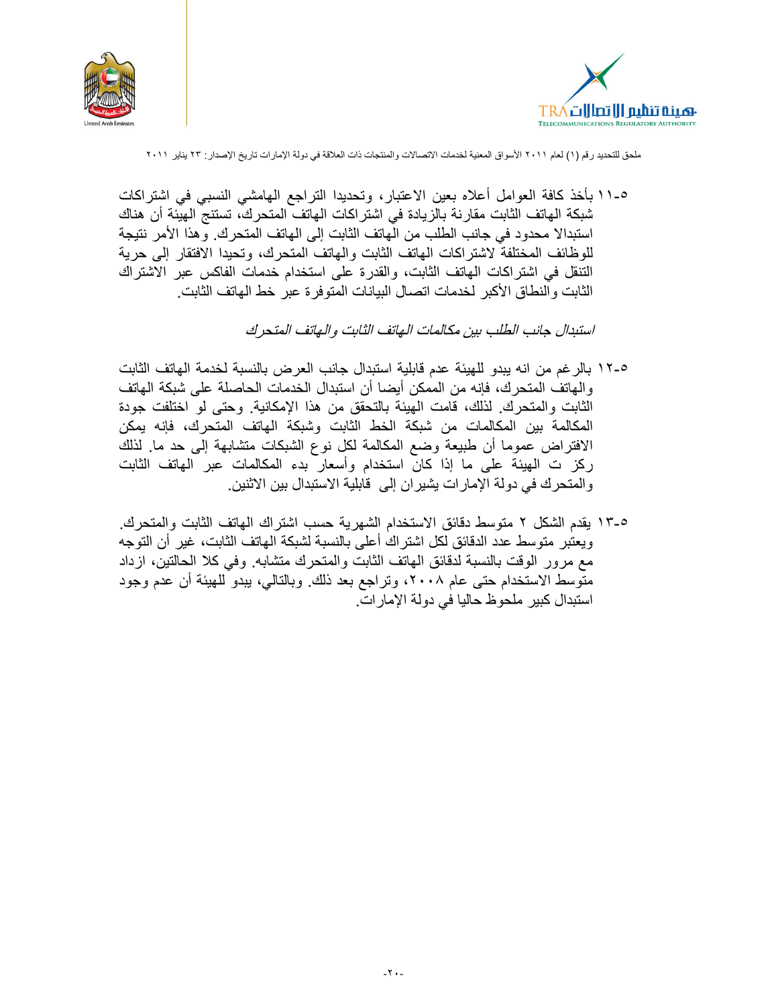



0-11 بأخذ كافة العوامل أعلاه بعين الاعتبار ، وتحديدا التراجع الهامشي النسبي في اشتراكات شبكة الـهاتف الثابت مقارنة بالزيادة في اشتراكات الـهاتف المتحرك، تستنج الـهيئة أن هناك استبدالا محدود في جانب الطلب من الهاتف الثابت إلى الهاتف المتحرك. وهذا الأمر نتيجة للوظائف المختلفة لاشتراكات الهاتف الثابت والهاتف المتحرك، وتحيدا الافتقار إلى حرية التنقل في اشتراكات الهاتف الثابت، والقدرة على استخدام خدمات الفاكس عبر الاشتراك الثابت والنطاق الأكبر لخدمات اتصال البيانات المتوفرة عبر خط الهاتف الثابت.

استبدال حانب الطلب بين مكالمات الهاتف الثابت والهاتف المتحرك

- 0-١٢ بالر غم من انه يبدو للهيئة عدم قابلية استبدال جانب العرض بالنسبة لخدمة الهاتف الثابت والهاتف المتحرك، فإنه من الممكن أيضا أن استبدال الخدمات الحاصلة على شبكة الهاتف الثابت والمنحرك. لذلك، قامت الهيئة بالنحقق من هذا الإمكانية. وحتى لو اختلفت جودة المكالمة بين المكالمات من شبكة الخط الثابت وشبكة الهاتف المتحرك، فإنه يمكن الافتراض عموما أن طبيعة وضع المكالمة لكل نوع الشبكات متشابهة إلى حد ما ِ لذلك ركز ت الهيئة على ما إذا كان استخدام وأسعار بدء المكالمات عبر الهاتف الثابت والمتحرك في دولة الإمارات يشيران إلى قابلية الاستبدال بين الاثنين.
- ٥-١٣ يقدم الشكل ٢ متوسط دقائق الاستخدام الشهرية حسب اشتراك الهاتف الثابت والمتحرك. ويعتبر منوسط عدد الدقائق لكل اشتراك أعلى بالنسبة لشبكة المهاتف الثابت، غير أن التوجه مع مرور الوقت بالنسبة لدقائق المهاتف الثابت والمتحرك متشابه. وفي كلا الحالتين، ازداد منوسط الاستخدام حتى عام ٢٠٠٨، وتراجع بعد ذلك. وبالتالي، ببدو للهيئة أن عدم وجود استبدال كبير ملحوظ حاليا في دولة الإمار ات.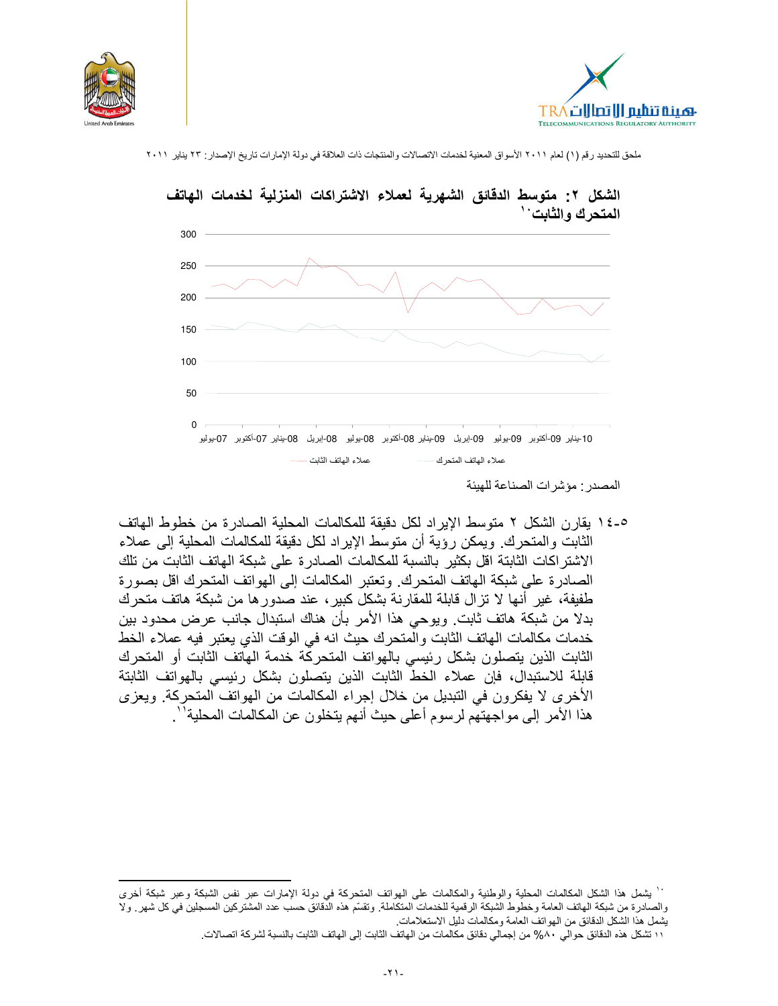





الشكل ٢: متوسط الدقائق الشهرية لعملاء الاشتراكات المنزلية لخدمات الهاتف

٥-١٤ يقار ن الشكل ٢ متوسط الإير اد لكل دقيقة للمكالمات المحلية الصـادر ة من خطوط الـهاتف الثابت والمتحرك. ويمكن رؤية أن متوسط الإيراد لكل دقيقة للمكالمات المحلية إلى عملاء الاشتر اكات الثابتة اقل بكثير بالنسبة للمكالمات الصـادر ة على شبكة الـهاتف الثابت من تلك الصادر ة على شبكة الهاتف المتحرك. وتعتبر المكالمات إلى الهواتف المتحرك اقل بصورة طفيفة، غير أنها لا تزال قابلة للمقارنة بشكل كبير، عند صدورها من شبكة هاتف متحرك بدلا من شبكة هاتف ثابت. ويوحى هذا الأمر بأن هناك استبدال جانب عرض محدود بين خدمات مكالمات الهاتف الثابت والْمتحرك حيث انه في الوقت الذي يعتبر فيه عملاء الخط الثابت الذين يتصلون بشكل رئيسي بالهواتف المتحركة خدمة الهاتف الثابت أو المتحرك قابلة للاستبدال، فإن عملاء الخط الثابت الذين يتصلون بشكل رئيسي بالهواتف الثابتة الأخرى لا يفكرون في التبديل من خلال إجراء المكالمات من الهواتف المتحركة. ويعزى هذا الأمر إلى مواجهتهم لرسوم أعلى حيث أنهم يتخلون عن المكالمات المحلية''.

المصدر : مؤشر ات الصناعة للهيئة

<sup>``</sup> يشمل هذا الشكل المكالمات المحلية والوطنية والمكالمات على الهواتف المتحركة فى دولة الإمارات عبر نفس الشبكة وعبر شبكة أخرى والصادرة من شبكة الهاتف العامة وخطوط الشبكة الرقمية للخدمات المتكاملة. وتقسّم هذه الدّقائق حسب عدد المشتركين المسجلين في كل شهر . ولا يشمل هذا الشكل الدقائق من الهواتف العامة ومكالمات دليل الاستعلامات.

١١ تشكل هذه الدقائق حوالي ٨٠% من إجمالي دقائق مكالمات من الهاتف الثابت إلى الهاتف الثابت بالنسبة لشركة اتصالات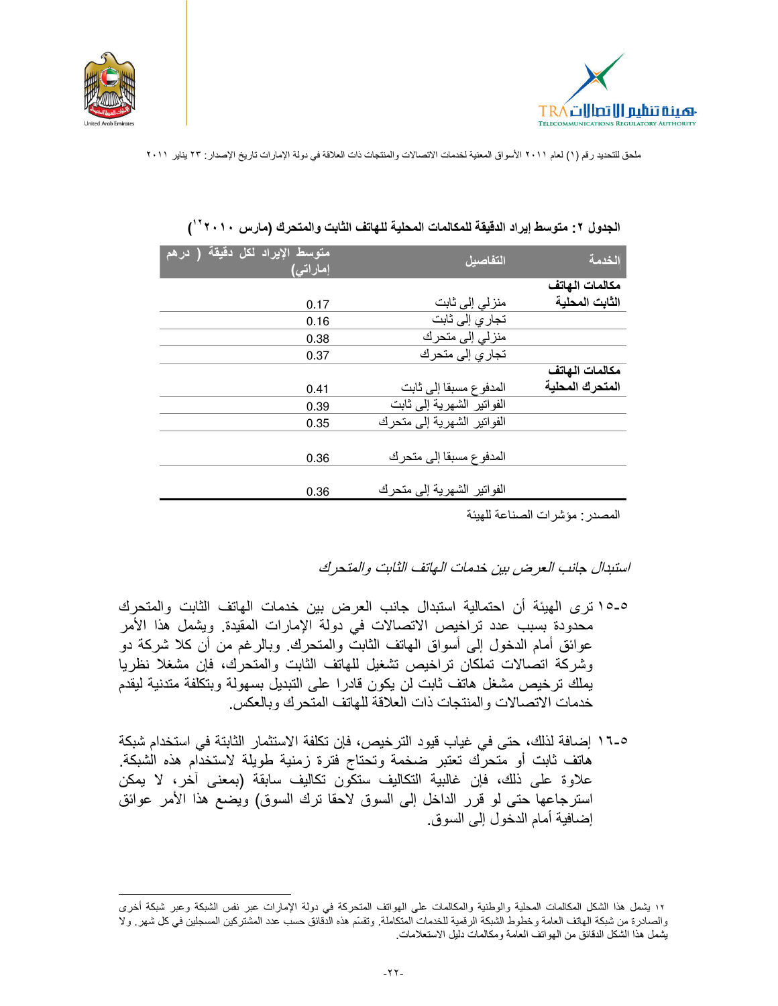



| متوسط الإيراد لكل دقيقة <sup>.</sup><br>( درهم<br>إماراتى) | التفاصبل                   | الخدمة          |
|------------------------------------------------------------|----------------------------|-----------------|
|                                                            |                            | مكالمات الهاتف  |
| 0.17                                                       | منزلی إلی ثابت             | الثابت المحلية  |
| 0.16                                                       | تجار ي إلى ثابت            |                 |
| 0.38                                                       | منزلی إلی متحرك            |                 |
| 0.37                                                       | تجار ي إلى متحرك           |                 |
|                                                            |                            | مكالمات الهاتف  |
| 0.41                                                       | المدفوع مسبقا إلى ثابت     | المتحرك المحلبة |
| 0.39                                                       | الفواتير الشهرية إلى ثابت  |                 |
| 0.35                                                       | الفواتير الشهرية إلى متحرك |                 |
|                                                            |                            |                 |
| 0.36                                                       | المدفوع مسبقا إلى متحرك    |                 |
|                                                            |                            |                 |
| 0.36                                                       | الفواتير الشهرية إلى متحرك |                 |

|  |  |  |  | الجدول ٢: متوسط إيراد الدقيقة للمكالمات المحلية للهاتف الثابت والمتحرك (مارس ٢٠١٠ ' ) |
|--|--|--|--|---------------------------------------------------------------------------------------|
|--|--|--|--|---------------------------------------------------------------------------------------|

المصدر : مؤشرات الصناعة للهيئة

استبدال جانب العرض بين خدمات الهاتف الثابت والمتحرك

- ٥-١٥ ترى الهيئة أن احتمالية استبدال جانب العرض بين خدمات الهاتف الثابت والمتحرك محدودة بسبب عدد تراخيص الاتصالات في دولة الإمارات المقيدة. ويشمل هذا الأمر عوائق أمام الدخول إلى أسواق الـهاتف الثابتُ والمتحرك. وبالرغم من أن كلا شركة دو وشركة اتصالات تملكان تراخيص تشغيل للهاتف الثابت والمتحرك، فإن مشغلا نظريا يملك ترخيص مشغل هاتف ثابت لن يكون قادرا على التبديل بسهولة وبتكلفة متدنية ليقدم خدمات الاتصالات و المنتجات ذات العلاقة للهاتف المتحر ك و بالعكس.
- 1-0 \ إضافة لذلك، حتى في غياب قيود الترخيص، فإن تكلفة الاستثمار الثابتة في استخدام شبكة هاتف ثابت أو متحرك تعتبر ضخمة وتحتاج فترة زمنية طويلة لاستخدام هذه الشبكة. علاوة على ذلك، فإن غالبية التكاليف ستكَّون تكاليف سابقة (بمعنى آخر، لا يمكن استرجاعها حتى لو قرر الداخل إلى السوق لاحقا نرك السوق) ويضع هذا الأمر عوائق إضــافيـة أمـام الدخو ل إلـى السو ق.

١٢ يشمل هذا الشكل المكالمات المحلية والوطنية والمكالمات على الهواتف المتحركة في دولة الإمارات عبر نفس الشبكة وعبر شبكة أخرى والصادرة من شبكة الهاتف العامة وخطوط الشبكة الرقمية للخدمات المتكاملة. وتقسّم هذه الذقائق حسب عدد المشتركين المسجلين في كل شهر . ولا يشمل هذا الشكل الدقائق من الهواتف العامة ومكالمات دليل الاستعلامات.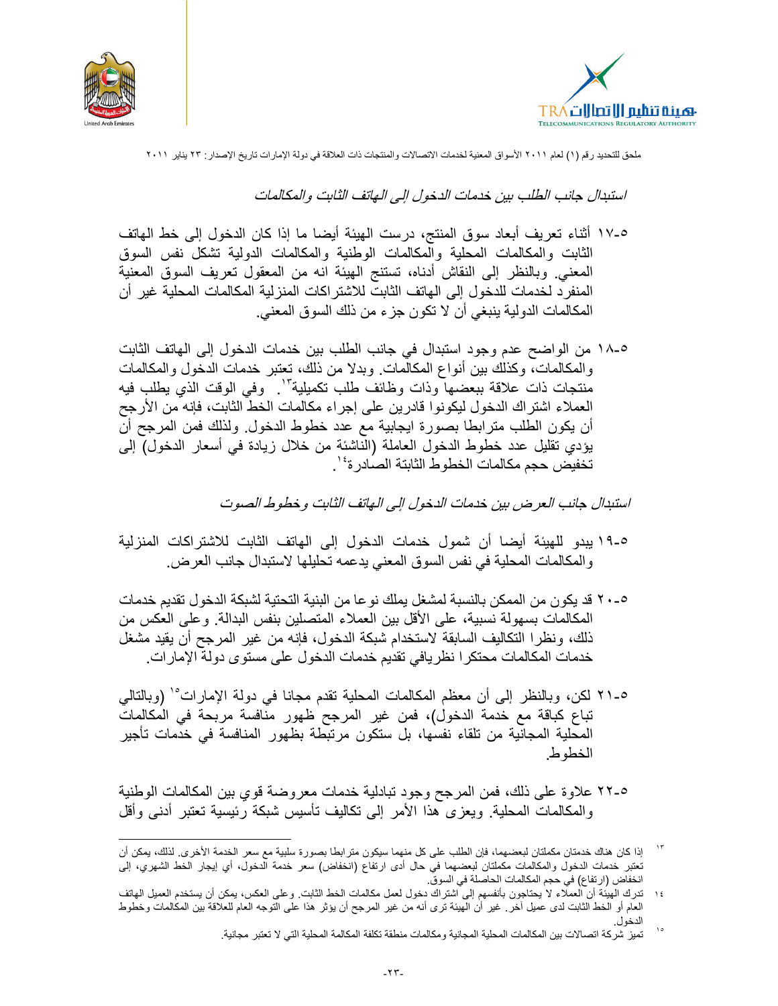



استبدال جانب الطلب بين خدمات الدخول إلى الهاتف الثابت والمكالمات

- ٥-١٧ أثناء تعريف أبعاد سوق المنتج، درست الهيئة أيضا ما إذا كان الدخول إلى خط الهاتف الثابت والمكالمات المحلية والمكالمات الوطنية والمكالمات الدولية تشكل نفس السوق المعنى وبالنظر إلى النقاش أدناه، تستنج الهيئة انه من المعقول تعريف السوق المعنية المنفرِ د لخدمات للدخول إلى الهاتف الثابت للاشتر اكات المنزلية المكالمات المحلية غير أن المكالمات الدولية ينبغي أن لا تكون جزء من ذلك السوق المعنى.
- 0-١٨ من الواضح عدم وجود استبدال في جانب الطلب بين خدمات الدخول إلى الهاتف الثابت .<br>والمكالمات، وكذلك بين أنواع المكالمات وبدلا من ذلك، تعتبر خدمات الدخول والمكالمات<br>منتجات ذات علاقة ببعضها وذات وظائف طلب تكميلية'' . وفي الوقت الذي يطلب فيه العملاء اشتراك الدخول ليكونوا قادرين على إجراء مكالمات الخط الثابت، فإنه من الأرجح أن يكون الطلب مترابطا بصورة ايجابية مع عدد خطوط الدخول ولذلك فمن المرجح أن يؤدي تقليل عدد خطوط الدخول العاملة (الناشئة من خلال زيادة في أسعار الدخول) إلى تخفيض حجم مكالمات الخطوط الثابتة الصادرة<sup>، י</sup>.

استبدال جانب العرض بين خدمات الدخول إلى الهاتف الثابت و خطوط الصوت

- ٥-١٩ يبدو للهيئة أيضا أن شمول خدمات الدخول إلى الهاتف الثابت للاشتراكات المنزلية والمكالمات المحلية في نفس السوق المعنى يدعمه تحليلها لاستبدال جانب العرض.
- ٥-٢٠ قد يكون من الممكن بالنسبة لمشغل يملك نو عا من البنية التحتية لشبكة الدخول تقديم خدمات المكالمات بسهولة نسبية، على الأقل بين العملاء المتصلين بنفس البدالة. وعلى العكس من ذلك، ونظرًا التكاليف السابقة لاستخدام شبكة الدخول، فإنه من غير المرجح أن يقيد مشغل خدمات المكالمات محتكرا نظريافي تقديم خدمات الدخول على مستوى دولة الإمارات.
- 0-٢١ لكن، وبالنظر إلى أن معظم المكالمات المحلية تقدم مجانا في دولة الإمارات°' (وبالتالي تباع كباقة مع خدمة الدخول)، فمن غير المرجح ظهور منافسة مربحة في المكالمات المحلية المجانية من تلقاء نفسها، بل ستكون مرتبطة بظهور المنافسة في خدمات تأجير الخطوط

18-7 علاوة على ذلك، فمن المرجح وجود تبادلية خدمات معروضة قوى بين المكالمات الوطنية والمكالمات المحلية. ويعزى هذا الأمر إلى نكاليف نأسيس شبكة رَئيسية نعتبر أدنى وأقل

 $\eta$ إذا كان هناك خدمتان مكملتان لبعضهما، فإن الطلب على كل منهما سيكون مترابطا بصورة سلبية مع سعر الخدمة الأخرى لذلك، يمكن أن تعتبر خدمات الدخول والمكالمات مكملتان لبعضهما في حال أدى ارتفاع (انخفاض) سعر خدمة الدخول، أي إيجار الخط الشهري، إلى انخفاض (ارتفاع) في حجم المكالمات الحاصلة في السوقّ.

تدرك الهيئة أن العملاء لا يحتاجون بأنفسهم إلى اشتراك دخول لعمل مكالمات الخط الثابت وعلى العكس، يمكن أن يستخدم العميل الهاتف  $\lambda$  { العام أو الخط الثابت لدى عميل أخر ٍ غير أن الهيئة ترى أنه من غير المرجح أن يؤثر هذا على التوجه العام للعلاقة بين المكالمات وخطوط

تميز شركة اتصالات بين المكالمات المحلية المجانية ومكالمات منطقة تكلفة المكالمة المحلية التي لا تعتبر مجانية.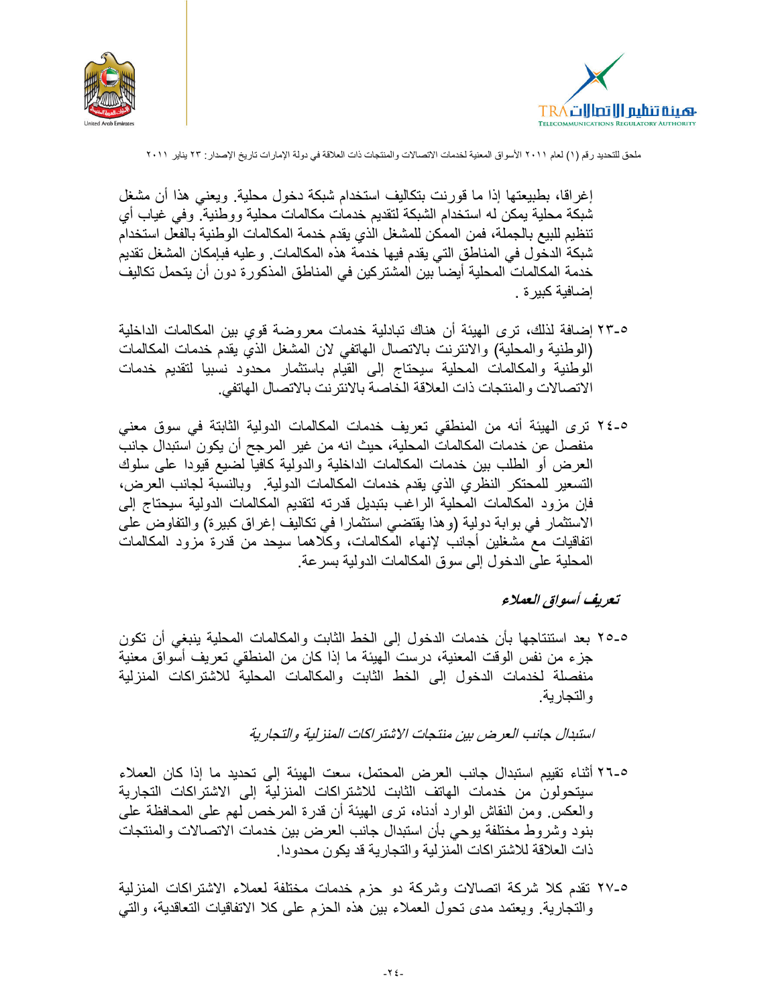



إغر اقا، بطبيعتها إذا ما قور نت بتكاليف استخدام شبكة دخول محلية. ويعني هذا أن مشغل شبكة محلية يمكن له استخدام الشبكة لتقديم خدمات مكالمات محلية ووطنية. وفي غياب أي تنظيم للبيع بالجملة، فمن الممكن للمشغل الذي يقدم خدمة المكالمات الوطنية بالفعل استخدام شبكة الدخول في المناطق التي يقدم فيها خدمة هذه المكالمات. وعليه فبإمكان المشغل تقديم خدمة المكالمات المحلية أيضا بين المشتركين في المناطق المذكورة دون أن يتحمل تكاليف إضافية كبير ة .

- 0-٢٣ إضافة لذلك، ترى الهيئة أن هناك تبادلية خدمات معروضة قوى بين المكالمات الداخلية (الوطنية والمحلية) والانترنت بالاتصال الهاتفي لان المشغل الذي يقدم خدمات المكالمات الوطنية والمكالمات المحلية سيحتاج إلىي القيام باستثمار محدود نسبيا لتقديم خدمات الاتصالات والمنتجات ذات العلاقة الخاصة بالانترنت بالاتصال الهاتفي.
- ٥-٢٤ ترى الهيئة أنه من المنطقي تعريف خدمات المكالمات الدولية الثابتة في سوق معنى منفصل عن خدمات المكالمات المحلية، حيث انه من غير المرجح أن يكون استبدال جانب العرض أو الطلب بين خدمات المكالمات الداخلية والدولية كافيا لضيع قيودا على سلوك التسعير للمحتكر النظري الذي يقدم خدمات المكالمات الدولية. وبالنسبة لجانب العرض، فإن مزود المكالمات المحلية الراغب بتبديل قدرته لتقديم المكالمات الدولية سيحتاج إلى الاستثمار في بوابة دولية (وهذا يقتضيي استثمارا في تكاليف إغراق كبيرة) والتفاوض على اتفاقيات مع مشغلين أجانب لإنهاء المكالمات، وكلاهما سيحد من قدرة مزود المكالمات المحلية على الدخول إلى سوق المكالمات الدولية بسر عة.

### تعريف أسواق العملاء

0-0 \ بعد استنتاجها بأن خدمات الدخول إلى الخط الثابت والمكالمات المحلية ينبغي أن تكون جزء من نفس الوقت المعنية، درست الهيئة ما إذا كان من المنطقي تعريف أسواق معنية منفصلة لخدمات الدخول إلى الخط الثابت والمكالمات المحلية للاشتراكات المنزلية و التجار بــة

استبدال جانب العر ض بين منتجات الإشتر اكات المنز لية والتجار ية

- 17.0 أثناء تقييم استبدال جانب العرض المحتمل، سعت الهيئة إلى تحديد ما إذا كان العملاء سينحولون من خدمات الهاتف الثابت للاشتراكات المنزلية إلى الاشتراكات التجارية والعكس ومن النقاش الوارد أدناه، ترى الهيئة أن قدرة المرخص لهم على المحافظة على بنود وشروط مختلفة يوحى بأن استبدال جانب العرض بين خدمات الاتصالات والمنتجات ذات العلاقة للاشتر اكات المنزلية والتجارية قد يكون محدودا.
- ٥-٢٧ تقدم كلا شركة اتصالات وشركة دو حزم خدمات مختلفة لعملاء الاشتراكات المنزلية والتجارية ويعتمد مدى تحول العملاء بين هذه الحزم على كلا الاتفاقيات التعاقدية، والتبي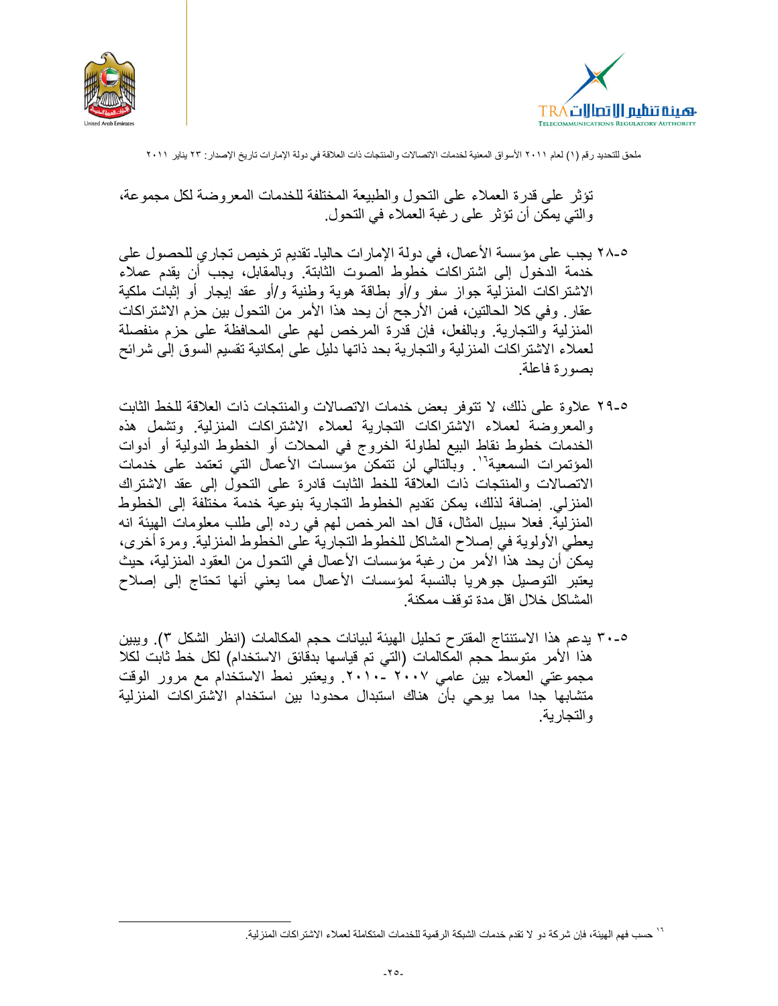



تؤثِّر على قدر ة العملاء على النَّحول والطبيعة المختلفة للخدمات المعر وضبة لكلِّ مجموعة، والتي يمكن أن تؤثر على رغبة العملاء في التحول.

1^4 بجب على مؤسسة الأعمال، في دولة الإمارات حالياـ تقديم ترخيص تجاري للحصول على خدمة الدخول إلى اشتر اكات خطوط الصوت الثابتة. وبالمقابل، يجب أن يقدم عملاء الاشتراكات المنزلية جواز سفر و/أو بطاقة هوية وطنية و/أو عقد إيجار أو إثبات ملكية عقار . وفي كلا الحالتين، فمن الأرجح أن يحد هذا الأمر من التحول بين حزم الاشتر اكات المنزلية والتجارية. وبالفعل، فإن قدَّرة المرخص لهم على المحافظة على حزم منفصلة لعملاء الاشتراكات المنزلية والتجارية بحد ذاتها دليل على إمكانية تقسيم السوق إلى شرائح بصورة فاعلة.

- 0-٢٩ علاوة على ذلك، لا تتوفر بعض خدمات الاتصالات والمنتجات ذات العلاقة للخط الثابت والمعروضة لعملاء الاشتراكات التجارية لعملاء الاشتراكات المنزلية وتشمل هذه الخدمات خطوط نقاط البيع لطاولة الخروج في المحلات أو الخطوط الدولية أو أدوات المؤتمرات السمعية''. وبالتالي لن تتمكن مؤسسات الأعمال التي تعتمد على خدمات الاتصالات والمنتجات ذات العلاقة للخط الثابت قادرة على التحول إلى عقد الاشتراك المنزلي إضافة لذلك، يمكن تقديم الخطوط التجارية بنوعية خدمة مختلفة إلى الخطوط المنزليَّة. فعلا سبيل المثال، قال احد المرخص لهم في رده إلى طلب معلومات الهيئة انه يعطي الأولوية في إصلاح المشاكل للخطوط التجارية على الخطوط المنزلية. ومرة أخرى، يمكن أن يحد هذا الأمر من رغبة مؤسسات الأعمال في التحول من العقود المنزلية، حيث يعتبر التوصيل جوهريا بالنسبة لمؤسسات الأعمال مما يعني أنها تحتاج إلى إصلاح المشاكل خلال اقل مدة تو قف ممكنة
- 0-٣٠ يدعم هذا الاستنتاج المقترح تحليل الهيئة لبيانات حجم المكالمات (انظر الشكل ٣). ويبين هذا الأمر منوسط حجم المكالمات (التي تم قياسها بدقائق الاستخدام) لكل خط ثابت لكلا مجموعتي العملاء بين عامي ٢٠٠٧ -٢٠١٠. ويعتبر نمط الاستخدام مع مرور الوقت متشابها جدا مما يوحى بأن هناك استبدال محدودا بين استخدام الاشتراكات المنزلية و التجار ية.

<sup>&</sup>lt;sup>י ،</sup> حسب فهم الهيئة، فإن شركة دو لا تقدم خدمات الشبكة الرقمية للخدمات المتكاملة لعملاء الاشتر اكات المنز لية ـ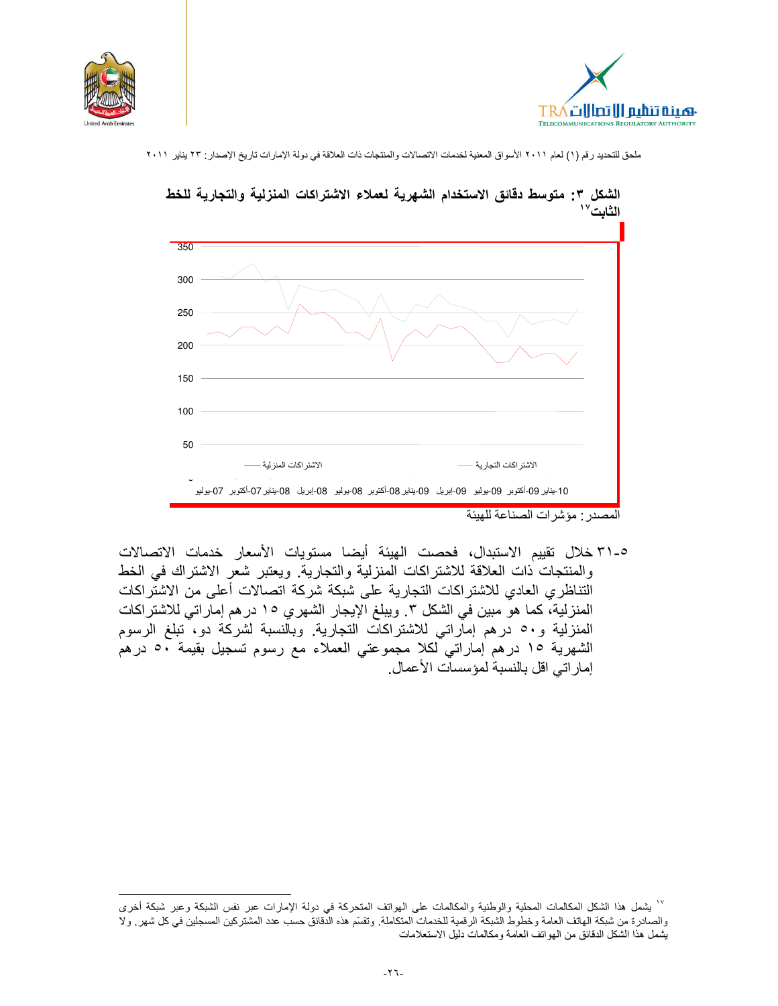





الشكل ٣: متوسط دقائق الاستخدام الشهرية لعملاء الاشتراكات المنزلية والتجارية للخط

المصدر مؤشرات الصناعة للهيئة

0-٣١ خلال تقييم الاستبدال، فحصت الهيئة أيضا مستويات الأسعار خدمات الاتصالات والمنتجات ذات العلاقة للاشتراكات المنزلية والتجارية. ويعتبر شعر الاشتراك في الخط التناظري العادي للاشتراكات التجارية على شبكة شركة اتصالات أعلى من الاشتراكات المنزلية، كما هو مبين في الشكل ٣. ويبلغ الإيجار الشهري ١٥ در هم إماراتي للاشتراكات المنزلية و٥٠ درهم إماراتي للاشتراكات التجارية وبالنسبة لشركة دو، تبلغ الرسوم الشهرية ١٥ درهم إماراتي لكلا مجموعتي العملاء مع رسوم تسجيل بقيمة ٥٠ درهم إمار اتي اقل بالنسبة لمؤسسات الأعمال.

<sup>&</sup>lt;sup>17</sup> يشمل هذا الشكل المكالمات المحلية والوطنية والمكالمات على الهواتف المتحركة في دولة الإمارات عبر نفس الشبكة وعبر شبكة أخرى والصادرة من شبكة الهاتف العامة وخطوط الشبكة الرقمية للخدمات المتكاملة. وتقسّم هذه الدقائق حسب عدد المشتركين المسجلين في كل شهر . ولا يشمل هذا الشكل الدقائق من الهواتف العامة ومكالمات دليل الاستعلامات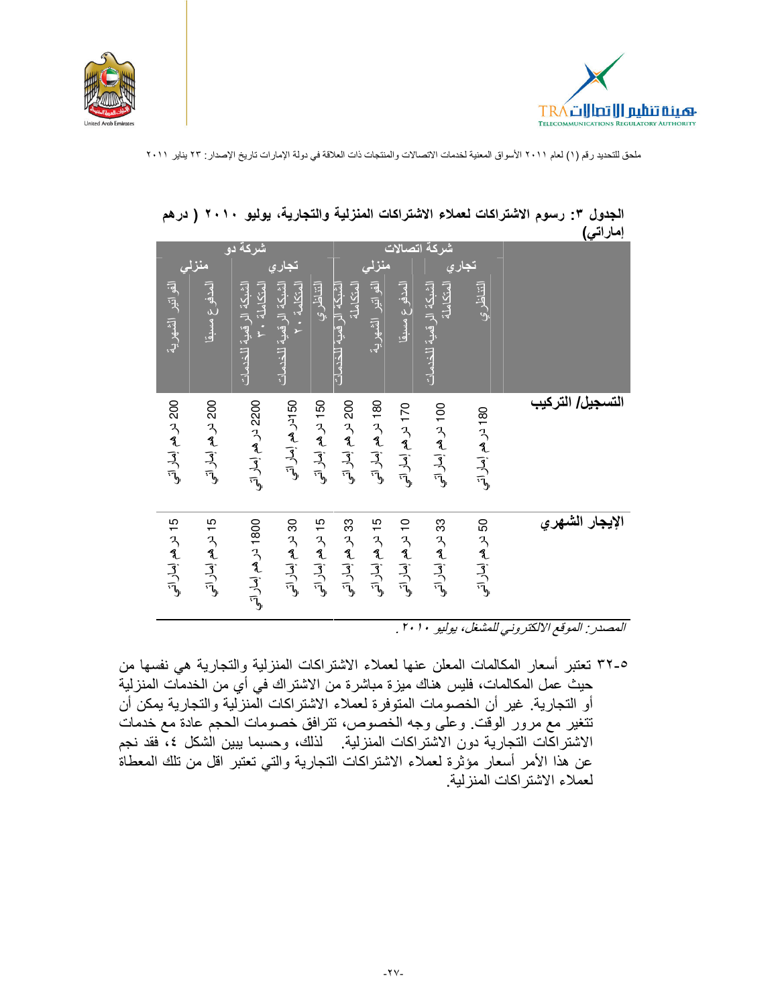



| <u>: - ر- چا</u> |                    |                                     |                    |                                          |                                      |                    |                                       |                                        |                    |                     |
|------------------|--------------------|-------------------------------------|--------------------|------------------------------------------|--------------------------------------|--------------------|---------------------------------------|----------------------------------------|--------------------|---------------------|
|                  | تجاري              | شركة اتصالات                        |                    |                                          |                                      |                    | <mark>تجار <i>ي</i></mark>            | شركة دوا                               | منزلى              |                     |
|                  | التناظري           | المتكاملة<br>الشبكة الرقمية للخدمات | المدفوع مسبقا      | نغل الفواتير الشهرية<br>الفواتير الشهرية | الشبكة الر قمبة للخدمات<br>المتكاملة | التناظري           | المتكلمة ٢٠<br>الشبكة الرقمية للخدمات | الشبكة الرقمية للخدمات<br>المتكاملة ٣٠ | المدفوع مسبقا      | الفواتير الشهرية    |
| التسجيل/ التركيب | 180 در هم إمار اتي | 100 در هم إمار اتب                  | 170 در هم إمار اتب | 180 در هم إمار اتي                       | 200 در هم إمار اتب                   | 150 در هم إمار اتي | 50 ادر هم إمار اتي                    | 2200 در هم إمار اتي                    | 200 در هم إمار اتب | 200 در هم إمار اتبي |
| الإيجار الشهري   | 50 در هم إمار اتي  | 33 در هم إمار اتبي                  | 10 در هم إمار اتب  | 15 در هم إمار اتي                        | 33 در هم إمار اتي                    | 15 در هم إمار اتي  | 30 در هم إمار اتي                     | 1800 در هم إمار اتي                    | 15 در هم إمار اتي  | 15 در هم إمار اتي   |

الجدول ٣: رسوم الاشتراكات لعملاء الاشتراكات المنزلية والتجارية، يوليو ٢٠١٠ ( درهم امار اتبر)

المصدر . الموقع الالكتروني للمشغل، يوليو ٢٠١٠ .

٥-٣٢ تعتبر أسعار المكالمات المعلن عنها لعملاء الاشتراكات المنزلية والتجارية هي نفسها من حيث عمل المكالمات، فليس هناك ميز ة مباشر ة من الاشتر اك في أي من الخدمات المنز لية أو التجارية. غير أن الخصومات المتوفرة لعملاء الاشتراكات الْمنزَّلية والتجارية يمكن أن تتغير مع مرور الوقت وعلى وجه الخصوص، تترافق خصومات الحجم عادة مع خدمات الاشتراكَّات التجارية دون الاشتراكات المنزلية. لذلك، وحسبما يبين الشكل ٤، فقد نجم عن هذا الأمر أسعار مؤثَّرة لعملاء الاشتراكات التجارية والتي تعتبر اقل من تلك المعطاة لعملاء الاشتر اكات المنز لبة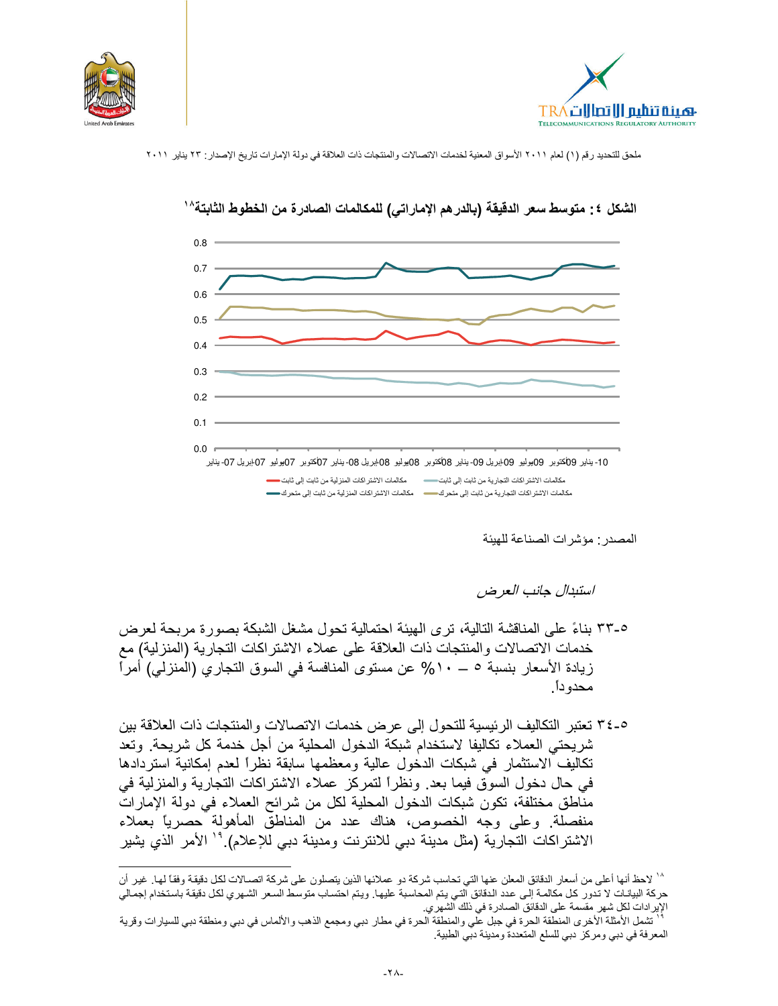





الشكل ٤: متوسط سعر الدقيقة (بالدر هم الإماراتي) للمكالمات الصادرة من الخطوط الثابتة^`

المصدر مؤشرات الصناعة للهيئة

استبدال جانب العر ض

٥-٣٣ بناءً على المناقشة التالية، ترى الهيئة احتمالية تحول مشغل الشبكة بصورة مربحة لعرض خدمات الاتصالات والمنتجات ذات العلاقة على عملاء الاشتراكات التجارية (المنزلية) مع زيادة الأسعار بنسبة ٥ ـــ ١٠% عن مستوى المنافسة في السوق التجاري (المنزلي) أمراً محدو دأ ِ

0-٣٤ نعتبر التكاليف الرئيسية للتحول إلى عرض خدمات الاتصالات والمنتجات ذات العلاقة بين شريحتي العملاء تكاليفا لاستخدام شبكة الدخول المحلية من أجل خدمة كل شريحة. وتعد تكاليف الاستثمار في شبكات الدخول عالية ومعظمها سابقة نظراً لعدم إمكانية استردادها في حال دخول السوق فيما بعد. ونظراً لتمركز عملاء الاشتراكات التجارية والمنزلية في مناطق مختلفة، تكون شبكات الدخول المحلية لكل من شرائح العملاء في دولة الإمارات منفصلة. وعلى وجه الخصوص، هناك عدد من المناطق المأهولة حصرياً بعملاء الاشتراكات التجارية (مثل مدينة دبي للانترنت ومدينة دبي للإعلام).'' الأمر الذي يشير

<sup>^`</sup> لاحظ أنها أعلى من أسعار الدقائق المعلن عنها التي تحاسب شركة دو عملائها الذين يتصلون على شركة اتصـالات لكل دقيقة وفقاً لها. غير أن حركة البيانات لا تدور كل مكالمة إلى عدد الدقائق التي يتم المحاسبة عليها. ويتم احتساب متوسط السعر الشهري لكل دقيقة باستخدام إجمالي الإير ادات لكل شهر مقسمة على الدقائق الصادرة في ذلك الشهري.

تشمل الأمثلة الأخرى المنطقة الحرة في جبل على والمنطقة الحرة في مطار دبي ومجمع الذهب والألماس في دبي ومنطقة دبي للسيارات وقرية المعرفة في دبي ومركز دبي للسلع المتعددة ومدينة دبي الطبية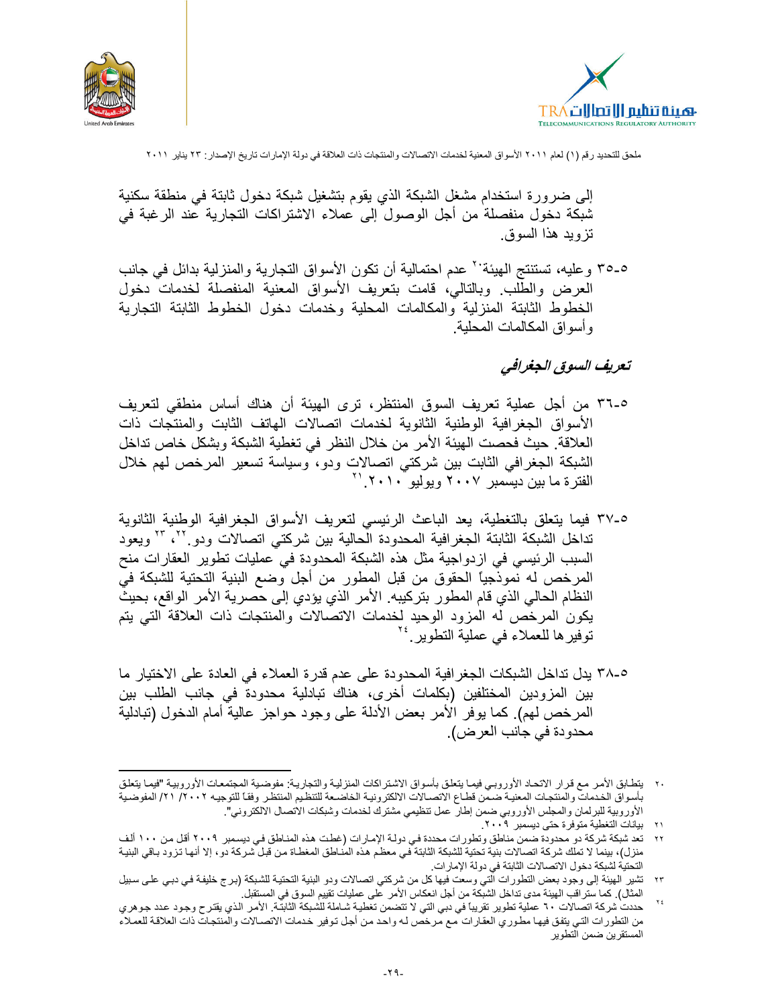



إلى ضر ور ة استخدام مشغل الشبكة الذي يقوم بتشغيل شبكة دخول ثابتة في منطقة سكنية شبكة دخول منفصلة من أجل الوصول إلى عملاء الاشتراكات التجارية عند الرغبة في تزوبد هذا السوق.

٥-٣٥ وعليه، تستنتج الهيئة'' عدم احتمالية أن تكون الأسواق التجارية والمنزلية بدائل في جانب العرض والطُّلب وبالنالي، قامت بتعريف الأسواق المعنية المنفصلة لخدمات دخول الخطوط الثابتة المنزلية والمكالمات المحلية وخدمات دخول الخطوط الثابتة التجارية وأسواق المكالمات المحلية

### تعريف السوق الجغرافي

- ٥-٣٦ من أجل عملية تعريف السوق المنتظر، ترى الهيئة أن هناك أساس منطقى لتعريف الأسواق الجغرافية الوطنية الثانوية لخدمات اتصالات الهاتف الثابت والمنتجات ذات العلاقة. حيث فحصت الهيئة الأمر من خلال النظر في تغطية الشبكة وبشكل خاص تداخل الشبكة الجغرافي الثابت بين شركتي اتصالات ودو، وسياسة تسعير المرخص لهم خلال<br>الفترة ما بين ديسمبر ٢٠٠٧ ويوليو ٢٠١٠.'`
- ٥-٣٧ فيما يتعلق بالتغطية، يعد الباعث الرئيسي لتعريف الأسواق الجغرافية الوطنية الثانوية تداخل الشبكة الثابتة الجغرافية المحدودة الحالية بين شركتي اتصالات ودوبي المستلمويعود السبب الرئيسي في ازدواجية مثل هذه الشبكة المحدودة في عمليات تطوير العقارات منح المرخص له نموذجيًا الحقوق من قبل المطور من أجل وضع البنية التحتية للشبكة فيّ النظام الحالي الذي قام المطور بتركيبه. الأمر الذي يؤدي إلى حصرية الأمر الواقع، بحيث يكون المرخص له المزود الوحيد لخدمات الاتصالات والمنتجات ذات العلاقة التبي يتم توفير ها للعملاء في عملية التطوير<sup> ٢٤</sup>
- 0-٣٨ يدل نداخل الشبكات الجغرافية المحدودة على عدم قدرة العملاء في العادة على الاختيار ما بين المزودين المختلفين (بكلمات أخرى، هناك تبادلية محدودة في جانب الطلب بين المرخص لهم). كما يوفر الأمر بعض الأدلة على وجود حواجز عالية أمام الدخول (تبادلية محدودة في جانب العرض).

٢٠٪ يتطابق الأمر مع قرار الاتحاد الأوروبي فيما يتعلق بأسواق الاشتراكات المنزلية والتجارية: مفوضية المجتمعات الأوروبية "فيما يتطق بأسواق الخدمات والمنتجات المعنية ضمن قطاع الاتصالات الالكترونية الخاضعة للتنظيم المنتظر وفقأ للتوجيه ٢٠٠٢/ ٢١/ المفوضية الأوروبية للبرلمان والمجلس الأوروبي ضمن إطار عمل تنظيمي مشترك لخدمات وشبكات الاتصال الالكتروني".

بيانات التغطية متوفرة حتى ديسمبر ٢٠٠٩.  $\gamma$ 

٢٢ تعد شبكة شركة دو محدودة ضمن مناطق وتطورات محددة في دولة الإمارات (غطت هذه المناطق في ديسمبر ٢٠٠٩ أقل من ١٠٠ ألف منزل)، بينما لا تملك شركة اتصالات بنية تحتية للشبكة الثابتة في معظم هذه المناطق المغطاة من قبل شركة دو، إلا أنها تزود بـاقي البنيـة التحتية لشبكة دخول الاتصالات الثابتة في دولة الإمارات.

٢٣ تشير الهيئة إلى وجود بعض النطورات الَّتي وسعت فيها كل من شركتي اتصالات ودو البنية النحتية للشبكة (برج خليفة في دبـي علـي سبيل المثال). كما ستراقب الهيئة مدى تداخل الشبكة من أجل انعكاس الأمر على عمليات تقييم السوق في المستقبل. ٢٤

حددت شركة اتصالات ٦٠ عملية تطوير تقريباً في دبي التي لا تتضمن تغطية شاملة للشبكة الثابتة. الأمر الذي يقترح وجود عدد جوهري من التطورات التي يتفق فيها مطوري العقارات مع مرخص له واحد من أجل توفير خدمات الاتصىالات والمنتجات ذات العلاقة للعملاء المستقرين ضمن التطوير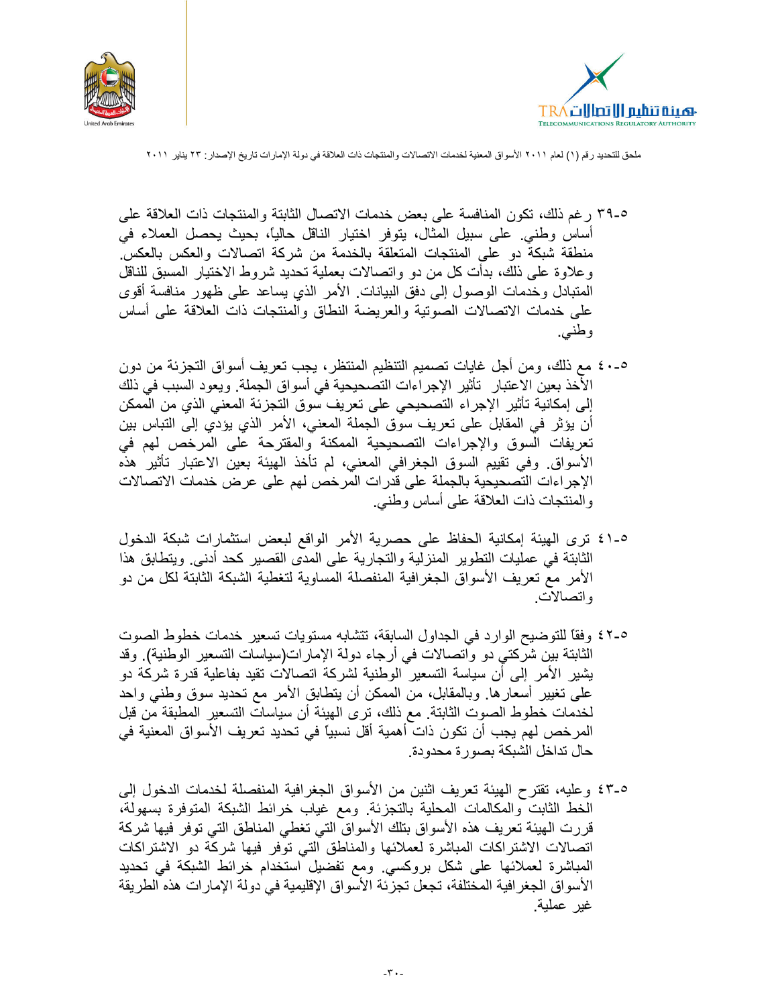



- ٢٩-٥ رغم ذلك، نكون المنافسة على بعض خدمات الاتصال الثابتة والمنتجات ذات العلاقة على أساس وطني. على سبيل المثال، يتوفر اختيار الناقل حالياً، بحيث يحصل العملاء في منطقة شبكة دو على المنتجات المتعلقة بالخدمة من شركة اتصالات والعكس بالعكس. وعلاوة على ذلك، بدأت كل من دو واتصالات بعملية تحديد شروط الاختيار المسبق للناقل المتبادل وخدمات الوصول إلىي دفق البيانات الأمر الذي يساعد علىي ظهور منافسة أقوى على خدمات الاتصالات الصوتية والعريضة النطاق والمنتجات ذات العلاقة على أساس و طنبي.
- ٥-٤٠ مع ذلك، ومن أجل غايات تصميم التنظيم المنتظر، يجب تعريف أسواق التجزئة من دون الأخذ بعين الاعتبار تأثير الإجراءات التصحيحية في أسواق الجملة. ويعود السبب في ذلك إلى إمكانية تأثير الإجراء التصحيحي على تعريف سوق التجزئة المعنى الذي من الممكن أن يؤثر في المقابل على تعريف سوق الجملة المعنى، الأمر الذي يؤدي إلى التباس بين تعريفات السوق والإجراءات التصحيحية الممكنة والمقترحة على المرخص لهم في الأسواق وفي تقييم السوق الجغرافي المعنى، لم تأخذ الهيئة بعين الاعتبار تأثير هذه الإجراءات التصحيحية بالجملة على قدرات المرخص لهم على عرض خدمات الاتصالات والمنتجات ذات العلاقة على أساس وطنبي.
- 0-٤١ ترى الهيئة إمكانية الحفاظ على حصرية الأمر الواقع لبعض استثمارات شبكة الدخول الثابتة في عمليات التطوير المنزلية والتجارية على المدى القصير كحد أدنى. ويتطابق هذا الأمر مع تعريف الأسواق الجغرافية المنفصلة المساوية لتغطية الشبكة الثابتة لكل من دو واتصالات
- 1-2٪ وفقًا للتوضيح الوارد في الجداول السابقة، تتشابه مستويات تسعير خدمات خطوط الصوت الثابتة بين شركتي دو واتصالات في أرجاء دولة الإمارات(سياسات التسعير الوطنية). وقد يشير الأمر إلى أن سياسة التسعير الوطنية لشركة اتصالات نقيد بفاعلية قدرة شركة دو على تغيير أسعار ها. وبالمقابل، من الممكن أن يتطابق الأمر مع تحديد سوق وطنبي واحد لخدمات خطوط الصوت الثابتة. مع ذلك، ترى الهيئة أن سياسات التسعير المطبقة من قبل المرخص لهم يجب أن تكون ذات أهمية أقل نسبيًا في تحديد تعريف الأسواق المعنية في حال تداخل الشبكة بصور ة محدودة.
- 0-٤٣ وعليه، تقترح الهيئة تعريف اثنين من الأسواق الجغرافية المنفصلة لخدمات الدخول إلى الخط الثابت والمكالمات المحلية بالتجزئة ومع غياب خرائط الشبكة المتوفرة بسهولة، قررت الهيئة تعريف هذه الأسواق بتلك الأسواق التي تغطي المناطق التي توفر فيها شركة اتصالات الاشتراكات المباشرة لعملائها والمناطق التبي توفر فيها شركة دو الاشتراكات المباشرة لعملائها على شكل بروكسي ومع نفضيل استخدام خرائط الشبكة في تحديد الأسواق الجغر افية المختلفة، تجعل تجزئة الأسواق الإقليمية في دولة الإمارات هذه الطريقة غير عملية.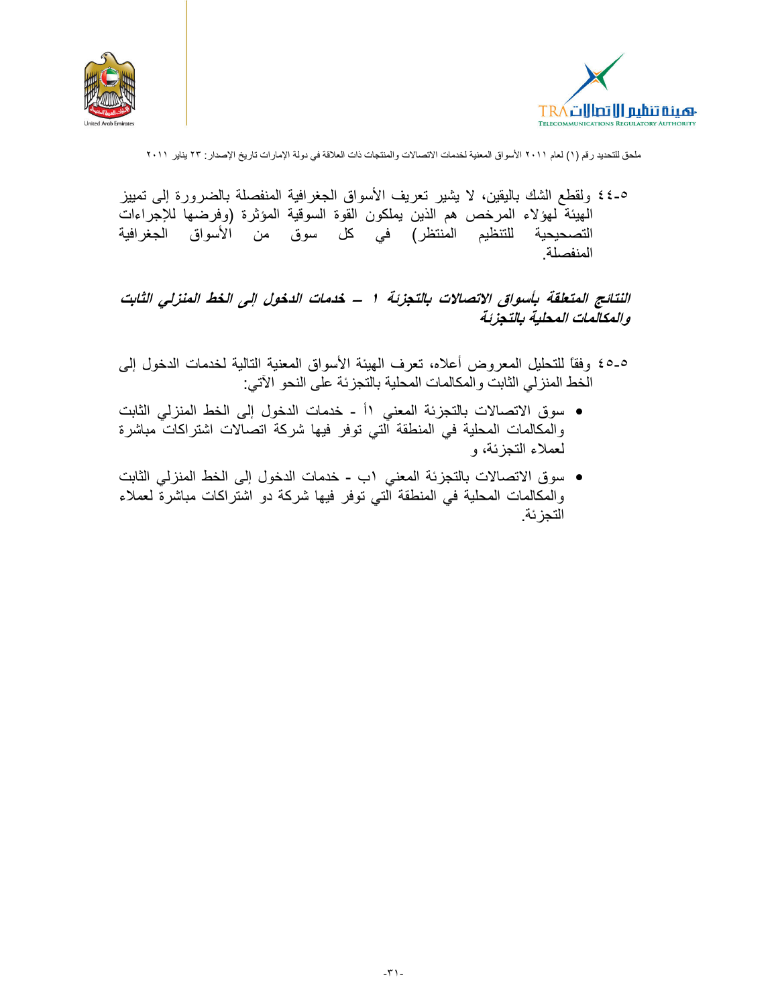



٥-٤٤ ولقطع الشك باليقين، لا يشير تعريف الأسواق الجغرافية المنفصلة بالضرورة إلى تمييز الهيئة لهؤلاء المرخص هم الذين يملكون القوة السوقية المؤثرة (وفرضها للإجراءات للتنظيم المنتظر) في كل سوق من الأسواق الجغرافية التصحيحية المنفصلة.

النتائج المتعلقة بأسواق الاتصالات بالتجزئة ١ ــ خدمات الدخول إلى الخط المنزلي الثابت والمكالمات المحلية بالتجزئة

- ٥ـ٥٤ وفقًا للتحليل المعروض أعلاه، تعرف الهيئة الأسواق المعنية التالية لخدمات الدخول إلى الَّخط المنزلمي الثَّابتُ والمكالمات المحلية بالتجزئة على النحو الأتي:
- سوق الاتصالات بالتجزئة المعنى ١أ خدمات الدخول إلى الخط المنزلي الثابت والمكالمات المحلية فى المنطقة التى توفر فيها شركة اتصالات اشتراكات مباشرة لعملاء التجزئة، و
- سوق الاتصالات بالتجزئة المعنى ١ب خدمات الدخول إلى الخط المنزلي الثابت والمكالمات المحلية في المنطقة التي توفر فيها شركة دو اشتراكات مباشرة لعملاء التجز ئة.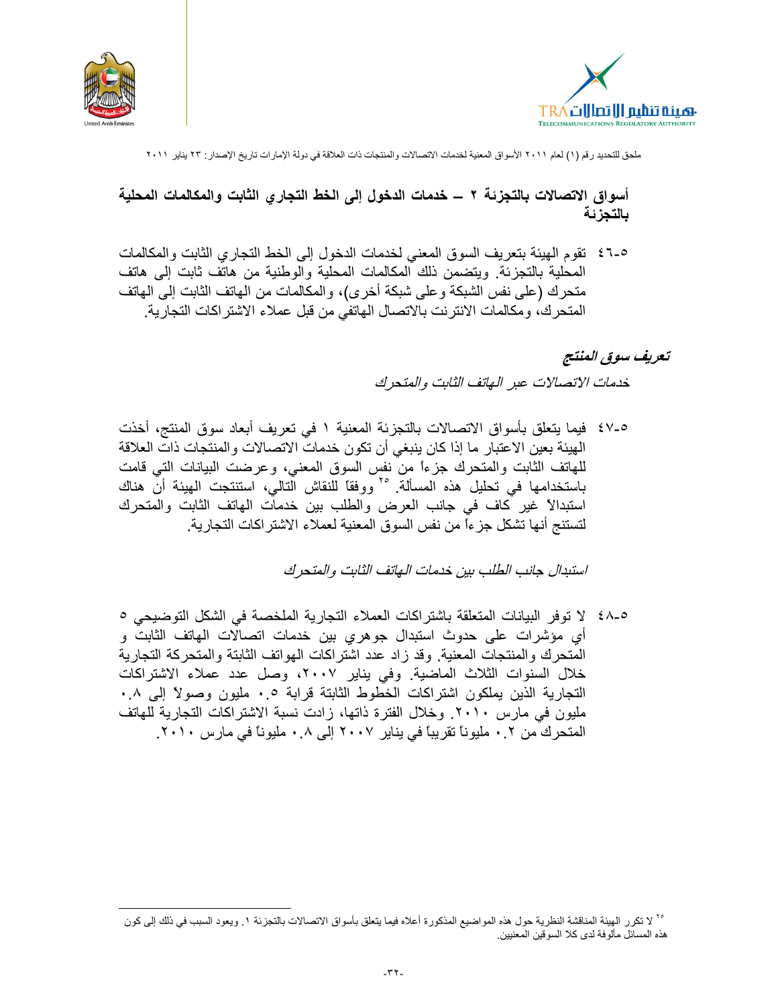



أسواق الاتصالات بالتجزئة ٢ ـــ خدمات الدخول إلى الخط التجاري الثابت والمكالمات المحلية بالتجزئة

٥-٤٦ نقوم الهيئة بتعريف السوق المعنى لخدمات الدخول إلى الخط التجاري الثابت والمكالمات المحلية بالنجز ئة. ويتضمن ذلك المكالمات المحلية والوطنية من هاتف ثابت إلى هاتف منحرك (على نفس الشبكة وعلى شبكة أخرى)، والمكالمات من المهاتف الثابت إلى المهاتف المتحرك، ومكالمات الانترنت بالاتصال الهاتفي من قبل عملاء الاشتر اكات التجارية.

#### تعريف سوق المنتج

خدمات الاتصالات عبر الهاتف الثابت والمتحرك

0-٤٧ فيما يتعلَّق بأسواق الاتصالات بالتجزئة المعنية ١ في تعريف أبعاد سوق المنتج، أخذت الهيئة بعين الاعتبار ما إذا كان ينبغي أن نكون خدمات الاتصالات والمنتجات ذات العلاقة للهاتف الثابت والمتحرك جزءاً من نفس السوق المعنى، وعرضت البيانات التي قامت باستخدامها في تحليل هذه المسألة. ٢٥ ووفقاً للنقاش التالي، استنتجت الهيئة أن هناك استبدالاً غير كاف في جانب العرض والطلب بين خدمات الهاتف الثابت والمتحرك لتستنج أنها تشكل جزءاً من نفس السوق المعنية لعملاء الاشتر اكات التجارية.

استبدال جانب الطلب بين خدمات الـهاتف الثابت والمتحرك

أي مؤشرات على حدوث استبدال جوهري بين خدمات اتصالات المهاتف الثابت و المتحرك والمنتجات المعنية. وقد زاد عدد اشتراكات الهواتف الثابتة والمتحركة التجارية خلال السنوات الثلاث الماضية. وفي يناير ٢٠٠٧، وصل عدد عملاء الاشتراكات التجارية الذين يملكون اشتراكات الخطوط الثابتة قرابة ٠.٠ مليون وصولاً إلى ٠.٠ مليون في مارس ٢٠١٠. وخلال الفترة ذاتها، زادت نسبة الاشتراكات التجارية للهاتف المتحرك من ٢ . • مليوناً تقريباً في يناير ٢٠٠٧ إلى ٨ . • مليوناً في مارس ٢٠١٠.

٢٠ لا تكرر الهيئة المناقشة النظرية حول هذه المواضيع المذكورة أعلاه فيما يتعلق بأسواق الاتصالات بالتجزئة ١. ويعود السبب في ذلك إلى كون هذه المسائل مألوفة لدى كلا السوقين المعنيين.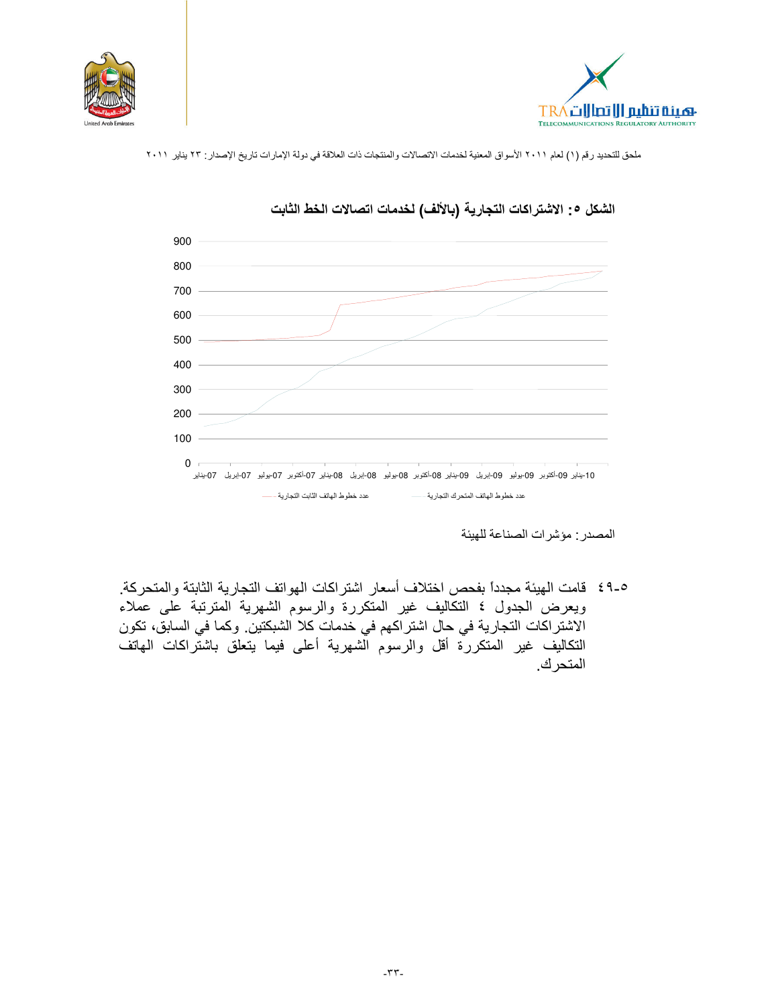





## الشكل ٥: الاشتراكات التجارية (بالألف) لخدمات اتصالات الخط الثابت

المصدر: مؤشرات الصناعة للهيئة

٥-٤٩ قامت الهيئة مجدداً بفحص اختلاف أسعار اشتراكات الهواتف التجارية الثابتة والمتحركة. ويعرض الجدول ٤ التكاليف غير المتكررة والرسوم الشهرية المترتبة على عملاء الاشتراكات التجارية في حال اشتراكهم في خدمات كلا الشبكتين. وكما في السابق، تكون التكاليف غير المتكررة أقل والرسوم الشهرية أعلى فيما يتعلق باشتراكات الهاتف المتحر ك.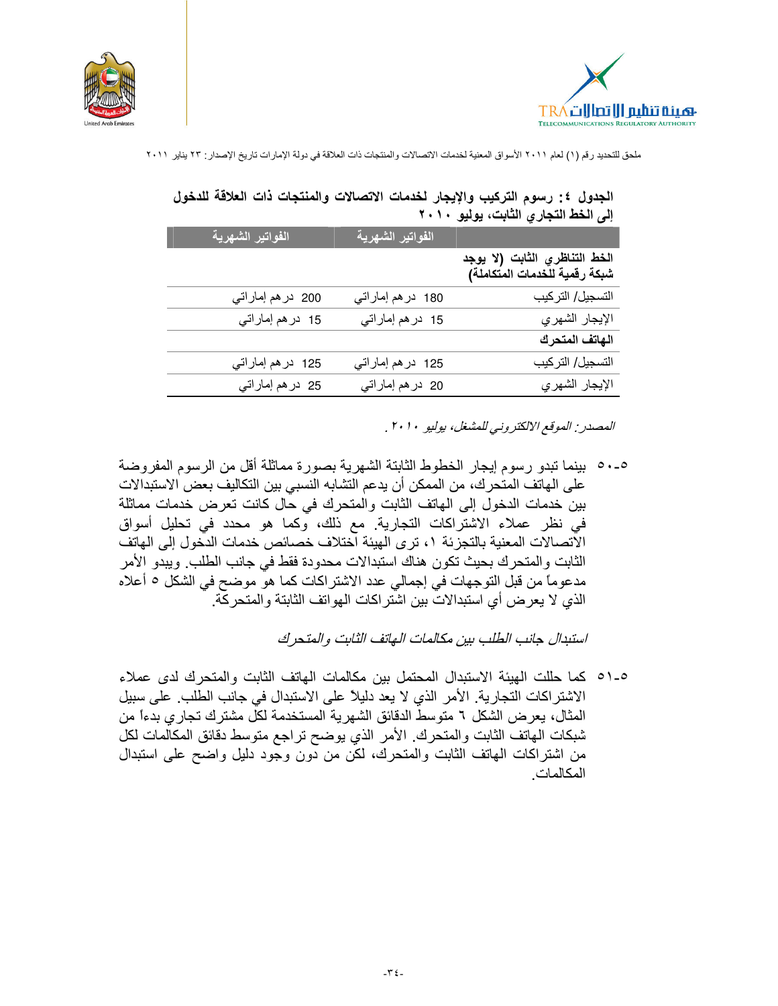



|                   |                   |                                                                | ، س            |
|-------------------|-------------------|----------------------------------------------------------------|----------------|
| الفواتير الشهرية  | الفواتير الشهرية  |                                                                |                |
|                   |                   | الخط التناظري الثابت (لا يوجد<br>شبكة رقمية للخدمات المتكاملة) |                |
| 200 در هم إماراتي | 180 در هم إماراتي | التسجيل/التركيب                                                |                |
| 15 در هم إماراتي  | 15 در هم إماراتي  |                                                                | الإيجار الشهري |
|                   |                   |                                                                | الهاتف المتحرك |
| 125 در هم إماراتي | 125 در هم إماراتي | التسجيل/التركيب                                                |                |
| 25 در هم إماراتي  | 20 در هم إماراتي  |                                                                | الإيجار الشهري |

الجدول ٤: رسوم التركيب والإيجار لخدمات الاتصالات والمنتجات ذات العلاقة للدخول الى الخط التجاري الثابت، بوليو ٢٠١٠

المصدر الموقع الالكتروني للمشغل، بوليو ٢٠١٠ .

0-00 بينما تبدو رسوم إيجار الخطوط الثابتة الشهرية بصورة مماثلة أقل من الرسوم المفروضة على الهاتف المتحرك، من الممكن أن يدعم التشابه النسبي بين التكاليف بعض الاستبدالات بين خدمات الدخول إلى الهاتف الثابت والمتحرك في حال كانت تعرض خدمات مماثلة في نظر عملاء الاشتراكات التجارية. مع ذلك، وكما هو محدد في تحليل أسواق الآتصالات المعنية بالتجزئة ١، ترى الهيئة اّختلاف خصائص خدمات الدّخول إلى الهاتف الثابت والمتحرك بحيث تكون هناك استبدالات محدودة فقط في جانب الطلب. ويبدو الأمر مدعوماً من قبل التوجهات في إجمالي عدد الاشتراكات كما هو موضح في الشكل ٥ أعلاه الذي لا يعرض أي استبدالات بين اشتراكات الهواتف الثابتة والمتحركة.

استبدال جانب الطلب بين مكالمات الهاتف الثابت والمتحرك

0-01 كما حلَّلت الْهِيئة الاستبدال المحتمل بين مكالمات الهاتف الثَّابت والمتحرك لدى عملاء الاشتراكات التجارية. الأمر الذي لا يعد دليلاً على الاستبدال في جانب الطلب. على سبيل المثال، يعرض الشكل ٦ متوسط الدقائق الشهرية المستخدمة لكلِّ مشترك تجار ي بدءاً من شبكات الهاتف الثابت والمنحرك الأمر الذي يوضح نراجع متوسط دقائق المكالمات لكل من اشتراكات المهاتف الثابت والمتحرك، لكن من دون وجود دليل واضح على استبدال المكالمات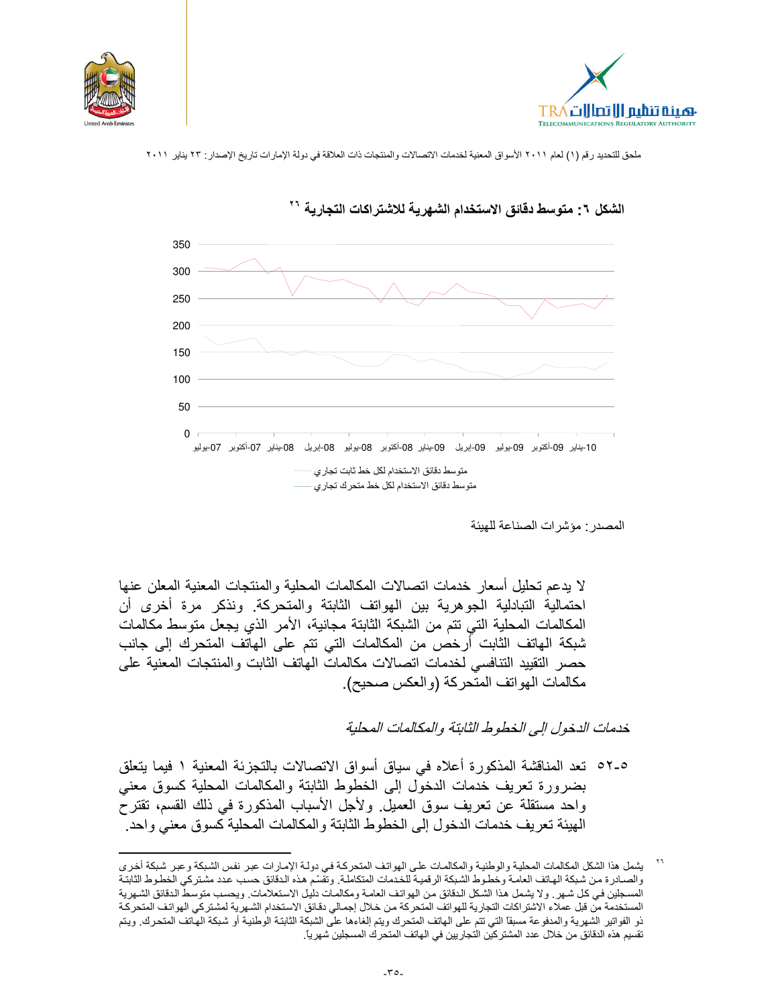





# الشكل ٦: متوسط دقائق الاستخدام الشهرية للاشتراكات التجارية \*\*

المصدر مؤشرات الصناعة للهبئة

لا يدعم تحليل أسعار خدمات اتصالات المكالمات المحلية والمنتجات المعنية المعلن عنها احتمالية التبادلية الجوهرية بين الهواتف الثابتة والمتحركة. ونذكر مرة أخرى أن المكالمات المحلية التي تتم من الشبكة الثابتة مجانية، الأمر الذي يجعل متوسط مكالمات شبكة الهاتف الثابت أرخص من المكالمات التي تتم على الهاتف المتحرك إلى جانب حصر التقييد التنافسي لخدمات اتصالات مكالمات الهاتف الثابت والمنتجات المعنية على مكالمات الهواتف المتحركة (والعكس صحيح).

خدمات الدخول إلى الخطوط الثابتة والمكالمات المحلبة

٥-٥٦ تعد المناقشة المذكورة أعلاه في سياق أسواق الاتصالات بالتجزئة المعنية ١ فيما يتعلق بضرورة تعريف خدمات الدخول إلىي الخطوط الثابتة والمكالمات المحلية كسوق معنى واحد مستقلة عن تعريف سوق العميل. ولأجل الأسباب المذكورة في ذلك القسم، تقترحُ الهيئة تعريف خدمات الدخول إلى الخطوط الثابتة والمكالمات المحلية كسوق معنى واحد

يشمل هذا الشكل المكالمات المحلية والوطنية والمكالمات على الهواتف المتحركة في دولة الإمارات عبر نفس الشبكة وعبر شبكة أخرى والصبادرة من شبكة الهاتف العامة وخطوط الشبكة الرقمية للخدمات المتكاملة. وتقسم هذه الدقائق حسب عدد مشتركي الخطوط الثابتة المسجلين في كل شهر . ولا يشمل هذا الشكل الدقائق من الهواتف العامة ومكالمات دليل الاستعلامات. ويحسب متوسط الدقائق الشهرية المستخدمة من قبل عملاء الاشتراكات التجارية للهواتف المتحركة من خلال إجمالي دقائق الاستخدام الشهرية لمشتركي الهواتف المتحركة ذو الفواتير الشهرية والمدفوعة مسبقاً التي تتم على الهاتف المتحرك ويتم إلغاءها على الشبكة الثابتة الوطنية أو شبكة الهاتف المتحرك. ويتم تقسيم هذه الدقائق من خلال عدد المشتركين التجاريين في الهاتف المتحرك المسجلين شهرياً.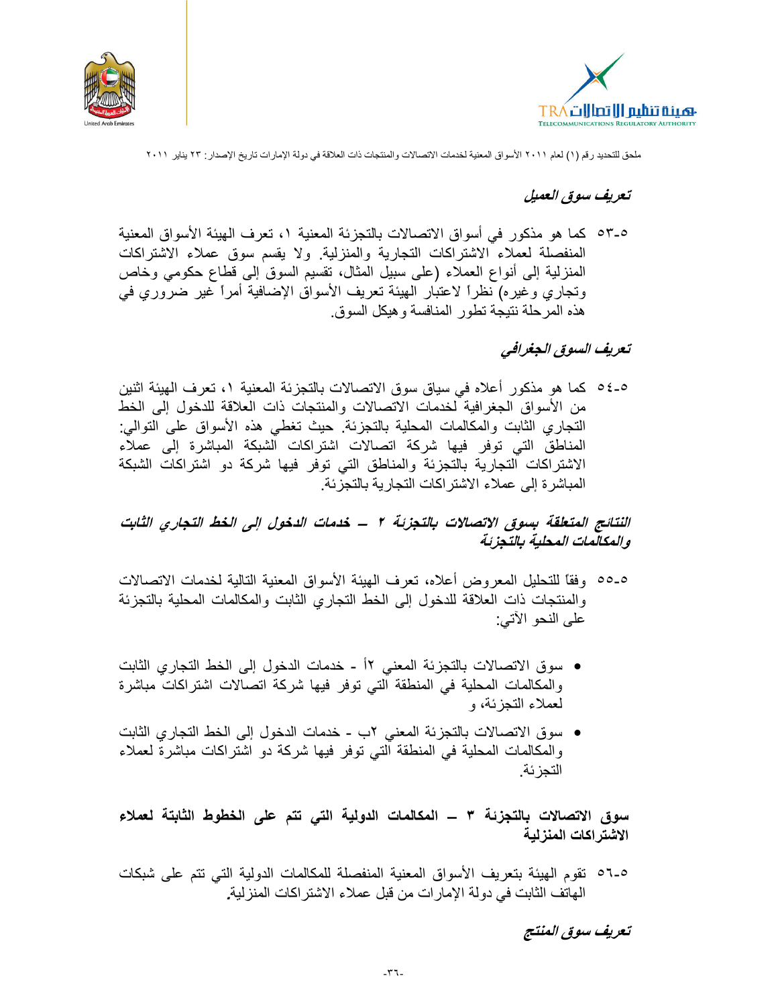



### تعريف سوق العميل

٥٣-٥ كما هو مذكور في أسواق الاتصالات بالتجزئة المعنية ١، تعرف الهيئة الأسواق المعنية المنفصلة لعملاء الاشتراكات التجارية والمنزلية. ولا يقسم سوق عملاء الاشتراكات المنزلية إلى أنواع العملاء (على سبيل المثال، تقسيم السوق إلى قطاع حكومي وخاص وتجاري وغيره) نظراً لاعتبار المهيئة تعريف الأسواق الإضافية أمراً غير ضروري في هذه المرحلة نتيجة تطور المنافسة وهيكل السوق

# تعريف السوق الجغرافي

٥-٥٤ كما هو مذكور أعلاه في سياق سوق الاتصالات بالتجزئة المعنية ١، تعرف الهيئة اثنين من الأسواق الجغرافية لخدمات الاتصالات والمنتجات ذات العلاقة للدخول إلى الخط التجاري الثابت والمكالمات المحلية بالتجزئة. حيث تغطي هذه الأسواق على التوالي: المناطق التي توفر فيها شركة اتصالات اشتراكات الشبكة المباشرة إلى عملاء الاشتراكات التجارية بالتجزئة والمناطق التي توفر فيها شركة دو اشتراكات الشبكة المباشر ة إلى عملاء الاشتر اكات التجار ية بالتجز ئة.

# النتائج المتعلقة بسوق الاتصالات بالتجزئة ٢ ــ خدمات الدخول إلى الخط التجاري الثابت والمكالمات المحلية بالتجزئة

- 0-00 ، وفقًا للتحليل المعر وض أعلاه، تعرَّف الهيئة الأسواق المعنية التالية لخدمات الاتصالات والمنتجات ذات العلاقة للدخول إلى الخط التجاري الثابت والمكالمات المحلية بالتجزئة على النحو الاتي:
- سوق الاتصالات بالتجزئة المعنى ١٢ ـ خدمات الدخول إلى الخط التجاري الثابت والمكالمات المحلية في المنطقة التي توفر فيها شركة اتصالات اشتراكات مباشرة لعملاء التجزئة، و
- سوق الاتصالات بالتجزئة المعنى ٢ب خدمات الدخول إلى الخط التجاري الثابت والمكالمات المحلية في المنطقة التي توفر فيها شركة دو اشتراكات مباشرة لعملاء التجز ئة.

سوق الاتصالات بالتجزئة ٣ ـــ المكالمات الدولية التي تتم على الخطوط الثابتة لعملاء الاشتراكات المنزلية

0-01 نقوم الهيئة بتعريف الأسواق المعنية المنفصلة للمكالمات الدولية التي تتم على شبكات الهاتف الثابت في دولة الإمار ات من قبل عملاء الاشتر اكات المنز لية.

تعريف سوق المنتج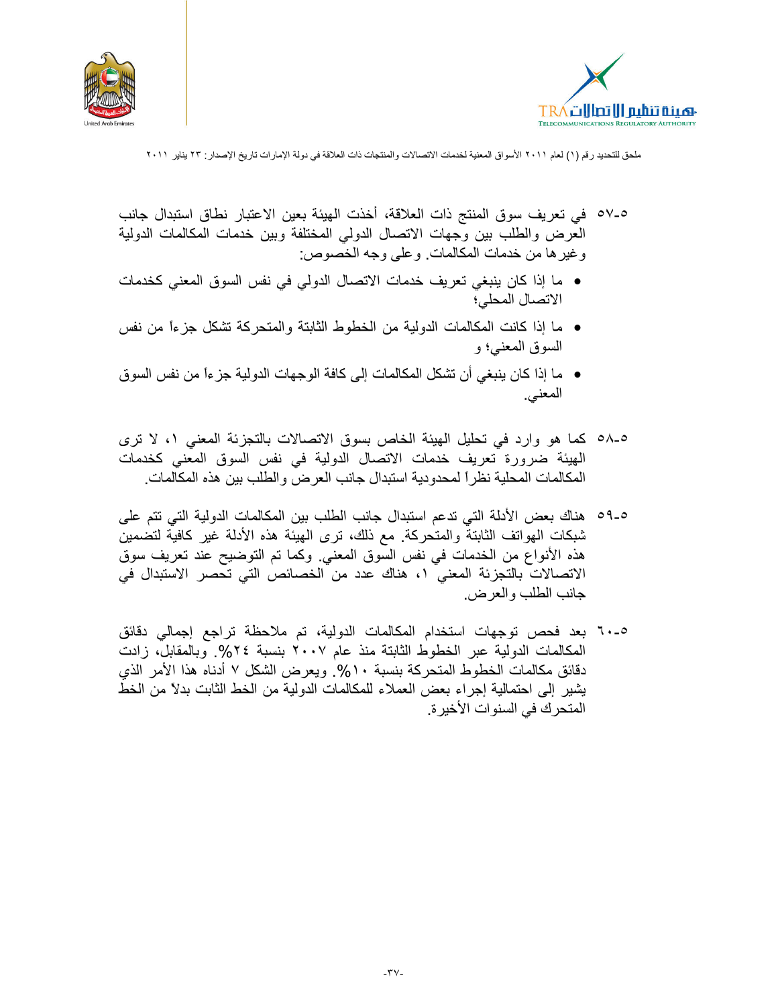



- 0-07 في تعريف سوق المنتج ذات العلاقة، أخذت الهيئة بعين الاعتبار نطاق استبدال جانب العرض والطلب بين وجهات الاتصال الدولى المختلفة وبين خدمات المكالمات الدولية وغير ها من خدمات المكالمات. وعلى وجه الخصوص:
- ما إذا كان ينبغي تعريف خدمات الاتصال الدولي في نفس السوق المعنى كخدمات الاتصال المحلي؛
- ما إذا كانت المكالمات الدولية من الخطوط الثابتة والمتحركة تشكل جزءًا من نفس السوق المعنى؛ و
- ما إذا كان ينبغي أن تشكل المكالمات إلى كافة الوجهات الدولية جزءاً من نفس السوق المعنى.
- ٥٨-٥ كما هو وارد في تحليل الهيئة الخاص بسوق الاتصالات بالتجزئة المعنى ١، لا ترى الْهِيئة ضرورة تعريف خدمات الاتصال الدولية في نفس السوق المعنى كخدمات المكالمات المحلية نظر ًا لمحدودية استبدال جانب العرض والطلب بين هذه المكالمات.
- 0-01 هناك بعض الأدلة التي تدعم استبدال جانب الطلب بين المكالمات الدولية التي تتم على شبكات الهواتف الثابتة والمتحركة مع ذلك، نرى الهيئة هذه الأدلة غير كافية لتضمين هذه الأنواع من الخدمات في نفس السوق المعنى. وكما تم التوضيح عند تعريف سوق الاتصالات بالتجزئة المعنى ١، هناك عدد من الخصائص التي تحصر الاستبدال في جانب الطلب والعرض.
- 10-0 بعد فحص توجهات استخدام المكالمات الدولية، تم ملاحظة تراجع إجمالي دقائق المكالمات الدولية عبر الخطوط الثابتة منذ عام ٢٠٠٧ بنسبة ٢٤%. وبالمقابل، زادت دقائق مكالمات الخطوط المتحركة بنسبة ١٠%. ويعرض الشكل ٧ أدناه هذا الأمر الذي يشير إلى احتمالية إجراء بعض العملاء للمكالمات الدولية من الخط الثابت بدلاً من الخط المتحر ك في السنو ات الأخير ة.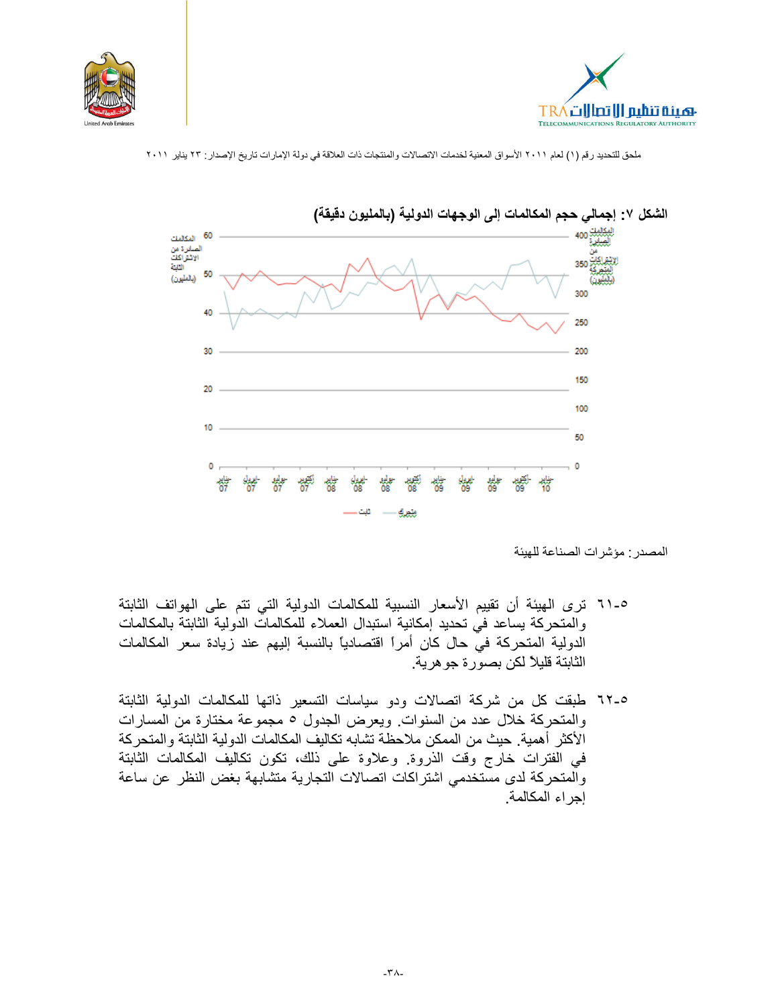





#### الشكل ٧: إجمالي حجم المكالمات إلى الوجهات الدولية (بالمليون دقيقة)

المصدر: مؤشرات الصناعة للهيئة

- 0-٦١ ترى الهيئة أن تقييم الأسعار النسبية للمكالمات الدولية التي تتم على الهواتف الثابتة والمتحركة يساعد في تحديد إمكانية استبدال العملاء للمكالمات الدولية الثابتة بالمكالمات الدولية المتحركة في حال كان أمراً اقتصادياً بالنسبة إليهم عند زيادة سعر المكالمات الثابتة قليلاً لكن بصورة جو هرية.
- 18-0 طبقت كل من شركة اتصالات ودو سياسات التسعير ذاتها للمكالمات الدولية الثابتة والمتحركة خلال عدد من السنوات. ويعرض الجدول ٥ مجموعة مختارة من المسارات الأكثر أهمية. حيث من الممكن ملاحظة تشابه تكاليف المكالمات الدولية الثابتة والمتحركة في الفترات خارج وقت الذروة. وعلاوة على ذلك، تكون تكاليف المكالمات الثابتة والمتحركة لدى مستخدمي اشتراكات اتصالات التجارية متشابهة بغض النظر عن ساعة إجراء المكالمة.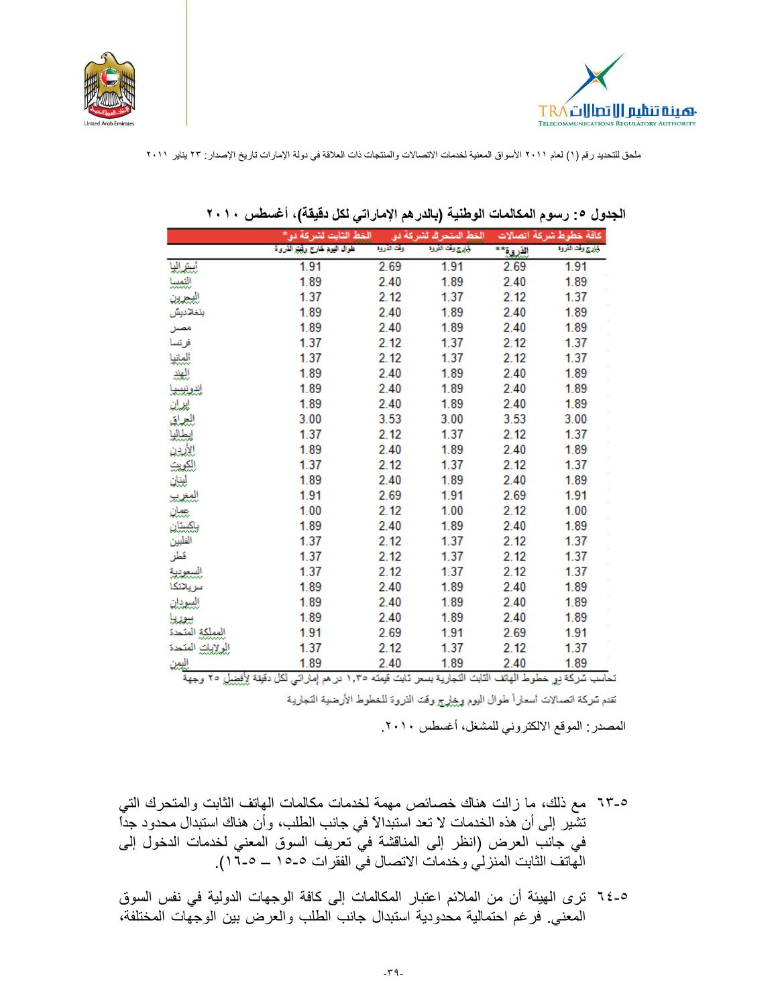



|                     | الخط الثابت لشركة دو.*         |            | الخط المتحرك لشركة دق |          | كافة خطوط شركة اتصالات |
|---------------------|--------------------------------|------------|-----------------------|----------|------------------------|
|                     | طوال النيمة خارج وأبنيز الذروة | وقت الأووة | ذارج وأث الأروة       | الأروق** | ولزج وقت القروة        |
| لستراليا            | 1.91                           | 2.69       | 1.91                  | 2.69     | 1.91                   |
| التمسا              | 1.89                           | 2.40       | 1.89                  | 2.40     | 1.89                   |
| للبيرين             | 1.37                           | 2.12       | 1.37                  | 2.12     | 1.37                   |
| بنغلاديش            | 1.89                           | 2.40       | 1.89                  | 2.40     | 1.89                   |
| مصنل                | 1.89                           | 2.40       | 1.89                  | 2.40     | 1.89                   |
| فرنسا               | 1.37                           | 2.12       | 1.37                  | 2.12     | 1.37                   |
| ألملتيا             | 1.37                           | 2.12       | 1.37                  | 2.12     | 1.37                   |
| المجتد              | 1.89                           | 2.40       | 1.89                  | 2.40     | 1.89                   |
| إنبرنيبيا           | 1.89                           | 2.40       | 1.89                  | 2.40     | 1.89                   |
| لمدلذ               | 1.89                           | 2.40       | 1.89                  | 2.40     | 1.89                   |
| العداق<br>البطاليا  | 3.00                           | 3.53       | 3.00                  | 3.53     | 3.00                   |
|                     | 1.37                           | 2.12       | 1.37                  | 2.12     | 1.37                   |
| الأردن              | 1.89                           | 2.40       | 1.89                  | 2.40     | 1.89                   |
| <mark>للكويت</mark> | 1.37                           | 2.12       | 1.37                  | 2.12     | 1.37                   |
| ليناز               | 1.89                           | 2.40       | 1.89                  | 2.40     | 1.89                   |
| للمغرب              | 1.91                           | 2.69       | 1.91                  | 2.69     | 1.91                   |
| بعيان               | 1.00                           | 2.12       | 1.00                  | 2.12     | 1.00                   |
| باكستان             | 1.89                           | 2.40       | 1.89                  | 2.40     | 1.89                   |
| النلبين             | 1.37                           | 2.12       | 1.37                  | 2.12     | 1.37                   |
| قطر                 | 1.37                           | 2.12       | 1.37                  | 2.12     | 1.37                   |
| للسيودية            | 1.37                           | 2.12       | 1.37                  | 2.12     | 1.37                   |
| سريلانكا            | 1.89                           | 2.40       | 1.89                  | 2.40     | 1.89                   |
| السيودان            | 1.89                           | 2.40       | 1.89                  | 2.40     | 1.89                   |
| سوريا               | 1.89                           | 2.40       | 1.89                  | 2.40     | 1.89                   |
| المملكة المتحدة     | 1.91                           | 2.69       | 1.91                  | 2.69     | 1.91                   |
| العرلايلي المتحدة   | 1.37                           | 2.12       | 1.37                  | 2.12     | 1.37                   |
| العمن               | 1.89                           | 2.40       | 1.89                  | 2.40     | 1.89                   |

|  | الجدول ٥: رسوم المكالمات الوطنية (بالدرهم الإماراتي لكل دقيقة)، أغسطس ٢٠١٠ |  |
|--|----------------------------------------------------------------------------|--|
|--|----------------------------------------------------------------------------|--|

تحاسب شركة بي خطوط الهاتف الثابت التجارية بسعر ثابت قيمته ١,٣٥ در هم إماراتي لكل دقيقة لِأفِضِيلِ ٢٥ وجهة

تقدم تسركة اتصمالات أسعاراً طوال اليوم وخِيلٍ ج وقت الذروة للخطوط الأرضية التجارية

المصدر: الموقع الالكتروني للمشغل، أغسطس ٢٠١٠.

- ٦٣-٥ مع ذلك، ما زالت هناك خصائص مهمة لخدمات مكالمات الهاتف الثابت والمتحرك التي تشَّير إلى أن هذه الخدمات لا تعد استبدالاً في جانب الطلب، وأن هناك استبدال محدود جدًّا في جانب العرض (انظر إلى المناقشة في تعريف السوق المعني لخدمات الدخول إلى<br>الهاتف الثابت المنزلي وخدمات الاتصال في الفقرات ٥-١٥ ــ ١٥.٥)
- 0-٢٤ ترى الهيئة أن من الملائم اعتبار المكالمات إلى كافة الوجهات الدولية في نفس السوق المعنى فرغم احتمالية محدودية استبدال جانب الطلب والعرض بين الوجهات المختلفة،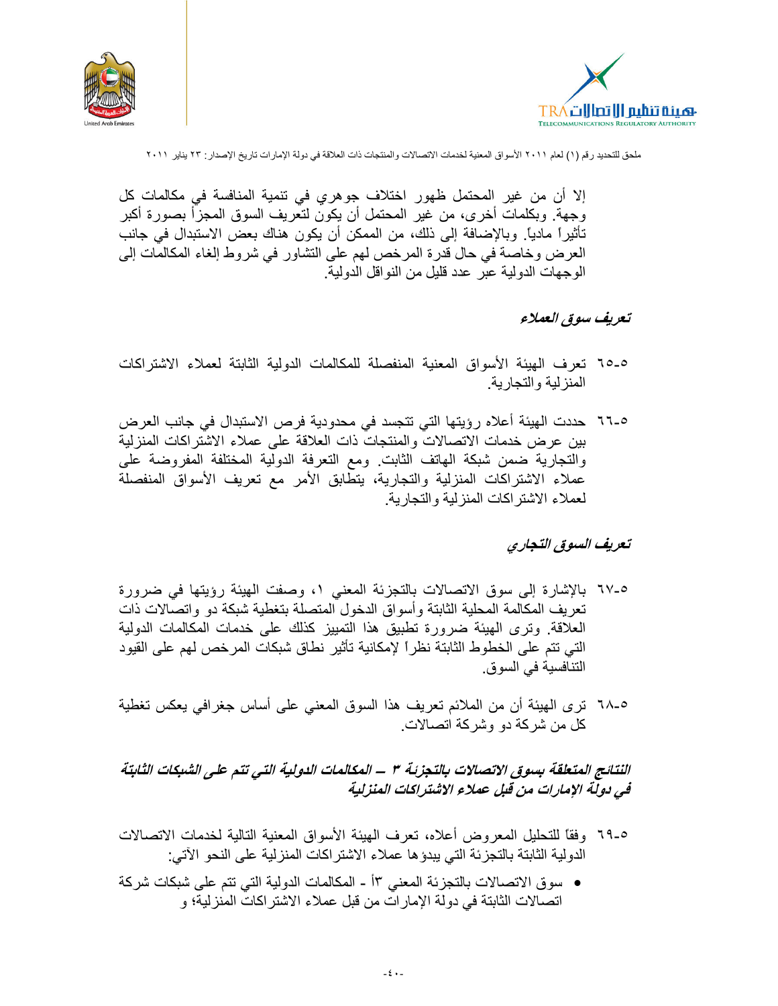



إلا أن من غير المحتمل ظهور اختلاف جوهري في تنمية المنافسة في مكالمات كل وجهة. وبكلمات أخرى، من غير المحتمل أن يكون لتعريف السوق المجزأ بصورة أكبر تأثيراً مادياً. وبالإضافة إلى ذلك، من الممكن أن يكون هناك بعض الاستبدال في جانب العرض وخاصة في حال قدرة المرخص لهم على التشاور في شروط إلغاء المكالمات إلى الو جهات الدو لية عبر حدد قليل من النو اقل الدو لية.

تعريف سوق العملاء

- 0-0 لتعرف الهيئة الأسواق المعنية المنفصلة للمكالمات الدولية الثابتة لعملاء الاشتراكات المنزلية والتجارية.
- 0-٦٦ حددت الهيئة أعلاه رؤيتها التي تتجسد في محدودية فرص الاستبدال في جانب العرض بين عرض خدمات الاتصالات والمنتجات ذات العلاقة على عملاء الاشتراكات المنزلية والتجارية ضمن شبكة الهاتف الثابت ومع التعرفة الدولية المختلفة المفروضة على عملاء الاشتراكات المنزلية والتجارية، يتطابق الأمر مع تعريف الأسواق المنفصلة لعملاء الاشتر اكات المنز لية و التجار ية.

#### تعريف السوق التجارى

- 0-٦٧ بالإشارة إلى سوق الاتصالات بالتجزئة المعنى ١، وصفت الهيئة رؤيتها في ضرورة تعريف المكالمة المحلية الثابتة وأسواق الدخول المتصلة بتغطية شبكة دو واتصالات ذات العلاقة. ونرى الهيئة ضرورة نطبيق هذا النمييز كذلك على خدمات المكالمات الدولية التي تتم على الخطوط الثابتة نظراً لإمكانية تأثير نطاق شبكات المرخص لهم على القيود التنافسية في السوق.
- ٥-٦٨ ترى الهيئة أن من الملائم تعريف هذا السوق المعنى على أساس جغرافي يعكس تغطية كل من شركة دو وشركة اتصالات.

# النتائج المتعلقة بسوق الاتصالات بالتجزئة ٣ – المكالمات الدولية التي تتم على الشبكات الثابتة في دولة الإمارات من قبل عملاء الاشتراكات المنزلية

- 0-٦٩ وفقًا للتحليل المعروض أعلاه، تعرف الهيئة الأسواق المعنية التالية لخدمات الاتصالات الدولية الثابتة بالتجزئة التي يبدؤها عملاء الاشتراكات المنزلية على النحو الآتي:
- سوق الاتصالات بالتجزئة المعني ١٣ ـ المكالمات الدولية التي تتم على شبكات شركة اتصالات الثابتة في دولة الإمارات من قبل عملاء الاشتراكات المنزلية؛ و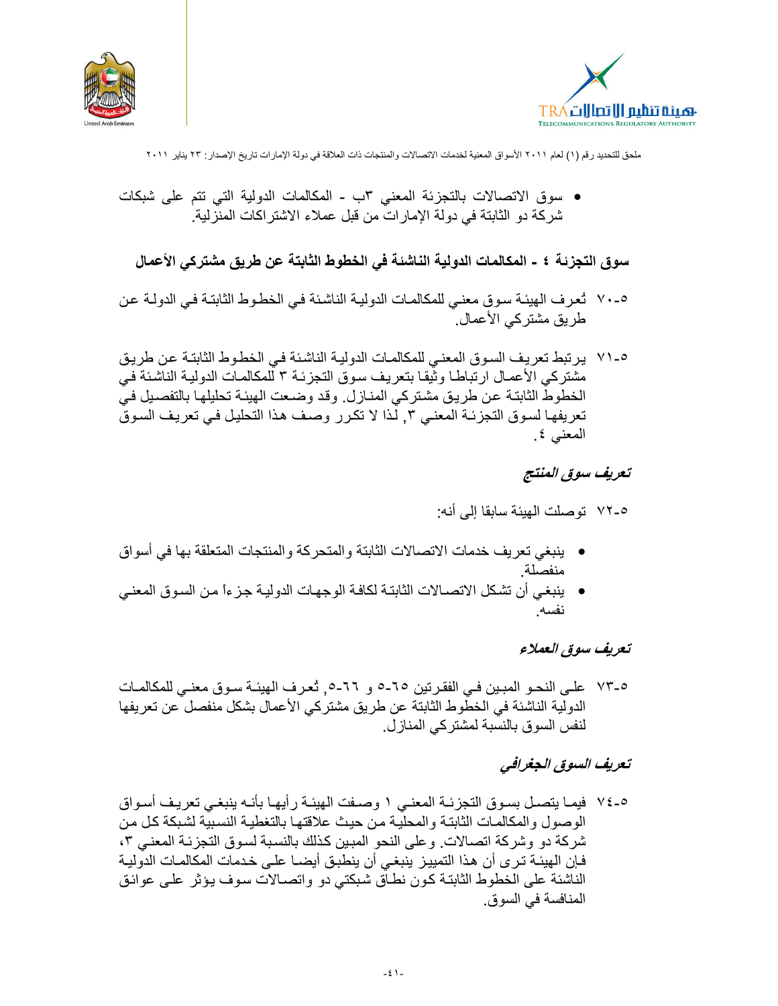



• سوق الاتصالات بالتجزئة المعنى ٣ب - المكالمات الدولية التي تتم على شبكات شركة دو الثابتة في دولة الإمار ات من قبل عملاء الاشتر اكات المنز لية.

سوق التجزئة ٤ - المكالمات الدولية الناشئة في الخطوط الثابتة عن طريق مشتركي الأعمال

- ٥-٧٠ نُعرف الهيئة سوق معنى للمكالمات الدولية الناشئة في الخطوط الثابتة في الدولـة عن طريق مشتركي الأعمال.
- ٥-٧١ يرتبط تعريف السوق المعنى للمكالمات الدولية الناشئة في الخطوط الثابتة عن طريق مشتركي الأعمـال ارتباطـا وثيقـا بتعريف سوق التجزئـة ٣ للمكالمـات الدوليـة الناشئـة فـي الخطوط الثابتـة عن طريـق مشتركي المنـازل وقد وضـعت الهيئـة تحليلهـا بالتفصـيل فـي تعريفها لسوق التجزئة المعنى ٣, لذا لا تكرر وصف هذا التحليل في تعريف السوق المعنى ٤.

تعريف سوق المنتج

٥-٧٢ تو صلت الـهيئـة سـابقـا إلـي أنـه:

- ينبغي تعريف خدمات الاتصالات الثابتة والمتحركة والمنتجات المتعلقة بها في أسواق منفصلة
- ينبغي أن تشكل الاتصــالات الثابتـة لكافـة الوجهـات الدوليـة جـز ءاً مـن السـوق المعنـي نفسه

تعريف سوق العملاء

0-٧٣ على النحـو المبـين فـي الفقر تين ٦٥-٥ و ٦٦-٥. تُعرف الهيئـة سـوق معنـي للمكالمـات الدولية الناشئة في الخطوط الثابتة عن طريق مشتركي الأعمال بشكل منفصل ّعن تعريفها لنفس السوق بالنسبة لمشتركي المنازل.

# تعريف السوق الجغرافي

٥-٧٤ فيمـا يتصـل بسـوق التجزئــة المعنــى ١ وصــفت الـهيئــة رأيـهـا بأنــه ينبغــى تعريـف أسـواق الوصول والمكالمات الثابتة والمحلية من حيث علاقتها بالتغطية النسبية لشبكة كل من شركة دو وشركة اتصـالات. وعلى النحو المبين كذلك بالنسبة لسوق التجزئـة المعنـى ٣، فإن الهيئــة تـرى أن هذا التمييـز ينبغـى أن ينطبـق أيضــا علـى خـدمات المكالمــات الدوليــة الناشئة على الخطوط الثابتـة كـون نطـاق شبكتـى دو واتصــالات سوف يـؤثر علـى عوائـق المنافسة في السوق.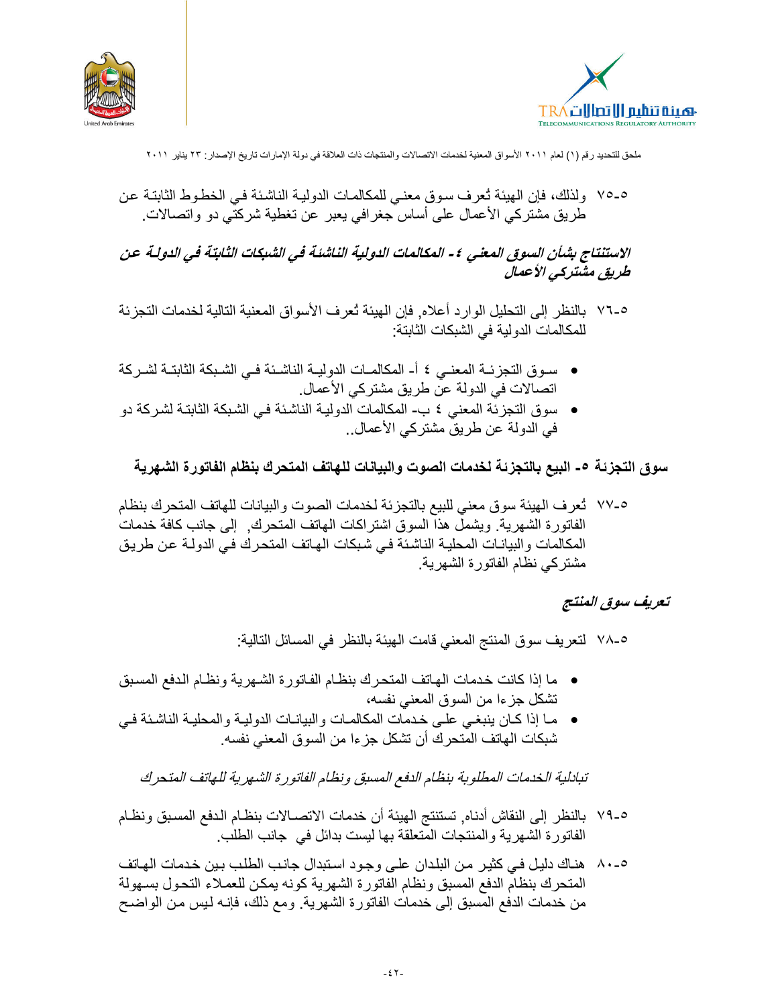



٥-٥٧ ولذلك، فإن الهيئة تُعرف سوق معنى للمكالمات الدوليـة الناشئة فـي الخطـوط الثابتـة عن طريق مشتركي الأعمال على أساس جغرافي يعبر عن تغطية شركتي دو واتصالات.

الاستنتاج بشأن السوق المعنى ٤ - المكالمات الدولية الناشئة في الشبكات الثابتة في الدولة عن طریق مشترکی الأعمال

- ٥-٧٦ بالنظر إلى التحليل الوارد أعلاه, فإن الهيئة تُعرف الأسواق المعنية التالية لخدمات التجزئة للمكالمات الدو لبة في الشبكات الثابتة:
- سوق التجزئــة المعنــى ٤ أ- المكالمــات الدوليــة الناشـئة فــى الشـبكة الثابتــة لشـركة اتصالات في الدولة عن طريق مشتركي الأعمال.
- سوق التجزئة المعنى ٤ ب- المكالمات الدولية الناشئة في الشبكة الثابتة لشركة دو في الدولة عن طريقٌ مشتركي الأعمال..

سوق التجزئـة ٥- البيع بالتجزئـة لـخدمات الصوت والبيانات للـهاتف المتحرك بنظام الفاتورة الشـهريـة

٧-٧٧ ثعرف الهيئة سوق معنى للبيع بالتجزئة لخدمات الصوت والبيانات للهاتف المتحرك بنظام الفاتورة الشهرية. ويشمل هذا السوق اشتراكات المهاتف المتحرك, ۖ إلى جانب كافة خدمات المكالمات والبيانـات المحليـة الناشئـة فـي شبكات الهـاتف المتحرك فـي الدولـة عن طريـق مشتركي نظام الفاتورة الشهرية

#### تعريف سوق المنتج

0-٧٨ لتعريف سوق المنتج المعنى قامت الهيئة بالنظر في المسائل التالية:

- ما إذا كانت خدمات الهاتف المتحرك بنظام الفاتورة الشهرية ونظام الدفع المسبق تشكل جزءا من السوق المعنى نفسه،
- ما إذا كان ينبغي على خدمات المكالمات والبيانات الدولية والمحلية الناشئة في شبكات الهاتف المتحرك أن تشكل جزءا من السوق المعنى نفسه.

تبادلية الخدمات المطلوبة بنظام الدفع المسبق ونظام الفاتورة الشهرية للهاتف المتحرك

٥-٧٩ بالنظر إلى النقاش أدناه, تستنتج الهيئة أن خدمات الاتصــالات بنظـام الدفع المسـبق ونظـام الفاتورة الشهرية والمنتجات المتعلقة بها ليست بدائل في جانب الطلب

٥-٨٠ هناك دليل في كثير من البلدان على وجود استبدال جانب الطلب بين خدمات الهاتف المتحرك بنظلم الدفع المسبق ونظام الفاتورة الشهرية كونه يمكن للعملاء التحول بسهولة من خدمات الدفع المسبق إلى خدمات الفاتورة الشهرية. ومع ذلك، فإنـه لـيس من الواضـح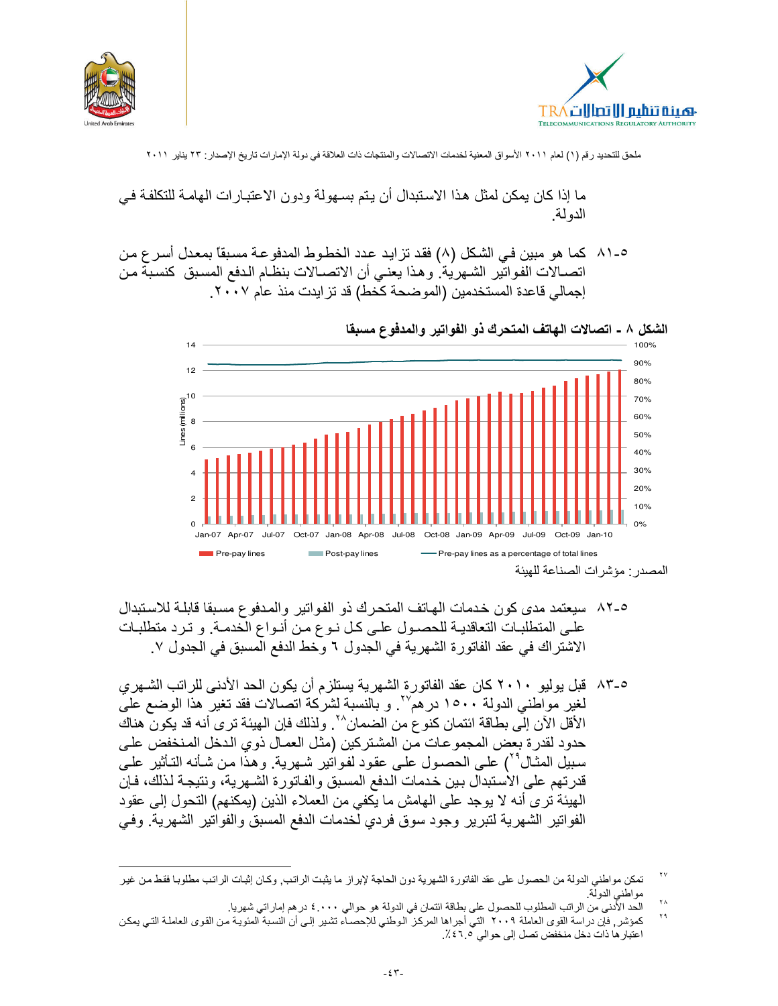



ما إذا كان بمكن لمثل هذا الاستبدال أن يتم بسهو لة ودون الاعتبار ات الهامـة للتكلفـة فـي الدو لة.

٥-٨١ كما هو مبين فـي الشكل (٨) فقد تزايد عدد الخطـوط المدفوعـة مسبقاً بمعدل أسر ع من اتصــالات الفواتير الشـهرية. وهذا يعنـي أن الاتصــالات بنظـام الـدفع المسبق كنسبة مـن إجمالي قاعدة المستخدمين (الموضحة كخط) قد تزايدت منذ عام ٢٠٠٧.



الشكل ٨ ـ اتصالات الهاتف المتحرك ذو الفواتير والمدفوع مسبقا

- ٨-٨٢ سيعتمد مدى كون خدمات الهاتف المتحرك ذو الفواتير والمدفوع مسبقا قابلـة للاستبدال علـى المنطلبـات النعاقديــة للحصــول علــى كـل نــوع مـن أنــواع الخدمــة. و تـرد منطلبـات الاشتراك في عقد الفاتورة الشهرية في الجدول ٦ وحظ الدفع المسبق في الجدول ٧.
- ٨٣-٥ قبل يوليو ٢٠١٠ كان عقد الفاتورة الشهرية يستلزم أن يكون الحد الأدنى للراتب الشهري لغير مواطني الدولة ١٥٠٠ در هم ُ ". و بالنسبة لشركة انصالات فقد تغير هذا الوضع على الأقلِّ الآن إلَى بطَّاقة ائتمان كنَّو ع من الضمان^``. ولذلك فإن الهيئة ترى أنه قد يكون هناك حدود لقدرة بعض المجموعات مّن المشتركين (مثل العمـال ذوي الدخل المنخفض علـي سبيل المثـال°٬) علـى الحصـول علـى عقود لفـواتير شـهرية. وهذا مـن شـأنـه التـأثير علـى قدرتهم على الاستبدال بين خدمات الدفع المسبق والفاتورة الشهرية، ونتيجة لذلك، فإن الهيئة ترى أنه لا يوجد على الهامش ما يكفي من العملاء الذين (يمكنهم) التحول إلى عقود الفواتير الشهرية لتبرير وجود سوق فردي لخدمات الدفع المسبق والفواتير الشهرية. وفي

٢V تمكن مواطني الدولة من الحصول على عقد الفاتورة الشهرية دون الحاجة لإبراز ما يثبت الراتب, وكان إثبات الراتب مطلوبا فقط من غير مواطني الدولة ۲٨

الحد الأُنني من الراتب المطلوب للحصول على بطاقة ائتمان في الدولة هو حوالي ٤.٠٠٠ در هم إمار اتي شهريا.

 $\mathbf{y}$ كمؤشر٬ فإن دراسة القوى العاملة ٢٠٠٩ التي أجراها المركز الوطني للإحصــآء تشير إلـى أن النسبة المئويـة من القوى العاملـة التـى يمكن اعتبار ها ذات دخل منخفض تصل إلى حوالى ٢٠١٠٪.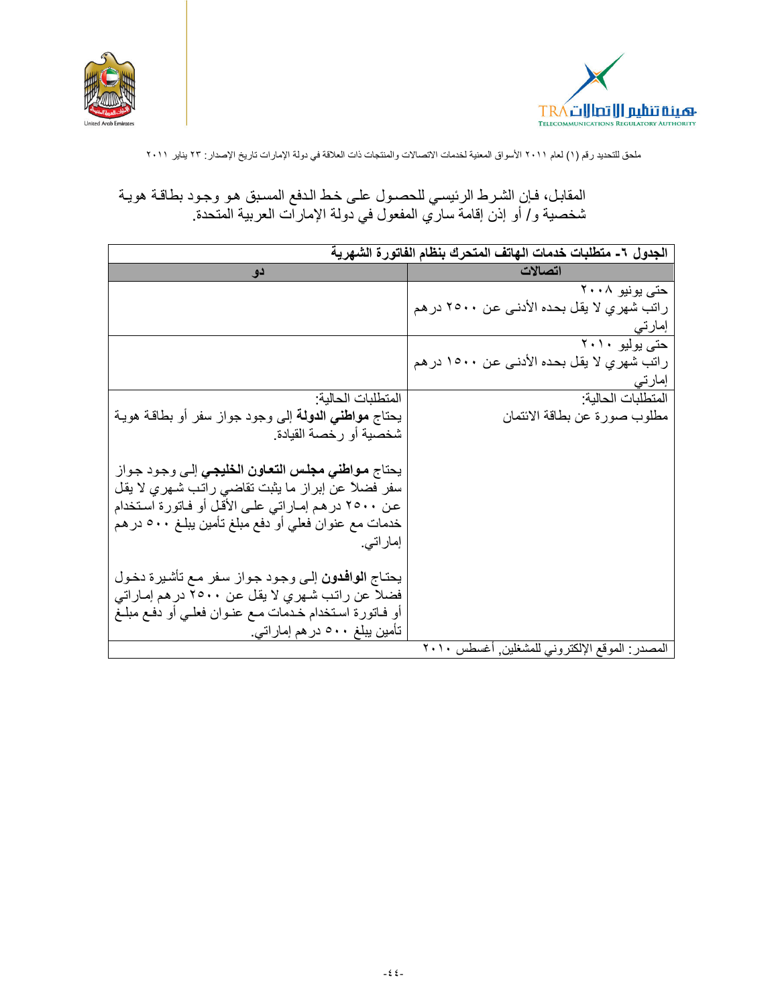



# المقابل، فإن الشرط الرئيسي للحصـول علـى خط الـدفع المسـبق هـو وجـود بطاقـة هويـة<br>شخصية و/ أو إذن إقامـة ساري المفعول في دولـة الإمـارات الـعربيـة المتحدة.

|                                                             | الجدول ٦- متطلبات خدمات الهاتف المتحرك بنظام الفاتورة الشهرية |
|-------------------------------------------------------------|---------------------------------------------------------------|
| دو.                                                         | اتصالات                                                       |
|                                                             | حتی یونیو ۲۰۰۸                                                |
|                                                             | راتب شهري لا يقل بحده الأدنـي عن ٢٥٠٠ در هم                   |
|                                                             | إمارتي                                                        |
|                                                             | حتی بولیو ۲۰۱۰                                                |
|                                                             | راتب شهري لا يقل بحده الأدنـي عن ١٥٠٠ در هم                   |
|                                                             | إمارتي                                                        |
| المنطلبات الحالية:                                          | المتطلبات الحالية:                                            |
| يحتاج <b>مواطني الدولة</b> إلى وجود جواز سفر أو بطاقة هويـة | مطلوب صورة عن بطاقة الائتمان                                  |
| شخصية أو رخصة القيادة                                       |                                                               |
|                                                             |                                                               |
| يحتاج <b>مواطني مجلس التعاون الخليجي</b> إلى وجود جواز      |                                                               |
| سفر فضلاً عن إبراز ما يثبت تقاضى راتب شـهري لا يقل          |                                                               |
| عن ٢٥٠٠ در هم إمـاراتي علـي الأقل أو فـاتورة اسـتخدام       |                                                               |
| خدمات مع عنوان فعلي أو دفع مبلغ تأمين يبلغ ٥٠٠ در هم        |                                                               |
| إماراتي.                                                    |                                                               |
| يحتاج الوافدون إلى وجود جواز سفر مع تأشيرة دخول             |                                                               |
| فضلا عن راتب شهري لا يقل عن ٢٥٠٠ در هم إماراتي              |                                                               |
| أو فـاتورة اسـتخدام خـدمات مـع عنـوان فعلـي أو دفـع مبلـغ   |                                                               |
| تأمین یبلغ ۵۰۰ در هم إماراتی                                |                                                               |
|                                                             | المصدر : الموقع الإلكتروني للمشغلين أغسطس ٢٠١٠                |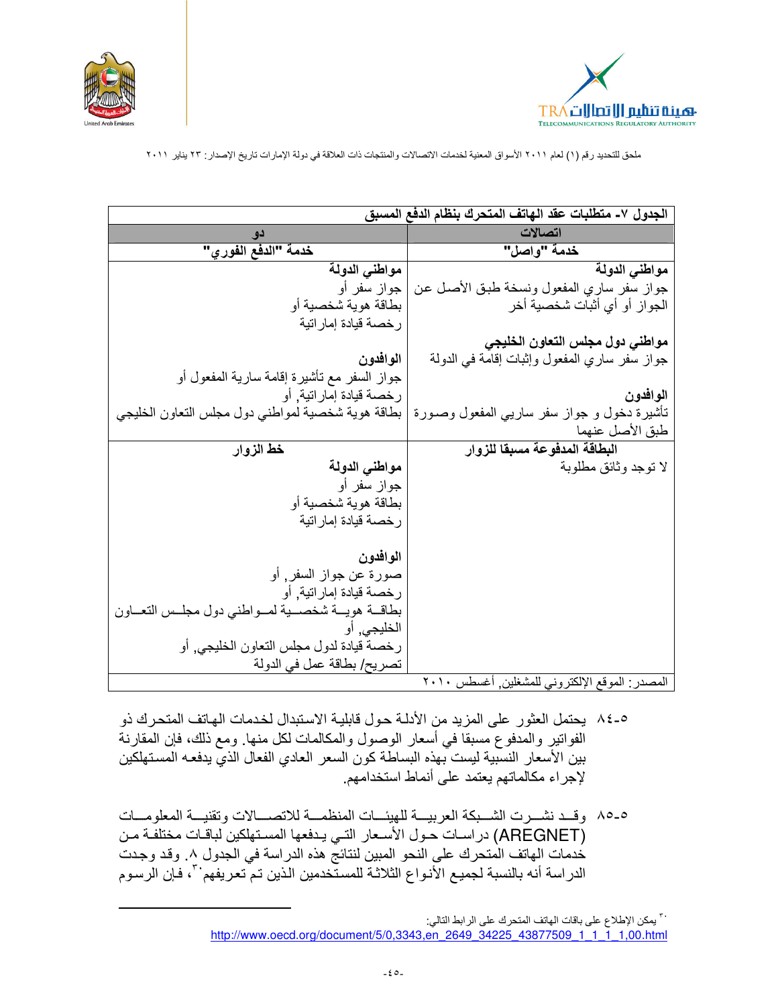



|                                                                                                   | الجدول ٧- متطلبات عقد الـهاتف المتحرك بنظام الدفع المسبق                                                         |
|---------------------------------------------------------------------------------------------------|------------------------------------------------------------------------------------------------------------------|
|                                                                                                   | اتصالات                                                                                                          |
| خدمة "الدفع الفور ي"                                                                              | خدمة "واصل"                                                                                                      |
| مواطني الدولة                                                                                     | مواطني الدولة                                                                                                    |
| جواز سفر أو                                                                                       | جواز سفر ساري المفعول ونسخة طبق الأصل عن                                                                         |
| بطاقة هوية شخصية أو                                                                               | الجواز أو أي أثبات شخصية أخر                                                                                     |
| رخصة قيادة إماراتية                                                                               |                                                                                                                  |
|                                                                                                   | مواطني دول مجلس التعاون الخليجي                                                                                  |
| الموافدون                                                                                         | جواز سفر ساري المفعول وإثبات إقامة في الدولة                                                                     |
| جواز السفر مع تأشيرة إقامة سارية المفعول أو                                                       |                                                                                                                  |
| رخصة قيادة إماراتية, أو                                                                           | الموافدون                                                                                                        |
| تأشيرة دخول و جواز سفر ساريبي المفعول وصىورة   بطاقة هوية شخصية لمواطنبي دول مجلس النعاون الخليجي |                                                                                                                  |
|                                                                                                   | طبق الأصل عنهما                                                                                                  |
| خط الزوار                                                                                         | البطاقة المدفوعة مسبقا للزوار                                                                                    |
| مواطنى الدولة                                                                                     | لا توجد وثائق مطلوبة                                                                                             |
| جواز سفر أو                                                                                       |                                                                                                                  |
| بطاقة هوية شخصية أو                                                                               |                                                                                                                  |
| رخصة قيادة إمار اتية                                                                              |                                                                                                                  |
|                                                                                                   |                                                                                                                  |
| الموافدون                                                                                         |                                                                                                                  |
| صورة عن جواز السفر, أو                                                                            |                                                                                                                  |
| رخصة قيادة إماراتية, أو                                                                           |                                                                                                                  |
| بطاقــة هويــة شخصـــية لمــواطني دول مجلــس التعــاون                                            |                                                                                                                  |
| الخليجي٬ أو                                                                                       |                                                                                                                  |
| رخصة قيادة لدول مجلس التعاون الخليجي, أو                                                          |                                                                                                                  |
| تصريح/ بطاقة عمل في الدولة                                                                        | $\mathbf{v} \cdot \mathbf{v} = \mathbf{1} + \mathbf{i} + \mathbf{j} + \mathbf{k}$ is $\mathbf{v} = \mathbf{v}$ . |

وقع الإلكتروني للمسعلين. اغسطس ١٠١٠

- ٥-٨٤ يحتمل العثور على المزيد من الأدلــة حـول قابليــة الاستبدال لخـدمات الـهـاتف المتحرك ذو الفواتير والمدفوع مسبقا في أسعار الوصول والمكالمات لكل منها. ومع ذلك، فإن المقارنة بين الأسعار النسبية ليست بهذه البساطة كون السعر العادي الفعال الذي يدفعه المستهلكين لإجراء مكالماتهم يعتمد على أنماط استخدامهم.
- ٥-٨٥ وقـد نشــرت الشــبكة العربيـــة للهيئـــات المنظمـــة للاتصــــالات وتقنيـــة المعلومـــات (AREGNET) دراسات حول الأسعار التي يدفعها المستهلكين لباقات مختلفة من خدمات الهاتف المتحرك على النحو المبين لنتائج هذه الدراسة في الجدول ٨. وقد وجدت الدراسة أنه بالنسبة لجميع الأنواع الثلاثة للمستخدمين الذين تم تعريفهم لله فإن الرسوم

<sup>. ٣</sup> يمكن الإطلاع على باقات الهاتف المتحرك على الرابط التالي: http://www.oecd.org/document/5/0,3343.en 2649 34225 43877509 1 1 1 1,00.html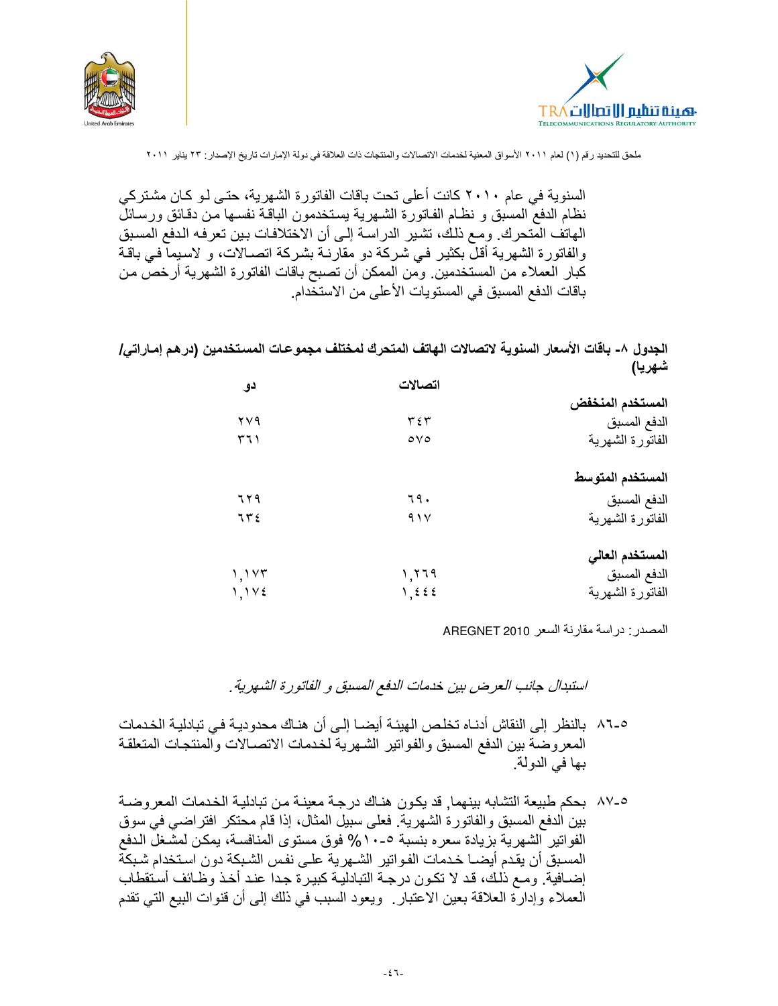



السنو ية في عام ٢٠١٠ كانت أعلى تحت باقات الفاتور ة الشهر ية، حتى لو كان مشتر كي نظام الدفع المسبق و نظـام الفـاتورة الشـهرية يستخدمون البـاقـة نفسـها مـن دقـائق ورسـائلٌ الهاتف المّتحرك. ومع ذلك، تشير الدراسة إلى أن الاختلافات بين تعرفه الدفع المسبق والفاتورة الشهرية أقلَّ بكثير في شركة دو مقارنـة بشركة اتصـالات، و لاسيما فـي باقـة كبار العملاء من المستخدمين. ومن الممكن أن تصبح باقات الفاتورة الشهرية أرخص من باقات الدفع المسبق في المستويات الأعلى من الاستخدام.

الجدول ٨- باقات الأسعار السنوية لاتصالات الهاتف المتحرك لمختلف مجموعات المستخدمين (در هم إمـاراتي/ شهريا)

|                  | اتصالات            | دو   |
|------------------|--------------------|------|
| المستخدم المنخفض |                    |      |
| الدفع المسبق     | ٣٤٣                | ۲۷۹  |
| الفاتورة الشهرية | $\circ \vee \circ$ | ۲٦۱  |
| المستخدم المتوسط |                    |      |
| الدفع المسبق     | ٦٩.                | ٦٢٩  |
| الفاتورة الشهرية | 91 <sup>V</sup>    | 756  |
| المستخدم العالى  |                    |      |
| الدفع المسبق     | 1,779              | 1.1Y |
| الفاتورة الشهرية | 1,222              | 1.1Y |

المصدر : در اسة مقارنة السعر AREGNET 2010

استبدال جانب العرض بين خدمات الدفع المسبق و الفاتورة الشهرية.

- ٥-٨٦ بالنظر إلى النقاش أدنـاه تخلـص الـهيئـة أيضــا إلـى أن هنـاك مـحدوديـة فـي تبادليـة الـخـدمات المعروضة بين الدفع المسبق والفواتير الشهرية لخدمات الاتصالات والمنتجات المتعلقة بها في الدولة.
- ٨٧-٥ بحكم طبيعة التشابه بينهما, قد يكون هناك درجة معينة من تبادلية الخدمات المعر وضنة بين الدفع المسبق والفاتورة الشهرية. فعلى سبيل المثال، إذا قام محتكر افتراضي في سوق الفواتير الشهرية بزيادة سعره بنسبة ٥-١٠% فوق مستوى المنافسة، يمكن لمشغل الدفع المسبق أن يقدم أيضــا خـدمات الفـواتير الشــهرية علــى نفس الشـبكة دون اسـتخدام شـبكة إضــافية. ومـع ذلك، قد لا تكـون درجـة التبادليـة كبيـرة جـدا عنـد أخـذ وظـائف أستقطاب العملاء وإدارة العلاقة بعين الاعتبار . ويعود السبب في ذلك إلى أن قنوات البيع التي تقدم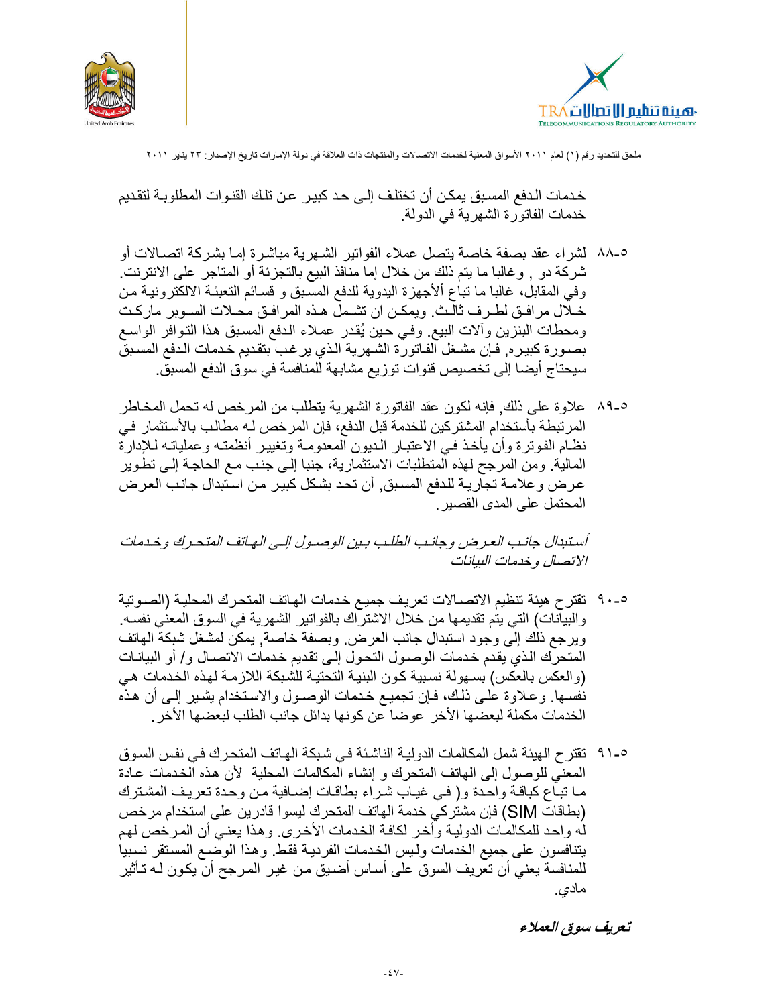



خدمات الدفع المسبق يمكن أن تختلف إلى حد كبير عن تلك القنوات المطلوبـة لتقديم خدمات الفاتورة الشهرية في الدولة.

- ٥-٨٨ لشراء عقد بصفة خاصة يتصل عملاء الفواتير الشـهرية مباشرة إمـا بشركة اتصــالات أو شركة دو ٬ وغالبا ما يتم ذلك من خلال إما منافذ البيع بالتجزئة أو المتاجر على الانترنت. وفي المقابل، غالبا ما تباع الأجهزة اليدوية للدفع المسبق و قسائم التعبئـة الالكترونيـة مـن خـلال مرافـق لطـرف ثالـث. ويمكـن ان تشـمل هـذه المرافـق محـلات السـوبر ماركـت ومحطات البنزين وألات البيع وفيى حين يُقدر عملاء الدفع المسبق هذا التوافر الواسع بصـورة كبير ه, فـإن مشـغل الفـاتورة الشـهرية الـذي يرـغب بتقديم خـدمات الـدفع المسـبق سيحتاج أيضـا إلى تخصيص قنوات توزيع مشابـهة للمنافسة في سوق الدفع المسبق.
- ٨٩-٥ علاوة على ذلك, فإنه لكون عقد الفاتورة الشهرية يتطلب من المرخص له تحمل المخاطر المرتبطة بأستخدام المشتركين للخدمة قبل الدفع، فإن المرخص لـه مطالب بالأستثمار فـي نظام الفوترة وأن يأخذ فيي الاعتبار الديون المعدومة وتغيير أنظمته وعملياته للإدارة المالية. ومن المرجح لهذه المتطلبات الاستثمارية، جنبا إلى جنب مع الحاجة إلى تطوير عرض و علامــة تجاريــة للـدفع المسـبق٬ أن تحد بشكل كبيـر مـن اسـتبدال جانـب العرـض المحتمل على المدى القصبر .

أستبدال جانب العرض وجانب الطلب ببين الوصول إلـى الهـاتف المتحـرك وخـدمات الاتصال وخدمات البيانات

- ٩-٩٠ نقتر ح هيئة تنظيم الاتصــالات تعريف جميـع خـدمات الـهـاتف المتحـرك المحليـة (الصــوتية والبيَّانات) التي يتم تقديمها من خلال الاشتراك بالفواتير الشهرية في السوق المعنى نفسه. ويرجع ذلك إلى وجود استبدال جانب العرض. وبصفة خاصة, يمكن لمشغل شبكة الهاتف المتحرك الذي يقدم خدمات الوصـول التحـول إلـى تقديم خـدمات الاتصــال و/ أو البيانـات (والعكس بالعكس) بسـهولة نسبية كـون البنيـة التحتيـة للشـبكة اللاز مـة لـهـذه الـخـدمات هـي نفسها. وعلاوة علـى ذلك، فإن تجميع خدمات الوصـول والاستخدام يشـير إلـى أن هذه الخدمات مكملة لبعضها الأخر عوضا عن كونها بدائل جانب الطلب لبعضها الأخر .
- 0-٩١ تقتر ح الـهيئة شمل المكالمات الدوليـة الناشئة فـي شبكة الـهـاتف المتحـرك فـي نفس السـوق المعنى للوصول إلى الهاتف المتحرك و إنشاء المكالمات المحلية لأن هذه الخدمات عادة مـا تبـاع كباقـة واحـدة و( فـي غيـاب شـراء بطاقـات إضـافية مـن وحـدة تعريف المشـترك (بطاقات SIM) فإن مشتركي خدمة الهاتف المتحرك ليسوا قادرين على استخدام مرخص له واحد للمكالمات الدولية وأخر لكافة الخدمات الأخرى. وهذا يعني أن المرخص لهم يتنافسون على جميع الخدمات وليس الخدمات الفردية فقط وهذا الوضع المستقر نسبيا للمنافسة يعني أن تعريف السوق على أساس أضبق من غير المرجح أن يكون لـه تـأثير مادي.

تعريف سوق العملاء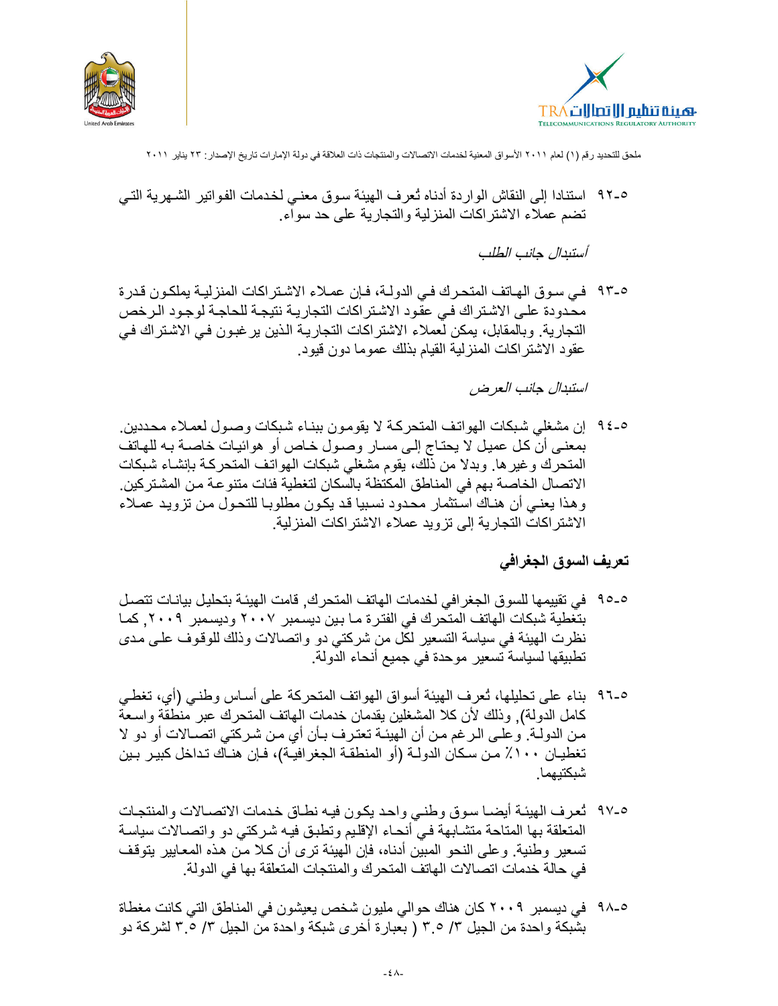



0-٩٢ استنادا إلى النقاش الواردة أدناه تُعرف الهيئة سوق معنـى لخدمات الفواتير الشـهرية التـى تضم عملاء الاشتراكات المنزلية والتجارية على حد سواء.

أستبدال جانب الطلب

٩-٩٣ في سوق الهاتف المتحرك في الدولة، فإن عملاء الاشتراكات المنزلية بملكون قدرة محدودة على الاشتراك في عقود الاشتراكات التجارية نتيجة للحاجة لوجود الرخص التجارية. وبالمقابل، يمكن لَّعملاء الاشتراكات التجاريـة الذين ير غبـون فـي الاشـتراك فـي عقود الاشتر اكات المنز لية القيام بذلك عموما دون قيود.

استبدال جانب العرض

0-٤٤ إن مشغلي شبكات الهواتف المتحركة لا يقومون ببنـاء شبكات وصـول لعمـلاء محـددين. بمعنى أن كل عميل لا يحتـاج إلـى مسـار وصـول خـاص أو هوائيـات خاصــة بـه للـهـاتف المتحرك وغيرها. وبدلا من ذلك، يقوم مشغلي شبكات الهواتف المتحركة بإنشـاء شبكات الاتصـال الخاصـة بـهم في المناطق المكتظـة بالسكان لتغطية فئات متنو عـة مـن المشتر كين ـ وهذا يعني أن هناك استثمار محدود نسبيا قد يكون مطلوبا للتحول من تزويد عملاء الاشتراكات التجارية إلى تزويد عملاء الاشتراكات المنزلية.

#### تعريف السوق الجغرافي

- ٥-٩٥ في تقييمها للسوق الجغرافي لخدمات الهاتف المتحرك, قامت الهيئة بتحليل بيانـات تتصـل بتغطية شبكات الهاتف المتحرك في الفترة مـا بين ديسمبر ٢٠٠٧ وديسمبر ٢٠٠٩. كمـا نظرت الهيئة في سياسة التسعير لكل من شركتي دو واتصالات وذلك للوقوف علـى مدى تطبيقها لسياسة تسعير موحدة في جميع أنحاء الدولة.
- ٩-٩٦ بناء على تحليلها، ثعرف الهيئة أسواق الهواتف المتحركة على أساس وطنبي (أي، تغطي كامل الدولة)٬ وذلك لأن كلا المشغلين يقدمان خدمات الهاتف المتحرك عبر منطقة واسعة من الدولــة. و علــى الـرغم مـن أن الـهيئــة تعتـرف بـأن أي مـن شـركتـى اتصــالات أو دو لا تغطيــان ١٠٠٪ مـن سـكان الدولــة (أو المنطقــة الـجغر افيــة)، فــإن هنــاك تـداخل كبيـر بـين شبكتيهما.
- ٩-٩٧ ثعرف الهيئة أيضـا سوق وطنـى واحد يكون فيـه نطـاق خدمات الاتصـالات والمنتجـات المتعلقة بها المتاحة متشـابهة فـي أنحـاء الإقليم وتطبق فيـه شـركتـي دو واتصــالات سياسـة تسعير وطنية. وعلى النحو المبين أدناه، فإن الهيئة ترى أن كلا من هذه المعايير يتوقف في حالة خدمات اتصالات الهاتف المتحرك والمنتجات المتعلقة بها في الدولة.
- ٥-٩٨ في ديسمبر ٢٠٠٩ كان هناك حوالي مليون شخص يعيشون في المناطق التي كانت مغطاة بشبكة واحدة من الجيل ٣/ ٣.٥ ( بعبارة أخرى شبكة واحدة من الجيل ٣/ ٣.٥ لشركة دو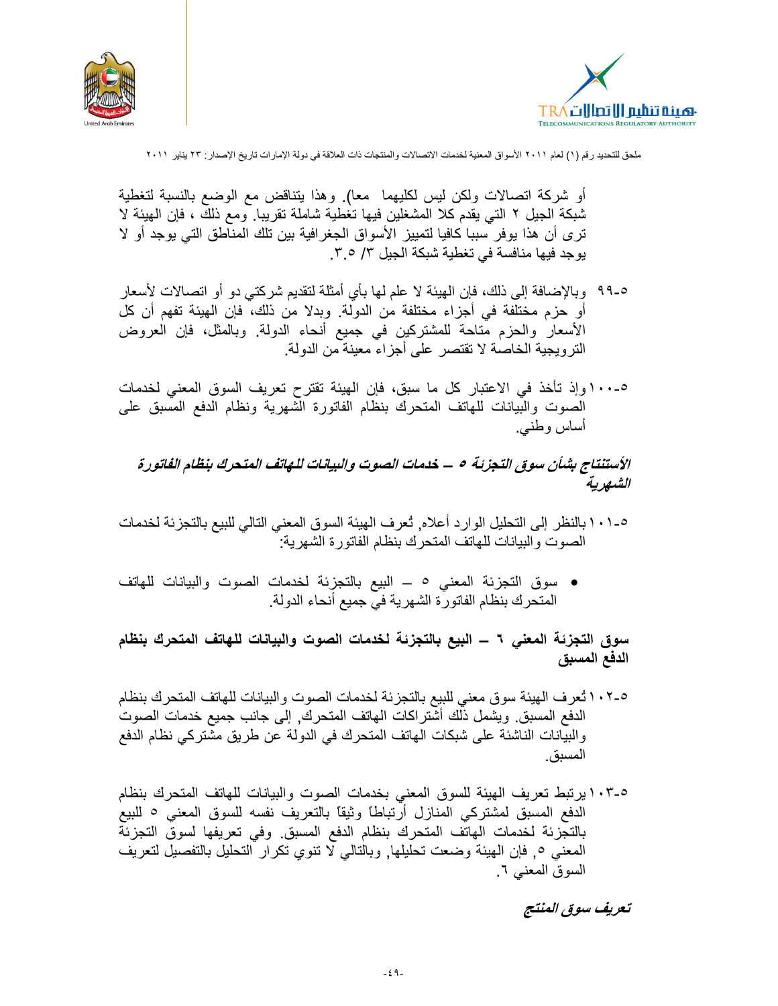



أو شركة انصالات ولكن ليس لكليهما ً معا). وهذا يتناقض مع الوضع بالنسبة لتغطية شبكة الجيل ٢ التي يقدم كلا المشغلين فيها تغطية شاملة تقريبا. ومع ذلك ، فإن الهيئة لا ترى أن هذا يوفر سببا كافيا لتمييز الأسواق الجغرافية بين تلك المناطق التي يوجد أو لا يوجد فيها منافسة في تغطية شبكة الجيل ٣/ ٣.٥.

- ٩-٩٩ وبالإضافة إلى ذلك، فإن الهيئة لا علم لها بأي أمثلة لتقديم شركتي دو أو اتصالات لأسعار أو حزم مختلفة في أجزاء مختلفة من الدولة. وبدلا من ذلك، فإن الهيئة تفهم أن كل الأسعار والحزم مُتاحة للمشتركين في جميع أنحاء الدولة. وبالمثل، فإن العروض الترويجية الخاصة لا تقتصر على أجزاء معينة من الدولة.
- ٥-١٠٠ وإذ تأخذ في الاعتبار كل ما سبق، فإن الهيئة تقترح تعريف السوق المعنى لخدمات الصوت والبيانات للهاتف المتحرك بنظام الفاتورة الشهرية ونظام الدفع المسبق على أساس وطنبي.

# الأستنتاج بشأن سوق التجزئة ٥ – خدمات الصوت والبيانات للهاتف المتحرك بنظام الفاتورة الشهرية

- 0-1 ١ بالنظر إلى التحليل الوار د أعلاه, تُعرف الهيئة السوق المعنى التالي للبيع بالتجزئة لخدمات الصوت والبيانات للهاتف المتحرك بنظام الفاتورة الشهرية:
- سوق التجزئة المعنى ٥ ــ البيع بالتجزئة لخدمات الصوت والبيانات للهاتف المتحرك بنظام الفاتورة الشهرية في جميع أنحاء الدولة.

سوق التجزئة المعنى ٦ – البيع بالتجزئة لخدمات الصوت والبيانات للهاتف المتحرك بنظام الدفع المسبق

- 0-1 \ 1 ثعر ف الهيئة سوق معنى للبيع بالتجزئة لخدمات الصوت والبيانات للهاتف المتحرك بنظام الدفع المسبق ويشمل ذلك أشتراكات الهاتف المتحرك, إلى جانب جميع خدمات الصوت والبيانات الناشئة على شبكات الهاتف المتحرك في الدولة عن طريق مشتركي نظام الدفع المسبق.
- ١٠٣-٥ برتبط تعريف الهيئة للسوق المعنى بخدمات الصوت والبيانات للهاتف المتحرك بنظام الدفع المسبق لمشتركي المنازل أرتباطًا وثيقًا بالتعريف نفسه للسوق المعنى <sup>0</sup> للبيع بالتجزئة لخدمات الهاتف المتحرك بنظام الدفع المسبق وفي تعريفها لسوق التجزئة المعنى ٥, فإن الهيئة وضعت تحليلها, وبالتالي لا تنوي تكرار التحليل بالتفصيل لتعريف السوق المعنى ٦ ـ

تعريف سوق المنتج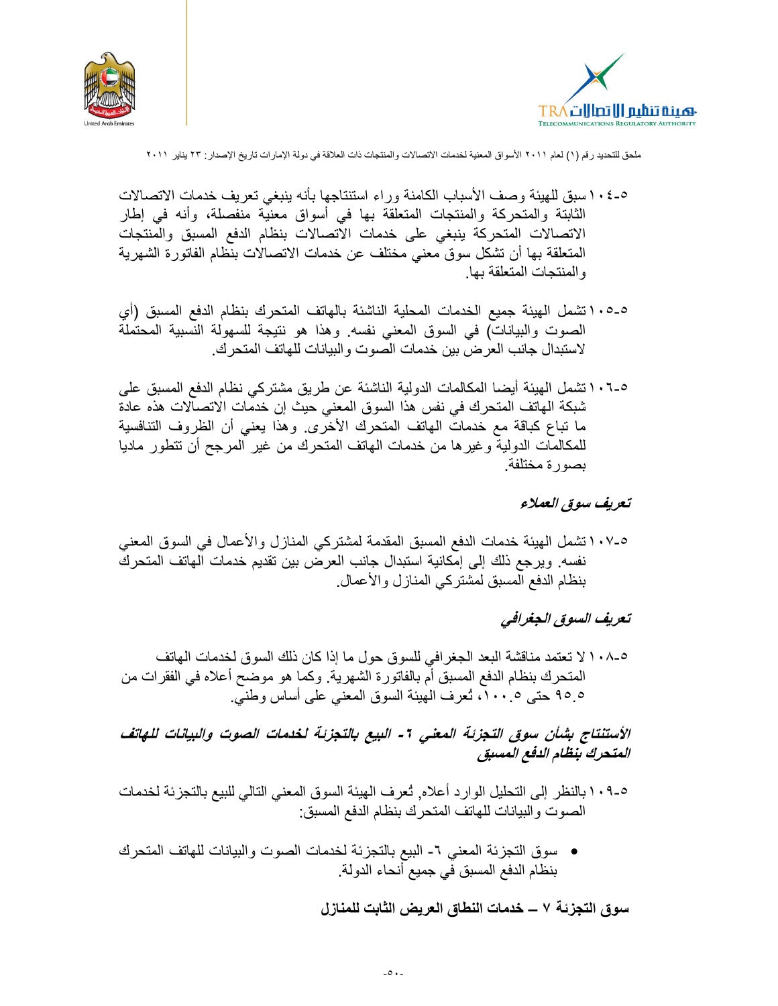



- ٥-٤ ١ سبق للهيئة وصف الأسباب الكامنة ور اء استنتاجها بأنه بنبغي تعريف خدمات الاتصالات الثابتة والمتحركة والمنتجات المتعلقة بها في أسواق معنية منفصلة، وأنه في إطار الاتصالات المتحركة بنبغى على خدمات الاتصالات بنظام الدفع المسبق والمنتجات المتعلقة بها أن تشكل سوق معنى مختلف عن خدمات الاتصالات بنظام الفاتورة الشهرية و المنتجات المتعلقة بها.
- ٥ـ٥، ١ تشمل الهيئة جميع الخدمات المحلية الناشئة بالهاتف المتحرك بنظام الدفع المسبق (أي الصوت والبياناتُ) في السوق المعنى نفسه. وهذا هو نتيجة للسهولة النَّسبية المحتملة لاستبدال جانب العر ض بين خدمات الصوت والبيانات للهاتف المتحر ك ِ
- 10-0 · ا تشمل الهيئة أيضا المكالمات الدولية الناشئة عن طريق مشتركي نظام الدفع المسبق على شبكة الهاتف المتحرك في نفس هذا السوق المعنى حيث إن خدمات الاتصالات هذه عادة ما تباع كباقة مع خدمات الـهاتف المتحرك الأخرى وهذا يعنى أن الظروف التنافسية للمكالمات الدولية وغيرها من خدمات الهاتف المتحرك من غير المرجح أن تتطور ماديا بصورة مختلفة.

#### تعريف سوق العملاء

٥-١٠٧نشمل الهيئة خدمات الدفع المسبق المقدمة لمشتركي المنازل والأعمال في السوق المعني نفسه ويرجع ذلك إلى إمكانية استبدال جانب العرض بين تقديم خدمات الهاتف المتحرك بنظام الدفع المسبق لمشتركي المنازل والأعمال

#### تعريف السوق الجغرافي

0-10 ^ لا تعتمد مناقشة البعد الجغرافي للسوق حول ما إذا كان ذلك السوق لخدمات الهاتف المتحرك بنظام الدفع المسبق أم بالفاتورة الشهرية. وكما هو موضح أعلاه في الفقر ات من ٩٥.٥ حتى ١٠٠٥، تُعرف الْهيئة السوق المعنى على أساس وطنيّ.

الأستنتاج بشأن سوق التجزئة المعنى ٦- البيع بالتجزئة لخدمات الصوت والبيانات للهاتف المتحرك بنظام الدفع المسبق

- ٥-٩ ١ بالنظر إلى التحليل الوار د أعلاه. تُعرف الهيئة السوق المعنى التالي للبيع بالتجز ئة لخدمات الصوت والبيانات للهاتف المتحرك بنظام الدفع المسبق:
- سوق التجزئة المعنى ٦- البيع بالتجزئة لخدمات الصوت والبيانات للهاتف المتحرك بنظام الدفع المسبق في جميع أنحاء الدولة.

سوق التجزئة ٧ ـــ خدمات النطاق العريض الثابت للمنازل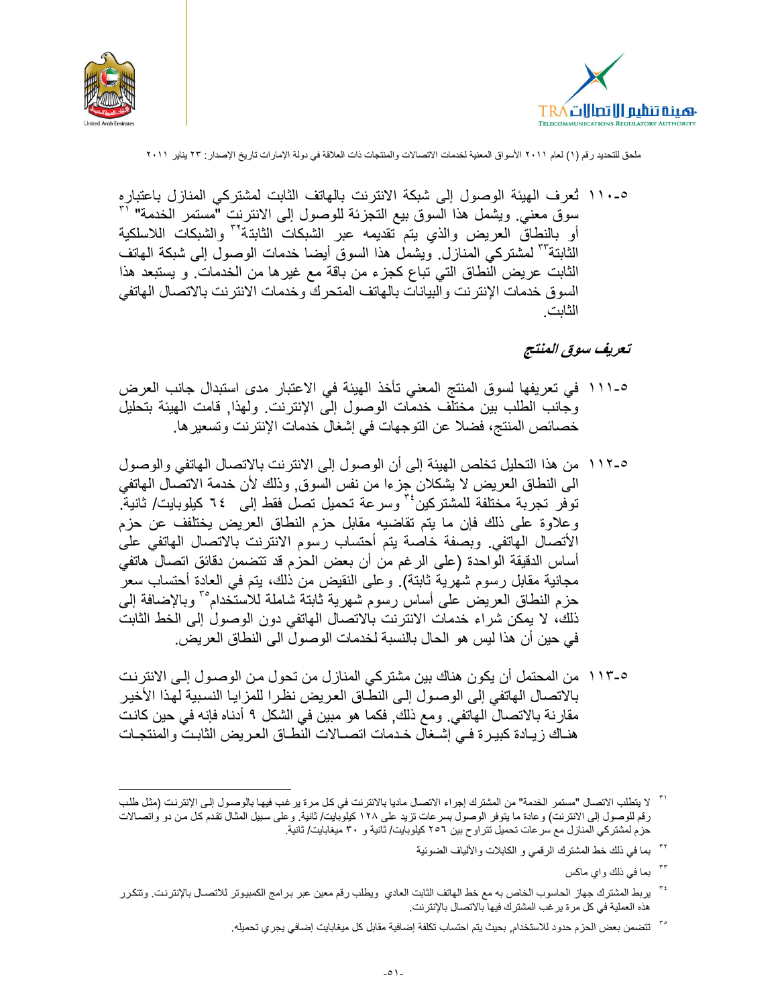



٥-١١٠ تُعرف الهيئة الوصول إلى شبكة الانترنت بالهاتف الثابت لمشتركي المنازل باعتباره سوق معنى ويشمل هذا السوق بيع التجزئة للوصول إلى الانترنت "مستمر الخدمة" لـ" أو بالنطاق العريض والذى يتم تقديمه عبر الشبكات الثابتة<sup>٣٢</sup> والشبكات اللاسلكية الثابتة''' لمشتركي المنازل ويشمل هذا السوق أيضا خدمات الوصول إلى شبكة المهاتف الثابت عريض النطاق التي تباع كجزء من باقة مع غيرها من الخدمات و يستبعد هذا السوق خدمات الإنترنت والبيانات بالهاتف المتحرك وخدمات الانترنت بالاتصال الهاتفي الثانت

# تعريف سوق المنتج

- 0-١١١ في تعريفها لسوق المنتج المعنى تأخذ الهيئة في الاعتبار مدى استبدال جانب العرض وجانب الطلب بين مختلف خدمات الوصول إلى الإنترنت. ولهذا, قامت الهيئة بتحليل خصـائص المنتج، فضـلا عن التوجهات في إشغال خدمات الإنترنت وتسعير ها.
- 0-١١٢ من هذا التحليل تخلص الهيئة إلى أن الوصول إلى الانترنت بالاتصال الهاتفي والوصول الى النطاق العريض لا يشكلان جزءا من نفس السوق٬ وذلك لأن خدمة الاتصَّال الهاتفي توفر تجربة مختلفة للمشتر كين َّ" وسرعة تحميل تصل فقط إلى كيلوبايت/ ثانية ۖ. وعلاوة على ذلك فإن ما يتم تقاضيه مقابل حزم النطاق العريض يختلفف عن حزم الأتصال الهاتفي وبصفة خاصة يتم أحتساب رسوم الانترنت بالاتصال الهاتفي على أساس الدقيقة الواحدة (على الرغم من أن بعض الحزم قد تتضمن دقائق اتصال هاتفي مجانية مقابل رسوم شهرية ثابتة). وعلى النقيض من ذلك، يتم في العادة أحتساب سعر حزم النطاق العريض على أساس رسوم شهرية ثابتة شاملة للاستخدام°<sup>7</sup> وبالإضافة إلىّ ذلك، لا يمكن شراء خدمات الانترنت بالاتصال الهاتفي دون الوصول إلى الخط الثابت في حين أن هذا ليس هو الحال بالنسبة لخدمات الوصول الى النطاق العر يض.
- ٥-١١٣ من المحتمل أن يكون هناك بين مشتر كي المناز ل من تحو ل من الوصـو ل إلـي الانتر نت بالاتصال الهاتفي إلى الوصول إلى النطّاق العريض نظرا للمزايا النسبية لهذا الأخير مقارنة بالاتصال الهاتفي. ومع ذلك, فكما هو مبين في الشكل ٩ أدناه فإنه في حين كانت هنــاك ز يــادة كبيـر ة فــي إشــغال خـدمات اتصــالات النطــاق الـعـر يض الثابـت و المنتجـات

<sup>٢٢</sup> بما في ذلك خط المشترك الرقمي و الكابلات والألياف الضوئية

بما في ذلك واي ماكس

<sup>&#</sup>x27; " لا يتطلب الاتصال "مستمر الخدمة" من المشترك إجراء الاتصال ماديا بالانترنت في كل مرة ير غب فيها بالوصول إلى الإنترنت (مثل طلب رقم للوصول إلى الانترنت) و عادة ما يتوفر الوصول بسر عات تزيد على ١٢٨ كيلوبايت/ ثانية. و على سبيل المثال تقدم كل من دو واتصـالات حزم لمشتركي المنازل مع سر عات تحميل تتر او ح بين ٢٥٦ كيلوبايت/ ثانية و ٣٠ ميغابايت/ ثانية.

بربط المشترك جهاز الحاسوب الخاص به مع خط الهاتف الثابت العادي ويطلب رقم معين عبر برامج الكمبيوتر للاتصـال بالإنترنت وتتكرر هذه العملية في كل مرة يرغب المشترك فيها بالاتصال بالإنترنت.

لمتضمن بعض الحزم حدود للاستخدام, بحيث يتم احتساب تكلفة إضافية مقابل كل ميغابايت إضافي يجري تحميله.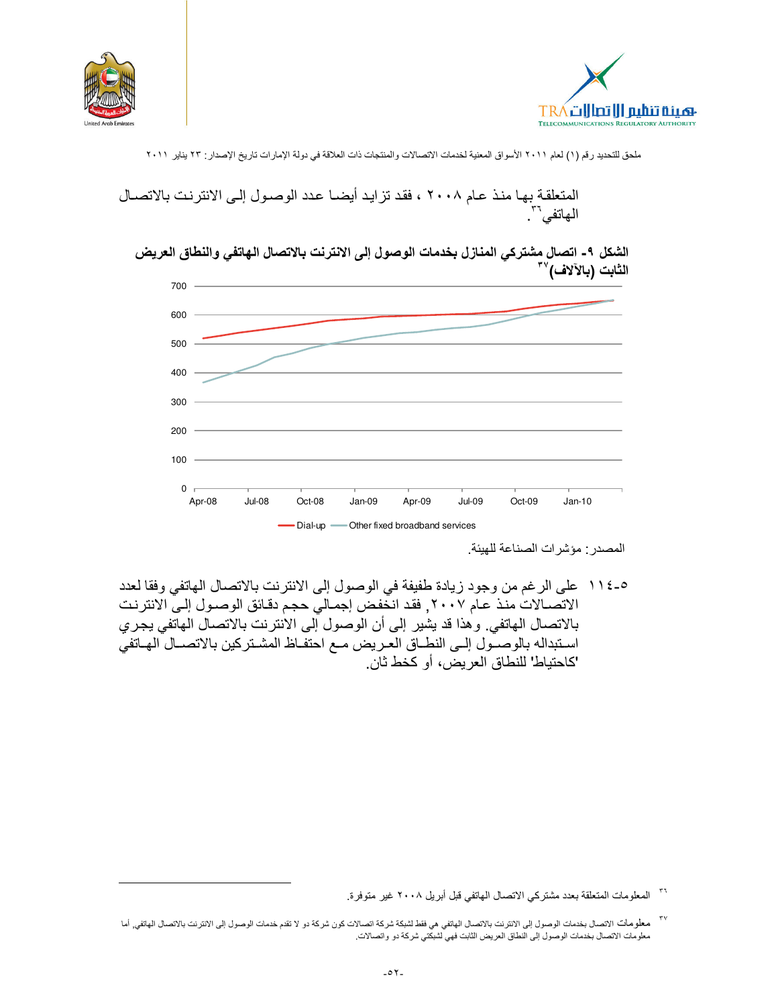





الشكل ٩- اتصال مشتركي المنازل بخدمات الوصول إلى الانترنت بالاتصال الهاتفي والنطاق العريض الثابت (بالآلاف)```



المصدر : مؤشر ات الصناعة للهيئة.

٥-١١٤ على الرغم من وجود زيادة طفيفة في الوصول إلى الانترنت بالاتصال الهاتفي وفقا لعدد الاتصــالات منـذ عـام ٢٠٠٧, فقد انـخفـض إجمـالي حجـم دقـائق الوصــول إلـيّ الانترنـت بالاتصـال الـهاتفي. و هذا قد يشير ۖ إلى أن الوصـول إلى الانترنت بالاتصـال الـهاتفي يجري اسـتبداله بالوصـّـول إلــي النطــاق العـريض مــع احتفـاظ المشـتركين بالاتصــال المهـاتفي 'كاحتياط' للنطاق العريض، أو كخط ثان.

<sup>&</sup>lt;sup>٣٦</sup> المعلومات المتعلقة بعدد مشتركي الاتصال المهاتفي قبل أبريل ٢٠٠٨ غير متوفرة.

<sup>&</sup>lt;sup>٣٧</sup> معلومات الاتصال بخدمات الوصول إلى الانترنت بالاتصال الهاتفي هي فقط لشبكة شركة اتصالات كون شركة دو لا تقدم خدمات الوصول إلى الانترنت بالاتصال الهاتفي, أما معلومات الاتصال بخدمات الوصول إلى النطاق العريض الثابت فهي لشبكتي شركة دو واتصالات.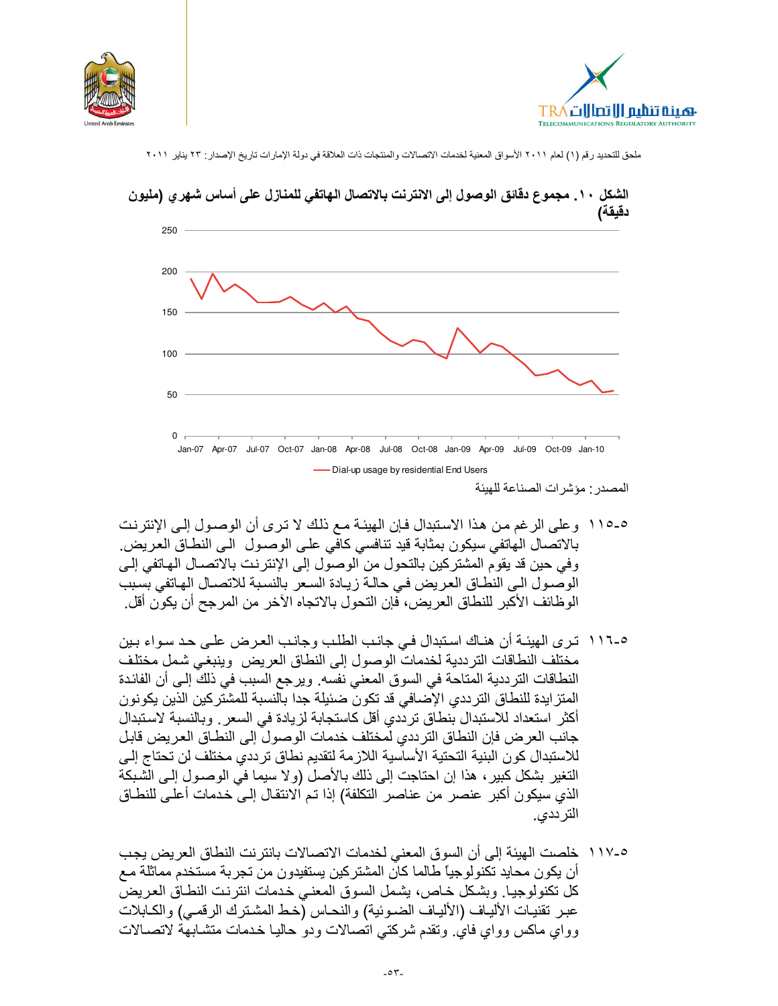





# الشكل ١٠. مجموع دقائق الوصول إلى الانترنت بالاتصال الهاتفي للمنازل على أساس شهري (مليون

- 0-0 \ 1 و على الرغم من هذا الاستبدال فإن الهيئـة مـع ذلك لا ترى أن الوصـول إلـى الإنترنت بالاتصال الهاتفي سيكون بمثابة قيد تنافسي كافي على الوصىول الـي النطـاق العريض. وفي حين قد يقوم المشتركين بالتحول من الوصول إلى الإنترنت بالاتصــال الـهـاتفي إلـي الوصول الى النطاق العريض في حالة زيادة السعر بالنسبة للاتصـال الهاتفي بسبب الو ظائف الأكبر للنطاق العر يض، فإن التحو ل بالاتجاه الآخر من المر جح أن يكو ن أقل.
- 0-١١٦ ترى الهيئـة أن هنـاك اسـتبدال فـي جانـب الطلب وجانـب العـرض علـي حـد سـواء بـين مختلف النطاقات الترددية لخدمات الوصول إلى النطاق العريض وينبغي شمل مختلف النطاقات الترددية المتاحة في السوق المعنى نفسه. ويرجع السبب في ذلك إلى أن الفائدة المتز ايدة للنطاق الترددي الإصافي قد تكون ضئيلة جدا بالنسبة للمشتركين الذين يكو نون أكثر استعداد للاستبدال بنطاق ترددي أقل كاستجابة لزيادة في السعر . وبالنسبة لاستبدال جانب العرض فإن النطاق الترددي لمختلف خدمات الوصول إلى النطـاق العريض قابل للاستبدال كون البنية التحتية الأساسية اللازمة لتقديم نطاق ترددي مختلف لن تحتاج إلى النغير بشكل كبير ، هذا إن احتاجت إلى ذلك بالأصل (ولا سيما في الوصـول إلـي الشبكة الذي سيكون أكبر عنصر من عناصر التكلفة) إذا تم الانتقال إلى خدمات أعلى للنطـاق التر ددي.
- 0-١١٧ خلصت الهيئة إلى أن السوق المعنى لخدمات الاتصالات بانترنت النطاق العريض يجب أن يكون محايد تكنولوجياً طالما كان المشتركين يستفيدون من تجربة مستخدم مماثلة مـع كل تكنولوجيا. وبشكل خاص، يشمل السوق المعنى خدمات انترنت النطـاق العريض عبر تقنيات الألياف (الألياف الضوئية) والنحاس (خط المشترك الرقمي) والكابلات وواي ماكس وواي فاي وتقدم شركتي اتصالات ودو حاليا خدمات متشابهة لاتصـالات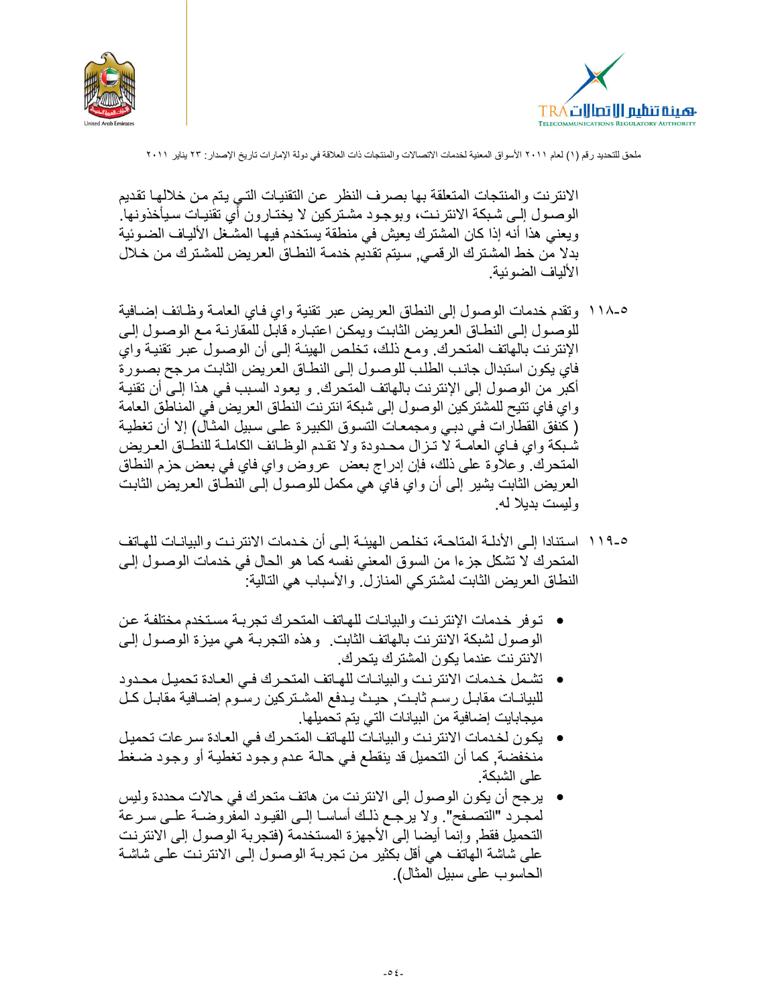



الانتر نت و المنتجات المتعلقة بها بصر ف النظر عن التقنيات التي يتم من خلالها تقديم الوصـول إلـى شبكة الانترنت، وبوجـود مشـتركين لا يختـارون أي تقنيـات سـيأخذونها. ويعني هذا أنه إذا كان المشترك يعيش في منطقة يستخدم فيها المشغل الألياف الضـوئية بدلا من خط المشترك الرقمـي٬ سيتم تقديم خدمـة النطـاق الـعريض للمشـترك مـن خـلال الألياف الضوئية.

- ٥-١١٨ ونقدم خدمات الوصول إلى النطاق العريض عبر نقنية واي فاي العامـة وظـائف إضــافية للوصـول إلـى النطـاق العريض الثابت ويمكن اعتبـار ه قابـل للمقارنـة مـع الوصـول إلـى الإنترنت بالهاتف المتحرك. ومـع ذلك، تخلص الهيئـة إلـى أن الوصـول عبـر تقنيـة واي فاى يكون استبدال جانب الطلب للوصـول إلـى النطـاق العريض الثابت مرجح بصـورة أكبر من الوصول إلى الإنترنت بالهاتف المتحرك. و يعود السبب في هذا إلـى أن تقنيـة واي فاي تتيح للمشتركين الوصول إلى شبكة انترنت النطاق العريض في المناطق العامة ( كنفق القطارات فـي دبـي ومجمعـات التسـوق الكبيـرة علـي سـبيل المثـال) إلا أن تغطيـة شُبكة واي فـاي العاَّمــة لا تـزال محـدودة ولا تقـدم الوظــائف الكاملــة للنطــاق العـريض المتحرك. وعلاوة على ذلك، فإن إدراج بعض عروض واي فاي في بعض حزم النطاق العريض الثابت بِشير إلى أن واي فاي هي مكمل للوصـول إلـي النطـاق الـعريض الثابت و لبست بدبلا له.
- 0-119 استنادا إلـى الأدلــة المتاحــة، تخلـص الـهيئــة إلــى أن خـدمات الانترنـت والبيانــات للـهـاتف المتحرك لا تشكل جزءا من السوق المعنى نفسه كما هو الحال في خدمات الوصول إلى النطاق العريض الثابت لمشتركي المنازل. والأسباب هي التالية:
- توفر خدمات الإنترنت والبيانـات للهـاتف المتحرك تجربـة مستخدم مختلفـة عن الوصول لشبكة الانترنت بالهاتف الثابت. وهذه التجربـة هي ميزة الوصـول إلـى الانترنت عندما يكون المشترك يتحرك.
- تشمل خدمات الانترنت والبيانات للهاتف المتحرك في العادة تحميل محدود للبيانــات مقابـل رسـم ثابـت, حيـث يـدفع المشـتركين رسـوم إضــافية مقابـل كـل ميجابايت إضافية من البيانات التي يتم تحميلها.
- يكون لخدمات الانترنت والبيانات للهاتف المتحرك في العادة سرعات تحميل منخفضة, كما أن التحميل قد ينقطع في حالة عدم وجود تغطية أو وجود ضغط علے الشبكة.
- بر جح أن يكون الوصول إلى الانتر نت من هاتف متحر ك في حالات محددة وليس لمجرد "التصـفح". ولا يرجـع ذلـك أساسـا إلـى القبـود المفروضــة علـى سـرعة التحميل فقط, وإنما أيضا إلى الأجهزة المستخدمة (فتجربة الوصول إلى الانترنت على شاشة الهاتف هي أقل بكثير من تجربة الوصول إلى الانترنت على شاشة الحاسوب على سبيل المثال).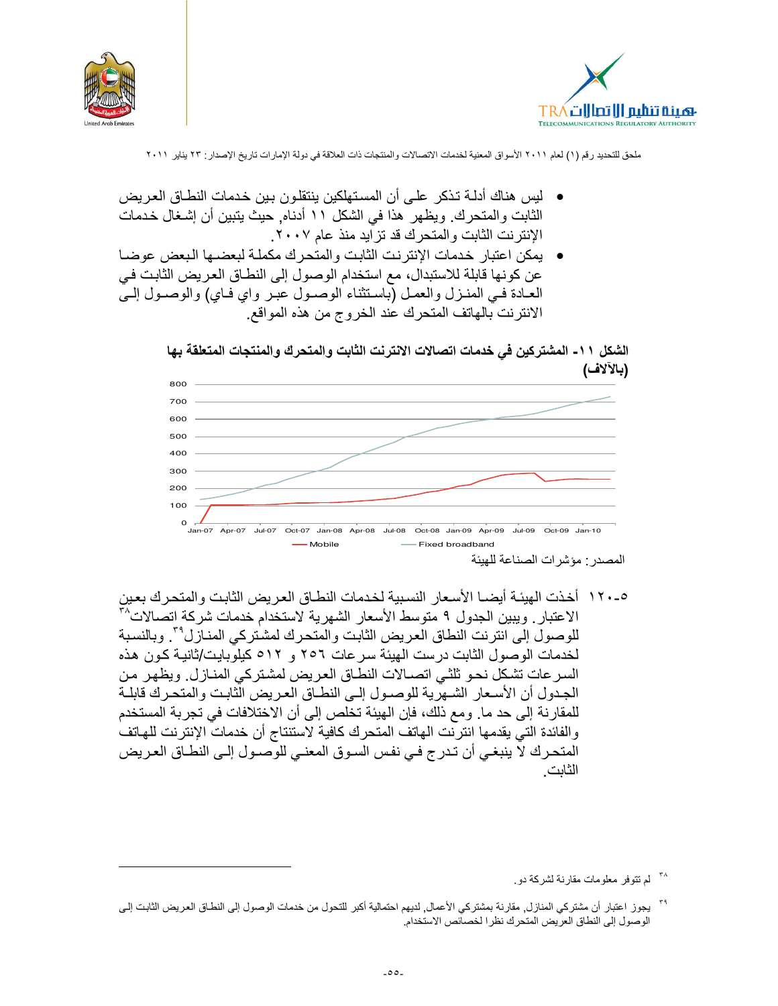



- ليس هناك أدلـة تـذكر علـى أن المسـتهلكين ينتقلـو ن بـين خـدمات النطــاق الـعـر يـض الثابت والمتحرك. ويظهر هذا في الشكل ١١ أدناه. حيث يتبين أن إشغال خدمات الإنترنت الثابت والمتحرك قد تز ايد منذ عام ٢٠٠٧.
- يمكن اعتبار خدمات الإنترنت الثابت والمتحرك مكملة لبعضها البعض عوضا عن كونها قابلة للاستبدال، مع استخدام الوصول إلى النطـاق العريض الثابت في العـادة فـي المنـزل والعمـل (باسـتثناء الوصـول عبـر واي فـاي) والوصـول إلـي الانترنت بالهاتف المنحرك عند الخروج من هذه المواقع

الشكل ١١- المشتركين في خدمات اتصالات الانترنت الثابت والمتحرك والمنتجات المتعلقة بها (بالالاف)



٥-١٢٠ أخذت الهيئـة أيضـا الأسـعار النسبية لخدمات النطـاق العريض الثابت والمتحرك بعين الاعتبار . ويبين الجدول ٩ متوسط الأسعار الشهرية لاستخدام خدمات شركة اتصالات^ للوصول إلى انترنت النطاق العريض الثابت والمتحرك لمشتركي المنـاز ل°٬ وبالنسبة لخدمات الوصول الثابت درست الهيئة سرعات ٢٥٦ و ٥١٢ كيلوبايت/ثانية كون هذه السرعات تشكل نحو ثلثي اتصـالات النطـاق العريض لمشتركي المنـازل. ويظهر من الجدول أن الأسعار الشهرية للوصول إلى النطـاق العريض الَّثابت والمتحرك قابلـة للمقارنة إلى حد ما. ومع ذلك، فإن الهيئة تخلص إلى أن الاختلافات في تجربة المستخدم والفائدة التي يقدمها انتربّت الهاتف المتحرك كافية لاستنتاج أن خدمات الإنتربت للهاتف المتحرك لاً ينبغي أن تدرج في نفس السوق المعنى للوصـول إلـى النطـاق العريض الثانت

<sup>&</sup>lt;sup>۳۸</sup> لم تتوفر معلومات مقارنة لشركة دو.

<sup>&</sup>lt;sup>79</sup> يجوز اعتبار أن مشتركي المنازل, مقارنة بمشتركي الأعمال, لديهم احتمالية أكبر للتحول من خدمات الوصول إلى النطاق العريض الثابت إلى الوصول إلى النطاق العريض المتحرك نظر ا لخصائص الاستخدام.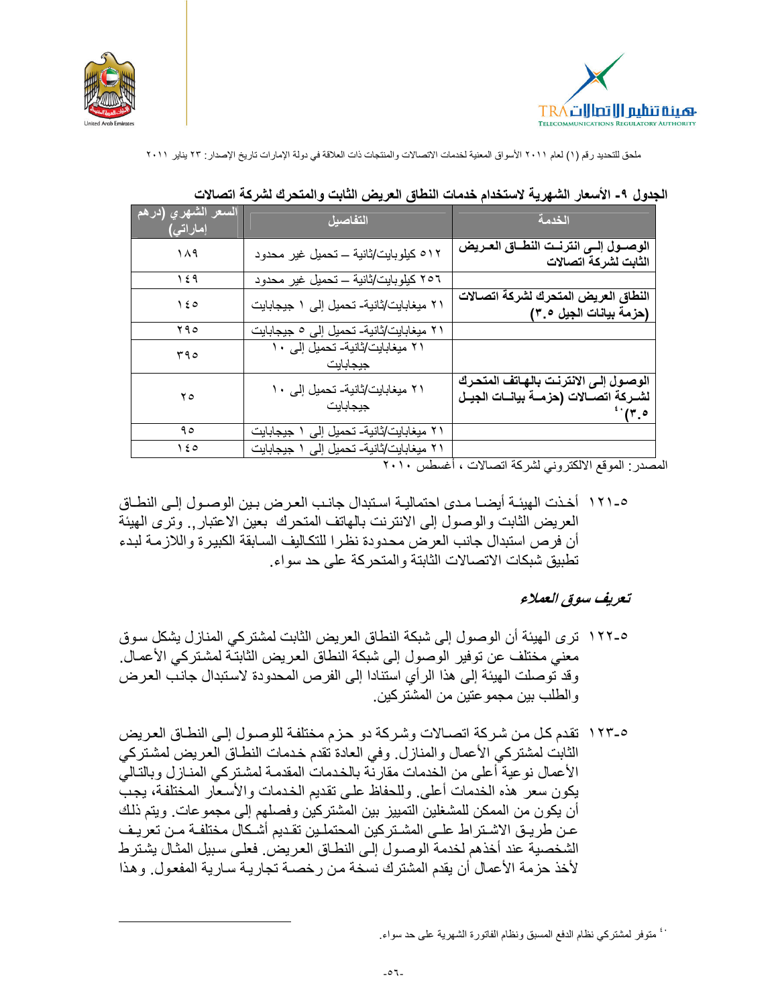



| ا <u>لسعر الشهري (</u> درهم <mark>ا</mark><br>ْإماراتي) <mark>.</mark> | التفاصيل                                    | الخدمة                                                                                               |
|------------------------------------------------------------------------|---------------------------------------------|------------------------------------------------------------------------------------------------------|
| ۱۸۹                                                                    | ٥١٢ كيلوبايت/ثانية ــ تحميل غير محدود       | الوصــول إلــى انترنــت النطــاق العـريض<br>الثابت لشركة اتصالات                                     |
| ۱٤۹                                                                    | ٢٥٦ كيلوبايت/ثانية ــ تحميل غير محدود       |                                                                                                      |
| $\lambda \epsilon$                                                     | ٢١ ميغابايت/ثانية- تحميل إلى ١ جيجابايت     | النطاق العريض المتحرك لشركة اتصالات<br>(حزمة بيانات الجيل ٣.٥)                                       |
| ۲۹۰                                                                    | ٢١ ميغابايت/ثانية- تحميل إلى ٥ جيجابايت     |                                                                                                      |
| 590                                                                    | ۲۱ میغابایت/ثانیة- تحمیل إلی ۱۰<br>جيجابايت |                                                                                                      |
| ه ۲                                                                    | ۲۱ میغابایت/ثانیة- تحمیل إلی ۱۰<br>جيجابايت | الوصول إلى الانترنت بالهاتف المتحرك<br>لشــركة اتصـــالات (حزمـــة بيانـــات الجيــل<br>$\cdot$ (۳.٥ |
| ۹٥                                                                     | ۲۱ میغابایت/ثانیة- تحمیل إلی ۱ جیجابایت     |                                                                                                      |
| ه ١٤                                                                   | ۲۱ میغابایت/ثانیة- تحمیل إلی ۱ جیجابایت     |                                                                                                      |

#### الجدول ٩- الأسعار الشهرية لاستخدام خدمات النطاق العريض الثابت والمتحرك لشركة اتصالات

المصدر : الموقع الالكتروني لشركة اتصالات ، أغسطس ٢٠١٠

0-١٢١ أخذت الهيئـة أيضــا مـدى احتماليـة اسـتبدال جانـب العـر ض بـين الوصــول إلــى النطــاق العريض الثابت والوصول إلى الانترنت بالهاتف المتحرك بعين الاعتبار , وترى الهيئة أن فرص استبدال جانب العرض محدودة نظرا للتكاليف السابقة الكبيرة واللازمة لبدء تطبيق شبكات الاتصالات الثابتة والمتحركة على حد سواء.

#### تعريف سوق العملاء

- 0-١٢٢ ترى الهيئة أن الوصول إلى شبكة النطاق العريض الثابت لمشتركي المنازل يشكل سوق معنى مختلف عن توفير الوصول إلى شبكة النطاق العريض الثابتّة لمشتركي الأعمـال. وقد توصلت الهيئة إلى هذا الرأي استنادا إلى الفرص المحدودة لاستبدال جانب العرض و الطلب بين مجمو عتين من المشتر كين.
- ٥-١٢٣ نقدم كل من شر كة اتصـالات وشر كة دو حز م مختلفة للوصـول إلـى النطـاق العر يض الثابت لمشتركي الأعمال والمنازل وفي العادة نقدم خدمات النطاق العريض لمشتركي الأعمال نوعية أعلى من الخدمات مقارنة بالخدمات المقدمة لمشتركي المنـاز ل وبالتـاليّ يكون سعر هذه الخدمات أعلى. وللحفاظ على تقديم الخدمات والأسعار المختلفة، يجبّ أن يكون من الممكن للمشغلين التمييز بين المشتركين وفصلهم إلى مجموعات. ويتم ذلك عن طريق الاشتراط علـى المشـتركين المحتملـين تقـديم أشـكال مختلفـة مـن تعريـف الشخصية عند أخذهم لخدمة الوصول إلى النطاق العريض. فعلى سبيل المثال يشترط لأخذ حز مة الأعمال أن بقدم المشتر ك نسخة من ر خصـة تجار بـة سـار بـة المفعول ِ و هذا

فب متوفر لمشتركي نظام الدفع المسبق ونظام الفاتورة الشهرية على حد سواء.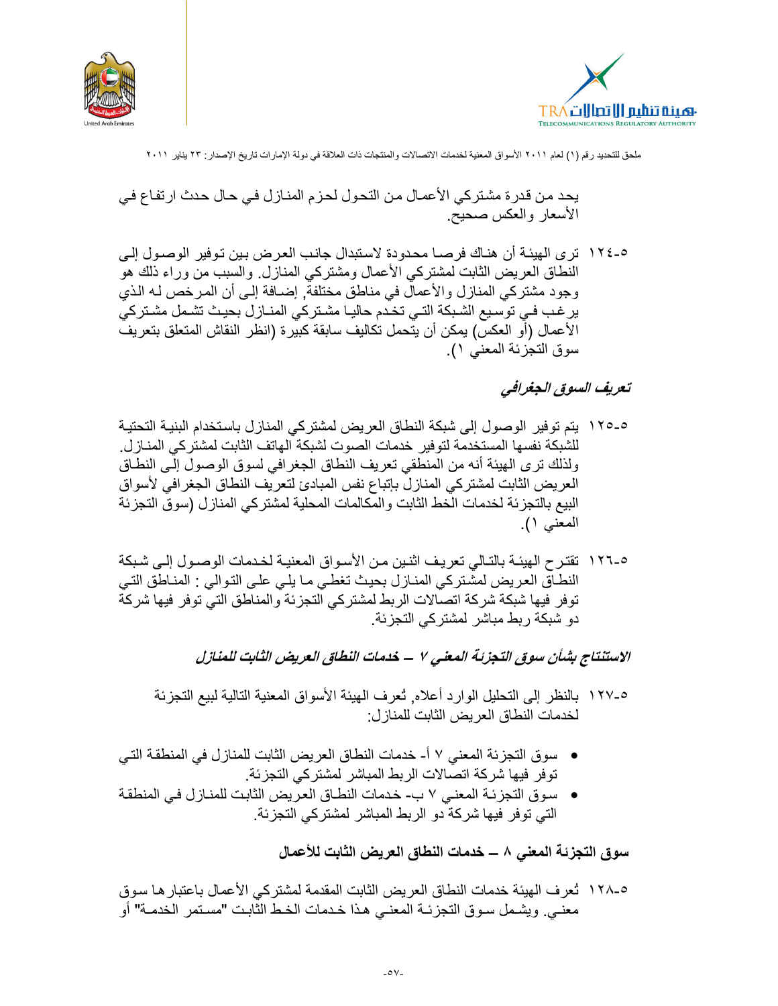



يحد من قدر ة مشتر كي الأعمـال من التحـول لحـزم المنـاز ل فـي حـال حدث ار تفـاع فـي الأسعار والعكس صحيح.

٥-١٢٤ ترى الهيئـة أن هنـاك فرصــا محدودة لاستبدال جانب العرض بـين تـوفير الوصــول إلـي النطاق العريض الثابت لمشتركي الأعمال ومشتركي المنازل والسبب من وراء ذلك هو وجود مشتركي المنازل والأعمال في مناطق مختلفة, إضـافة إلـي أن المرخص لـه الذي ير غب فـي توسيع الشـبكة التـي تخـدم حاليـا مشـتركي المنــازل بحيـث تشـمل مشـتركي الأعمال (أو العكس) يمكن أن يتحمل تكاليف سابقة كبيرة (انظر النقاش المتعلق بتعريف سوق التجزئة المعنى ١).

#### تعريف السوق الجغرافي

- 0-180 يتم توفير الوصول إلى شبكة النطاق العريض لمشتركي المنازل باستخدام البنيـة التحتيـة للشبكة نفسها المستخدمة لتوفير خدمات الصوت لشبكة الهاتف الثابت لمشتركي المنـازل. ولذلك ترى الهيئة أنه من المنطقي تعريف النطاق الجغرافي لسوق الوصول إلـي النطـاق العريض الثابت لمشتركي المنازل بإتباع نفس المبادئ لتعريف النطاق الجغرافي لأسواق البيع بالتجزئة لخدمات الخط الثابت والمكالمات المحلية لمشتركي المنازل (سوق التجزئة المعنى ١).
- 0-١٢٦ تقترح الهيئـة بالتـالي تعريـف اثنـين مـن الأسـواق المعنيـة لـخـدمات الوصـول إلـي شـبكة النطــاق العريض لمشَّـتركي المنــازل بحيث تغطـي مــا يلـي علـى التـوالي : المنــاطق التـي توفر فيها شبكة شركة اتصالات الربط لمشتركي التجزئة والمناطق التي توفر فيها شركة دو شبكة ربط مباشر لمشتركي التجزئة.

الاستنتاج بشأن سوق التجزئة المعنى ٧ ــ خدمات النطاق العريض الثابت للمنازل

- 0-١٢٧ بالنظر إلى التحليل الوارد أعلاه, تُعرف الهيئة الأسواق المعنية التالية لبيع التجزئة لخدمات النطاق العر يض الثابت للمناز ل:
- سوق التجزئة المعنى ٧ أ- خدمات النطاق العريض الثابت للمنازل في المنطقة التي توفر فيها شركة اتصالات الربط المباشر لمشتركي التجزئة.
- سوق التجزئـة المعنـى ٧ ب- خدمات النطـاق العريض الثابت للمنـازل فـى المنطقـة التي توفر فيها شركة دو الربط المباشر لمشتركي التجزئة.

سوق التجزئة المعنى ٨ ــ خدمات النطاق العريض الثابت للأعمال

0-١٢٨ تُعرف الهيئة خدمات النطاق العريض الثابت المقدمة لمشتركي الأعمال باعتبار ها سوق معنـي. ويشـمل سـوق التجزئــة المعنـي هـذا خـدمات الخـط الثابـت "مسـتمر الخدمـة" أو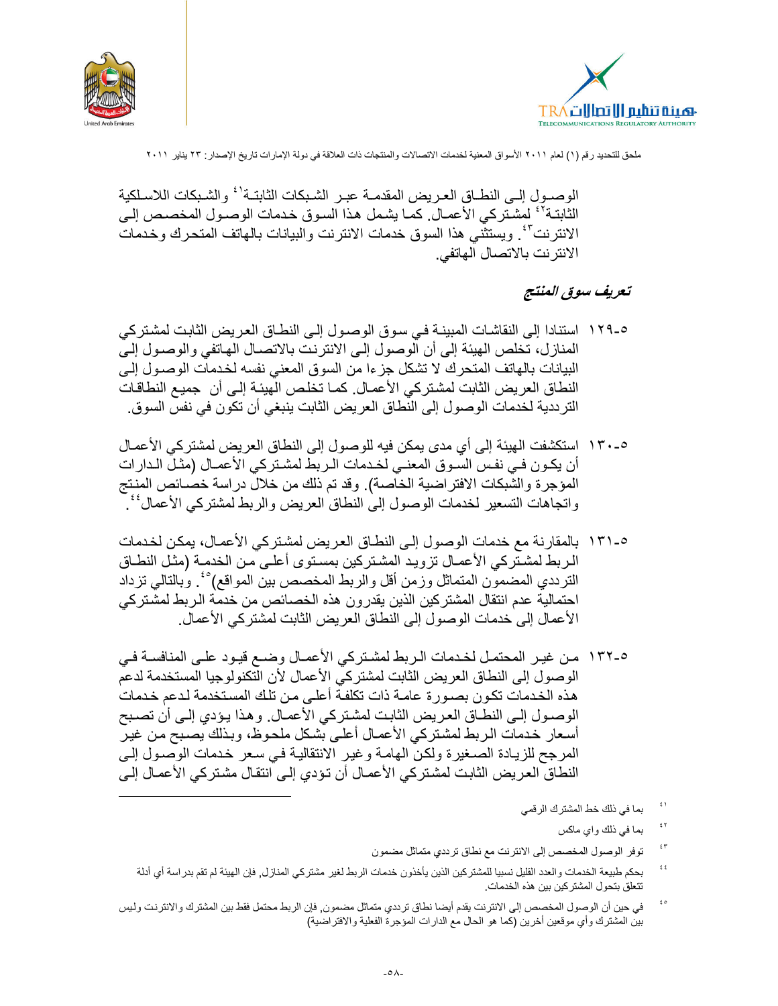



الوصبول إلـى النطــاق العـر يض المقدمــة عبـر الشـبكات الثابتــة' ْ والشـبكات اللاسـلكية الثابتـة'' لمشـتركي الأعمـال. كمـا يشـمل هـذا السـوق خـدمات الوصـول المخصـص إلـي الانترنتِّ''. ويستثنَّى هذا السوق خدمات الانترنت والبيانات بالهاتف المتحرك وخدمات الانترنت بالاتصال الهاتفي.

# تعريف سوق المنتج

- 0-١٢٩ استنادا إلى النقاشات المبينــة فـي سـو ق الو صــو ل إلـي النطــاق الـعر يض الثابت لمشـتر كـي المنازل، تخلص الهيئة إلى أن الوصول إلى الانترنت بالاتصـال الهـاتفي والوصـول إلـي البيانات بالهاتف المتحرك لا تشكل جزءا من السوق المعنى نفسه لخدمات الوصـول إلـى النطاق العريض الثابت لمشتركي الأعمـال. كمـا تخلص الَّهيئـة إلـى أن جميـع النطاقـات التر ددية لخدمات الوصول إلى النطاق العريض الثابت ينبغي أن تكون في نفس السوق.
- ٥-١٣٠ استكشفت الهيئة إلى أي مدى يمكن فيه للوصول إلى النطاق العريض لمشتركي الأعمـال أن يكـون فـي نفـس السـوق المعنـي لخـدمات الـربط لمشـتركي الأعمــال (مثـل الـدارات المؤجرة والشُّبكات الافتراضية الخاَّصة). وقد تم ذلك من خلال دراسة خصـائص المنتج و اتجاهات التسعير لخدمات الوصول إلى النطاق العريض و الربط لمشتركي الأعمال'' `
- ٥-١٣١ بالمقارنة مع خدمات الوصول إلى النطاق العريض لمشتركي الأعمـال، يمكن لخدمات الربط لمشتّركي الأعمـال تزويد المشتركين بمستوى أعلـي من الخدمـة (مثـل النطـاق الترددي المضمون المتماثل وزمن أقل والربط المخصص بين المواقع)° ُ. وبالتالي تزداد احتمالية عدم انتقال المشتركين الذين يقدرون هذه الخصائص من خدمة الربط لمشتركي الأعمال إلى خدمات الوصول إلى النطاق العريض الثابت لمشتركي الأعمال.
- 0-١٣٢ من غير المحتمل لخدمات الربط لمشتركي الأعمـال وضـع فيـود علـى المنافسـة فـي الوصول إلى النطاق العريض الثابت لمشتركي الأعمال لأن التكنولوجيا المستخدمة لدعم هذه الخدمات تكون بصورة عامـة ذات تكلفـة أعلـى من تلك المستخدمة لدعم خدمات الوصـول إلـى النطـاق العـريض الثابـت لمشـتركي الأعمـال. وهذا يـؤدي إلـى أن تصـبح أسعار خدمات الربط لمشتركي الأعمال أعلى بشكل ملحوظ، وبذلك يصبح من غير المرجح للزيادة الصغيرة ولكن الهامة وغير الانتقالية في سعر خدمات الوصول إلى النطاق العريض الثابت لمشتركي الأعمـال أن تؤدي إلـى انتقـال مشتركي الأعمـال إلـى
	- $\mathfrak{t}$  ) بما في ذلك خط المشترك الرقمي
		- $\bar{\xi}$   $\bar{\gamma}$ بما في ذلك واي ماكس
	- $\mathfrak{c}\:\mathsf{r}$ توفر الوصول المخصص إلى الانترنت مع نطاق ترددي متماثل مضمون
	- $\mathfrak{t}$   $\mathfrak{t}$ بحكم طبيعة الخدمات والعدد القليل نسبيا للمشتركين الذين يأخذون خدمات الربط لغير مشتركي المنازل, فإن الهيئة لم تقم بدراسة أي أدلة تتعلَّق بتحول المشتركين بين هذه الخدمات.
- $\acute{\epsilon}$  0 في حين أن الوصول المخصص إلى الانترنت يقدم أيضا نطاق ترددي متماثل مضمون٬ فإن الربط محتمل فقط بين المشترك والانترنت وليس بين المشترك وأي موقعين أخرين (كما هو الحال مع الدارات المؤجرة الفعلية والافتراضية)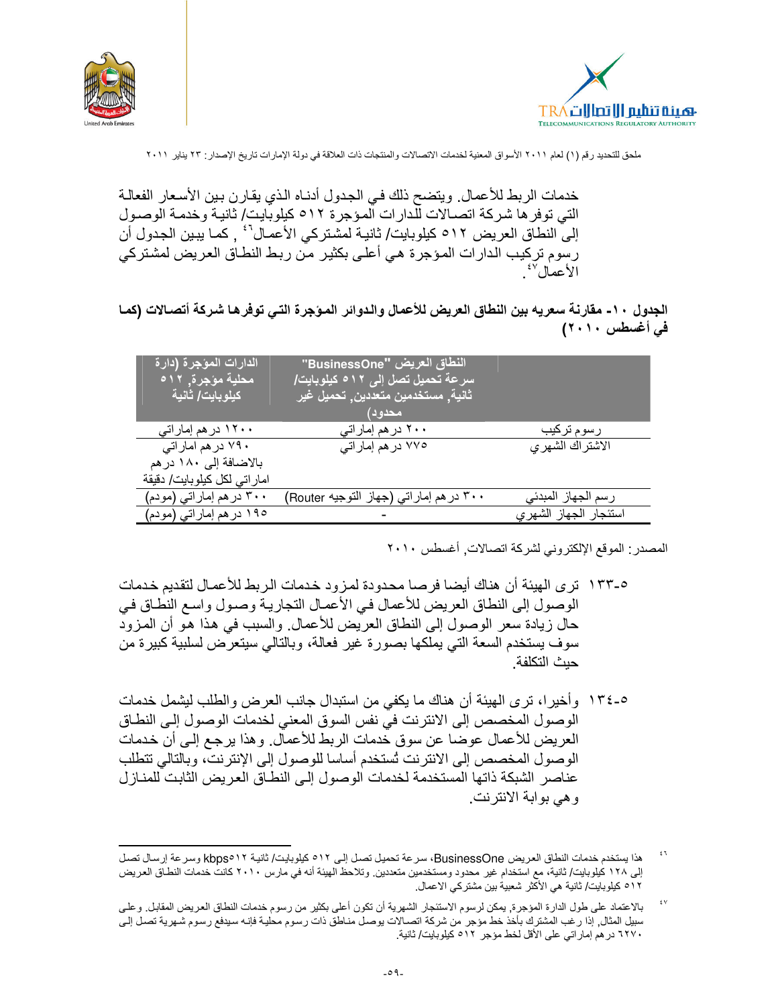



خدمات الربط للأعمال ويتضح ذلك في الجدول أدنـاه الذي يقارن بين الأسعار الفعالـة التي توفر ها شركة اتصـالات للّدارات المؤجرة ٥١٢ كيلوبّايت/ ثانيـة وخدمـة الوصـول إلى النطاق العريض ٥١٢ كيلوبايت/ ثانية لمشتركي الأعمـال' ُ , كمـا يبـين الجدول أن رسوم تركيب الدارات المؤجرة هي أعلى بكثير من ربط النطـاق العريض لمشتركي الأعمال للمستعمر

#### الجدول ١٠- مقارنة سعريه بين النطاق العريض للأعمال والدوائر المؤجرة التي توفرها شركة أتصالات (كمـا في أغسطس ٢٠١٠)

| أل <u>دارات المؤج</u> رة (دارة <mark>)</mark><br><sup>ا</sup> محلية مؤجرة, ١٢م<br>كيلوبايت/ ثانية | النطاق العريض "BusinessOne"<br>سرعة تحميل تصل إلى ٥١٢ كيلوبايت/<br>ثانية, مستخدمين متعددين, تحميل غير<br>محدود) |                       |
|---------------------------------------------------------------------------------------------------|-----------------------------------------------------------------------------------------------------------------|-----------------------|
| ۱۲۰۰ در هم إمار اتی                                                                               | ۲۰۰ در هم إمار اتي                                                                                              | رسوم تركيب            |
| ۷۹۰ در هم امار اتبی                                                                               | ۷۷۰ در هم إماراتي                                                                                               | الاشتراك الشهرى       |
| بالاضافة إلى ١٨٠ در هم                                                                            |                                                                                                                 |                       |
| امار اتى لكل كيلوبايت/ دقيقة                                                                      |                                                                                                                 |                       |
| ۳۰۰ در هم إماراتي (مودم)                                                                          | ٬۳۰۰ در هم إماراتي (جهاز التوجيه Router)                                                                        | رسم الجهاز المبدئي    |
| ١٩٥ در هم إماراتي (مودم)                                                                          |                                                                                                                 | استئجار الجهاز الشهري |

المصدر : الموقع الإلكتروني لشركة اتصالات, أغسطس ٢٠١٠

- ٥-١٣٣ تر ي الهيئة أن هناك أيضا فرصا محدودة لمزود خدمات الربط للأعمـال لتقديم خدمات الوصول إلى النطاق العريض للأعمال في الأعمال النجارية وصول واسع النطاق في حال زيادة سعر الوصول إلى النطاق العريض للأعمال. والسبب في هذا هو أن المزود سوف يستخدم السعة التي يملكها بصورة غير فعالة، وبالتالي سيتعرض لسلبية كبيرة من حيث التكلفة
- ٥-١٣٤ وأخيرا، ترى الهيئة أن هناك ما يكفي من استبدال جانب العرض والطلب ليشمل خدمات الوصول المخصص إلى الانترنت في نفس السوق المعنى لخدمات الوصول إلى النطاق العريض للأعمال عوضا عن سوق خدمات الربط للأعمال. وهذا يرجع إلى أن خدمات الوصول المخصص إلى الانترنت تُستخدم أساسا للوصول إلى الإنترنت، وبالتالي تتطلب عناصر الشبكة ذاتها المستخدمة لخدمات الوصول إلى النطـاق العريض الثابت للمنـاز ل و هي بوابة الانترنت.

 $\mathfrak{t}$  1 هذا يستخدم خدمات النطاق العريض BusinessOne، سرعة تحميل تصل إلى ٥١٢ كيلوبايت/ ثانية kbps٥١٢ وسرعة إرسال تصل إلى ١٢٨ كيلوبايت/ ثانية، مع استخدام غير محدود ومستخدمين متعددين. وتلاحظ الهيئة أنه في مارس ٢٠١٠ كانت خدمات النطاق العريض ٥١٢ كيلوبايت/ ثانية هي الأكثر شعبية بين مشتركي الاعمال.

 $\mathfrak{t}$  V بالاعتماد على طول الدارة المؤجرة, يمكن لرسوم الاستئجار الشهرية أن تكون أعلى بكثير من رسوم خدمات النطاق العريض المقابل. و على سبيل المثال, إذا رغب المشترك بأخذ خط مؤجر من شركة اتصالات يوصل مناطق ذات رسوم محلية فإنـه سيدفع رسوم شـهرية تصل إلـي ٦٢٧٠ در هم إماراتي على الأقل لخط مؤجر ٥١٢ كيلوبايت/ ثانية.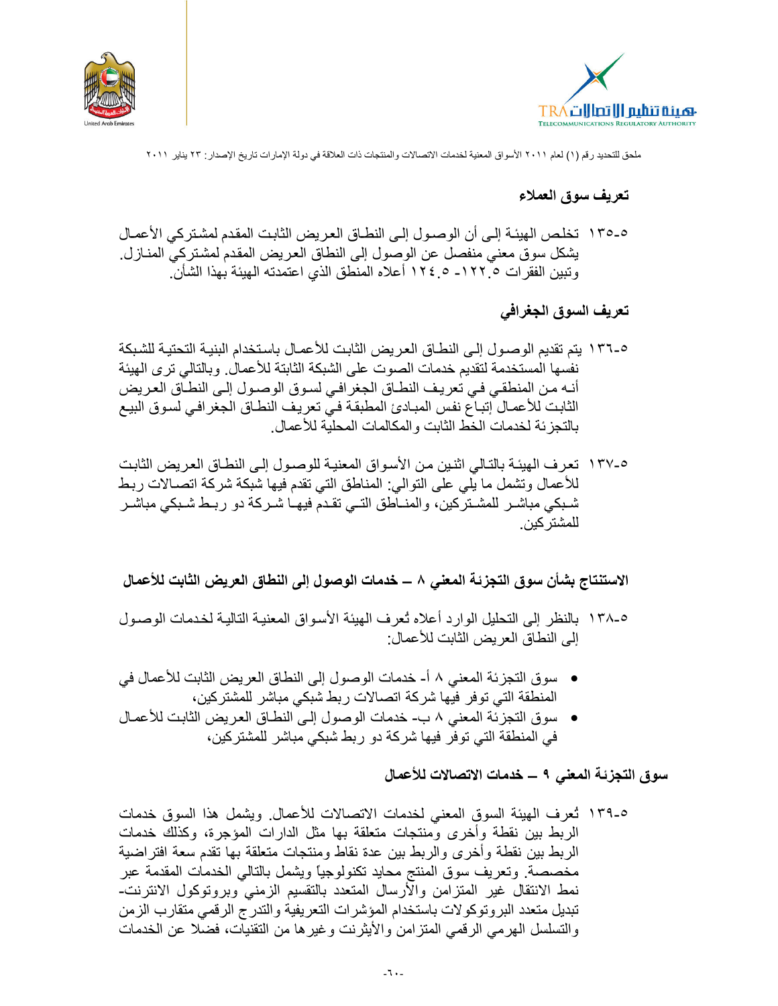



تعريف سوق العملاء

٥-١٣٥ نخلص الهيئـة إلـى أن الوصـول إلـى النطـاق العريض الثابت المقدم لمشتركي الأعمـال يشكل سوق معنى منفصل عن الوصول إلى النطاق العريض المقدم لمشتركي المنـازل. وتبين الفقر ات ١٢٢٠\_ ٥ ١٢٤ أعلاه المنطق الذي اعتمدته الهيئة بهذا الشأن.

تعريف السوق الجغرافي

- 0-١٣٦ بتم تقديم الوصـول إلـى النطـاق العريض الثابت للأعمـال باستخدام البنيـة التحتيـة للشبكة نفسها المستخدمة لتقديم خدمات الصوت على الشبكة الثابتة للأعمال. وبالتالي ترى الهيئة أنـه مـن المنطقـي فـي تعريـف النطـاق الجغرافـي لسـوق الوصـول إلـي النطـاق العـريض الثابت للأعمـال إتبـاع نفس المبـادئ المطبقة فـي تعريف النطـاق الجغرافـي لسـوق البيـع بالتجزيئة لخدمات الخط الثابت والمكالمات المحلية للأعمال.
- ٥-١٣٧ تعرف الهيئـة بالتـالي اثنـين مـن الأسـواق المعنيـة للوصـول إلـي النطـاق العـريض الثابـت للأعمال وتشمل ما يلِّي على التوالي: المناطق التي تقدم فيها شبكة شركة اتصــالات ربط شبكي مباشـر للمشـتركين، والمنــاطق التــي تقـدم فيهـا شـركـة دو ريـط شـبكي مباشـر للمشتر كين.

الاستنتاج بشأن سوق التجزئة المعنى ٨ ـــ خدمات الوصول إلى النطاق العريض الثابت للأعمال

- ٥-١٣٨ بالنظر إلى التحليل الوارد أعلاه تُعرف الهيئة الأسواق المعنية التالية لخدمات الوصـول إلى النطاق العر يض الثابت للأعمال:
- سوق التجزئة المعنى ٨ أ- خدمات الوصول إلى النطاق العريض الثابت للأعمال في المنطقة التي توفر فيها شركة اتصالات ربط شبكي مباشر للمشتركين،
- سوق التجزئة المعنى ٨ ب- خدمات الوصول إلى النطـاق العريض الثابت للأعمـال في المنطقة التي توفر فيها شركة دو ربط شبكي مباشر للمشتركين،

سوق التجزئة المعنى ٩ ــ خدمات الاتصالات للأعمال

٥-١٣٩ تُعرف الهيئة السوق المعنى لخدمات الاتصالات للأعمال. ويشمل هذا السوق خدمات الربط بين نقطة وأخرى ومنتجات متعلقة بها مثل الدارات المؤجرة، وكذلك خدمات الربط بين نقطة وأخرى والربط بين عدة نقاط ومنتجات متعلقة بها تقدم سعة افتر اضبية مخصصة وتعريف سوق المنتج محايد نكنولوجيا ويشمل بالتالمي الخدمات المقدمة عبر نمط الانتقال غير المتزامن والأرسال المتعدد بالتقسيم الزمنى وبروتوكول الانترنت-تبديل متعدد البروتوكولات باستخدام المؤشرات التعريفية والتدرج الرقمي متقارب الزمن والتسلسل الهرمي الرقمي المنز امن والأيثرينت وغيرها من التقنيات، فضلا عن الخدمات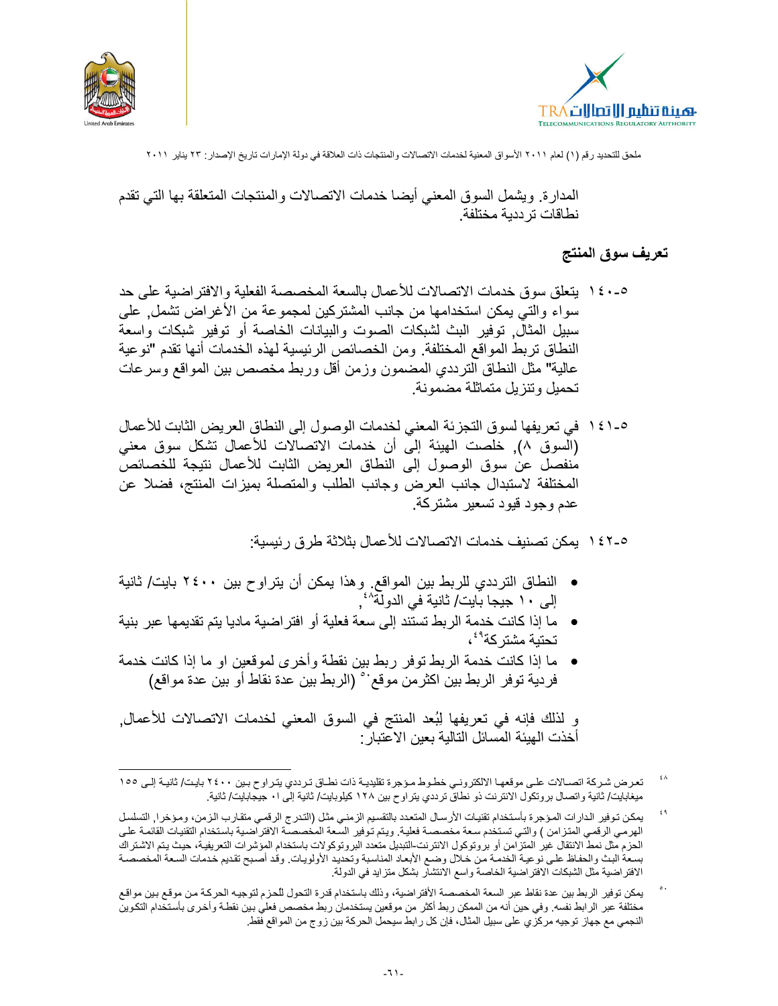



المدارة. ويشمل السوق المعنى أيضا خدمات الاتصالات والمنتجات المتعلقة بها التي تقدم نطاقات تر ددية مختلفة

#### تعريف سوق المنتج

- ٥-١٤٠ بتعلَّق سوق خدمات الاتصالات للأعمال بالسعة المخصصة الفعلية والافتراضية على حد سواء والتي يمكن استخدامها من جانب المشتركين لمجموعة من الأغراض تشمل, على سببل المثالٌ. توفير البث لشبكات الصوت والبيانات الخاصة أو توفير شبكات واسعة النطاق تربط المواقع المختلفة. ومن الخصائص الرئيسية لهذه الخدمات أنها تقدم "نوعية عالية" مثل النطاق الترددي المضمون وزمن أقل وربط مخصص بين المواقع وسرعات تحميل وتنزيل متماثلة مضمونة.
- 0-1 1 \ في تعريفها لسوق التجزئة المعنى لخدمات الوصول إلى النطاق العريض الثابت للأعمال (السوق ٨), خلصت الهيئة إلى أن خدمات الاتصالات للأعمال تشكل سوق معنى منفصل عن سوق الوصول إلى النطاق العريض الثابت للأعمال نتيجة للخصائص المختلفة لاستبدال جانب العرض وجانب الطلب والمتصلة بمبزات المنتج، فضلا عن عدم وجود قبود تسعير مشتركة.

1 ٤٢-٥ . يمكن تصنيف خدمات الاتصالات للأعمال بثلاثة طر ق ر ئيسية:

- النطاق الترددي للربط بين المواقع. وهذا يمكن أن يتراوح بين ٢٤٠٠ بايت/ ثانية<br>إلى ١٠ جيجا بايت/ ثانية في الدولة^\*,
- ما إذا كانت خدمة الربط تستند إلى سعة فعلية أو افتراضية ماديا يتم تقديمها عبر بنية تحتبة مشتر كة<sup>٤٩</sup>،
- ما إذا كانت خدمة الربط توفر ربط بين نقطة وأخرى لموقعين او ما إذا كانت خدمة فردية توفر الربط بين اكثر من موقع`` (الربط بين عدة نقاط أو بين عدة مواقع)

و لذلك فإنه في تعريفها لِبُعد المنتج في السوق المعنى لخدمات الاتصالات للأعمال. أخذت الهيئة المسائل التالية بعبن الاعتبار :

٤٨ تعرض شركة اتصـالات علـى موقعهـا الالكترونـى خطـوط مـؤجرة تقليديـة ذات نطـاق تـرددي يتـراوح بـين ٢٤٠٠ بايت/ ثانيـة إلـى ١٥٥ ميغابايت/ ثانية واتصال بروتكول الانترنت ذو نطاق ترددي يتراوح بين ١٢٨ كيلوبايت/ ثانية إلى ١٠ جيجابايت/ ثانية.

 $\epsilon$ ٩ يمكن توفير الدارات المؤجرة بأستخدام تقنيات الأرسال المتعدد بالتقسيم الزمني مثل (التدرج الرقمي متقارب الزمن، ومؤخرا, التسلسل<br>الهرمي الرقمي المتزامن ) والتي تستخدم سعة مخصصة فعلية. ويتم توفير السعة المخصصـة الافتراضـية باست الحزم مثل نمط الانتقال غير المتزامن أو بروتوكول الانترنت-التبديل متعدد البروتوكولات باستخدام المؤشرات التعريفية، حيث يتم الاشتراك بسعة البث والحفاظ على نوعية الخدمة من خلال وضع الأبعاد المناسبة وتحديد الأولويات. وقد أصبح تقديم خدمات السعة المخصصة الافتر اضية مثل الشبكات الافتر اضية الخاصة واسع الانتشار بشكل متزايد في الدولة.

يمكن توفير الربط بين عدة نقاط عبر السعة المخصصة الأفتراضية، وذلك باستخدام قدرة التحول للحزم لتوجيه الحركة من موقع بين مواقع مختلفة عبر الرابط نفسه. وفي حين أنه من الممكن ربط أكثر من موقعين يستخدمان ربط مخصص فعلي بين نقطـة وأخـرى بأستخدام التكوين النجمي مع جهاز توجيه مركزي على سبيل المثال، فإن كل رابط سيحمل الحركة بين زوج من المواقع فقط.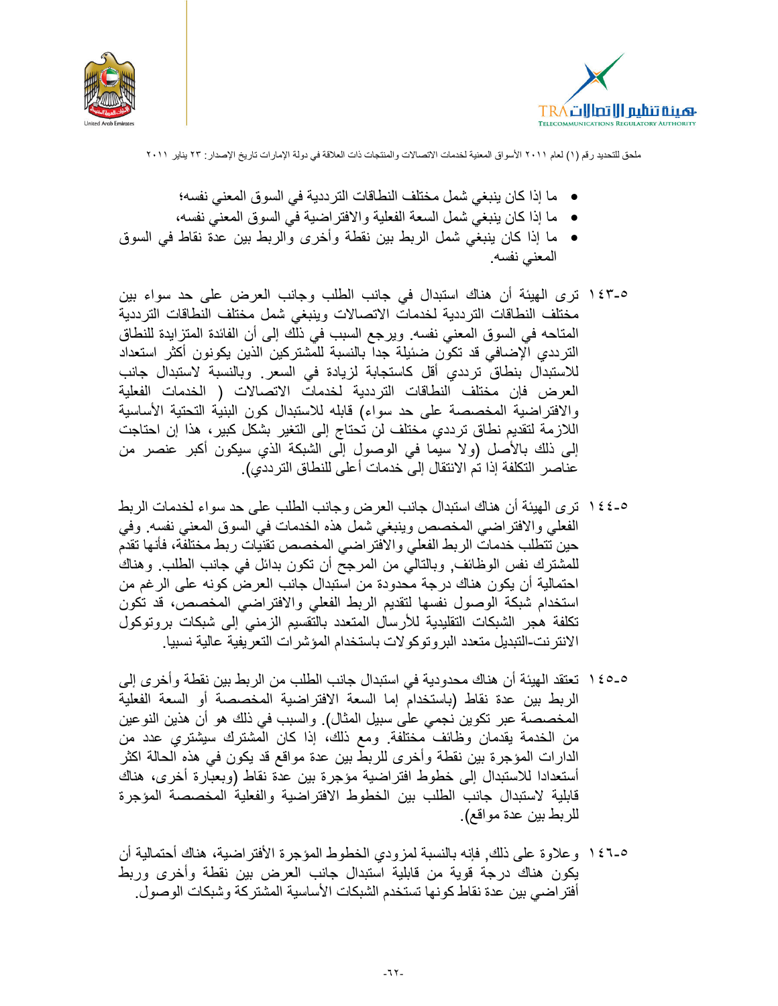



- ما إذا كان ينبغي شمل مختلف النطاقات الترددية في السوق المعنى نفسه؛
- ما إذا كان ينبغي شمل السعة الفعلية والافتر اضية في السوق المعنى نفسه،
- ما إذا كان ينبغي شمل الربط بين نقطة وأخرى والربط بين عدة نقاط في السوق المعنى نفسه
- ٥-١٤٣ ترى الهيئة أن هناك استبدال في جانب الطلب وجانب العرض على حد سواء بين مختلف النطاقات الترددية لخدمات الاتصالات وينبغى شمل مختلف النطاقات الترددية المتاحه في السوق المعنى نفسه. ويرجع السبب في ذلك إلى أن الفائدة المتزايدة للنطاق الترددي الإضافي قد تكون ضئيلة جدا بالنسبة للمشتركين الذين يكونون أكثر استعداد للاستبدال بنطاق ترددي أقل كاستجابة لزيادة في السعر وبالنسبة لاستبدال جانب العرض فإن مختلف النطاقات الترددية لخدمات الاتصالات ( الخدمات الفعلية والافتراضية المخصصة على حد سواء) قابله للاستبدال كون البنية التحتية الأساسية اللازمة لتقديم نطاق ترددي مختلف لن تحتاج إلى التغير بشكل كبير ، هذا إن احتاجت إلى ذلك بالأصل (ولا سيما في الوصول إلى الشبكة الذي سيكون أكبر عنصر من عناصر ِ التكلفة إذا تم الانتقال إلى خدمات أعلى للنطاق التر ددي).
- ٥-١٤٤ ترى الهيئة أن هناك استبدال جانب العرض وجانب الطلب على حد سواء لخدمات الربط الفعلى والافتراضي المخصص وينبغي شمل هذه الخدمات في السوق المعنى نفسه. وفي حين تتطلب خدمات الربط الفعلى والافتر اضى المخصص تقنيات ربط مختلفة، فأنها تقدم للمشترك نفس الوظائف, وبالتالي من المرجح أن تكون بدائل في جانب الطلب. وهناك احتمالية أن يكون هناك درجة محدودة من استبدال جانب العرض كونه على الرغم من استخدام شبكة الوصول نفسها لتقديم الربط الفعلى والافتراضي المخصص، قد تكون تكلفة هجر الشبكات التقليدية للأرسال المتعدد بالتقسيم الزمني إلى شبكات بروتوكول الانتر نت-التبديل متعدد البر وتوكو لات باستخدام المؤشر ات التعر يفية عالية نسبيا.
- 0-0 1 \ تعتقد الهيئة أن هناك محدودية في استبدال جانب الطلب من الربط بين نقطة وأخرى إلى الربط بين عدة نقاط (باستخدام إما السعة الافتراضية المخصصة أو السعة الفعلية المخصصة عبر تكوين نجمي على سبيل المثال). والسبب في ذلك هو أن هذين النوعين من الخدمة يقدمان وظائف مختلفة. ومع ذلك، إذا كان المشترك سيشتري عدد من الدارات المؤجرة بين نقطة وأخرى للربط بين عدة مواقع قد يكون في هذه الحالة اكثر أستعدادا للاستبدال إلى خطوط افتراضية مؤجرة بين عدة نقاط (وبعبارة أخرى، هناك قابلية لاستبدال جانب الطلب بين الخطوط الافتراضية والفعلية المخصصة المؤجرة للربط بين عدة مواقع).
- 0-1 1 \ و علاوة على ذلك, فإنه بالنسبة لمزودي الخطوط المؤجرة الأفتر اضية، هناك أحتمالية أن يكون هناك درجة قوية من قابلية استبدال جانب العرض بين نقطة وأخرى وربط أفتر اضـي بين عدة نقاط كونـها تستخدم الشبكات الأساسية المشتركة وشبكات الوصول.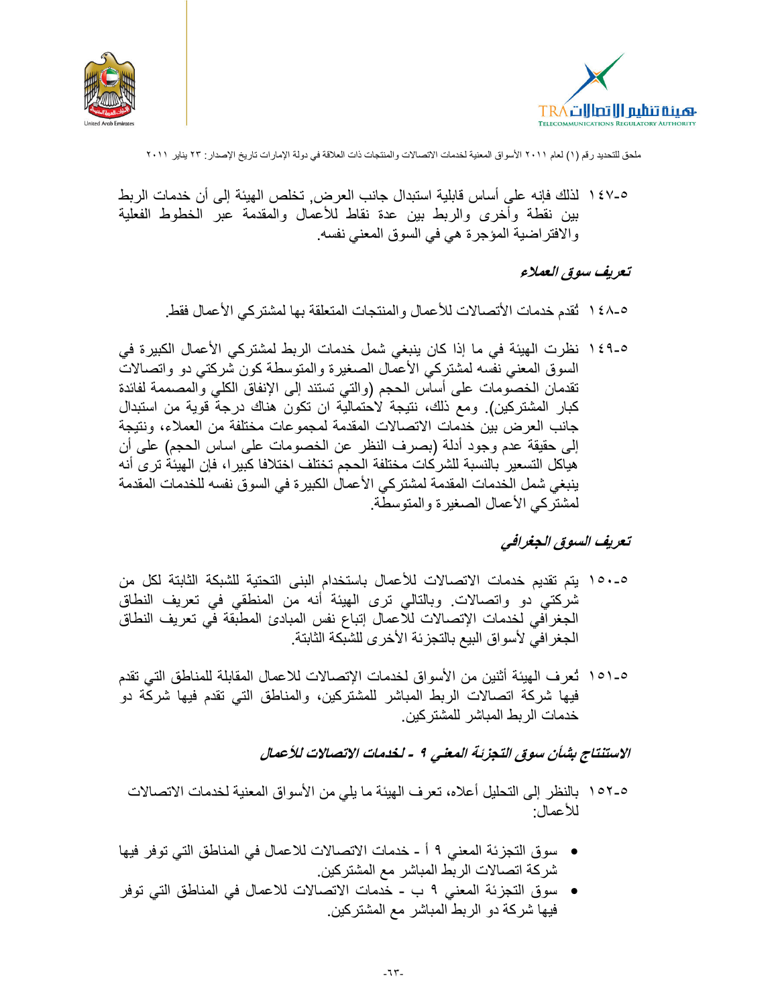



٥-١٤٧ لذلك فإنه على أساس قابلية استبدال جانب العر ض. تخلص الهيئة إلى أن خدمات الر بط بين نقطة وأخرى والربط بين عدة نقاط للأعمال والمقدمة عبر الخطوط الفعلية والافتراضية المؤجرة هي في السوق المعنى نفسه

#### تعريف سوق العملاء

٥-٤٨ أ نُقدم خدمات الأتصالات للأعمال والمنتجات المتعلقة بها لمشتركي الأعمال فقط.

0-1 1 \ نظرت الهيئة في ما إذا كان ينبغي شمل خدمات الربط لمشتركي الأعمال الكبيرة في السوق المعنى نفسه لمشتركي الأعمال الصغيرة والمتوسطة كون شركتي دو واتصالات تقدمان الخصومات على أساس الحجم (والتي تستند إلى الإنفاق الكلي والمصممة لفائدة كبار المشتركين). ومع ذلك، نتيجة لاحتمالية ان تكون هناك درجة قوية من استبدال جانب العرض بين خدمات الاتصالات المقدمة لمجموعات مختلفة من العملاء، ونتيجة إلى حقيقة عدم وجود أدلة (بصرف النظر عن الخصومات على اساس الحجم) على أن هياكل التسعير بالنسبة للشركات مختلفة الحجم تختلف اختلافا كبير ا، فإن الهيئة ترى أنه ينبغي شمل الخدمات المقدمة لمشتركي الأعمال الكبيرة في السوق نفسه للخدمات المقدمة لمشتر كي الأعمال الصغير ة و المتوسطة.

#### تعريف السوق الجغرافي

- 0-001 بِتم تقديم خدمات الاتصالات للأعمال باستخدام البني التحتية للشبكة الثابتة لكل من شركتي دو واتصالات. وبالتالي ترى الهيئة أنه من المنطقي في تعريف النطاق الجغرافي لخدمات الإتصالات للاعمال إتباع نفس المبادئ المطبقة في تعريف النطاق الجغرافي لأسواق البيع بالتجزئة الأخرى للشبكة الثابتة
- 0-101 ثعر ف الهيئة أثنين من الأسواق لخدمات الإتصالات للاعمال المقابلة للمناطق التي تقدم فيها شركة اتصالات الربط المباشر للمشتركين، والمناطق التي تقدم فيها شركة دوّ خدمات الر بط المباشر للمشتر كين

الاستنتاج بشأن سوق التجزئة المعنى ٩ - لخدمات الاتصالات للأعمال

- 0-107 بالنظر إلى التحليل أعلاه، تعرف الهيئة ما يلي من الأسواق المعنية لخدمات الاتصالات للأعمال:
- سوق التجزئة المعنى ٩ أ خدمات الاتصالات للاعمال في المناطق التي توفر فيها شركة اتصـالات الربط المباشر مع المشتركين.
- سوق التجزئة المعنى ٩ ب خدمات الاتصالات للاعمال في المناطق التي توفر فيها شركة دو الربط المباشر مع المشتركين.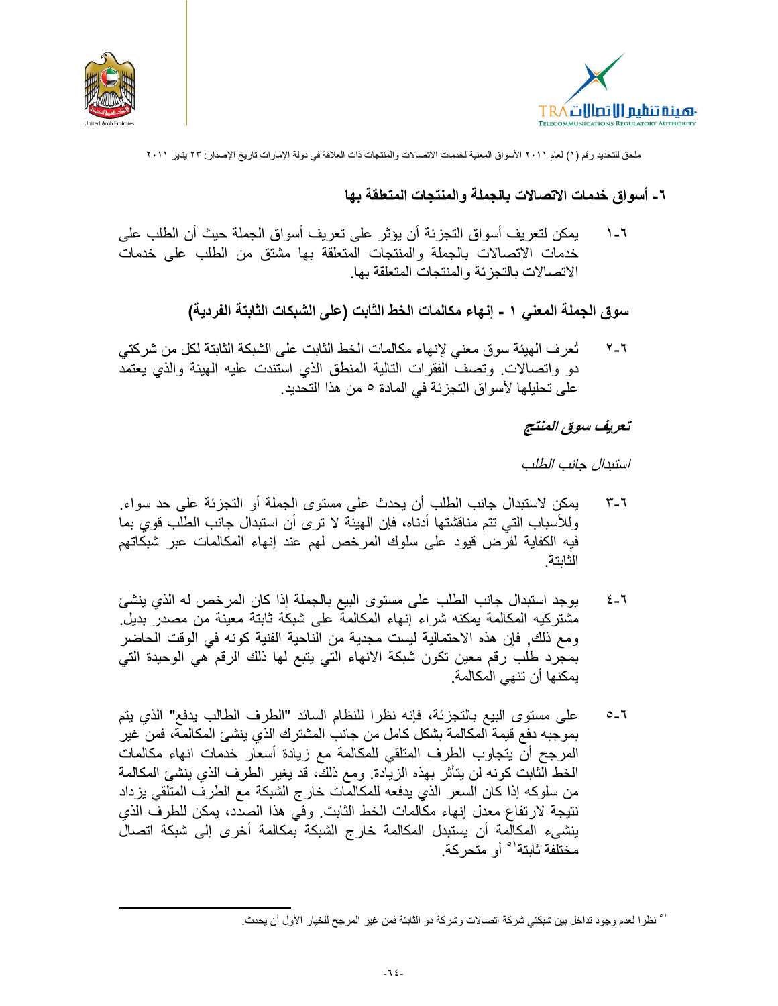



# ٦- أسواق خدمات الاتصالات بالجملة والمنتجات المتعلقة بها

يمكن لتعريف أسواق التجزئة أن يؤثر على تعريف أسواق الجملة حيث أن الطلب على  $\lambda - 7$ خدمات الاتصالات بالجملة والمنتجات المتعلقة بها مشتق من الطلب على خدمات الاتصالات بالتجز ئة و المنتجات المتعلقة بها.

سوق الجملة المعنى ١ - إنهاء مكالمات الخط الثابت (على الشبكات الثابتة الفردية)

تُعرف الهيئة سوق معنى لإنهاء مكالمات الخط الثابت على الشبكة الثابتة لكل من شركتي ۲\_۲ دو واتصالات وتصف الفقرات التالية المنطق الذي استندت عليه الهيئة والذي يعتمد على تحليلها لأسواق التجزئة في المادة 0 من هذا التحديد.

# تعريف سوق المنتج

استندال جانب الطلب

- يمكن لاستبدال جانب الطلب أن يحدث على مستوى الجملة أو التجزيئة على حد سواء.  $T-T$ وللأسباب التي تتم مناقشتها أدناه، فإن الهيئة لا ترى أن استبدال جانب الطلب قوي بما فيه الكفاية لفرض قيود على سلوك المرخص لهم عند إنهاء المكالمات عبر شبكاتهم الثابتة
- يوجد استبدال جانب الطلب على مستوى البيع بالجملة إذا كان المرخص له الذي ينشئ  $2 - 7$ مشتركيه المكالمة يمكنه شراء إنهاء المكالمة على شبكة ثابتة معينة من مصدر بديل. ومع ذلك, فإن هذه الاحتمالية ليست مجدية من الناحية الفنية كونه في الوقت الحاضر بمجرد طلب رقم معين تكون شبكة الانهاء التي يتبع لمها ذلك الرقم هي الوحيدة التي يمكنها أن تنهي المكالمة.
- على مستوى البيع بالتجزئة، فإنه نظرا للنظام السائد "الطرف الطالب يدفع" الذي يتم  $0 - 7$ بموجبه دفع قيمة المكالمة بشكل كامل من جانب المشترك الذي ينشئ المكالمة، فمن غير المرجح أن يتجاوب الطرف المتلقى للمكالمة مع زيادة أسعار خدمات انهاء مكالمات الخط الثابت كونه لن يتأثَّر بهذه الزيادة. ومع ذلك، قد يغير الطرف الذي ينشئ المكالمة من سلوكه إذا كان السعر الذي يدفعه للمكالمات خارج الشبكة مع الطرف المتلقى يزداد نتيجة لارتفاع معدل إنهاء مكالمات الخط الثابت. وفي هذا الصدد، يمكن للطرف الذي ينشيء المكالمة أن يستبدل المكالمة خارج الشبكة بمكالمة أخرى إلى شبكة اتصال مختلفة ثابتة<sup>\ه</sup> أو متحر كة.

` نظرا لعدم وجود تداخل بين شبكتي شركة اتصالات وشركة دو الثابتة فمن غير المرجح للخيار الأول أن يحدث.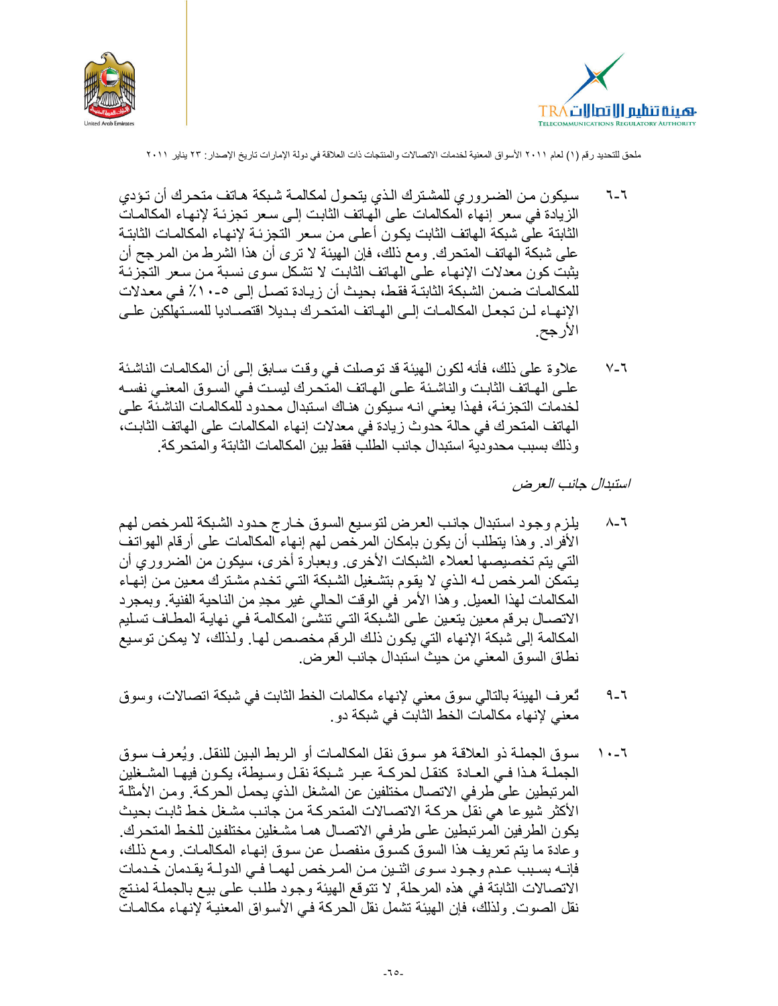



- سبكون من الضر ور ي للمشتر ك الذي يتحول لمكالمـة شبكة هـاتف متحر ك أن تـؤدي  $7 - 7$ الزيادة في سعر إنهاء الْمكالمات على الْهاتف الثابت إلى سعر تجزئة لإنهاء المكالمات الثابتة على شبكة الهاتف الثابت يكون أعلى من سعر التجزئة لإنهاء المكالمات الثابتة على شبكة الهاتف المتحرك. ومع ذلك، فإن الهيئة لا ترى أن هذا الشرط من المرجح أن يثبت كون معدلات الإنهاء على الهاتف الثابت لا تشكل سوى نسبة من سعر التجزئة للمكالمـات ضـمن الشـبكة الثابتـة فقـط، بـحيث أن زيـادة تصـل إلـى ٥-١٠٪ فـى معـدلات الإنهـاء لـن تجعـل المكالمـات إلـى الهـاتف المتحـر ك بـديلا اقتصــاديا للمسـتهلكين علـى الأرجح.
- علاوة على ذلك، فأنه لكون الهيئة قد توصلت في وقت سـابق إلـي أن المكالمـات الناشئة  $V - 7$ علـى الهـاتف الثابـت والناشـئة علـى الهـاتف المتحـرك ليسـت فـى السـوق المعنـى نفسـه لخدمات التجزئـة، فهذا يعنـي انـه سيكون هنـاك اسنبدال محدود للمكالمـات الناشئـة علـى الهاتف المتحرك في حالة حدوث زيادة في معدلات إنهاء المكالمات على الهاتف الثابت، وذلك بسبب محدودية استبدال جانب الطلب فقط بين المكالمات الثابتة والمتحركة.

استبدال جانب العرض

- يلزم وجود استبدال جانب العرض لتوسيع السوق خارج حدود الشبكة للمرخص لهم  $\lambda$ -1 الأفراد. وهذا يتطلب أن يكون بإمكان المرخص لهم إنهاء المكالمات على أرقام الهواتف التي يتم تخصيصها لعملاء الشبكات الأخرى. وبعبارة أخرى، سيكون من الضروري أن يتمكن المرخص لـه الذي لا يقوم بتشـغيل الشـبكة التـي تخـدم مشـترك معـين مـن إنـهـاء المكالمات لهذا العميل وهذا الأمر في الوقت الحالي غير مجدِ من الناحية الفنية وبمجرد الاتصــال بـرـقم معـين يتعـين علـى الشَّبكة التـي تنشـَّئ المكالمـة فـي نـهايـة المطــاف تسـليم المكالمة إلى شبكة الإنهاء التي يكون ذلك الرقم مخصص لها. ولذلك، لا يمكن توسيع نطاق السوق المعنى من حيث استبدال جانب العرض.
- تُعرف الهيئة بالتالي سوق معنى لإنهاء مكالمات الخط الثابت في شبكة اتصالات، وسوق  $9 - 7$ معنى لإنهاء مكالمات الخط الثابت في شبكة دو .
- سوق الجملـة ذو الـعلاقـة هـو سـوق نقل المكالمـات أو الـربط البـين للنقل. ويُعرف سـوق  $\lambda - 7$ الجملــة هـذا فــى العــادة كنقـل لحركــة عبـر شـبكة نقـل وسـبطة، يكـون فيهـا المشــغلين المر تبطين على طر في الاتصال مختلفين عن المشغل الذي يحمل الحر كـة. ومن الأمثلـة الأكثر شيوعا هي نقلٌ حركـة الاتصــالات المتحركـة مـن جانب مشـغل خـط ثابت بحيث يكون الطرفين المرتبطين على طرفي الاتصــال همـا مشـغلين مختلفين للخط المتحرك. وعادة ما يتم تعريف هذا السوق كسوق منفصل عن سوق إنهاء المكالمات ومع ذلك، فإنــه بسـبب عـدم وجـود سـوى اثنـين مـن المـرخص لهمـا فـي الدولــة يقـدمان خـدمات الاتصالات الثابتة في هذه المرحلة, لا تتوقع الهيئة وجود طلب على بيع بالجملة لمنتج نقل الصوت. ولذلك، فإن الهيئة تشمل نقل الحركة فـي الأسواق المعنيـة لإنـهـاء مكالمـات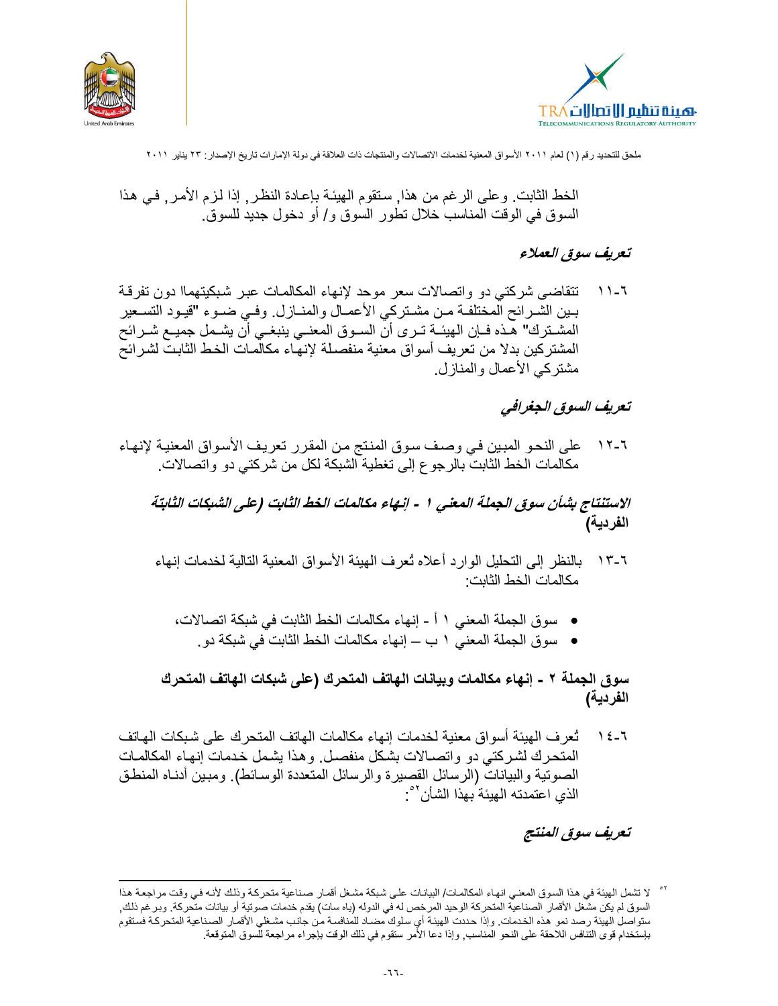



الخط الثابت. وعلى الرغم من هذا, سنقوم الهيئة بإعادة النظر, إذا لزم الأمر, في هذا السوق في الوقت المناسب خلال تطور السوق و/ أو دخول جديد للسوق.

#### تعريف سوق العملاء

تتقاضى شركتي دو واتصالات سعر موحد لإنهاء المكالمات عبر شبكيتهماا دون تفرقة  $\bigwedge$   $\bigwedge$ بـين الشـرائح المختلفـة مـن مشـتركي الأعمـال والمنــازل. وفـي ضـوء "قيـود التسـعير المشــترك" هــذه فــإن الـهيئــة تــرى أنّ الســوق المعنــي ينبغــي أن يشــمل جميــع شــرائح المشتركين بدلا من تعريف أسواق معنية منفصلة لإنهاء مكالمـات الخط الثابت لشرائح مشتركي الأعمال والمنازل.

# تعريف السوق الجغرافي

على النحو المبين في وصف سوق المنتج من المقرر تعريف الأسواق المعنية لإنهاء  $\sqrt{}$   $\sqrt{}$ مكالمات الخط الثابت بالرجو ع إلى تغطية الشبكة لكل من شركتي دو واتصالات.

الاستنتاج بشأن سوق الجملة المعنى ١ - إنهاء مكالمات الخط الثابت (على الشبكات الثابتة الفردية)

- ٦-١٣ بالنظر إلى التحليل الوارد أعلاه تُعرف الهيئة الأسواق المعنية التالية لخدمات إنهاء مكالمات الخط الثابت:
	- سوق الجملة المعني ١ أ إنهاء مكالمات الخط الثابت في شبكة اتصالات،
		- سوق الجملة المعنى ١ ب ــ إنهاء مكالمات الخط الثابت في شبكة دو .

سوق الجملة ٢ - إنهاء مكالمات وبيانات الهاتف المتحرك (على شبكات الهاتف المتحرك الفردية)

تُعرف الهيئة أسواق معنية لخدمات إنهاء مكالمات الهاتف المتحرك على شبكات الهاتف  $\lambda \xi - \lambda$ المتحرك لشركتي دو واتصــالات بشكل منفصـل وهذا يشمل خدمات إنهـاء المكالمـات الصوتية والبيانات (الرسائل القصيرة والرسائل المتعددة الوسائط). ومبين أدنـاه المنطـق الذي اعتمدته الهيئة بهذا الشأن<sup>01</sup>:

تعريف سوق المنتج

<sup>&</sup>lt;sup>0۲</sup> لا تشمل الهيئة في هذا السوق المعنـي انهـاء المكالمـات/ البيانـات علـى شبكة مشـغل أقمـار صـنـاعية متحركـة وذلك لأنـه فـي وقت مراجعـة هذا السوق لم يكن مشعل الأقمار الصناعية المتحركة الوحيد المرخص له في الدوله (ياه سات) يقدم خدمات صوتية أو بيانات متحركة. وبرغم ذلك, ستواصل الهيئة رصد نمو هذه الخدمات. وإذا حددت الهيئة أي سلوك مضىاد للمنافسة من جانب مشغلي الأقمار الصناعية المتحركة فستقوم بإستخدام قوى التنافس اللاحقة على النحو المناسب, وإذا دعا الأمر ستقوم في ذلك الوقت بإجراء مراجعة للسوق المتوقعة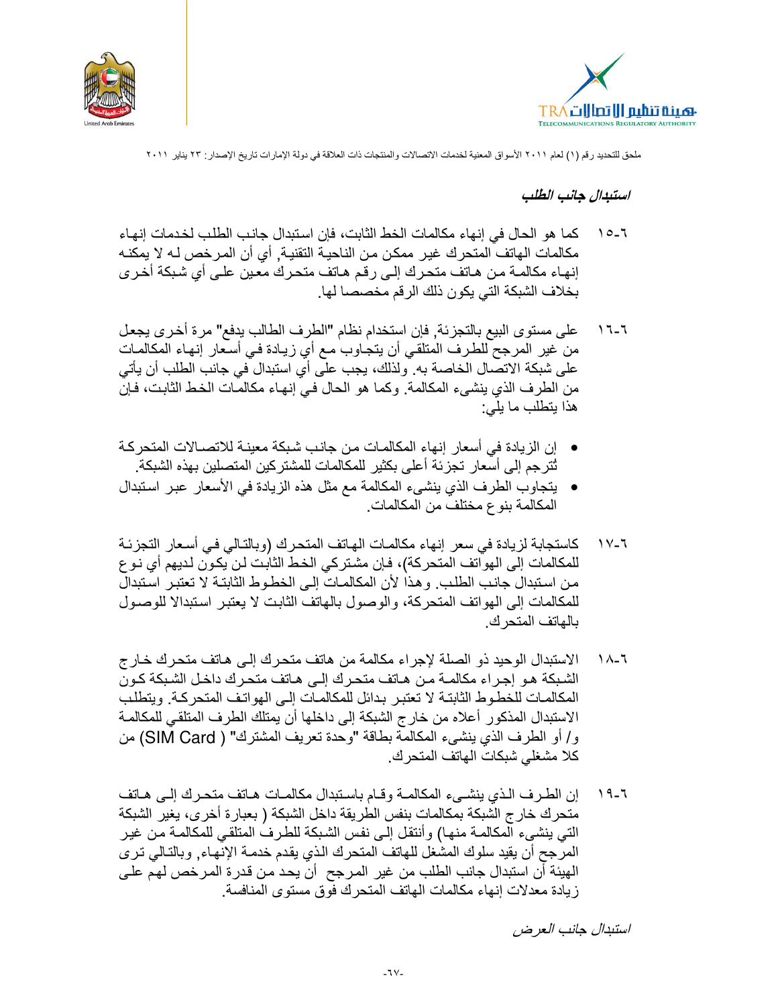



#### استبدال جانب الطلب

- كما هو الحال في إنهاء مكالمات الخط الثابت، فإن استبدال جانب الطلب لخدمات إنهاء  $10-7$ مكالمات الهاتف المتحرك غير ممكن من الناحيــة التقنيــة, أي أن المـرـخص لــه لا يمكنــه إنهاء مكالمــة مـن هـاتف متحرك إلـى رقـم هـاتف متحرك معـين علـى أي شبكة أخـرى بخلاف الشبكة التي يكون ذلك الرقم مخصصا لها.
- على مستوى البيع بالتجزئة, فإن استخدام نظام "الطرف الطالب يدفع" مرة أخرى يجعل  $17 - 7$ من غير المرجح للطرف المتلقي أن يتجاوب مـع أي زيـادة فـي أسـعار إنـهـاء المكالمـات على شبكة الاتصال الخاصة به. ولذلك، يجب على أي استبدال في جانب الطلب أن يأتي من الطرف الذي ينشيء المكالمة. وكما هو الحال في إنهـاء مكالمـات الخـط الثابـت، فـإن هذا يتطلب ما يلي:
- إن الزيادة في أسعار إنهاء المكالمـات من جانب شبكة معينـة للاتصــالات المتحركـة تُترجم إلى أسعار تجزئة أعلى بكثير للمكالمات للمشتركين المتصلين بهذه الشبكة.
- يتجاوب الطرف الذي ينشيء المكالمة مع مثل هذه الزيادة في الأسعار عبر استبدال المكالمة بنوع مختلف من المكالمات.
- كاستجابة لزيادة في سعر إنهاء مكالمـات الهـاتف المتحرك (وبالتـالي فـي أسـعار التجزئـة ۲ ـ ۱ √ للمكالمات إلى الهواتف المتحركة)، فإن مشتركي الخط الثابت لن يكون لديهم أي نو ع من استبدال جانب الطلب وهذا لأن المكالمات إلى الخطوط الثابتة لا تعتبر استبدال للمكالمات إلى الهواتف المتحركة، والوصول بالهاتف الثابت لا يعتبر استبدالا للوصول بالهاتف المتحر ك
- الاستبدال الوحيد ذو الصلة لإجراء مكالمة من هاتف متحرك إلى هاتف متحرك خارج  $\lambda - 7$ الشبكة هـو إجـراء مكالمـة مـن هـاتف منحـرك إلـى هـاتف منحـرك داخـل الشـبكة كـون المكالمـات للخطـو ط الثابتـة لا تعتبـر بـدائل للمكالمـات إلـي الـهو اتـف المتحر كـة. و يتطلـب الاستبدال المذكور أعلاه من خار ج الشبكة إلى داخلها أن يمتلك الطرف المتلقى للمكالمـة و/ أو الطرف الذي ينشيء المكالمة بطاقة "وحدة تعريف المشترك" ( SIM Card) من كلا مشغلي شبكات الهاتف المتحرك.
- إن الطرف الذي ينشــيء المكالمــة وقــام بـاسـتبدال مكالمــات هــاتف متحـرك إلــي هــاتف  $19-7$ متحرك خار ج الشبكة بمكالمات بنفس الطريقة داخل الشبكة ( بعبارة أخرى، يغير الشبكة التي ينشيء المكالمـة منهـا) وأنتقل إلـى نفس الشبكة للطرف المتلقـى للمكالمـة مـن غيـر المرَّجح أن يقيد سلوك المشغل للهاتف المتحرك الذي يقدم خدمـة الإنهـاء, وبالتـالي تـرى الهيئة أن استبدال جانب الطلب من غير المرجح أن يحد من قدر ةالمرخص لهم علـى زيادة معدلات إنهاء مكالمات الهاتف المتحرك فوق مستوى المنافسة.

استبدال جانب العرض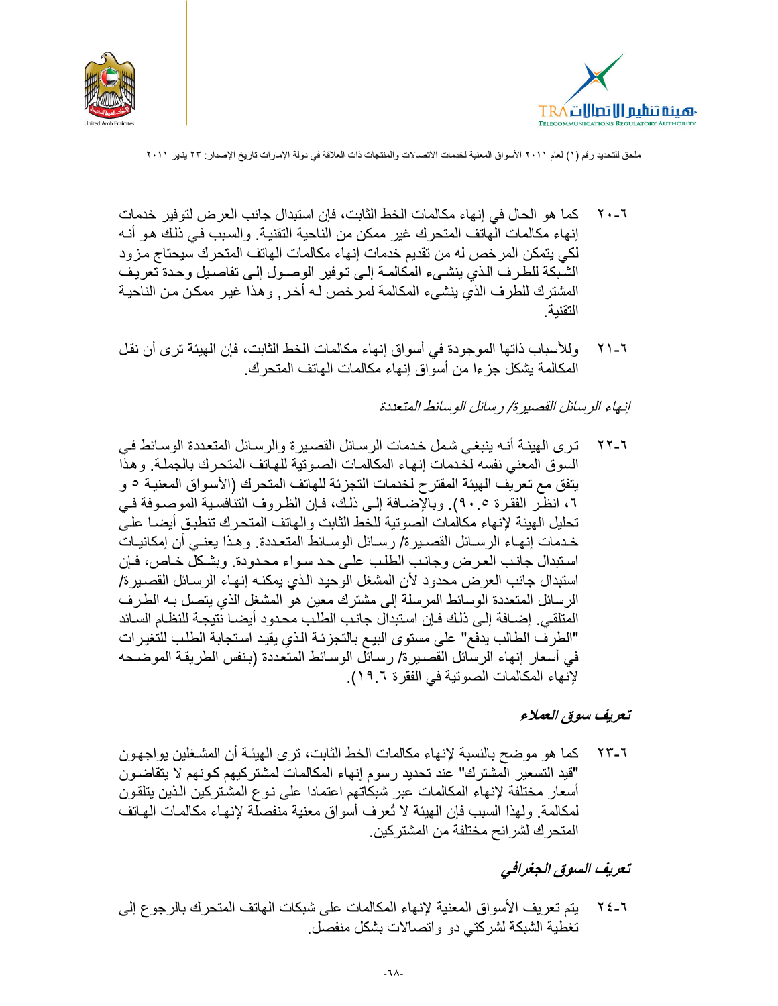



- كما هو الحال في إنهاء مكالمات الخط الثابت، فإن استبدال جانب العرض لتوفير خدمات ۲۰–۲ إنهاء مكالمات الهاتف المتحرك غير ممكن من الناحية التقنية. والسبب في ذلك هو أنـه لكي يتمكن المرخص له من تقديم خدمات إنهاء مكالمات الهاتف المتحرك سيحتاج مزود الشبكة للطرف الذي ينشيء المكالمة إلى توفير الوصول إلى تفاصيل وحدة تعريف المشترك للطرف الذي ينشيء المكالمة لمرخص لـه أخر , و هذا غير ممكن من الناحيـة التقنية
- وللأسباب ذاتها الموجودة في أسواق إنهاء مكالمات الخط الثابت، فإن الهيئة ترى أن نقل  $Y$  )  $-7$ المكالمة يشكل جزءا من أسواق إنهاء مكالمات الهاتف المتحرك.

#### إنهاء الرسائل القصير ة/ رسائل الوسائط المتعددة

تري الهيئة أنـه ينبغـي شمل خدمات الرسـائل القصـيرة والرسـائل المتعددة الوسـائط فـي ۲-۲۲ السوق المعنى نفسه لخدمات إنهاء المكالمات الصوتية للهاتف المتحرك بالجملة. وهذا يتفق مع تعريف الهيئة المقترح لخدمات التجزئة للهاتف المتحرك (الأسواق المعنية ٥ و ٢، انظر الفقرة ٩٠.٥). وبالإضافة إلى ذلك، فإن الظروف التنافسية الموصوفة في تحليل الهيئة لإنهاء مكالمات الصونية للخط الثابت والهاتف المتحرك تنطبق أيضـا علـى خدمات إنهـاء الرسـائل القصـيرة/ رسـائل الوسـائط المتعـددة. وهـذا يعنـي أن إمكانيـات استبدال جانب العرض وجانب الطلب على حد سواء محدودة. وبشكلٌ خـاص، فـإن استبدال جانب العرض محدود لأن المشغل الوحيد الذي يمكنـه إنـهـاء الرسـائل القصـير ة/ الرسائل المتعددة الوسائط المرسلة إلى مشترك معين هو المشغل الذي يتصل بـه الطرف المتلقى. إضـافة إلـى ذلك فـإن استبدال جانب الطلب محدود أيضـا نتيجـة للنظـام السـائد "الطرف الطالب يدفع" على مستوى البيع بالتجزئة الذي يقيد استجابة الطلب للتغيرات في أسعار إنهاء الرسائل القصيرة/ رسائل الوسائط المتعددة (بنفس الطريقة الموضحه لإنهاء المكالمات الصونية في الفقرة ١٩.٦).

#### تعريف سوق العملاء

كما هو موضح بالنسبة لإنهاء مكالمات الخط الثابت، ترى الهيئـة أن المشـغلين بواجهـون ۲۳-۶۲ "قيد التسعير المشترك" عند تحديد رسوم إنهاء المكالمات لمشتركيهم كونهم لا يتقاضـون أسعار مختلفة لإنهاء المكالمات عبر شبكاتهم اعتمادا على نـوع المشتركين الذين بتلقون لمكالمة. ولهذا السبب فإن الهيئة لا تُعرف أسواق معنية منفصلَّة لإنهاء مكالمات الهاتف المتحرك لشرائح مختلفة من المشتركين.

# تعريف السوق الجغرافي

٢-٢٤ يتم تعريف الأسواق المعنية لإنهاء المكالمات على شبكات الهاتف المتحرك بالرجوع إلى تغطية الشبكة لشركتي دو واتصالات بشكل منفصل.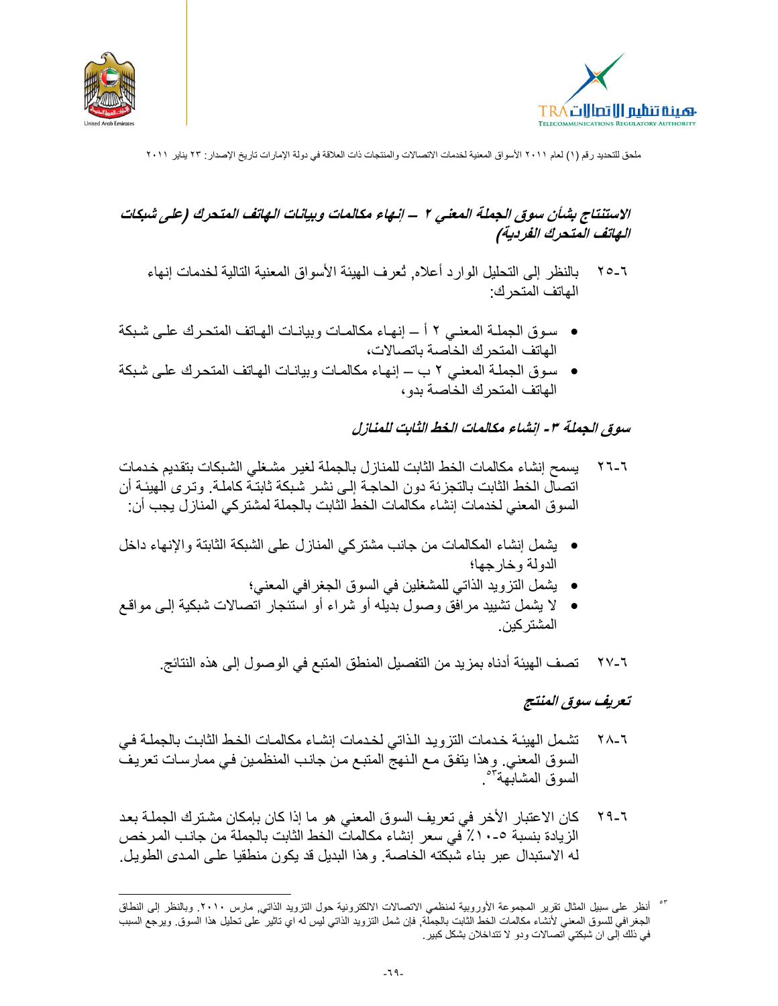



# الاستنتاج بشأن سوق الجملة المعنى ٢ – إنهاء مكالمات وبيانات الهاتف المتحرك (على شبكات الهاتف المتحرك الفردية)

- بالنظر إلى التحليل الوارد أعلاه, ثعرف الهيئة الأسواق المعنية التالية لخدمات إنهاء  $Y_0$ -الهاتف المتحر ك:
- سوق الجملـة المعنـي ٢ أ ــ إنهـاء مكالمـات وبيانـات الهـاتف المتحـرك علـى شـبكة الهاتف المتحر ك الخاصة باتصالات،
- سوق الجملة المعنى ٢ ب إنهاء مكالمات وبيانات الهاتف المتحرك على شبكة الهاتف المتحرك الخاصة بدو ،

#### سوق الجملة ٣ - إنشاء مكالمات الخط الثابت للمنازل

- يسمح إنشاء مكالمات الخط الثابت للمنازل بالجملة لغير مشغلي الشبكات بتقديم خدمات  $Y - 7$ اتصال الخط الثابت بالتجزئة دون الحاجة إلى نشر شبكة ثابتـة كاملـة. وتـرى الـهيئـة أن السوق المعنى لخدمات إنشاء مكالمات الخط الثابت بالجملة لمشتركي المنازل يجب أن:
- يشمل إنشاء المكالمات من جانب مشتركي المنازل على الشبكة الثابتة والإنهاء داخل الدولة وخارجها؛
	- يشمل النزويد الذاتي للمشغلين في السوق الجغرافي المعنى؛
- لا يشمل تشييد مرافق وصول بديله أو شراء أو استئجار اتصالات شبكية إلـى مواقـع المشتر كبن
	- ٢-٢٧ تصف الهيئة أدناه بمزيد من التفصيل المنطق المتبع في الوصول إلى هذه النتائج.

#### تعريف سوق المنتج

- تشمل الهيئـة خدمات التزويد الذاتي لخدمات إنشـاء مكالمـات الخـط الثابـت بالجملـة فـي ヾ ヘ \_ ጚ السوق المعني. وهذا يتفق مـع الـنـهج المتبـع مـن جانـب المنظمـين فـي ممـارسـات تعريف السوق المشابهة فتحف
- كان الاعتبار الأخر في تعريف السوق المعنى هو ما إذا كان بإمكان مشترك الجملة بعد ۲۹-٦ الزيادة بنسبة ٥-١٠٪ في سعر إنشاء مكالمات الخط الثابت بالجملة من جانب المرخص له الاستبدال عبر بناء شبكته الخاصة. وهذا البديل قد يكون منطقيا على المدى الطويل.

<sup>&</sup>lt;sup>07</sup> أنظر على سبيل المثال تقرير المجموعة الأوروبية لمنظمي الاتصالات الالكترونية حول التزويد الذاتي<sub>,</sub> مارس ٢٠١٠. وبالنظر إلى النطاق الجغرافي للسوق المعني لأنشاء مكالمات الخط الثابت بالجملة, فإن شمل التزويد الذاتي ليس له اي تاثير على تحليل هذا السوق ويرجع السبب في ذلك إلى ان شبكتي اتصالات ودو لا تتداخلان بشكل كبير .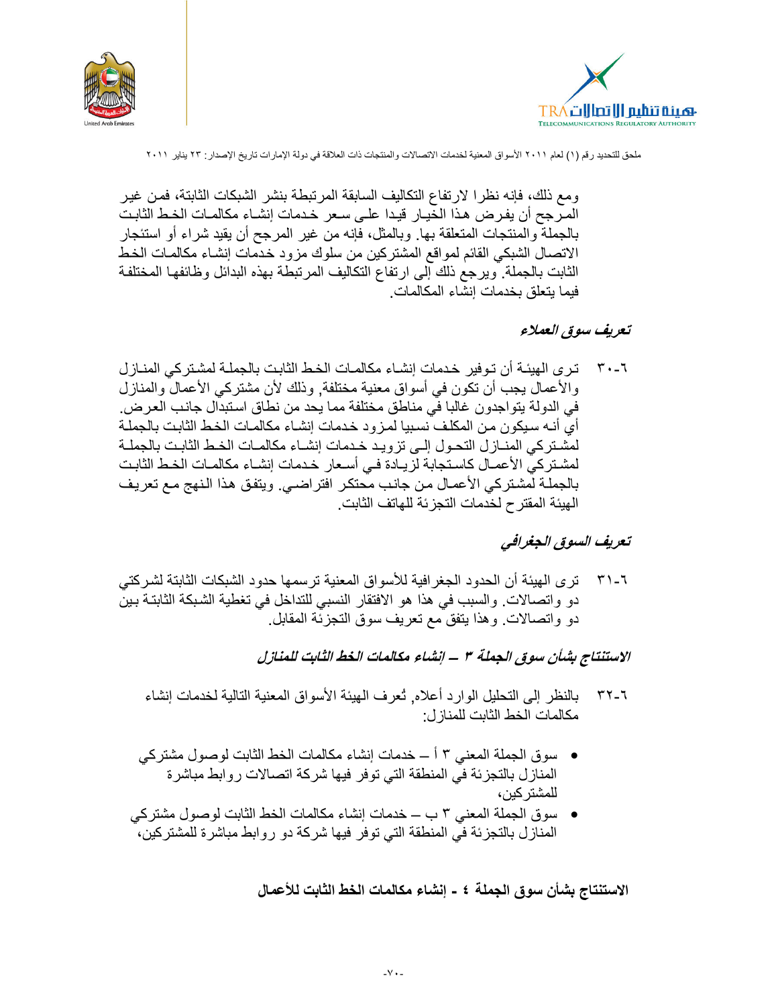



و مع ذلك، فإنه نظر ا لار تفاع التكاليف السابقة المر تبطة بنشر الشبكات الثابتة، فمـن غيـر المرجح أن يفرض هذا الخيـار قيـدا علـى سـعر خـدمات إنشـاء مكالمـات الخـط الثابـت بالجملة والمنتجات المتعلقة بها. وبالمثل، فإنه من غير المرجح أن يقيد شراء أو استئجار الاتصال الشبكي القائم لمواقع المشتركين من سلوك مزود خدمات إنشـاء مكالمـات الخط الثابت بالجملة. ويرجع ذلك إلى ارتفاع التكاليف المرتبطة بهذه البدائل وظائفها المختلفة فيما يتعلق بخدمات إنشاء المكالمات.

#### تعريف سوق العملاء

ترى الهيئـة أن تـوفير خـدمات إنشـاء مكالمـات الخـط الثابـت بالجملـة لمشـتر كـي المنــاز ل ۳۰-٦ والأعمال يجب أن تكون في أسواق معنية مختلفة, وذلك لأن مشتركي الأعمال والمنازل في الدولة يتواجدون غالبا في مناطق مختلفة مما يحد من نطاق استبدال جانب العرض. أي أنـه سـبكورن مـن المكلـف نسـبيا لمـز و د خـدمات إنشـاء مكالمـات الـخـط الثابـت بـالـجملـة لمشتركي المنازل التحول إلىي تزويد خدمات إنشاء مكالمات الخط الثابت بالجملة لمشتركي الأعمـال كاستجابة لزيـادة فـي أسـعار خـدمات إنشـاء مكالمـات الخـط الثابـت بالجملة لمشتركي الأعمال من جانب محتكر افتراضي ويتفق هذا النهج مع تعريف الهبئة المقتر ح لخدمات التجز ئة للهاتف الثابت.

#### تعريف السوق الجغرافي

ترى الهيئة أن الحدود الجغرافية للأسواق المعنية ترسمها حدود الشبكات الثابتة لشركتي  $T1 - 7$ دو واتصالات. والسبب في هذا هو الافتقار النسبي للتداخل في تغطية الشبكة الثابتـة بـين دو واتصالات وهذا ينفق مع تعريف سوق التجزئة المقابل

# الاستنتاج بشأن سوق الجملة ٣ – إنشاء مكالمات الخط الثابت للمنازل

- بالنظر إلى النحليل الوارد أعلاه. تُعرف الهيئة الأسواق المعنية النالية لخدمات إنشاء ۳۲-٦ مكالمات الخط الثابت للمناز ل:
- سوق الجملة المعنى ٣ أ ــ خدمات إنشاء مكالمات الخط الثابت لوصول مشتركي المنازل بالتجزئة في المنطقة التي توفر فيها شركة اتصالات روابط مباشرة للمشتر كبن،
- سوق الجملة المعنى ٣ ب ــ خدمات إنشاء مكالمات الخط الثابت لوصول مشتركي المناز ل بالتجز ئة في المنطقة التي توفر فيها شركة دو روابط مباشرة للمشتركين،

الاستنتاج بشأن سوق الجملة ٤ - إنشاء مكالمات الخط الثابت للأعمال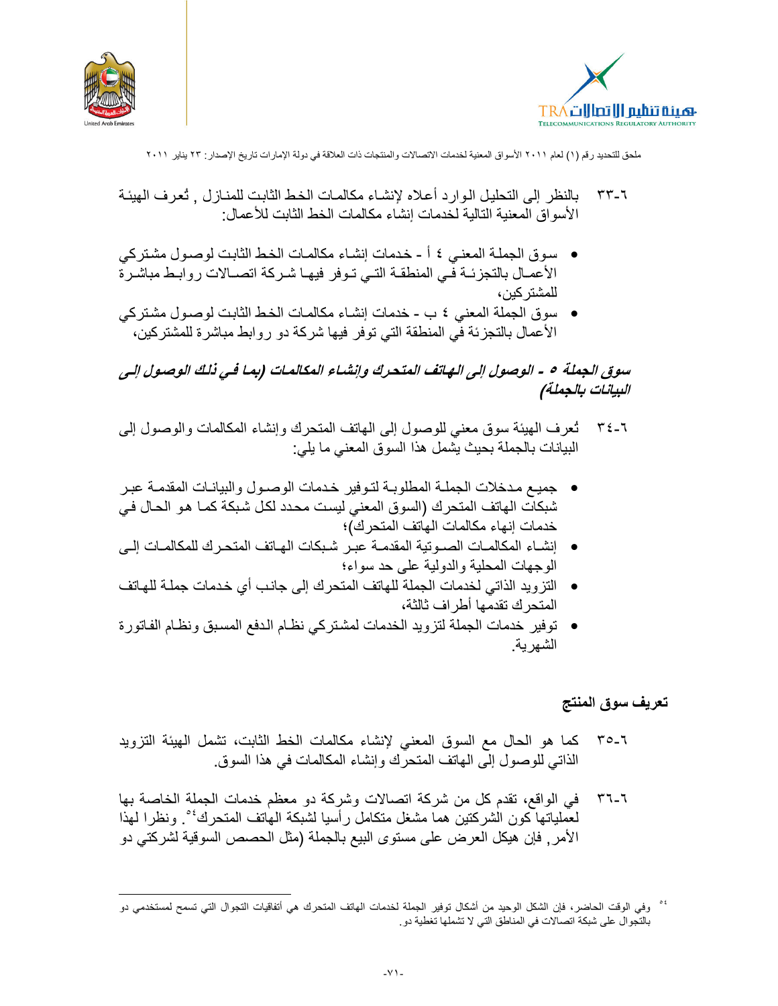



- بالنظر إلى التحليل الـو ار د أعلاه لإنشـاء مكالمـات الخـط الثابت للمنـاز ل ثعر ف الـهيئـة ۳۳-٦ الأسواق المعنية التالية لخدمات إنشاء مكالمات الخط الثابت للأعمال:
- سوق الجملة المعنى ٤ أ خدمات إنشاء مكالمات الخط الثابت لوصول مشتركي الأعمـال بالنجزئــة فـّـى المنطقــة النــى نــوفر فيهـا شـركة اتصــالات روابـط مباشـرة للمشتر كين،
- سوق الجملة المعنى ٤ ب خدمات إنشـاء مكالمـات الخط الثابت لوصـول مشـتركي الأعمال بالتجزئة في المنطقة التي توفر فيها شركة دو روابط مباشرة للمشتركين،

سوق الجملة ٥ - الوصول إلى الهاتف المتحرك وإنشاء المكالمات (بما في ذلك الوصول إلى البيانات بالجملة)

- تُعرف المهيئة سوق معنى للوصول إلى الهاتف المتحرك وإنشاء المكالمات والوصول إلى  $\tau$   $\epsilon$  -  $\tau$ البيانات بالجملة بحيث يشمل هذا السوق المعنى ما يلي:
- جميع مدخلات الجملة المطلوبـة لتـوفير خدمات الوصـول والبيانـات المقدمـة عبـر شبكات الهاتف المتحرك (السوق المعنى ليست محدد لكل شبكة كمـا هو الحـال فـي خدمات إنهاء مكالمات الهاتف المتحرك)؛
- إنشـاء المكالمـات الصـوتبة المقدمـة عبـر شـبكات الماتف المتحـر ك للمكالمـات إلـى  $\bullet$ الوجهات المحلية والدولية على حد سواء؛
- التزويد الذاتي لخدمات الجملة للهاتف المتحرك إلى جانب أي خدمات جملـة للهـاتف المتحر ك تقدمها أطر اف ثالثة،
- توفير خدمات الجملة لتزويد الخدمات لمشتركي نظام الدفع المسبق ونظام الفاتورة الشهر بة

# تعريف سوق المنتج

- كما هو الحال مع السوق المعنى لإنشاء مكالمات الخط الثابت، تشمل الهيئة التزويد  $T0-7$ الذاتي للوصول إلى المهاتف المتحرك وإنشاء المكالمات في هذا السوق.
- في الواقع، تقدم كل من شركة اتصالات وشركة دو معظم خدمات الجملة الخاصة بها  $5 - 7$ لعْملياتها كون الشركتين هما مشغل متكامل رأسيا لشبكة الهاتف المتحرك<sup>، و</sup> ونظرا لهذا الأمر , فإن هيكل العرض على مستوى البيع بالجملة (مثل الحصص السوقية لشركتي دو

<sup>&</sup>lt;sup>، مص</sup>وفي الوقت الحاضر، فإن الشكل الوحيد من أشكال توفير الجملة لخدمات الهاتف المتحرك هي أتفاقيات التجوال التي تسمح لمستخدمي دو بالتجوال على شبكة اتصالات في المناطق التي لا تشملها تغطية دو ِ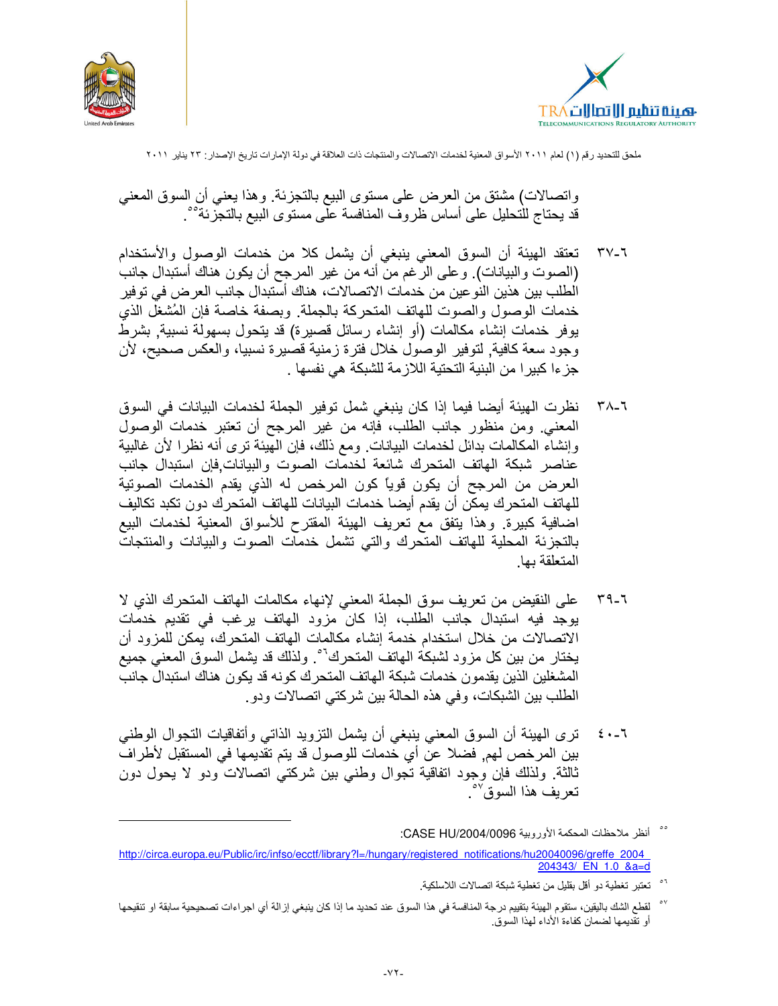



واتصالات) مشتقٍ من العرض على مستوى البيع بالتجزئة. وهذا يعني أن السوق المعنى قد يحتاج للتحليل على أساس ظروف المنافسة علَّى مستوى البيع بالتجَّزِئة<sup>0</sup>°.

- تعتقد الهيئة أن السوق المعنى ينبغي أن يشمل كلا من خدمات الوصول والأستخدام ۳۷-٦ (الصوت والبيانات). وعلى الرغم من أنه من غير المرجح أن يكون هناك أستبدال جانب الطلب بين هذين النوعين من خدمات الاتصالات، هناك أستبدال جانب العرض في توفير خدمات الوصول والصوت للهاتف المتحركة بالجملة. وبصفة خاصة فإن المُشغل الذي يوفر خدمات إنشاء مكالمات (أو إنشاء رسائل قصيرة) قد يتحول بسهولة نسبية. بشرطٌ وجود سعة كافية, لتوفير الوصول خلال فترة زمنية قصيرة نسبيا، والعكس صحيح، لأن جزءا كبيرا من البنية التحتية اللازمة للشبكة هي نفسها .
- نظرت الهيئة أيضا فيما إذا كان ينبغي شمل توفير الجملة لخدمات البيانات في السوق ۳۸-٦ المعنى ومن منظور جانب الطلب، فإنه من غير المرجح أن تعتبر خدمات الوصول وإنشاء المكالمات بدائل لخدمات البيانات. ومع ذلك، فإن الهيئة ترى أنه نظرا لأن غالبية عناصر شبكة الهاتف المتحرك شائعة لخدمات الصوت والبيانات فإن استبدال جانب العرض من المرجح أن يكون قوياً كون المرخص له الذي يقدم الخدمات الصوتية للهاتف المتحرك يمكن أن يقدم أيضا خدمات البيانات للهاتف المتحرك دون تكبد تكاليف اضافية كبيرة. وهذا يتفق مع تعريف الهيئة المقترح للأسواق المعنية لخدمات البيع بالتجزئة المحلية للهاتف المتحرك والتى تشمل خدمات الصوت والبيانات والمنتجات المتعلقة بها
- على النقيض من تعريف سوق الجملة المعنى لإنهاء مكالمات المهاتف المتحرك الذي لا  $T9-7$ يوجد فيه استبدال جانب الطلب، إذا كان مزود الهاتف برغب في تقديم خدمات الاتصالات من خلال استخدام خدمة إنشاء مكالمات الهاتف المتحرك، يمكن للمزود أن يختار من بين كل مزود لشبكة الهاتف المتحرك<sup>01</sup>. ولذلك قد يشمل السوق المعنى جميع المشغلين الذين يقدمون خدمات شبكة الهاتف المتحرك كونه قد يكون هناك استبدال جانب الطلب بين الشبكات، وفي هذه الحالة بين شركتي اتصالات ودو .
- ترى الهيئة أن السوق المعنى ينبغي أن يشمل التزويد الذاتي وأتفاقيات التجوال الوطني  $2 \cdot -7$ بين المرخص لهم٬ فضلا عن أي خدمات للوصول قد يتم تقديمها في المستقبل لأطراف ثالثة. ولذلك فإن وجود انفاقية نجوال وطنبي بين شركتبي انصالات ودو لا يحول دون تعريف هذا السوق<sup>07</sup>°.
- °° أنظر ملاحظات المحكمة الأوروبية CASE HU/2004/0096: http://circa.europa.eu/Public/irc/infso/ecctf/library?l=/hungary/registered notifications/hu20040096/greffe 2004 204343/ EN 1.0 & a=d
	- تعتبر تغطية دو أقل بقليل من تغطية شبكة اتصالات اللاسلكية.
- لقطع الشك باليقين، ستقوم الهيئة بتقييم درجة المنافسة في هذا السوق عند تحديد ما إذا كان ينبغي إزالة أي اجراءات تصحيحية سابقة او تنقيحها أو تقديمها لضمان كفاءة الأداء لهذا السوق.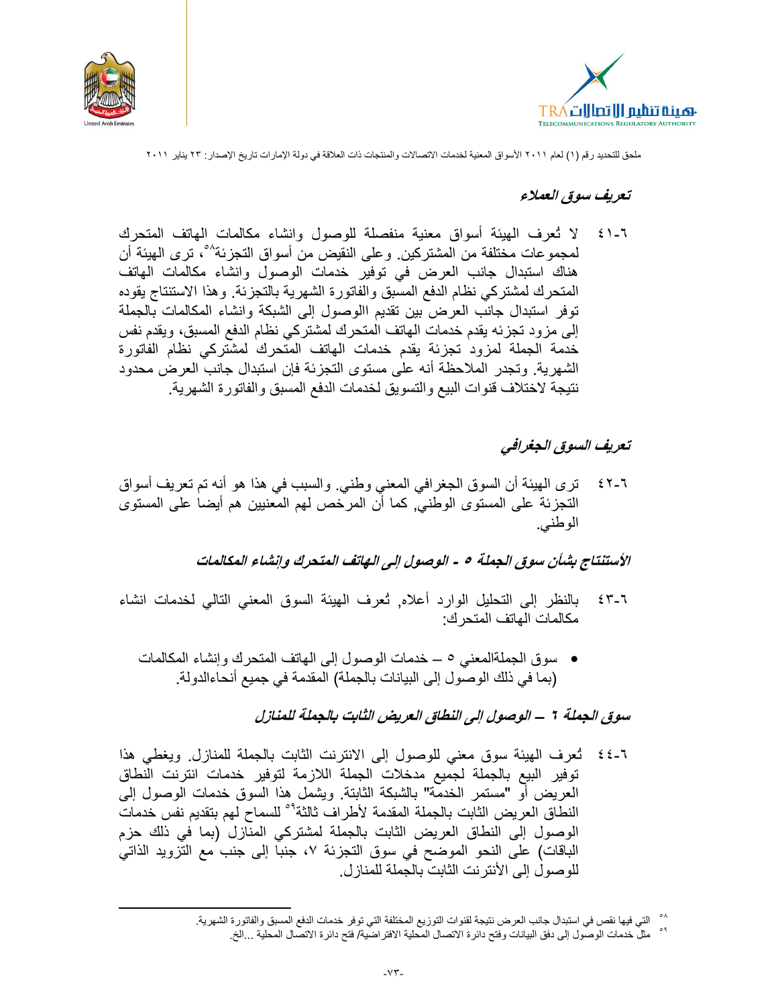



#### تعريف سوق العملاء

لا تُعرف الهيئة أسواق معنية منفصلة للوصول وانشاء مكالمات الهاتف المتحرك  $\epsilon$  )  $-7$ لمجموعات مختلفة من المشتركين. وعلى النقيض من أسواق التجزئة<sup>٥٨</sup>، ترى الهيئة أن هناك استبدال جانب العرض في توفير خدمات الوصول وانشاء مكالمات الهاتف المتحرك لمشتركي نظام الدفع المسبق والفاتورة الشهرية بالتجزئة. وهذا الاستنتاج يقوده توفر استبدال جانب العرض بين تقديم االوصول إلى الشبكة وانشاء المكالمات بالجملة إلى مزود تجزئه يقدم خدمات الهاتف المتحرك لمشتركي نظام الدفع المسبق، ويقدم نفس خدمة الجملة لمزود تجزئة يقدم خدمات الهاتف المتحرك لمشتركي نظام الفاتورة الشهرية. وتجدر الملاحظة أنه على مستوى التجزئة فإن استبدال جانب العرض محدود نتيجة لاختلاف قنوات البيع والتسويق لخدمات الدفع المسبق والفاتورة الشهرية

## تعريف السوق الجغرافي

ترى الهيئة أن السوق الجغرافي المعنى وطني. والسبب في هذا هو أنه تم تعريف أسواق  $25 - 7$ التجزئة على المستوى الوطنيّ, كما أن المرخص لهم المعنيين هم أيضاً على المستوى الوطنبي.

الأستنتاج بشأن سوق الجملة ٥ - الوصول إلى الهاتف المتحرك وإنشاء المكالمات

- بالنظر إلى التحليل الوارد أعلاه, ثعرف الهيئة السوق المعنى التالي لخدمات انشاء  $25 - 7$ مكالمات الهاتف المتحرك:
	- سوق الجملةالمعنى ٥ ـــ خدمات الوصول إلى الهاتف المتحرك وإنشاء المكالمات (بما في ذلك الوصول إلى البيانات بالجملة) المقدمة في جميع أنحاءالدولة.

#### سوق الجملة ٦ – الوصول إلى النطاق العريض الثابت بالجملة للمنازل

٦-٤٤ تُعرف الهيئة سوق معنى للوصول إلى الانترنت الثابت بالجملة للمنازل ويغطى هذا توفير البيع بالجملة لجميع مدخلات الجملة اللازمة لتوفير خدمات انترنت النطاق العريض أوَّ "مستمر الخدمَّة" بالشبكة الثابتة. ويشمل هذا السوق خدمات الوصول إلى النطاق العريض الثابت بالجملة المقدمة لأطراف ثالثة<sup>0</sup>° للسماح لهم بتقديم نفس خدمات الوصول إلى النطاق العريض الثابت بالجملة لمشتركي المنازل (بما في ذلك حزم الباقات) على النحو الموضح في سوق التجزئة ٧، جنبا إلى جنب مع التزويد الذاتي للوصول إلى الأنترنت الثابت بالجملة للمنازل.

<sup>^°</sup> التي فيها نقص في استبدال جانب العرض نتيجة لقنوات التوزيع المختلفة التي توفر خدمات الدفع المسبق والفاتورة الشهرية

أ ْ مثلٌ خدمات الوصول إلى دفق البيانات وفتح دائرة الاتصال المحلية الافتر اضية/ فتح دائرة الاتصال المحلية ...الخ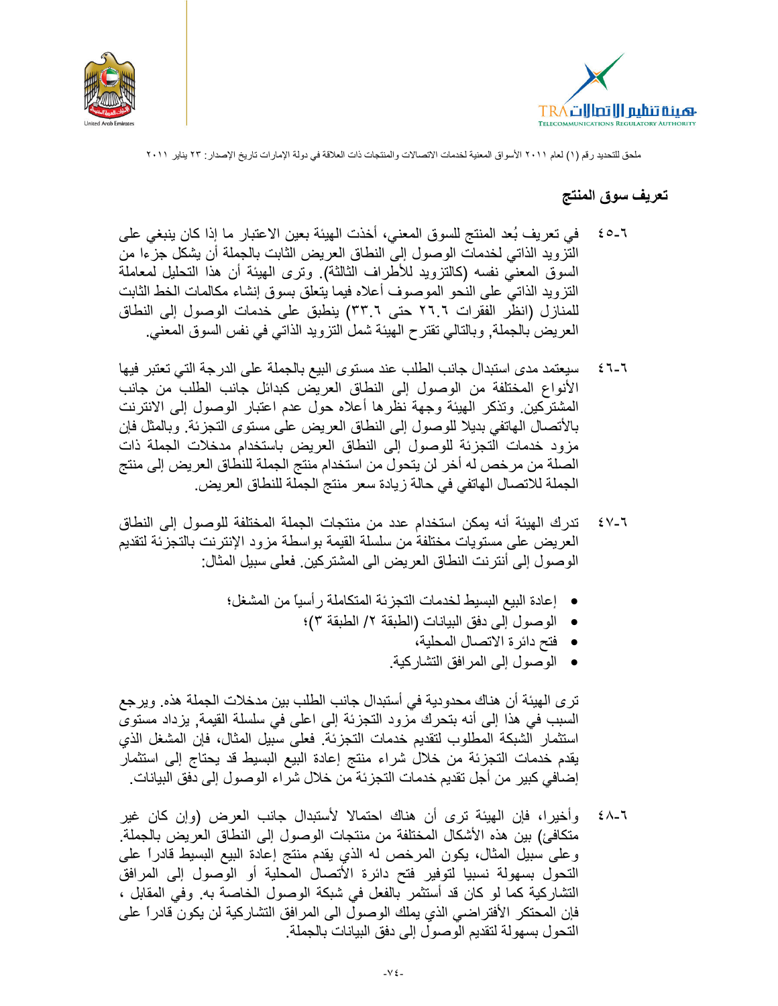



#### تعريف سوق المنتج

- في تعريف بُعد المنتج للسوق المعنى، أخذت الهيئة بعين الاعتبار ما إذا كان ينبغي على  $20 - 7$ النَّزويد الذاتي لخدماتٌ الوصول إلىَّ النطاق العريض الثابت بالجملة أن يشكل جزءا من السوق المعنى نفسه (كالتزويد للأطراف الثالثة). وترى الهيئة أن هذا التحليل لمعاملة النزويد الذاتى على النحو الموصوف أعلاه فيما يتعلق بسوق إنشاء مكالمات الخط الثابت للمنازل (انظر الفقرات ٢٦.٦ حتى ٣٣.٦) ينطبق على خدمات الوصول إلى النطاق العريض بالجملة, وبالتالي تقترح الهيئة شملٌ النزويد الذاتـي فـي نفس السوق المعنـي.
- سيعتمد مدى استبدال جانب الطلب عند مستوى البيع بالجملة على الدرجة التي تعتبر فيها  $27 - 7$ الأنواع المختلفة من الوصول إلى النطاق العريض كبدائل جانب الطلب من جانب المشتركين وتذكر الهيئة وجهة نظرها أعلاه حول عدم اعتبار الوصول إلى الانترنت بالأتصال الهاتفي بديلا للوصول إلى النطاق العريض على مستوى التجزئة. وبالمثل فإن مزود خدمات النجزئة للوصول إلى النطاق العريض باستخدام مدخلات الجملة ذات الصلة من مرخص له أخر لن يتحول من استخدام منتج الجملة للنطاق العريض إلى منتج الجملة للاتصال الهاتفي في حالة زيادة سعر منتج الجملة للنطاق العريض.
- تدرك الهيئة أنه يمكن استخدام عدد من منتجات الجملة المختلفة للوصول إلى النطاق ∖۔∨ ≵ العريض على مستويات مختلفة من سلسلة القيمة بواسطة مزود الإنترنت بالتجزئة لتقديم الوصول إلى أنترنت النطاق العريض الى المشتركين. فعلى سبيل المثال:
	- إعادة البيع البسيط لخدمات التجزئة المتكاملة رأسياً من المشغل؛
		- الوصول إلى دفق البيانات (الطبقة ٢/ الطبقة ٣)؛
			- فتح دائر ة الاتصال المحلية،
			- الوصول إلى المرافق التشاركية.

تر ي الهيئة أن هناك محدودية في أستبدال جانب الطلب بين مدخلات الجملة هذه. ويرجع السبب في هذا إلى أنه بتحرك مزود التجزئة إلى اعلى في سلسلة القيمة, يزداد مستوى استثمار الشبكة المطلوب لتقديم خدمات التجزئة. فعلى سبيل المثال، فإن المشغل الذي يقدم خدمات التجزئة من خلال شراء منتج إعادة البيع البسيط قد يحتاج إلى استثمار إضـافـي كبير من أجل تقديم خدمات النجزئة من خلال شراء الوصـول إلـي دفق البيانات.

وأخيرًا، فإن الهيئة ترى أن هناك احتمالًا لأستبدال جانب العرض (وإن كان غير 7 ـ ∧ ځ متكافئ) بين هذه الأشكال المختلفة من منتجات الوصول إلى النطاق العريض بالجملة. وعلى سبيل المثال، يكون المرخص له الذي يقدم منتج إعادة البيع البسيط قادراً على التحول بسهولة نسبيا لتوفير فتح دائرة الأتصال المحلية أو الوصول إلى المرافق التشاركية كما لو كان قد أستثمر بالفعل في شبكة الوصول الخاصة به. وفي المقابل ، فإن المحتكر الأفتراضـي الذي يملك الوصول الى المرافق التشاركية لن يكون قادراً على النحول بسهولة لتقديم الوصول إلى دفق البيانات بالجملة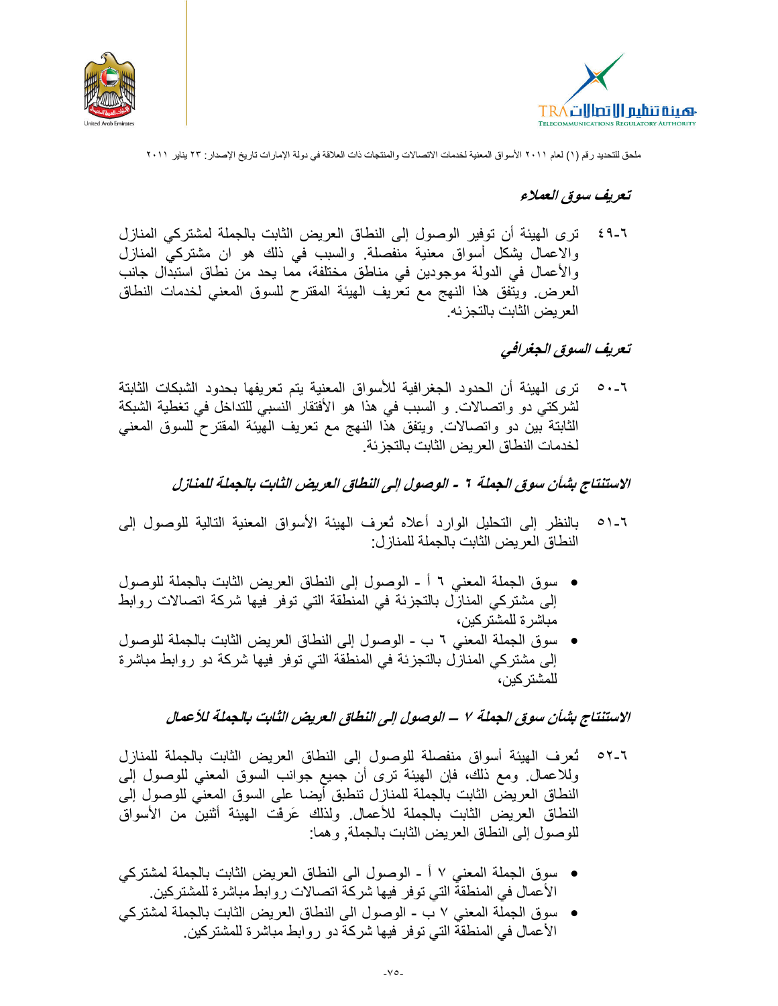



#### تعريف سوق العملاء

ترى الهيئة أن توفير الوصول إلى النطاق العريض الثابت بالجملة لمشتركي المنازل 7 ـ ۹ غ والاعمال يشكل أسواق معنية منفصلة. والسبب في ذلك هو ان مشتركي المنازل والأعمال في الدولة موجودين في مناطق مختلفة، مما يحد من نطاق استبدال جانب العرض ويتفق هذا النهج مع تعريف الهيئة المقترح للسوق المعنى لخدمات النطاق العر بض الثابت بالتجز ئه.

## تعريف السوق الجغرافي

ترى الهيئة أن الحدود الجغرافية للأسواق المعنية يتم تعريفها بحدود الشبكات الثابتة  $\circ \cdot$  -  $\overline{\cdot}$ لشركتي دو واتصالات و السبب في هذا هو الأفتقار النسبي للتداخل في تغطية الشبكة الثابتة بين دو واتصالات ويتفق هذا النهج مع تعريف المهيئة المقترح للسوق المعنى لخدمات النطاق العريض الثابت بالتجز ئة.

الاستنتاج بشأن سوق الجملة ٢ - الوصول إلى النطاق العريض الثابت بالجملة للمنازل

- بالنظر إلى التحليل الوارد أعلاه ثعرف المهيئة الأسواق المعنية التالية للوصول إلى  $01 - 7$ النطاق العريض الثابت بالجملة للمنازل:
- سوق الجملة المعنى ٦ أ الوصول إلى النطاق العريض الثابت بالجملة للوصول إلى مشتركي المنازل بالتجزئة في المنطقة التي توفر فيها شركة اتصالات روابط مباشر ة للمشتر كين،
- سوق الجملة المعنى ٦ ب الوصول إلى النطاق العريض الثابت بالجملة للوصول  $\bullet$ إلى مشتركي المنازل بالتجزئة في المنطقة التي توفر فيها شركة دو روابط مباشرة للمشتر كبن،

الاستنتاج بشأن سوق الجملة ٧ – الوصول إلى النطاق العريض الثابت بالجملة للأعمال

- تُعرف الهيئة أسواق منفصلة للوصول إلى النطاق العريض الثابت بالجملة للمنازل  $\circ$   $\sim$   $\sim$   $\sim$ وللاعمال ومع ذلك، فإن المهيئة ترى أن جميع جوانب السوق المعني للوصول إلى النطاق العريض الثابت بالجملة للمنازل تنطبق أيضا على السوق المعنى للوصول إلى النطاق العريض الثابت بالجملة للأعمال. ولذلك عَرِفَت الهيئة أثنين من الأسواق للوصول إلى النطاق العريض الثابت بالجملة, وهما:
- سوق الجملة المعنى ٧ أ الوصول الى النطاق العريض الثابت بالجملة لمشتركي الأعمال في المنطقة التي توفر فيها شركة اتصالات روابط مباشرة للمشتركين.
- سوق الجملة المعنى ٧ ب الوصول الى النطاق العريض الثابت بالجملة لمشتركي الأعمال في المنطقة التي توفر فيها شركة دو روابط مباشرة للمشتركين.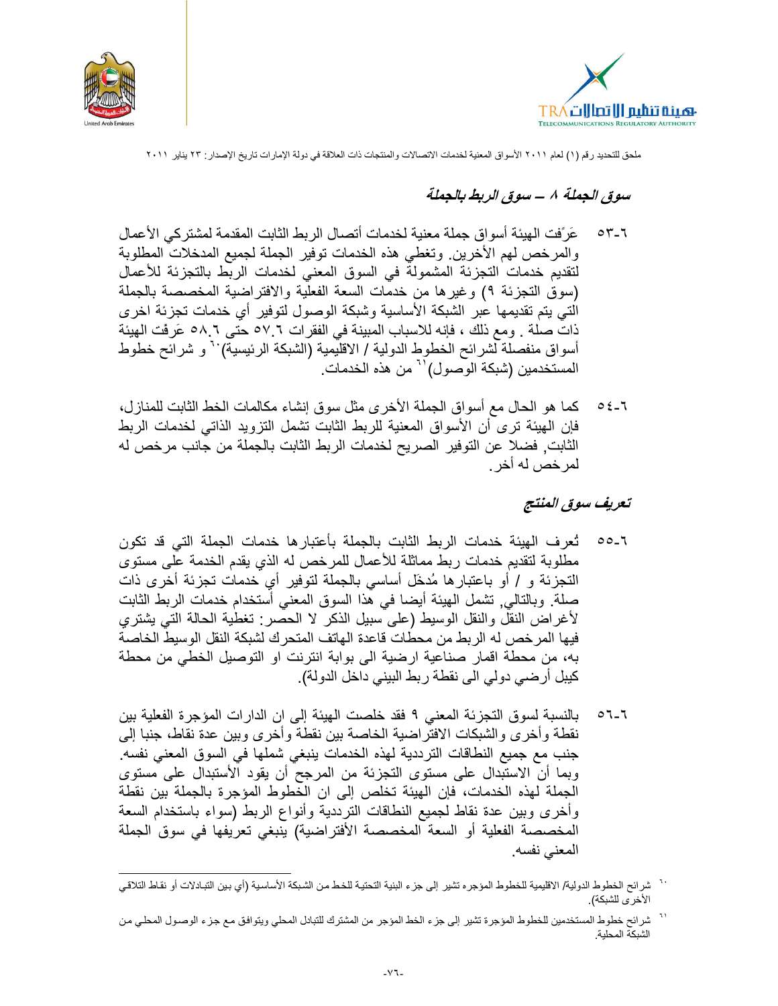



## سوق الجملة ٨ – سوق الربط بالجملة

- عَرَفت الـهيئة أسواق جملة معنية لخدمات أتصال الربط الثابت المقدمة لمشتركي الأعمال  $07 - 7$ والمرخص لهم الأخرين وتغطى هذه الخدمات توفير الجملة لجميع المدخلات المطلوبة لتقديم خدمات التجزئة المشمولة في السوق المعنى لخدمات الربط بالتجزئة للأعمال (سوق النجزئة ٩) وغيرها من خدمات السعة الفعلَّية والافتراضية المخصصة بالجملة التي يتم تقديمها عبر الشبكة الأساسية وشبكة الوصول لتوفير أي خدمات تجزئة اخرى ذات صلة . ومع ذلك ، فإنه للاسباب المبينة في الفقرات ٦ ٥٧ حتى ٥٨.٦ عَرفَت المهيئة أسواق منفصلة لشرائح الخطوط الدولية / الاقليمية (الشبكة الرئيسية) `` و شرائح خطوط المستخدمين (شبكة الوصول)'<sup>٦</sup> من هذه الخدمات.
- كما هو الحال مع أسواق الجملة الأخرى مثل سوق إنشاء مكالمات الخط الثابت للمنازل،  $05-7$ فإن المهيئة ترى أن الأسواق المعنية للربط الثابت تشمل التزويد الذاتي لخدمات الربط الثابت, فضلا عن التوفير الصريح لخدمات الربط الثابت بالجملة من جانب مرخص له لمر خص له أخر .

## تعريف سوق المنتج

- تُعرف الهيئة خدمات الربط الثابت بالجملة بأعتبارها خدمات الجملة التي قد تكون  $00 - 7$ مطلوبة لتقديم خدمات ربط مماثلة للأعمال للمرخص له الذي يقدم الخدمة على مستوى النجزئة و / أو باعتبارها مُدخَل أساسي بالجملة لتوفير أي خدمات تجزئة أخرى ذات صلةً. وبالتالي, تشمل الهيئة أيضا في هذا السوق المعني أستخدام خدمات الربط الثابت لأغراض النقل والنقل الوسيط (على سبيل الذكر لا الحصر : تغطية الحالة التـي يشتري فيها المرخص له الربط من محطات قاعدة الهاتف المتحرك لشبكة النقل الوسيط الخاصة به، من محطة اقمار صناعية ارضية الى بوابة انترنت او التوصيل الخطي من محطة كيبل أرضي دولي الى نقطة ربط البيني داخل الدولة).
- بالنسبة لسوق التجزئة المعنى ٩ فقد خلصت الهيئة إلى ان الدارات المؤجرة الفعلية بين  $07-7$ نقطة وأخرى والشبكات الافتراضية الخاصة بين نقطة وأخرى وبين عدة نقاط، جنبا إلى جنب مع جميع النطاقات الترددية لهذه الخدمات ينبغي شملها في السوق المعنى نفسه. وبما أن الاستبدال على مستوى التجزئة من المرجح أن يقود الأستبدال على مستوى الجملة لهذه الخدمات، فإن الهيئة تخلص إلى ان الخطوط المؤجرة بالجملة بين نقطة وأخرى وبين عدة نقاط لجميع النطاقات الترددية وأنواع الربط (سواء باستخدام السعة المخصصة الفعلية أو السعة المخصصة الأفتراضية) ينبغي تعريفها في سوق الجملة المعنى نفسه.

فجلت شرائح الخطوط الدولية/ الاقليمية للخطوط المؤجره تشير إلى جزء البنية التحتية للخط من الشبكة الأساسية (أي بين التبادلات أو نقاط التلاقي الأخر ى للشبكة).

<sup>&</sup>lt;sup>١٠</sup> شرائح خطوط المستخدمين للخطوط المؤجرة تشير إلى جزء الخط المؤجر من المشترك للتبادل المحلي ويتوافق مع جزء الوصـول المحلـي من الشبكة المحلية.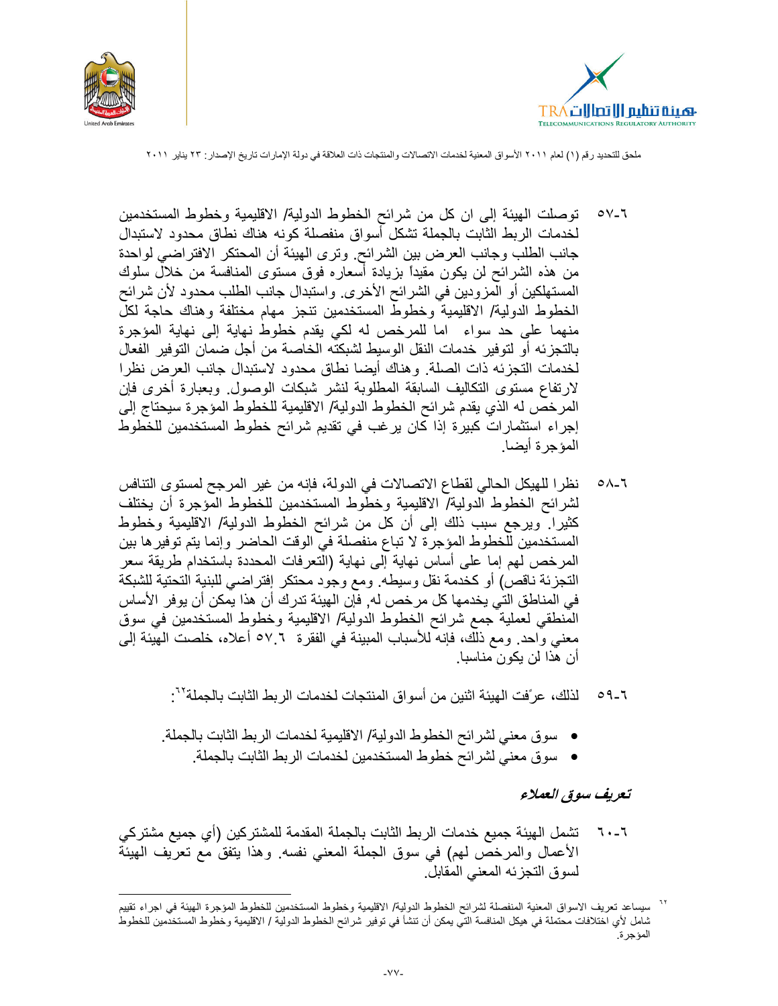



- توصلت الهيئة إلى ان كل من شرائح الخطوط الدولية/ الاقليمية وخطوط المستخدمين ०∨- । لخدمات الربط الثابت بالجملة تشكل أسواق منفصلة كونه هناك نطاق محدود لاستبدال جانب الطلب وجانب العرض بين الشرائح. ونرى الهيئة أن المحتكر الافتراضي لواحدة من هذه الشرائح لن يكون مقيداً بزيادة أسعاره فوق مستوى المنافسة من خلال سلوك المستهلكين أو المزودين في الشرائح الأخرى. واستبدال جانب الطلب محدود لأن شرائح الخطوط الدولية/ الاقليمية وخطوط المستخدمين ننجز مهام مختلفة وهناك حاجة لكل منهما على حد سواء اما للمرخص له لكي يقدم خطوطٌ نهاية إلى نهاية المؤجرة بالتجزيئه أو لتوفير خدمات النقل الوسيط لشبكته الخاصة من أجل ضمان التوفير الفعال لخدمات التجزئه ذات الصلة. وهناك أيضا نطاق محدود لاستبدال جانب العرض نظرا لارتفاع مستوى التكاليف السابقة المطلوبة لنشر شبكات الوصول وبعبارة أخرى فإن المرخص له الذي يقدم شرائح الخطوط الدولية/ الاقليمية للخطوط المؤجرة سيحتاج إلى إجراء استثمارات كبيرة إذا كان يرغب في تقديم شرائح خطوط المستخدمين للخطوط المؤجر ة أبضا.
- نظر ا للهيكل الحالي لقطاع الاتصالات في الدولة، فإنه من غير المرجح لمستوى التنافس  $0 - 7$ لشرائح الخطوط الدولية/ الاقليمية وخطوط المستخدمين للخطوط المؤجرة أن يختلف كثيرا. ويرجع سبب ذلك إلى أن كل من شرائح الخطوط الدولية/ الاقليمية وخطوط المستخدمين للخطوط المؤجرة لا تباع منفصلة فيّ الوقت الحاضر وإنما يتم توفير ها بين المرخص لهم إما على أساس نهاية إلى نهاية (الَّنعرفات المحددة باستخدام طريقة سعر التجزئة ناقص) أو كخدمة نقل وسيطه. ومع وجود محتكر إفتراضي للبنية التحتية للشبكة في المناطق التي يخدمها كل مرخص له, فإن الهيئة تدرك أن هذا يمكن أن يوفر الأساس المنطقي لعملية جمع شرائح الخطوط الدولية/ الاقليمية وخطوط المستخدمين في سوق معنى واحد. ومع ذلك، فإنه للأسباب المبينة في الفقرة ٦.٥٧ أعلاه، خلصت الهيئة إلى أن هذا لن يكون مناسبا.
	- لذلك، عرَّفت الهيئة اثنين من أسواق المنتجات لخدمات الربط الثابت بالجملة'':  $09-7$
	- سوق معنى لشرائح الخطوط الدولية/ الاقليمية لخدمات الربط الثابت بالجملة.
		- سوق معنى لشر ائح خطوط المستخدمين لخدمات الربط الثابت بالجملة.

#### تعريف سوق العملاء

٦٠-٦ تشمل الهيئة جميع خدمات الربط الثابت بالجملة المقدمة للمشتركين (أي جميع مشتركي الأعمال والمرخص لهم) في سوق الجملة المعنى نفسه. وهذا يتفق مع تعريف الهيئة لسوق التجزئه المعنى المقابل

<sup>&</sup>lt;sup>7۲</sup> سيساعد تعريف الاسواق المعنية المنفصلة لشرائح الخطوط الدولية/ الاقليمية وخطوط المستخدمين للخطوط المؤجرة الهيئة في اجراء تقييم شامل لأي اختلافات محتملة في هيكل المنافسة التي يمكن أن تنشأ في توفير شرائح الخطوط الدولية / الاقليمية وخطوط المستخدمين للخطوط المؤجرة.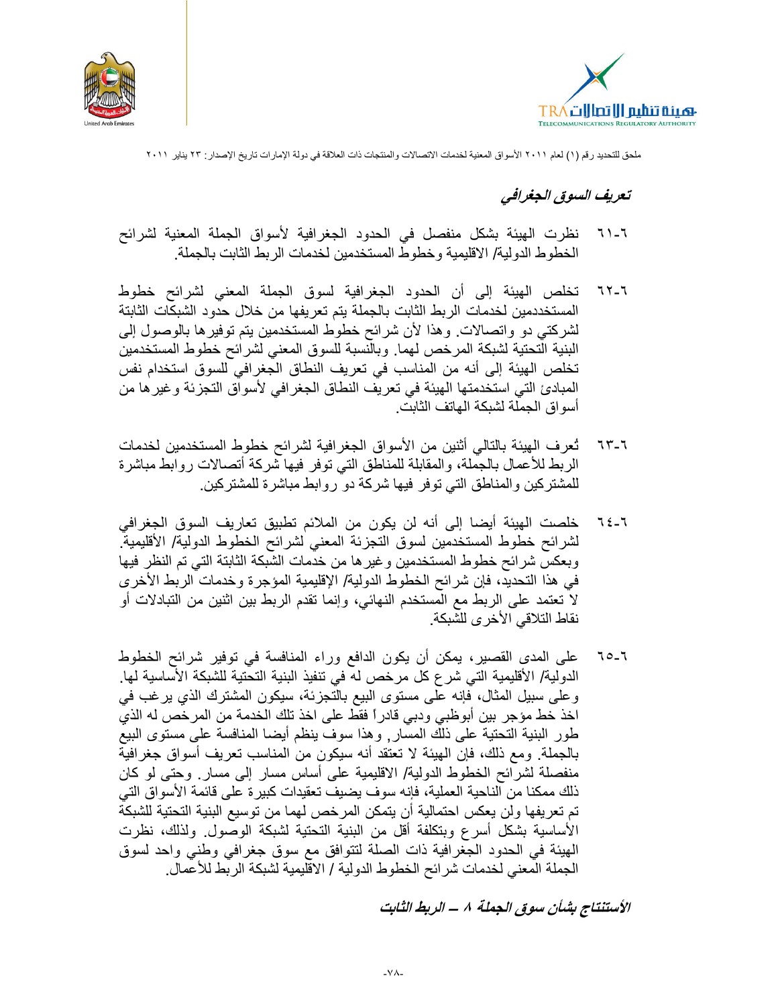



## تعريف السوق الجغرافي

- نظرت الهيئة بشكل منفصل في الحدود الجغرافية لأسواق الجملة المعنية لشرائح  $71 - 7$ الخطوط الدولية/ الاقليمية وخطوط المستخدمين لخدمات الربط الثابت بالجملة.
- تخلص الهيئة إلى أن الحدود الجغرافية لسوق الجملة المعنى لشرائح خطوط  $75 - 7$ المستخددمين لخدمات الربط الثابت بالجملة يتم تعريفها من خلال حدود الشبكات الثابتة لشركتي دو واتصالات. وهذا لأن شرائح خطوط المستخدمين يتم توفير ها بالوصول إلى البنية التحتية لشبكة المرخص لهما. وبالنسبة للسوق المعنى لشرائح خطوط المستخدمين تخلص الهيئة إلى أنه من المناسب في تعريف النطاق الجغرافي للسوق استخدام نفس المبادئ التي استخدمتها الهيئة في تعريف النطاق الجغرافي لأسواق التجزئة وغيرها من أسو اق الجملة لشبكة الماتف الثابت.
- ثعرف الهيئة بالتالي أثنين من الأسواق الجغرافية لشرائح خطوط المستخدمين لخدمات 7۳-٦ الربط للأعمال بالجملة، والمقابلة للمناطق التي توفر فيها شركة أتصالات روابط مباشرة للمشتركين والمناطق التي توفر فيها شركة دو روابط مباشرة للمشتركين.
- خلصت الهيئة أيضا إلى أنه لن يكون من الملائم تطبيق تعاريف السوق الجغرافي  $75 - 7$ لشرائح خطوط المستخدمين لسوق التجزئة المعنى لشرائح الخطوط الدولية/ الأقليمية وبعكسّ شرائح خطوط المستخدمين وغيرها من خدمات الشبكة الثابتة التي تم النظر فيها في هذا التحديد، فإن شرائح الخطوط الدولية/ الإقليمية المؤجرة وخدمات الربط الأخرى لا تعتمد على الربط مع المستخدم النهائي، وإنما تقدم الربط بين اثنين من التبادلات أو نقاط التلاقي الأخرى للشبكة.
- على المدى القصير، يمكن أن يكون الدافع وراء المنافسة في توفير شرائح الخطوط  $70 - 7$ الدولية/ الأقليمية التي شرع كل مرخص له في تنفيذ البنية التحتية للشبكة الأساسية لها. وعلى سبيل المثال، فإنه علَّى مستوى البيع بالتجزئة، سيكون المشترك الذي يرغب في اخذ خط مؤجر بين أبوظبي ودبي قادراً فقط على اخذ تلك الخدمة من المرخص له الذي طور البنية التحتية على ذلك المسار, وهذا سوف ينظم أيضا المنافسة على مستوى البيع بالجملة ومع ذلك، فإن الهيئة لا تعتقد أنه سيكون من المناسب تعريف أسواق جغرافية منفصلة لشرائح الخطوط الدولية/ الاقليمية على أساس مسار إلى مسار ٍ وحتى لو كان ذلك ممكنا من الناحية العملية، فإنه سوف يضيف تعقيدات كبير ة على قائمة الأسواق التي تم تعريفها ولن يعكس احتمالية أن يتمكن المرخص لهما من توسيع البنية التحتية للشبكة الأساسية بشكل أسرع وبتكلفة أقل من البنية التحتية لشبكة الوصول. ولذلك، نظرت الهيئة في الحدود الجغرافية ذات الصلة لتتوافق مع سوق جغرافي وطني واحد لسوق الجملة المعنى لخدمات شرائح الخطوط الدولية / الاقليمية لشبكة الربط للأعمال.

الأستنتاج بشأن سوق الجملة ٨ – الربط الثابت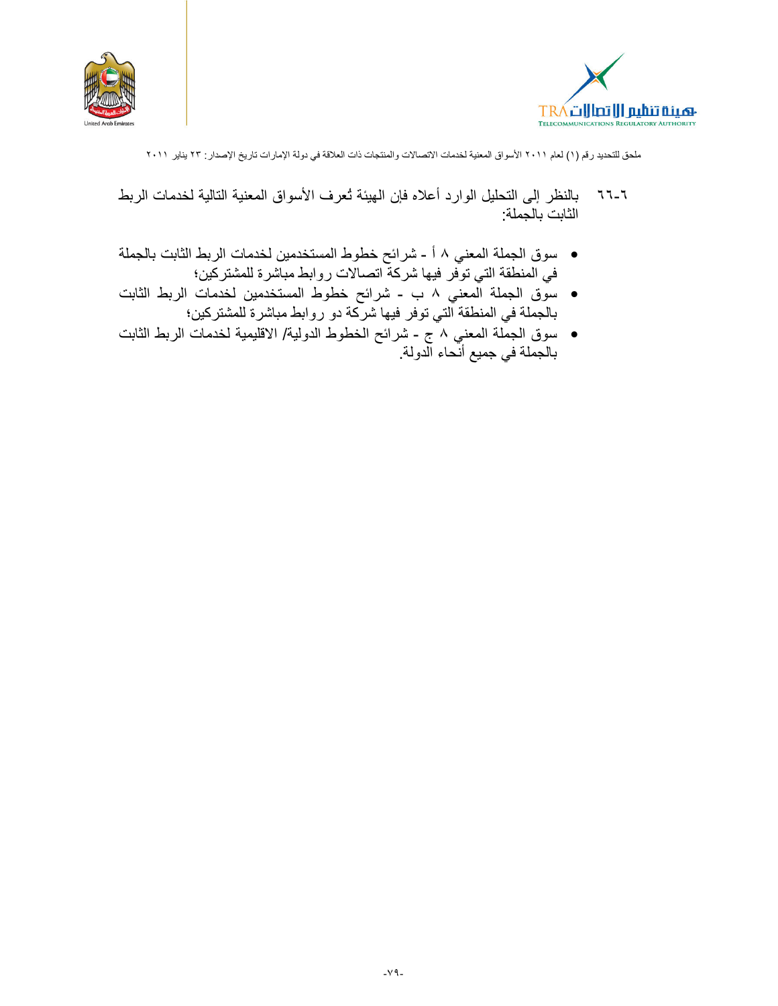



- بالنظر إلى التحليل الوارد أعلاه فإن الهيئة نُعرف الأسواق المعنية التالية لخدمات الربط  $77 - 7$ الثابت بالجملة:
- سوق الجملة المعني ٨ أ شرائح خطوط المستخدمين لخدمات الربط الثابت بالجملة في المنطقة التي توَّفر فيها شركة اتصالات روابط مباشرة للمشتركين؛
- سوق الجملة المعنى ٨ ب شرائح خطوط المستخدمين لخدمات الربط الثابت بالجملة في المنطقة التي توفر فيها شركة دو روابط مباشرة للمشتركين؛
- سوق الجمّلة المعني ٨ ج شرائح الخطوط الدولية/ الاقليمية لخدمات الربط الثابت<br>بالجملة في جميع أنحاء الدولة.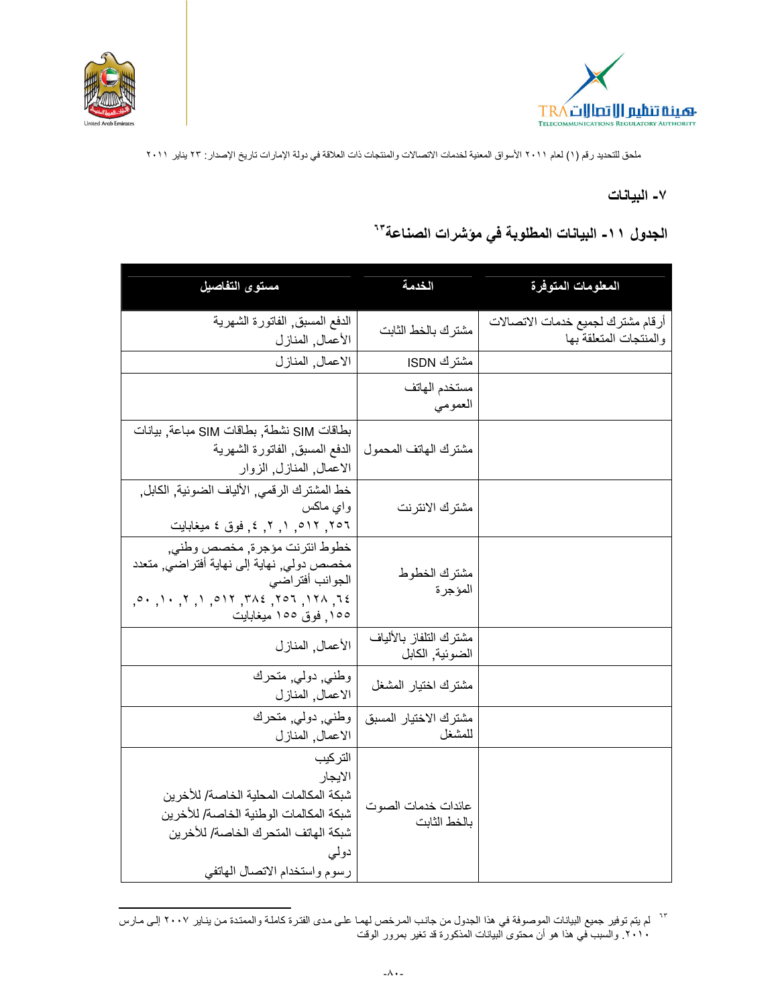



#### ٧- البيانات

# الجدول ١١- البيانات المطلوبة في مؤشرات الصناعة"

| مستوى التفاصيل                                                                                                                                                                                                                                                                                                                                             | الخدمة                                    | المعلومات المتوفرة                                          |
|------------------------------------------------------------------------------------------------------------------------------------------------------------------------------------------------------------------------------------------------------------------------------------------------------------------------------------------------------------|-------------------------------------------|-------------------------------------------------------------|
| الدفع المسبق, الفاتورة الشهرية<br>الأعمال, المنازل                                                                                                                                                                                                                                                                                                         | مشترك بالخط الثابت                        | أرقام مشترك لجميع خدمات الاتصالات<br>والمنتجات المتعلقة بها |
| الاعمال, المنازل                                                                                                                                                                                                                                                                                                                                           | مشترك ISDN                                |                                                             |
|                                                                                                                                                                                                                                                                                                                                                            | مستخدم الهاتف<br>العمومي                  |                                                             |
| بطاقات SIM نشطة, بطاقات SIM مباعة, بيانات<br>الدفع المسبق الفاتورة الشهرية<br>الاعمال, المنازل, الزوار                                                                                                                                                                                                                                                     | مشترك الهاتف المحمول                      |                                                             |
| خط المشترك الرقمي, الألياف الضوئية, الكابل,<br>واي ماكس<br>٢٥٦, ٥١٢, ١, ٢, ٤, فوق ٤ ميغابايت                                                                                                                                                                                                                                                               | مشترك الانترنت                            |                                                             |
| خطوط انترنت مؤجرة, مخصص وطني,<br>مخصص دولي, نهاية إلى نهاية أفتراضي, متعدد<br>الجوانب أفتر اضبي<br>$(0.000, 0.000, 0.000, 0.000, 0.000, 0.000, 0.000, 0.000, 0.000, 0.000, 0.000, 0.000, 0.000, 0.000, 0.000, 0.000, 0.000, 0.000, 0.000, 0.000, 0.000, 0.000, 0.000, 0.000, 0.000, 0.000, 0.000, 0.000, 0.000, 0.000, 0.000, 0.$<br>١٥٥. فوق ١٥٥ ميغابايت | مشترك الخطوط<br>المؤجرة                   |                                                             |
| الأعمال, المنازل                                                                                                                                                                                                                                                                                                                                           | مشترك التلفاز بالألياف<br>الضوئية, الكابل |                                                             |
| وطني دولي متحرك<br>الاعمال, المنازل                                                                                                                                                                                                                                                                                                                        | مشترك اختيار المشغل                       |                                                             |
| وطني دولي, متحرك<br>الاعمال, المنازل                                                                                                                                                                                                                                                                                                                       | مشترك الاختيار المسبق<br>للمشغل           |                                                             |
| التركيب<br>الايجار<br>شبكة المكالمات المحلية الخاصة/ للأخرين<br>شبكة المكالمات الوطنية الخاصة/ للأخرين<br>شبكة الهاتف المتحرك الخاصة/ للأخرين<br>دولي<br>رسوم واستخدام الاتصال الهاتفي                                                                                                                                                                     | عائدات خدمات الصوت<br>بالخط الثابت        |                                                             |

<sup>&</sup>lt;sup>٦٢</sup> لم يتم توفير جميع البيانات الموصوفة في هذا الجدول من جانب المرخص لهما على مدى الفترة كاملـة والممتـدة من ينـاير ٢٠٠٧ إلـى مـارس<br>٢٠١٠. والسبب في هذا هو أن محتوى البيانات المذكورة قد تغير بمرور الوقت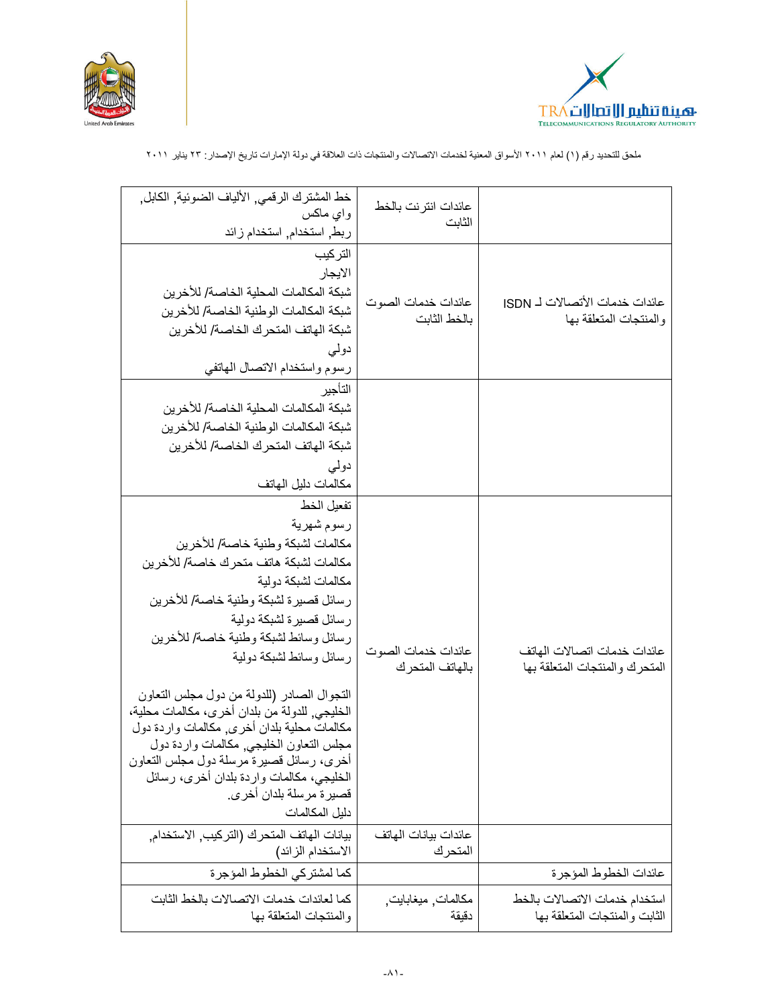



|                                                                | عائدات انتر نت بالخط<br>الثابت        | خط المشترك الرقمي, الألياف الضوئية, الكابل,<br>وای ماکس<br>ربط, استخدام, استخدام زائد                                                                                                                                                                                                                                                                                                                                                                                                                                                                                                                 |
|----------------------------------------------------------------|---------------------------------------|-------------------------------------------------------------------------------------------------------------------------------------------------------------------------------------------------------------------------------------------------------------------------------------------------------------------------------------------------------------------------------------------------------------------------------------------------------------------------------------------------------------------------------------------------------------------------------------------------------|
| عائدات خدمات الأتصالات لــ ISDN<br>والمنتجات المتعلقة بها      | عائدات خدمات الصوت<br>بالخط الثابت    | التركيب<br>الايجار<br>شبكة المكالمات المحلية الخاصة/ للأخرين<br>شبكة المكالمات الوطنية الخاصة/ للأخرين<br>شبكة الهاتف المتحرك الخاصة/ للأخرين<br>دولی<br>رسوم واستخدام الاتصال الهاتفي                                                                                                                                                                                                                                                                                                                                                                                                                |
|                                                                |                                       | التأجير<br>شبكة المكالمات المحلية الخاصة/ للأخرين<br>شبكة المكالمات الوطنية الخاصة/ للأخرين<br>شبكة الهاتف المتحر ك الخاصة/ للأخر بن<br>دولي<br>مكالمات دليل الهاتف                                                                                                                                                                                                                                                                                                                                                                                                                                   |
| عائدات خدمات اتصالات الهاتف<br>المتحرك والمنتجات المتعلقة بها  | عائدات خدمات الصوت<br>بالهاتف المتحرك | تفعيل الخط<br>رسوم شهرية<br>مكالمات لشبكة وطنية خاصة/ للأخرين<br>مكالمات لشبكة هاتف متحرك خاصىة/ للأخرين<br>مكالمات لشبكة دو لية<br>رسائل قصيرة لشبكة وطنية خاصة/ للأخرين<br>رسائل قصيرة لشبكة دولية<br>رسائل وسائط لشبكة وطنية خاصة/ للأخرين<br>رسائل وسائط لشبكة دولية<br>التجوال الصادر (للدولة من دول مجلس التعاون<br>الخليجي٬ للدولة من بلدان أخرى، مكالمات محلية،<br>مكالمات محلية بلدان أخرى مكالمات واردة دول<br>مجلس التعاون الخليجي, مكالمات واردة دول<br>أخرى، رسائل قصيرة مرسلة دول مجلس النعاون<br>الخليجي، مكالمات واردة بلدان أخرى، رسائل<br>قصيرة مرسلة بلدان أخرى.<br>دليل المكالمات |
|                                                                | عائدات بيانات الهاتف<br>المتحرك       | بيانات الهاتف المتحرك (التركيب, الاستخدام,<br>الاستخدام الزائد)                                                                                                                                                                                                                                                                                                                                                                                                                                                                                                                                       |
| عائدات الخطوط المؤجرة                                          |                                       | كما لمشتركي الخطوط المؤجرة                                                                                                                                                                                                                                                                                                                                                                                                                                                                                                                                                                            |
| استخدام خدمات الاتصالات بالخط<br>الثابت والمنتجات المتعلقة بها | مكالمات ميغابايت.<br>دقيقة            | كما لعائدات خدمات الاتصالات بالخط الثابت<br>والمنتجات المتعلقة بها                                                                                                                                                                                                                                                                                                                                                                                                                                                                                                                                    |